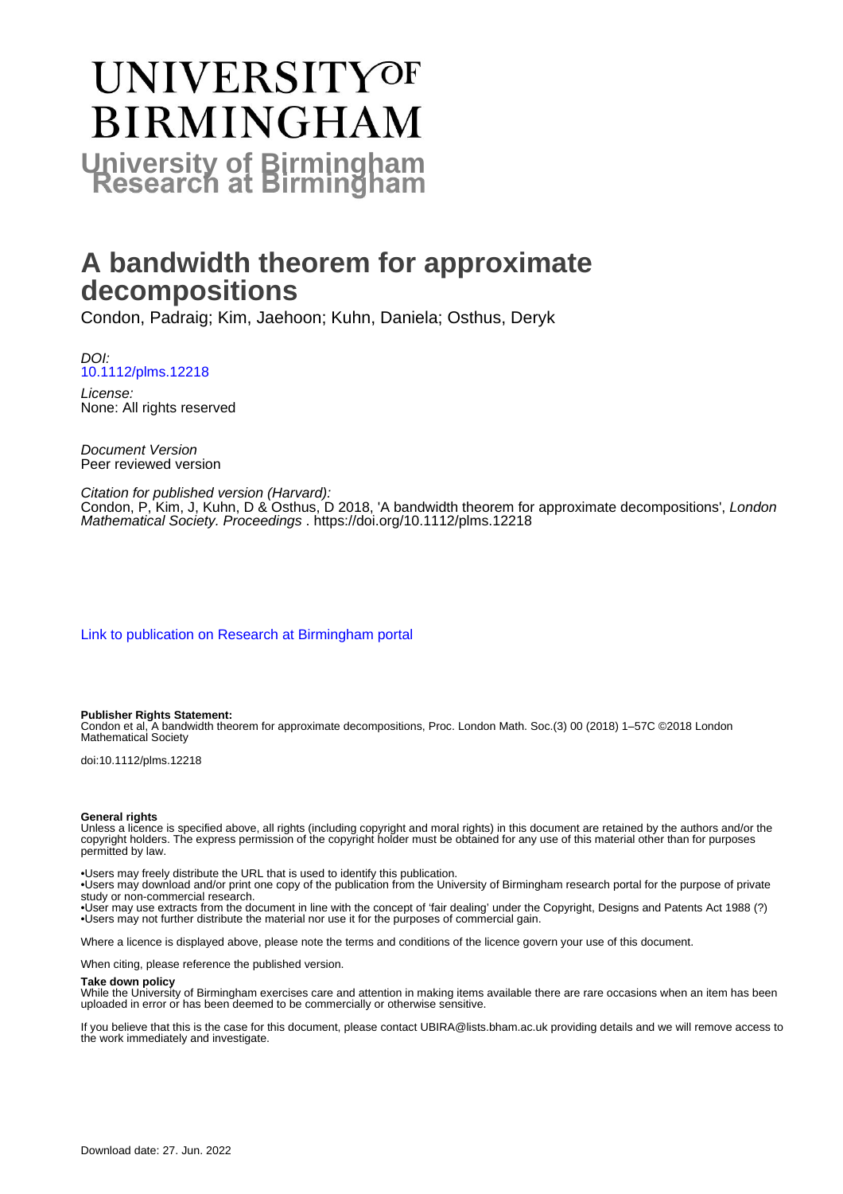# **UNIVERSITYOF BIRMINGHAM University of Birmingham**

# **A bandwidth theorem for approximate decompositions**

Condon, Padraig; Kim, Jaehoon; Kuhn, Daniela; Osthus, Deryk

DOI: [10.1112/plms.12218](https://doi.org/10.1112/plms.12218)

License: None: All rights reserved

Document Version Peer reviewed version

### Citation for published version (Harvard):

Condon, P, Kim, J, Kuhn, D & Osthus, D 2018, 'A bandwidth theorem for approximate decompositions', London Mathematical Society. Proceedings . <https://doi.org/10.1112/plms.12218>

[Link to publication on Research at Birmingham portal](https://birmingham.elsevierpure.com/en/publications/5361d239-5b15-44ea-bbfb-c39b68a6cb5b)

#### **Publisher Rights Statement:**

Condon et al, A bandwidth theorem for approximate decompositions, Proc. London Math. Soc.(3) 00 (2018) 1–57C ©2018 London Mathematical Society

doi:10.1112/plms.12218

#### **General rights**

Unless a licence is specified above, all rights (including copyright and moral rights) in this document are retained by the authors and/or the copyright holders. The express permission of the copyright holder must be obtained for any use of this material other than for purposes permitted by law.

• Users may freely distribute the URL that is used to identify this publication.

• Users may download and/or print one copy of the publication from the University of Birmingham research portal for the purpose of private study or non-commercial research.

• User may use extracts from the document in line with the concept of 'fair dealing' under the Copyright, Designs and Patents Act 1988 (?) • Users may not further distribute the material nor use it for the purposes of commercial gain.

Where a licence is displayed above, please note the terms and conditions of the licence govern your use of this document.

When citing, please reference the published version.

#### **Take down policy**

While the University of Birmingham exercises care and attention in making items available there are rare occasions when an item has been uploaded in error or has been deemed to be commercially or otherwise sensitive.

If you believe that this is the case for this document, please contact UBIRA@lists.bham.ac.uk providing details and we will remove access to the work immediately and investigate.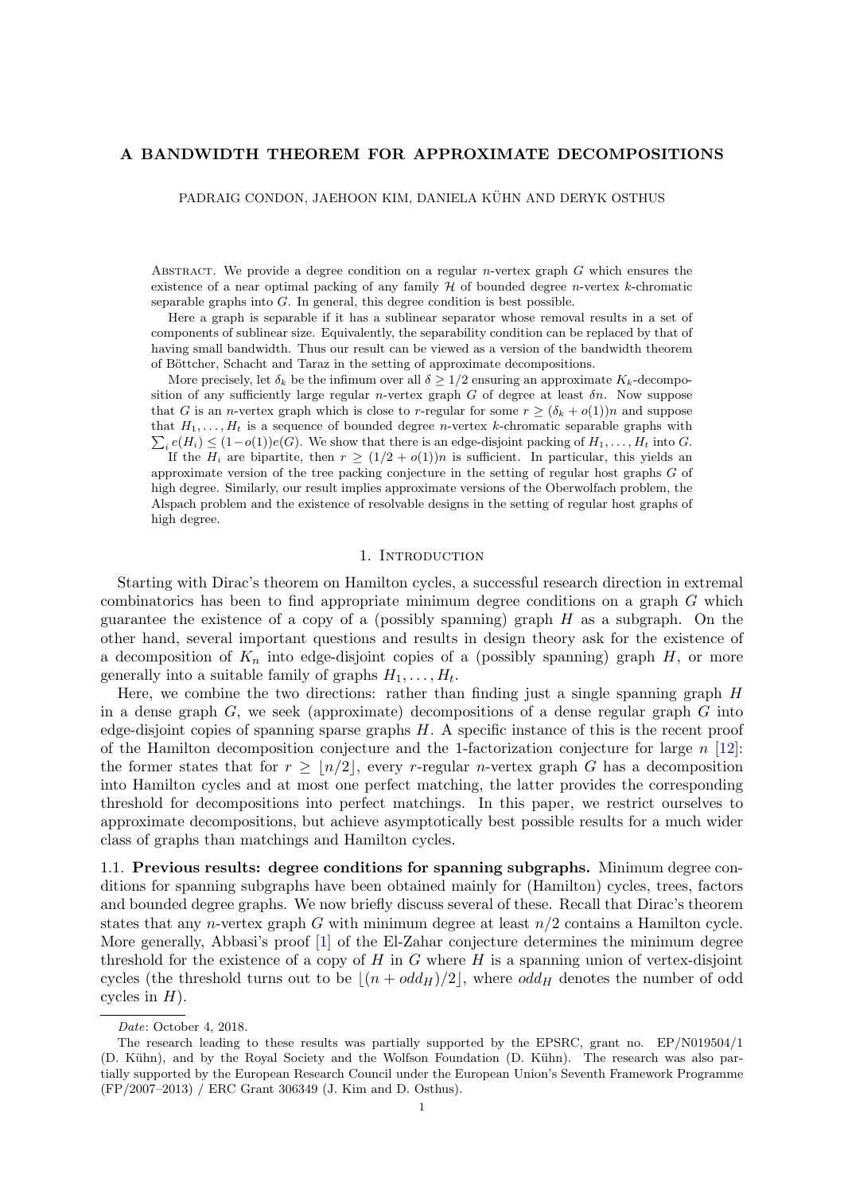#### A BANDWIDTH THEOREM FOR APPROXIMATE DECOMPOSITIONS

PADRAIG CONDON, JAEHOON KIM, DANIELA KÜHN AND DERYK OSTHUS

ABSTRACT. We provide a degree condition on a regular n-vertex graph  $G$  which ensures the existence of a near optimal packing of any family  $H$  of bounded degree *n*-vertex  $k$ -chromatic separable graphs into  $G$ . In general, this degree condition is best possible.

Here a graph is separable if it has a sublinear separator whose removal results in a set of components of sublinear size. Equivalently, the separability condition can be replaced by that of having small bandwidth. Thus our result can be viewed as a version of the bandwidth theorem of Böttcher, Schacht and Taraz in the setting of approximate decompositions.

More precisely, let  $\delta_k$  be the infimum over all  $\delta \geq 1/2$  ensuring an approximate  $K_k$ -decomposition of any sufficiently large regular n-vertex graph G of degree at least  $\delta n$ . Now suppose that G is an *n*-vertex graph which is close to *r*-regular for some  $r \ge (\delta_k + o(1))n$  and suppose  $\sum_i e(H_i) \leq (1 - o(1))e(G)$ . We show that there is an edge-disjoint packing of  $H_1, \ldots, H_t$  into G. that  $H_1, \ldots, H_t$  is a sequence of bounded degree *n*-vertex k-chromatic separable graphs with

If the  $H_i$  are bipartite, then  $r \geq (1/2 + o(1))n$  is sufficient. In particular, this yields an approximate version of the tree packing conjecture in the setting of regular host graphs G of high degree. Similarly, our result implies approximate versions of the Oberwolfach problem, the Alspach problem and the existence of resolvable designs in the setting of regular host graphs of high degree.

#### 1. INTRODUCTION

Starting with Dirac's theorem on Hamilton cycles, a successful research direction in extremal combinatorics has been to find appropriate minimum degree conditions on a graph G which guarantee the existence of a copy of a (possibly spanning) graph  $H$  as a subgraph. On the other hand, several important questions and results in design theory ask for the existence of a decomposition of  $K_n$  into edge-disjoint copies of a (possibly spanning) graph  $H$ , or more generally into a suitable family of graphs  $H_1, \ldots, H_t$ .

Here, we combine the two directions: rather than finding just a single spanning graph  $H$ in a dense graph  $G$ , we seek (approximate) decompositions of a dense regular graph  $G$  into edge-disjoint copies of spanning sparse graphs H. A specific instance of this is the recent proof of the Hamilton decomposition conjecture and the 1-factorization conjecture for large  $n$  [\[12\]](#page-48-0): the former states that for  $r \geq |n/2|$ , every r-regular n-vertex graph G has a decomposition into Hamilton cycles and at most one perfect matching, the latter provides the corresponding threshold for decompositions into perfect matchings. In this paper, we restrict ourselves to approximate decompositions, but achieve asymptotically best possible results for a much wider class of graphs than matchings and Hamilton cycles.

1.1. Previous results: degree conditions for spanning subgraphs. Minimum degree conditions for spanning subgraphs have been obtained mainly for (Hamilton) cycles, trees, factors and bounded degree graphs. We now briefly discuss several of these. Recall that Dirac's theorem states that any *n*-vertex graph G with minimum degree at least  $n/2$  contains a Hamilton cycle. More generally, Abbasi's proof [\[1\]](#page-48-1) of the El-Zahar conjecture determines the minimum degree threshold for the existence of a copy of  $H$  in  $G$  where  $H$  is a spanning union of vertex-disjoint cycles (the threshold turns out to be  $|(n + odd_H)/2|$ , where  $odd_H$  denotes the number of odd cycles in  $H$ ).

Date: October 4, 2018.

The research leading to these results was partially supported by the EPSRC, grant no. EP/N019504/1 (D. Kühn), and by the Royal Society and the Wolfson Foundation (D. Kühn). The research was also partially supported by the European Research Council under the European Union's Seventh Framework Programme (FP/2007–2013) / ERC Grant 306349 (J. Kim and D. Osthus).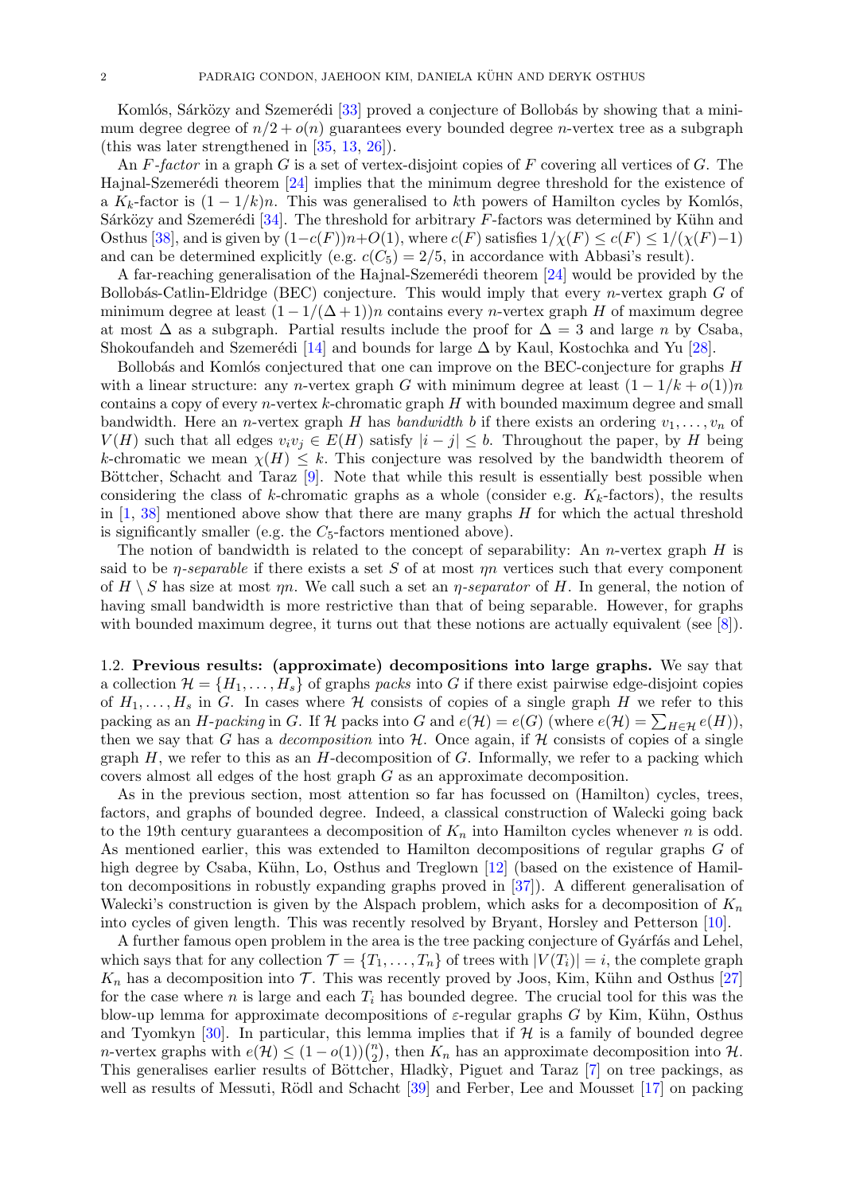Komlós, Sárközy and Szemerédi [\[33\]](#page-49-0) proved a conjecture of Bollobás by showing that a minimum degree degree of  $n/2 + o(n)$  guarantees every bounded degree *n*-vertex tree as a subgraph (this was later strengthened in [\[35,](#page-49-1) [13,](#page-48-2) [26\]](#page-49-2)).

An  $F$ -factor in a graph G is a set of vertex-disjoint copies of F covering all vertices of G. The Hajnal-Szemerédi theorem  $[24]$  implies that the minimum degree threshold for the existence of a  $K_k$ -factor is  $(1 - 1/k)n$ . This was generalised to kth powers of Hamilton cycles by Komlós, Sárközy and Szemerédi [\[34\]](#page-49-4). The threshold for arbitrary  $F$ -factors was determined by Kühn and Osthus [\[38\]](#page-49-5), and is given by  $(1-c(F))n+O(1)$ , where  $c(F)$  satisfies  $1/\chi(F) \leq c(F) \leq 1/(\chi(F)-1)$ and can be determined explicitly (e.g.  $c(C_5) = 2/5$ , in accordance with Abbasi's result).

A far-reaching generalisation of the Hajnal-Szemerédi theorem [\[24\]](#page-49-3) would be provided by the Bollobás-Catlin-Eldridge (BEC) conjecture. This would imply that every *n*-vertex graph  $G$  of minimum degree at least  $(1 - 1/(\Delta + 1))n$  contains every *n*-vertex graph H of maximum degree at most  $\Delta$  as a subgraph. Partial results include the proof for  $\Delta = 3$  and large n by Csaba, Shokoufandeh and Szemerédi [\[14\]](#page-48-3) and bounds for large  $\Delta$  by Kaul, Kostochka and Yu [\[28\]](#page-49-6).

Bollobás and Komlós conjectured that one can improve on the BEC-conjecture for graphs  $H$ with a linear structure: any n-vertex graph G with minimum degree at least  $(1 - 1/k + o(1))n$ contains a copy of every  $n$ -vertex  $k$ -chromatic graph  $H$  with bounded maximum degree and small bandwidth. Here an *n*-vertex graph H has bandwidth b if there exists an ordering  $v_1, \ldots, v_n$  of  $V(H)$  such that all edges  $v_i v_j \in E(H)$  satisfy  $|i - j| \leq b$ . Throughout the paper, by H being k-chromatic we mean  $\chi(H) \leq k$ . This conjecture was resolved by the bandwidth theorem of Böttcher, Schacht and Taraz  $[9]$ . Note that while this result is essentially best possible when considering the class of k-chromatic graphs as a whole (consider e.g.  $K_k$ -factors), the results in  $[1, 38]$  $[1, 38]$  $[1, 38]$  mentioned above show that there are many graphs  $H$  for which the actual threshold is significantly smaller (e.g. the  $C_5$ -factors mentioned above).

The notion of bandwidth is related to the concept of separability: An *n*-vertex graph  $H$  is said to be  $\eta$ -separable if there exists a set S of at most  $\eta$  vertices such that every component of  $H \setminus S$  has size at most  $\eta n$ . We call such a set an  $\eta$ -separator of H. In general, the notion of having small bandwidth is more restrictive than that of being separable. However, for graphs with bounded maximum degree, it turns out that these notions are actually equivalent (see [\[8\]](#page-48-5)).

1.2. Previous results: (approximate) decompositions into large graphs. We say that a collection  $\mathcal{H} = \{H_1, \ldots, H_s\}$  of graphs packs into G if there exist pairwise edge-disjoint copies of  $H_1, \ldots, H_s$  in G. In cases where H consists of copies of a single graph H we refer to this packing as an *H*-packing in G. If  $H$  packs into G and  $e(H) = e(G)$  (where  $e(H) = \sum_{H \in \mathcal{H}} e(H)$ ), then we say that G has a *decomposition* into  $H$ . Once again, if H consists of copies of a single graph  $H$ , we refer to this as an  $H$ -decomposition of  $G$ . Informally, we refer to a packing which covers almost all edges of the host graph G as an approximate decomposition.

As in the previous section, most attention so far has focussed on (Hamilton) cycles, trees, factors, and graphs of bounded degree. Indeed, a classical construction of Walecki going back to the 19th century guarantees a decomposition of  $K_n$  into Hamilton cycles whenever n is odd. As mentioned earlier, this was extended to Hamilton decompositions of regular graphs G of high degree by Csaba, Kühn, Lo, Osthus and Treglown [\[12\]](#page-48-0) (based on the existence of Hamilton decompositions in robustly expanding graphs proved in [\[37\]](#page-49-7)). A different generalisation of Walecki's construction is given by the Alspach problem, which asks for a decomposition of  $K_n$ into cycles of given length. This was recently resolved by Bryant, Horsley and Petterson [\[10\]](#page-48-6).

A further famous open problem in the area is the tree packing conjecture of Gyárfás and Lehel, which says that for any collection  $\mathcal{T} = \{T_1, \ldots, T_n\}$  of trees with  $|V(T_i)| = i$ , the complete graph  $K_n$  has a decomposition into  $\mathcal T$ . This was recently proved by Joos, Kim, Kühn and Osthus [\[27\]](#page-49-8) for the case where n is large and each  $T_i$  has bounded degree. The crucial tool for this was the blow-up lemma for approximate decompositions of  $\varepsilon$ -regular graphs G by Kim, Kühn, Osthus and Tyomkyn [\[30\]](#page-49-9). In particular, this lemma implies that if  $H$  is a family of bounded degree *n*-vertex graphs with  $e(\mathcal{H}) \leq (1 - o(1))\binom{n}{2}$  $\binom{n}{2}$ , then  $K_n$  has an approximate decomposition into  $\mathcal{H}$ . This generalises earlier results of Böttcher, Hladky, Piguet and Taraz [\[7\]](#page-48-7) on tree packings, as well as results of Messuti, Rödl and Schacht [\[39\]](#page-49-10) and Ferber, Lee and Mousset [\[17\]](#page-48-8) on packing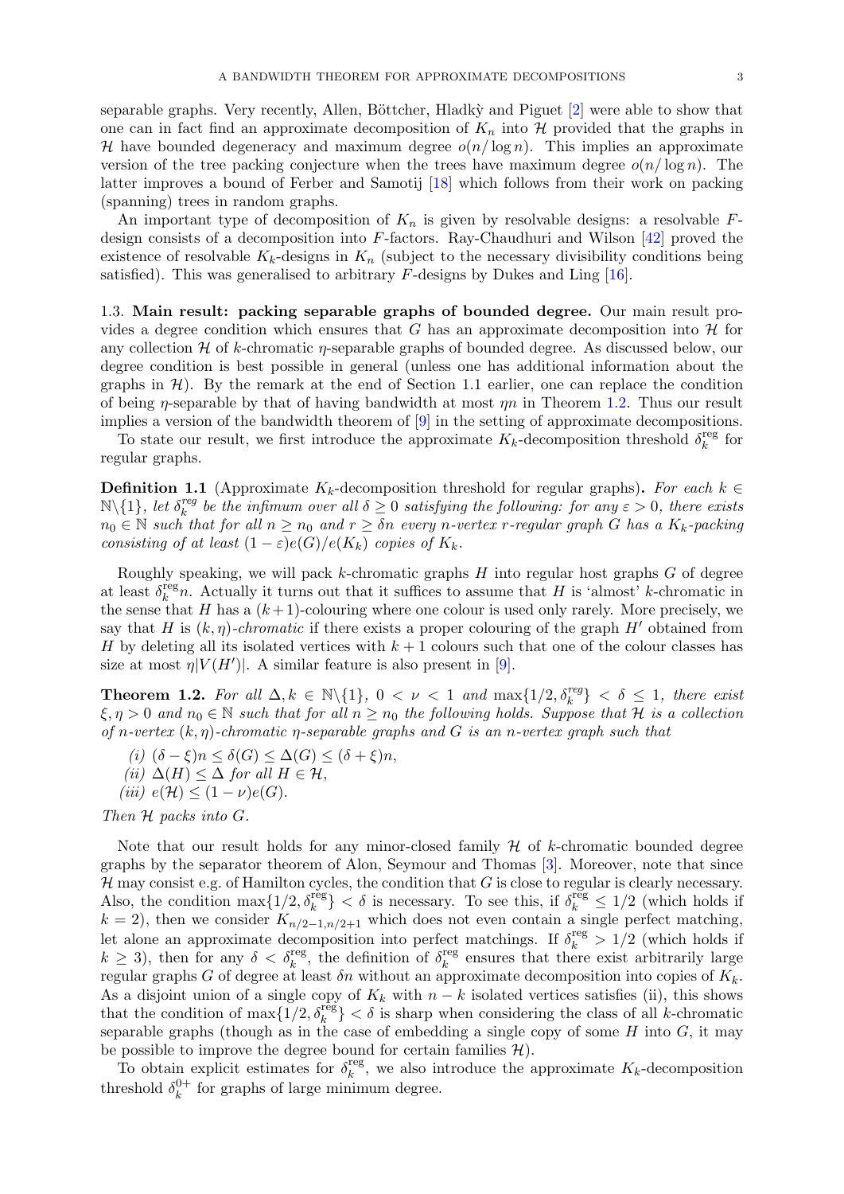separable graphs. Very recently, Allen, Böttcher, Hladk $\dot{y}$  and Piguet [\[2\]](#page-48-9) were able to show that one can in fact find an approximate decomposition of  $K_n$  into  $\mathcal H$  provided that the graphs in H have bounded degeneracy and maximum degree  $o(n/\log n)$ . This implies an approximate version of the tree packing conjecture when the trees have maximum degree  $o(n/\log n)$ . The latter improves a bound of Ferber and Samotij [\[18\]](#page-48-10) which follows from their work on packing (spanning) trees in random graphs.

An important type of decomposition of  $K_n$  is given by resolvable designs: a resolvable Fdesign consists of a decomposition into F-factors. Ray-Chaudhuri and Wilson [\[42\]](#page-49-11) proved the existence of resolvable  $K_k$ -designs in  $K_n$  (subject to the necessary divisibility conditions being satisfied). This was generalised to arbitrary  $F$ -designs by Dukes and Ling [\[16\]](#page-48-11).

1.3. Main result: packing separable graphs of bounded degree. Our main result provides a degree condition which ensures that G has an approximate decomposition into  $\mathcal{H}$  for any collection  $H$  of k-chromatic  $\eta$ -separable graphs of bounded degree. As discussed below, our degree condition is best possible in general (unless one has additional information about the graphs in  $\mathcal{H}$ ). By the remark at the end of Section 1.1 earlier, one can replace the condition of being  $\eta$ -separable by that of having bandwidth at most  $\eta n$  in Theorem [1.2.](#page-3-0) Thus our result implies a version of the bandwidth theorem of [\[9\]](#page-48-4) in the setting of approximate decompositions.

To state our result, we first introduce the approximate  $K_k$ -decomposition threshold  $\delta_k^{\text{reg}}$  $\frac{f\text{reg}}{k}$  for regular graphs.

**Definition 1.1** (Approximate K<sub>k</sub>-decomposition threshold for regular graphs). For each  $k \in$  $\mathbb{N}\backslash\{1\}$ , let  $\delta_k^{reg}$ <sup>reg</sup> be the infimum over all  $\delta \geq 0$  satisfying the following: for any  $\varepsilon > 0$ , there exists  $n_0 \in \mathbb{N}$  such that for all  $n \geq n_0$  and  $r \geq \delta n$  every n-vertex r-regular graph  $G$  has a  $K_k$ -packing consisting of at least  $(1 - \varepsilon)e(G)/e(K_k)$  copies of  $K_k$ .

Roughly speaking, we will pack  $k$ -chromatic graphs  $H$  into regular host graphs  $G$  of degree at least  $\delta_k^{\text{reg}}$  $k_{k}^{\text{reg}}$ . Actually it turns out that it suffices to assume that H is 'almost' k-chromatic in the sense that H has a  $(k+1)$ -colouring where one colour is used only rarely. More precisely, we say that H is  $(k, \eta)$ -chromatic if there exists a proper colouring of the graph H' obtained from H by deleting all its isolated vertices with  $k+1$  colours such that one of the colour classes has size at most  $\eta |V(H')|$ . A similar feature is also present in [\[9\]](#page-48-4).

<span id="page-3-0"></span>**Theorem 1.2.** For all  $\Delta, k \in \mathbb{N}\setminus\{1\}$ ,  $0 < \nu < 1$  and  $\max\{1/2, \delta_k^{reg}\} < \delta \leq 1$ , there exist  $\xi, \eta > 0$  and  $n_0 \in \mathbb{N}$  such that for all  $n \geq n_0$  the following holds. Suppose that H is a collection of n-vertex  $(k, \eta)$ -chromatic  $\eta$ -separable graphs and G is an n-vertex graph such that

- (i)  $(\delta \xi)n < \delta(G) < \Delta(G) < (\delta + \xi)n$ .
- (ii)  $\Delta(H) \leq \Delta$  for all  $H \in \mathcal{H}$ ,
- (iii)  $e(\mathcal{H}) \leq (1 \nu)e(G)$ .

Then H packs into G.

Note that our result holds for any minor-closed family  $H$  of k-chromatic bounded degree graphs by the separator theorem of Alon, Seymour and Thomas [\[3\]](#page-48-12). Moreover, note that since  $\mathcal H$  may consist e.g. of Hamilton cycles, the condition that G is close to regular is clearly necessary. Also, the condition  $\max\{1/2, \delta_k^{\text{reg}}\} < \delta$  is necessary. To see this, if  $\delta_k^{\text{reg}} \leq 1/2$  (which holds if  $k = 2$ , then we consider  $K_{n/2-1,n/2+1}$  which does not even contain a single perfect matching, let alone an approximate decomposition into perfect matchings. If  $\delta_k^{\text{reg}} > 1/2$  (which holds if  $k \geq 3$ ), then for any  $\delta < \delta_k^{\text{reg}}$ , the definition of  $\delta_k^{\text{reg}}$  $k_k^{\text{reg}}$  ensures that there exist arbitrarily large regular graphs G of degree at least  $\delta n$  without an approximate decomposition into copies of  $K_k$ . As a disjoint union of a single copy of  $K_k$  with  $n - k$  isolated vertices satisfies (ii), this shows that the condition of  $\max\{1/2, \delta_k^{\text{reg}}\} < \delta$  is sharp when considering the class of all k-chromatic separable graphs (though as in the case of embedding a single copy of some  $H$  into  $G$ , it may be possible to improve the degree bound for certain families  $H$ ).

To obtain explicit estimates for  $\delta_k^{\text{reg}}$ <sup>reg</sup>, we also introduce the approximate  $K_k$ -decomposition threshold  $\delta_k^{0+}$  $k<sup>0+</sup>$  for graphs of large minimum degree.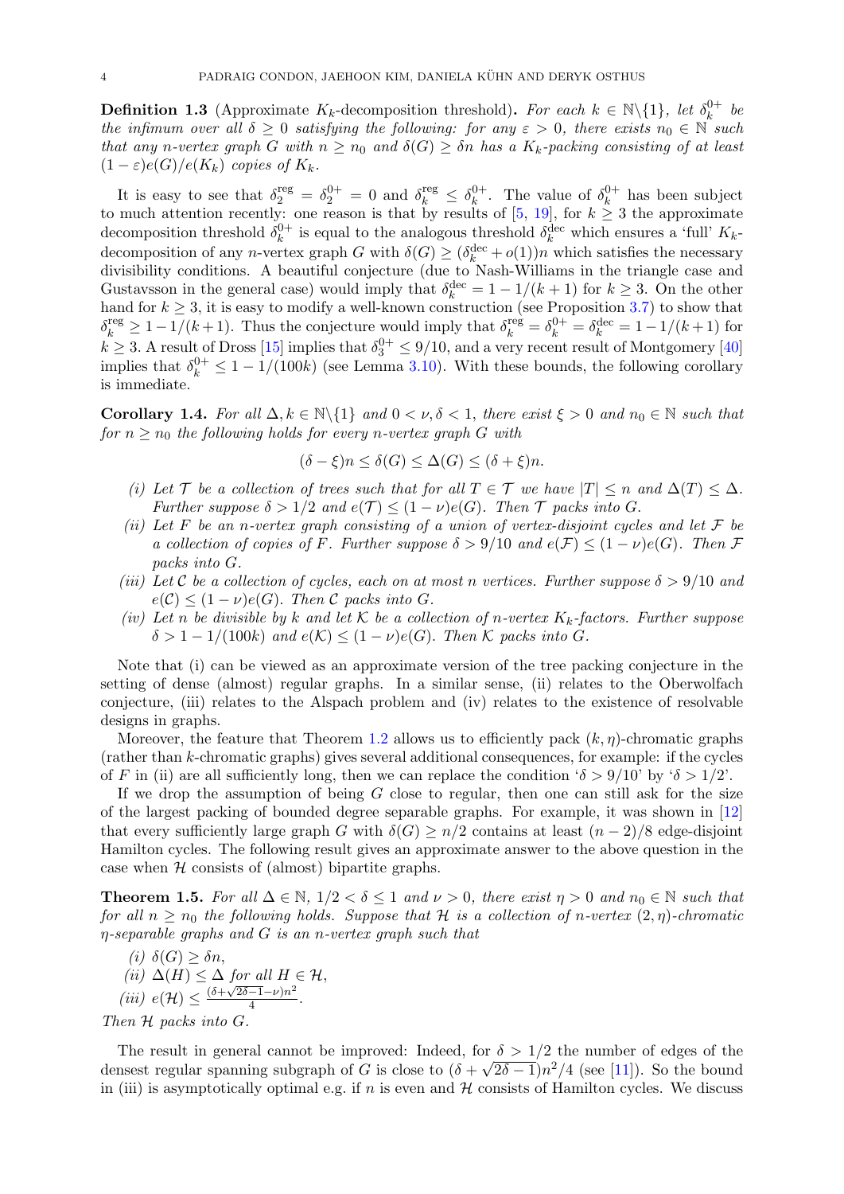**Definition 1.3** (Approximate K<sub>k</sub>-decomposition threshold). For each  $k \in \mathbb{N}\setminus\{1\}$ , let  $\delta_k^{0+}$  $\stackrel{0+}{k}$  be the infimum over all  $\delta \geq 0$  satisfying the following: for any  $\varepsilon > 0$ , there exists  $n_0 \in \mathbb{N}$  such that any n-vertex graph G with  $n \ge n_0$  and  $\delta(G) \ge \delta n$  has a  $K_k$ -packing consisting of at least  $(1 - \varepsilon)e(G)/e(K_k)$  copies of  $K_k$ .

It is easy to see that  $\delta_2^{\text{reg}} = \delta_2^{0+} = 0$  and  $\delta_k^{\text{reg}} \leq \delta_k^{0+}$  $\lambda_k^{0+}$ . The value of  $\delta_k^{0+}$  $\frac{0}{k}$  has been subject to much attention recently: one reason is that by results of  $[5, 19]$  $[5, 19]$  $[5, 19]$ , for  $k \geq 3$  the approximate decomposition threshold  $\delta_k^{0+}$  $\delta_k^{0+}$  is equal to the analogous threshold  $\delta_k^{\text{dec}}$  which ensures a 'full'  $K_k$ decomposition of any *n*-vertex graph G with  $\delta(G) \geq (\delta_k^{\text{dec}} + o(1))n$  which satisfies the necessary divisibility conditions. A beautiful conjecture (due to Nash-Williams in the triangle case and Gustavsson in the general case) would imply that  $\delta_k^{\text{dec}} = 1 - 1/(k+1)$  for  $k \geq 3$ . On the other hand for  $k \geq 3$ , it is easy to modify a well-known construction (see Proposition [3.7\)](#page-10-0) to show that  $\delta_k^{\text{reg}} \geq 1 - 1/(k+1)$ . Thus the conjecture would imply that  $\delta_k^{\text{reg}} = \delta_k^{0+} = \delta_k^{\text{dec}} = 1 - 1/(k+1)$  for  $k \geq 3$ . A result of Dross [\[15\]](#page-48-15) implies that  $\delta_3^{0+} \leq 9/10$ , and a very recent result of Montgomery [\[40\]](#page-49-12) implies that  $\delta_k^{0+} \leq 1 - 1/(100k)$  (see Lemma [3.10\)](#page-10-1). With these bounds, the following corollary is immediate.

Corollary 1.4. For all  $\Delta, k \in \mathbb{N}\setminus\{1\}$  and  $0 < \nu, \delta < 1$ , there exist  $\xi > 0$  and  $n_0 \in \mathbb{N}$  such that for  $n > n_0$  the following holds for every n-vertex graph G with

$$
(\delta - \xi)n \le \delta(G) \le \Delta(G) \le (\delta + \xi)n.
$$

- (i) Let T be a collection of trees such that for all  $T \in \mathcal{T}$  we have  $|T| \leq n$  and  $\Delta(T) \leq \Delta$ . Further suppose  $\delta > 1/2$  and  $e(\mathcal{T}) \leq (1 - \nu)e(G)$ . Then  $\mathcal T$  packs into G.
- (ii) Let F be an n-vertex graph consisting of a union of vertex-disjoint cycles and let  $\mathcal F$  be a collection of copies of F. Further suppose  $\delta > 9/10$  and  $e(\mathcal{F}) \leq (1 - \nu)e(G)$ . Then F packs into G.
- (iii) Let C be a collection of cycles, each on at most n vertices. Further suppose  $\delta > 9/10$  and  $e(\mathcal{C}) \leq (1-\nu)e(G)$ . Then  $\mathcal C$  packs into G.
- (iv) Let n be divisible by k and let K be a collection of n-vertex  $K_k$ -factors. Further suppose  $\delta > 1 - 1/(100k)$  and  $e(\mathcal{K}) \leq (1 - \nu)e(G)$ . Then K packs into G.

Note that (i) can be viewed as an approximate version of the tree packing conjecture in the setting of dense (almost) regular graphs. In a similar sense, (ii) relates to the Oberwolfach conjecture, (iii) relates to the Alspach problem and (iv) relates to the existence of resolvable designs in graphs.

Moreover, the feature that Theorem [1.2](#page-3-0) allows us to efficiently pack  $(k, \eta)$ -chromatic graphs (rather than k-chromatic graphs) gives several additional consequences, for example: if the cycles of F in (ii) are all sufficiently long, then we can replace the condition  $\delta > 9/10$  by  $\delta > 1/2$ .

If we drop the assumption of being  $G$  close to regular, then one can still ask for the size of the largest packing of bounded degree separable graphs. For example, it was shown in [\[12\]](#page-48-0) that every sufficiently large graph G with  $\delta(G) \geq n/2$  contains at least  $(n-2)/8$  edge-disjoint Hamilton cycles. The following result gives an approximate answer to the above question in the case when  $H$  consists of (almost) bipartite graphs.

<span id="page-4-0"></span>**Theorem 1.5.** For all  $\Delta \in \mathbb{N}$ ,  $1/2 < \delta \leq 1$  and  $\nu > 0$ , there exist  $\eta > 0$  and  $n_0 \in \mathbb{N}$  such that for all  $n \geq n_0$  the following holds. Suppose that H is a collection of n-vertex  $(2, \eta)$ -chromatic η-separable graphs and G is an n-vertex graph such that

(i) 
$$
\delta(G) \ge \delta n
$$
,  
\n(ii)  $\Delta(H) \le \Delta$  for all  $H \in \mathcal{H}$ ,  
\n(iii)  $e(\mathcal{H}) \le \frac{(\delta + \sqrt{2\delta - 1} - \nu)n^2}{4}$ .

Then  $H$  packs into  $G$ .

The result in general cannot be improved: Indeed, for  $\delta > 1/2$  the number of edges of the densest regular spanning subgraph of G is close to  $(\delta + \sqrt{2\delta - 1})n^2/4$  (see [\[11\]](#page-48-16)). So the bound in (iii) is asymptotically optimal e.g. if n is even and  $H$  consists of Hamilton cycles. We discuss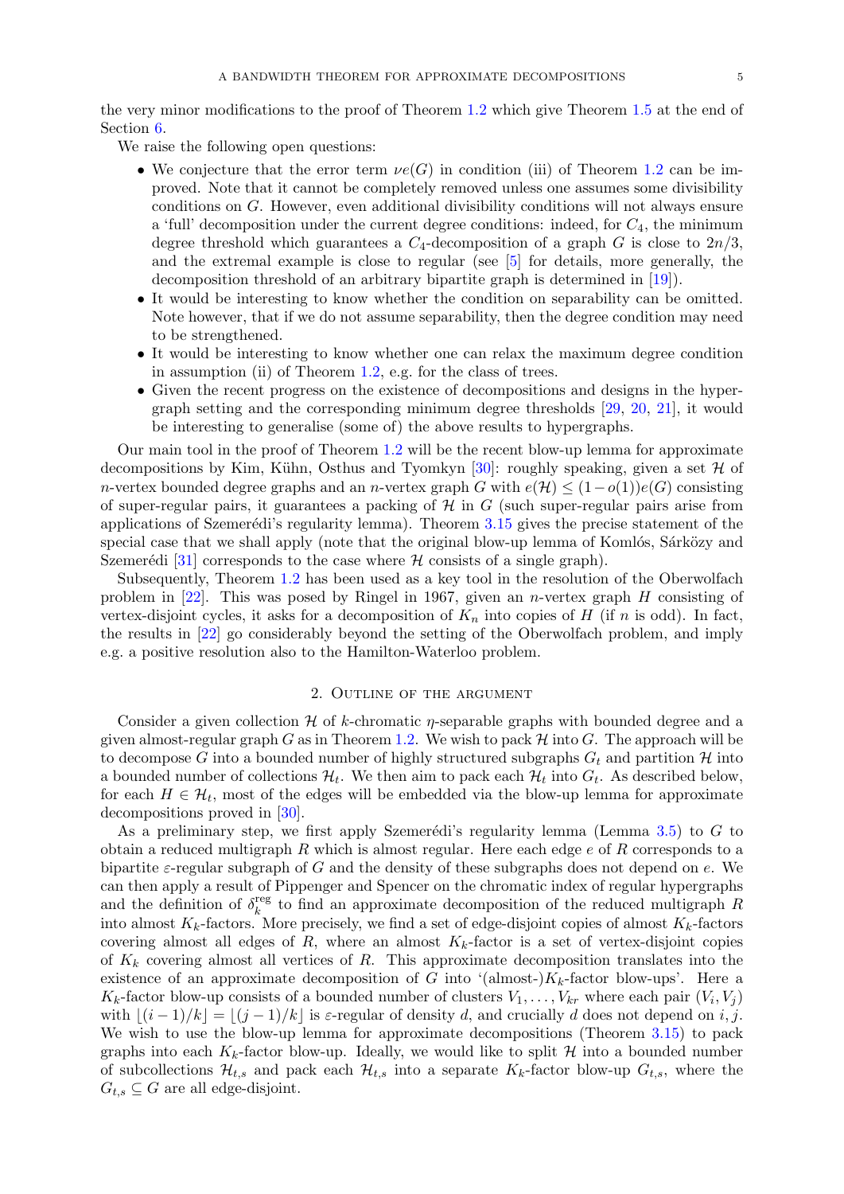the very minor modifications to the proof of Theorem [1.2](#page-3-0) which give Theorem [1.5](#page-4-0) at the end of Section [6.](#page-38-0)

We raise the following open questions:

- We conjecture that the error term  $\nu e(G)$  in condition (iii) of Theorem [1.2](#page-3-0) can be improved. Note that it cannot be completely removed unless one assumes some divisibility conditions on G. However, even additional divisibility conditions will not always ensure a 'full' decomposition under the current degree conditions: indeed, for  $C_4$ , the minimum degree threshold which guarantees a  $C_4$ -decomposition of a graph G is close to  $2n/3$ , and the extremal example is close to regular (see [\[5\]](#page-48-13) for details, more generally, the decomposition threshold of an arbitrary bipartite graph is determined in [\[19\]](#page-48-14)).
- It would be interesting to know whether the condition on separability can be omitted. Note however, that if we do not assume separability, then the degree condition may need to be strengthened.
- It would be interesting to know whether one can relax the maximum degree condition in assumption (ii) of Theorem [1.2,](#page-3-0) e.g. for the class of trees.
- Given the recent progress on the existence of decompositions and designs in the hypergraph setting and the corresponding minimum degree thresholds [\[29,](#page-49-13) [20,](#page-48-17) [21\]](#page-48-18), it would be interesting to generalise (some of) the above results to hypergraphs.

Our main tool in the proof of Theorem [1.2](#page-3-0) will be the recent blow-up lemma for approximate decompositions by Kim, Kühn, Osthus and Tyomkyn [\[30\]](#page-49-9): roughly speaking, given a set  $\mathcal H$  of n-vertex bounded degree graphs and an n-vertex graph G with  $e(\mathcal{H}) \leq (1-o(1))e(G)$  consisting of super-regular pairs, it guarantees a packing of  $\mathcal{H}$  in G (such super-regular pairs arise from applications of Szemerédi's regularity lemma). Theorem  $3.15$  gives the precise statement of the special case that we shall apply (note that the original blow-up lemma of Komlós, Sárközy and Szemerédi [\[31\]](#page-49-14) corresponds to the case where  $H$  consists of a single graph).

Subsequently, Theorem [1.2](#page-3-0) has been used as a key tool in the resolution of the Oberwolfach problem in  $[22]$ . This was posed by Ringel in 1967, given an *n*-vertex graph H consisting of vertex-disjoint cycles, it asks for a decomposition of  $K_n$  into copies of H (if n is odd). In fact, the results in [\[22\]](#page-48-19) go considerably beyond the setting of the Oberwolfach problem, and imply e.g. a positive resolution also to the Hamilton-Waterloo problem.

#### 2. Outline of the argument

<span id="page-5-0"></span>Consider a given collection  $\mathcal H$  of k-chromatic  $\eta$ -separable graphs with bounded degree and a given almost-regular graph G as in Theorem [1.2.](#page-3-0) We wish to pack  $\mathcal H$  into G. The approach will be to decompose G into a bounded number of highly structured subgraphs  $G_t$  and partition H into a bounded number of collections  $\mathcal{H}_t$ . We then aim to pack each  $\mathcal{H}_t$  into  $G_t$ . As described below, for each  $H \in \mathcal{H}_t$ , most of the edges will be embedded via the blow-up lemma for approximate decompositions proved in [\[30\]](#page-49-9).

As a preliminary step, we first apply Szemerédi's regularity lemma (Lemma [3.5\)](#page-8-0) to  $G$  to obtain a reduced multigraph  $R$  which is almost regular. Here each edge  $e$  of  $R$  corresponds to a bipartite  $\varepsilon$ -regular subgraph of G and the density of these subgraphs does not depend on e. We can then apply a result of Pippenger and Spencer on the chromatic index of regular hypergraphs and the definition of  $\delta_k^{\text{reg}}$ <sup>reg</sup> to find an approximate decomposition of the reduced multigraph R into almost  $K_k$ -factors. More precisely, we find a set of edge-disjoint copies of almost  $K_k$ -factors covering almost all edges of R, where an almost  $K_k$ -factor is a set of vertex-disjoint copies of  $K_k$  covering almost all vertices of R. This approximate decomposition translates into the existence of an approximate decomposition of G into '(almost-) $K_k$ -factor blow-ups'. Here a  $K_k$ -factor blow-up consists of a bounded number of clusters  $V_1, \ldots, V_{kr}$  where each pair  $(V_i, V_j)$ with  $|(i - 1)/k| = |(j - 1)/k|$  is  $\varepsilon$ -regular of density d, and crucially d does not depend on i, j. We wish to use the blow-up lemma for approximate decompositions (Theorem [3.15\)](#page-13-0) to pack graphs into each  $K_k$ -factor blow-up. Ideally, we would like to split  $H$  into a bounded number of subcollections  $\mathcal{H}_{t,s}$  and pack each  $\mathcal{H}_{t,s}$  into a separate  $K_k$ -factor blow-up  $G_{t,s}$ , where the  $G_{t,s} \subseteq G$  are all edge-disjoint.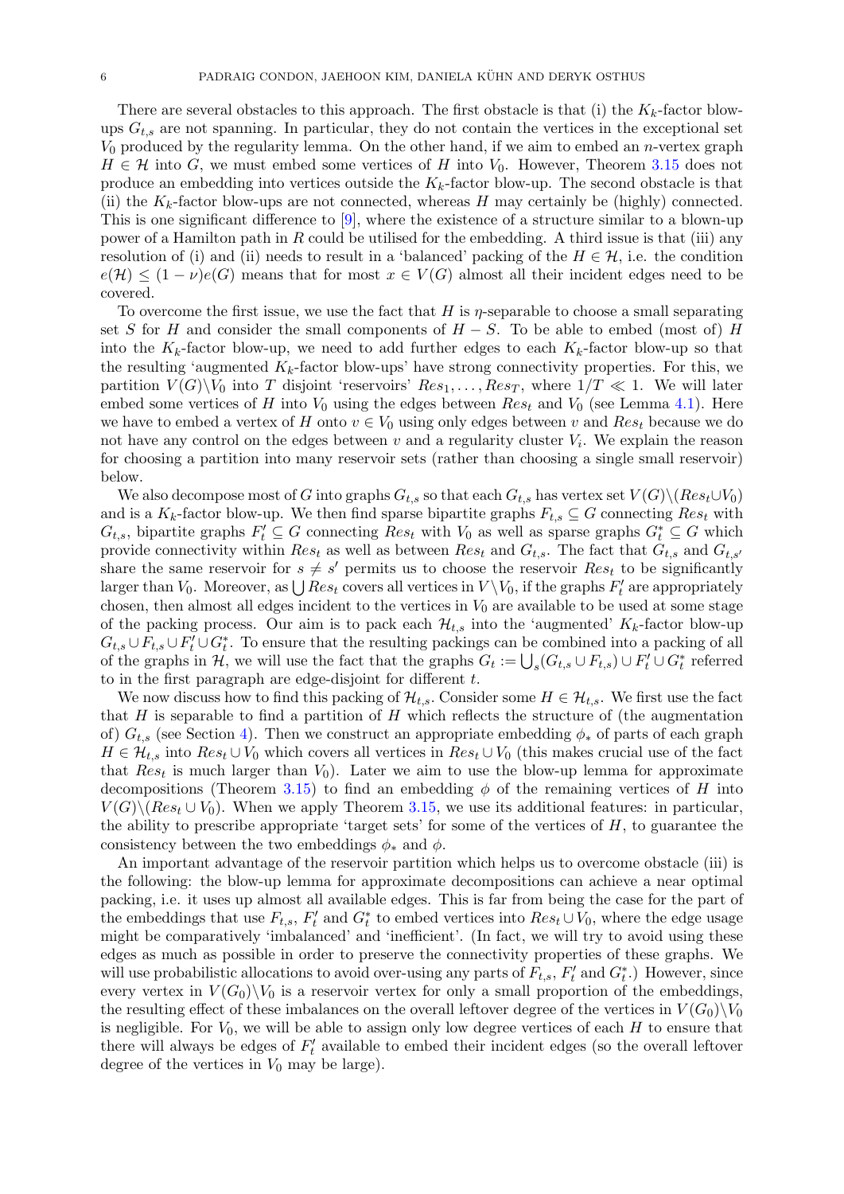There are several obstacles to this approach. The first obstacle is that (i) the  $K_k$ -factor blowups  $G_{t,s}$  are not spanning. In particular, they do not contain the vertices in the exceptional set  $V_0$  produced by the regularity lemma. On the other hand, if we aim to embed an *n*-vertex graph  $H \in \mathcal{H}$  into G, we must embed some vertices of H into  $V_0$ . However, Theorem [3.15](#page-13-0) does not produce an embedding into vertices outside the  $K_k$ -factor blow-up. The second obstacle is that (ii) the  $K_k$ -factor blow-ups are not connected, whereas H may certainly be (highly) connected. This is one significant difference to [\[9\]](#page-48-4), where the existence of a structure similar to a blown-up power of a Hamilton path in  $R$  could be utilised for the embedding. A third issue is that (iii) any resolution of (i) and (ii) needs to result in a 'balanced' packing of the  $H \in \mathcal{H}$ , i.e. the condition  $e(H) \leq (1-\nu)e(G)$  means that for most  $x \in V(G)$  almost all their incident edges need to be covered.

To overcome the first issue, we use the fact that H is  $\eta$ -separable to choose a small separating set S for H and consider the small components of  $H-S$ . To be able to embed (most of) H into the  $K_k$ -factor blow-up, we need to add further edges to each  $K_k$ -factor blow-up so that the resulting 'augmented  $K_k$ -factor blow-ups' have strong connectivity properties. For this, we partition  $V(G)\backslash V_0$  into T disjoint 'reservoirs'  $Res_1, \ldots, Res_T$ , where  $1/T \ll 1$ . We will later embed some vertices of H into  $V_0$  using the edges between  $Res_t$  and  $V_0$  (see Lemma [4.1\)](#page-17-0). Here we have to embed a vertex of H onto  $v \in V_0$  using only edges between v and  $Res_t$  because we do not have any control on the edges between  $v$  and a regularity cluster  $V_i$ . We explain the reason for choosing a partition into many reservoir sets (rather than choosing a single small reservoir) below.

We also decompose most of G into graphs  $G_{t,s}$  so that each  $G_{t,s}$  has vertex set  $V(G)\setminus (Res_t\cup V_0)$ and is a  $K_k$ -factor blow-up. We then find sparse bipartite graphs  $F_{t,s} \subseteq G$  connecting  $Res_t$  with  $G_{t,s}$ , bipartite graphs  $F'_t \subseteq G$  connecting  $Res_t$  with  $V_0$  as well as sparse graphs  $G_t^* \subseteq G$  which provide connectivity within  $Res_t$  as well as between  $Res_t$  and  $G_{t,s}$ . The fact that  $G_{t,s}$  and  $G_{t,s'}$ share the same reservoir for  $s \neq s'$  permits us to choose the reservoir  $Res_t$  to be significantly larger than  $V_0$ . Moreover, as  $\bigcup Res_t$  covers all vertices in  $V \setminus V_0$ , if the graphs  $F'_t$  are appropriately chosen, then almost all edges incident to the vertices in  $V_0$  are available to be used at some stage of the packing process. Our aim is to pack each  $\mathcal{H}_{t,s}$  into the 'augmented'  $K_k$ -factor blow-up  $G_{t,s} \cup F_{t,s} \cup F'_t \cup G_t^*$ . To ensure that the resulting packings can be combined into a packing of all of the graphs in  $H$ , we will use the fact that the graphs  $G_t := \bigcup_s (G_{t,s} \cup F_{t,s}) \cup F'_t \cup G^*_t$  referred to in the first paragraph are edge-disjoint for different  $t$ .

We now discuss how to find this packing of  $\mathcal{H}_{t,s}$ . Consider some  $H \in \mathcal{H}_{t,s}$ . We first use the fact that  $H$  is separable to find a partition of  $H$  which reflects the structure of (the augmentation of)  $G_{t,s}$  (see Section [4\)](#page-16-0). Then we construct an appropriate embedding  $\phi_*$  of parts of each graph  $H \in \mathcal{H}_{t,s}$  into  $Res_t \cup V_0$  which covers all vertices in  $Res_t \cup V_0$  (this makes crucial use of the fact that  $Res_t$  is much larger than  $V_0$ ). Later we aim to use the blow-up lemma for approximate decompositions (Theorem [3.15\)](#page-13-0) to find an embedding  $\phi$  of the remaining vertices of H into  $V(G) \setminus (Res_t \cup V_0)$ . When we apply Theorem [3.15,](#page-13-0) we use its additional features: in particular, the ability to prescribe appropriate 'target sets' for some of the vertices of  $H$ , to guarantee the consistency between the two embeddings  $\phi_*$  and  $\phi$ .

An important advantage of the reservoir partition which helps us to overcome obstacle (iii) is the following: the blow-up lemma for approximate decompositions can achieve a near optimal packing, i.e. it uses up almost all available edges. This is far from being the case for the part of the embeddings that use  $F_{t,s}$ ,  $F'_t$  and  $G_t^*$  to embed vertices into  $Res_t \cup V_0$ , where the edge usage might be comparatively 'imbalanced' and 'inefficient'. (In fact, we will try to avoid using these edges as much as possible in order to preserve the connectivity properties of these graphs. We will use probabilistic allocations to avoid over-using any parts of  $F_{t,s}$ ,  $F'_t$  and  $G_t^*$ .) However, since every vertex in  $V(G_0)\backslash V_0$  is a reservoir vertex for only a small proportion of the embeddings, the resulting effect of these imbalances on the overall leftover degree of the vertices in  $V(G_0)\backslash V_0$ is negligible. For  $V_0$ , we will be able to assign only low degree vertices of each H to ensure that there will always be edges of  $F'_{t}$  available to embed their incident edges (so the overall leftover degree of the vertices in  $V_0$  may be large).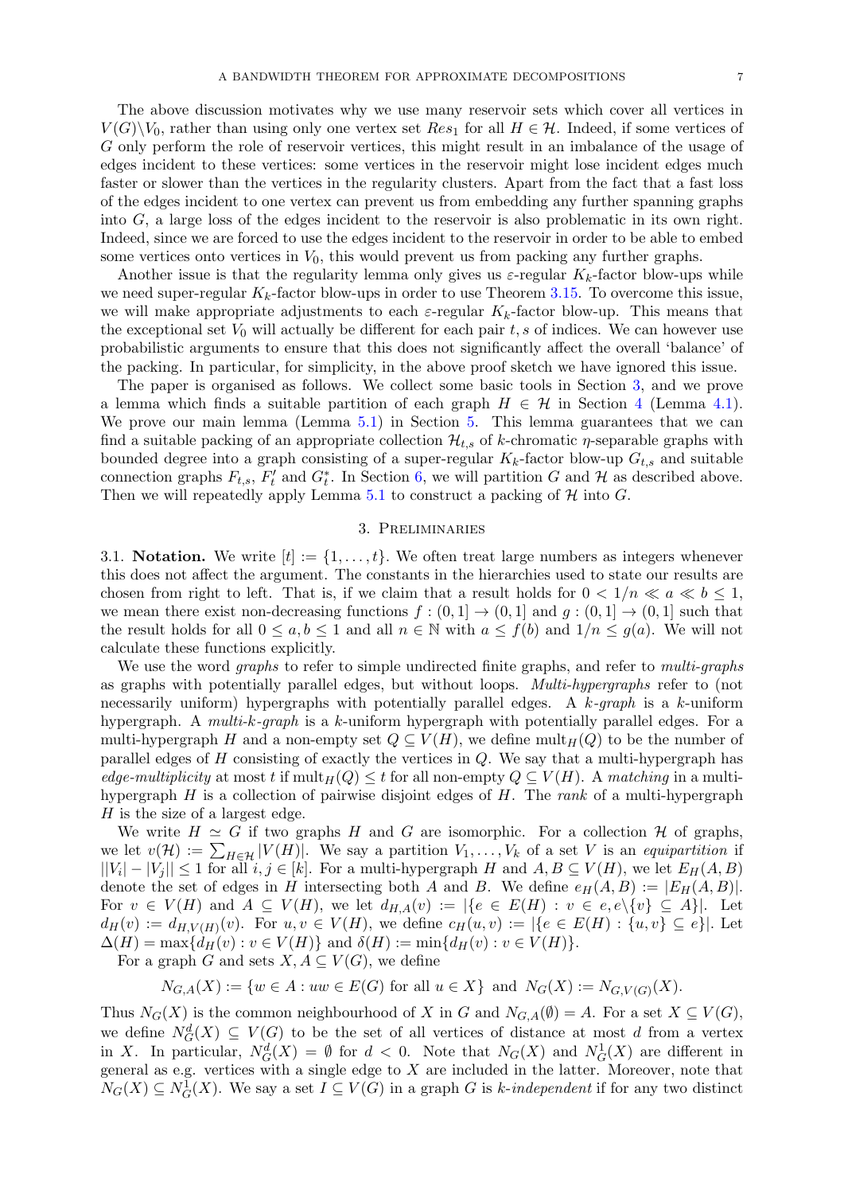The above discussion motivates why we use many reservoir sets which cover all vertices in  $V(G)\backslash V_0$ , rather than using only one vertex set  $Res_1$  for all  $H \in \mathcal{H}$ . Indeed, if some vertices of G only perform the role of reservoir vertices, this might result in an imbalance of the usage of edges incident to these vertices: some vertices in the reservoir might lose incident edges much faster or slower than the vertices in the regularity clusters. Apart from the fact that a fast loss of the edges incident to one vertex can prevent us from embedding any further spanning graphs into G, a large loss of the edges incident to the reservoir is also problematic in its own right. Indeed, since we are forced to use the edges incident to the reservoir in order to be able to embed some vertices onto vertices in  $V_0$ , this would prevent us from packing any further graphs.

Another issue is that the regularity lemma only gives us  $\varepsilon$ -regular  $K_k$ -factor blow-ups while we need super-regular  $K_k$ -factor blow-ups in order to use Theorem [3.15.](#page-13-0) To overcome this issue, we will make appropriate adjustments to each  $\varepsilon$ -regular  $K_k$ -factor blow-up. This means that the exceptional set  $V_0$  will actually be different for each pair t, s of indices. We can however use probabilistic arguments to ensure that this does not significantly affect the overall 'balance' of the packing. In particular, for simplicity, in the above proof sketch we have ignored this issue.

The paper is organised as follows. We collect some basic tools in Section [3,](#page-7-0) and we prove a lemma which finds a suitable partition of each graph  $H \in \mathcal{H}$  in Section [4](#page-16-0) (Lemma [4.1\)](#page-17-0). We prove our main lemma (Lemma [5.1\)](#page-25-0) in Section [5.](#page-24-0) This lemma guarantees that we can find a suitable packing of an appropriate collection  $\mathcal{H}_{t,s}$  of k-chromatic  $\eta$ -separable graphs with bounded degree into a graph consisting of a super-regular  $K_k$ -factor blow-up  $G_{t,s}$  and suitable connection graphs  $F_{t,s}$ ,  $F'_t$  and  $G_t^*$ . In Section [6,](#page-38-0) we will partition G and H as described above. Then we will repeatedly apply Lemma [5.1](#page-25-0) to construct a packing of  $H$  into  $G$ .

#### 3. Preliminaries

<span id="page-7-0"></span>3.1. Notation. We write  $[t] := \{1, \ldots, t\}$ . We often treat large numbers as integers whenever this does not affect the argument. The constants in the hierarchies used to state our results are chosen from right to left. That is, if we claim that a result holds for  $0 < 1/n \ll a \ll b \leq 1$ , we mean there exist non-decreasing functions  $f : (0,1] \to (0,1]$  and  $g : (0,1] \to (0,1]$  such that the result holds for all  $0 \le a, b \le 1$  and all  $n \in \mathbb{N}$  with  $a \le f(b)$  and  $1/n \le g(a)$ . We will not calculate these functions explicitly.

We use the word *graphs* to refer to simple undirected finite graphs, and refer to *multi-graphs* as graphs with potentially parallel edges, but without loops. Multi-hypergraphs refer to (not necessarily uniform) hypergraphs with potentially parallel edges. A  $k$ -graph is a k-uniform hypergraph. A multi-k-graph is a k-uniform hypergraph with potentially parallel edges. For a multi-hypergraph H and a non-empty set  $Q \subseteq V(H)$ , we define mult $_H(Q)$  to be the number of parallel edges of  $H$  consisting of exactly the vertices in  $Q$ . We say that a multi-hypergraph has edge-multiplicity at most t if  $\text{mult}_H(Q) \leq t$  for all non-empty  $Q \subseteq V(H)$ . A matching in a multihypergraph  $H$  is a collection of pairwise disjoint edges of  $H$ . The rank of a multi-hypergraph  $H$  is the size of a largest edge.

We write  $H \simeq G$  if two graphs H and G are isomorphic. For a collection H of graphs, we let  $v(\mathcal{H}) := \sum_{H \in \mathcal{H}} |V(H)|$ . We say a partition  $V_1, \ldots, V_k$  of a set V is an equipartition if  $||V_i| - |V_j|| \leq 1$  for all  $i, j \in [k]$ . For a multi-hypergraph H and  $A, B \subseteq V(H)$ , we let  $E_H(A, B)$ denote the set of edges in H intersecting both A and B. We define  $e_H(A, B) := |E_H(A, B)|$ . For  $v \in V(H)$  and  $A \subseteq V(H)$ , we let  $d_{H,A}(v) := |\{e \in E(H) : v \in e, e \setminus \{v\} \subseteq A\}|$ . Let  $d_H(v) := d_{H,V(H)}(v)$ . For  $u, v \in V(H)$ , we define  $c_H(u, v) := |\{e \in E(H) : \{u, v\} \subseteq e\}|$ . Let  $\Delta(H) = \max\{d_H(v) : v \in V(H)\}\$ and  $\delta(H) := \min\{d_H(v) : v \in V(H)\}.$ 

For a graph G and sets  $X, A \subseteq V(G)$ , we define

 $N_{G,A}(X) := \{w \in A : uw \in E(G) \text{ for all } u \in X\} \text{ and } N_G(X) := N_{G,V(G)}(X).$ 

Thus  $N_G(X)$  is the common neighbourhood of X in G and  $N_{G,A}(\emptyset) = A$ . For a set  $X \subseteq V(G)$ , we define  $N_G^d(X) \subseteq V(G)$  to be the set of all vertices of distance at most d from a vertex in X. In particular,  $N_G^d(X) = \emptyset$  for  $d < 0$ . Note that  $N_G(X)$  and  $N_G^1(X)$  are different in general as e.g. vertices with a single edge to  $X$  are included in the latter. Moreover, note that  $N_G(X) \subseteq N_G^1(X)$ . We say a set  $I \subseteq V(G)$  in a graph G is k-independent if for any two distinct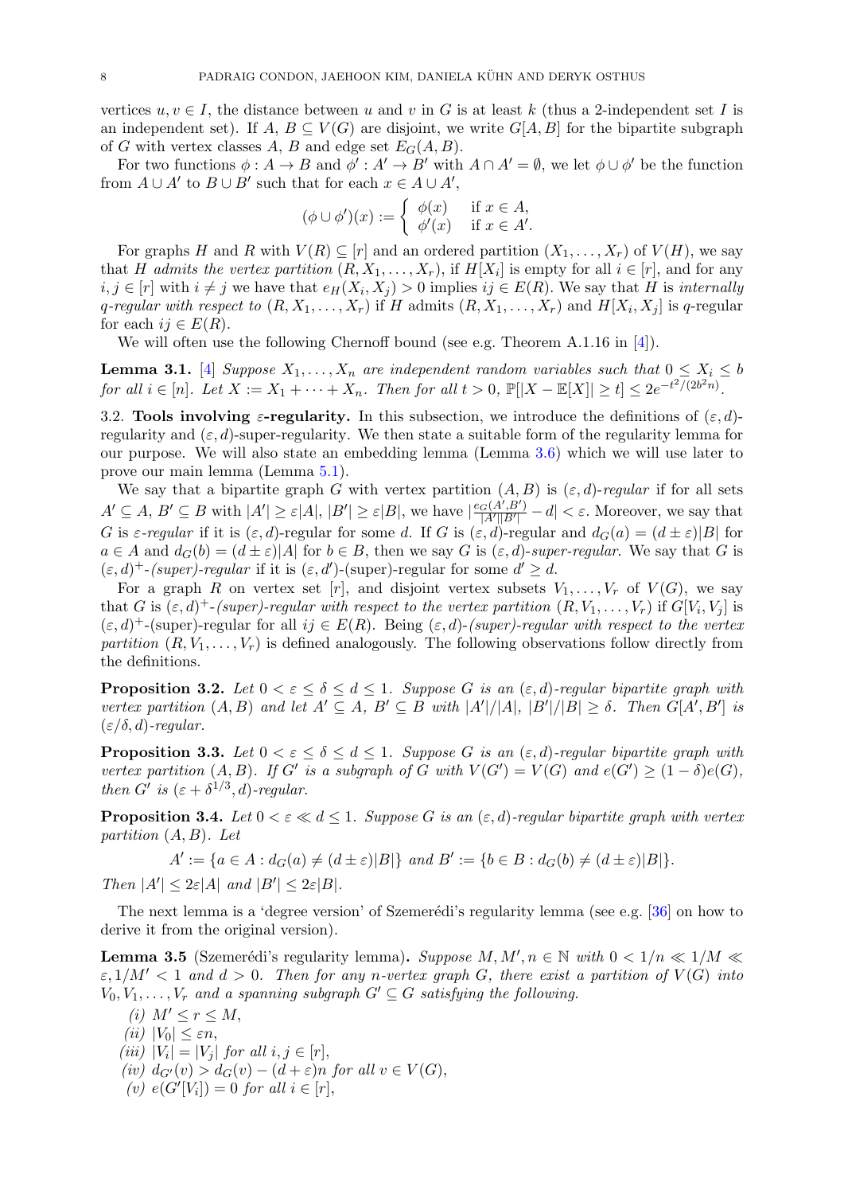vertices  $u, v \in I$ , the distance between u and v in G is at least k (thus a 2-independent set I is an independent set). If  $A, B \subseteq V(G)$  are disjoint, we write  $G[A, B]$  for the bipartite subgraph of G with vertex classes A, B and edge set  $E_G(A, B)$ .

For two functions  $\phi: A \to B$  and  $\phi': A' \to B'$  with  $A \cap A' = \emptyset$ , we let  $\phi \cup \phi'$  be the function from  $A \cup A'$  to  $B \cup B'$  such that for each  $x \in A \cup A'$ ,

$$
(\phi \cup \phi')(x) := \begin{cases} \phi(x) & \text{if } x \in A, \\ \phi'(x) & \text{if } x \in A'. \end{cases}
$$

For graphs H and R with  $V(R) \subseteq [r]$  and an ordered partition  $(X_1, \ldots, X_r)$  of  $V(H)$ , we say that H admits the vertex partition  $(R, X_1, \ldots, X_r)$ , if  $H[X_i]$  is empty for all  $i \in [r]$ , and for any  $i, j \in [r]$  with  $i \neq j$  we have that  $e_H(X_i, X_j) > 0$  implies  $ij \in E(R)$ . We say that H is *internally* q-regular with respect to  $(R, X_1, \ldots, X_r)$  if H admits  $(R, X_1, \ldots, X_r)$  and  $H[X_i, X_j]$  is q-regular for each  $ij \in E(R)$ .

We will often use the following Chernoff bound (see e.g. Theorem A.1.16 in [\[4\]](#page-48-20)).

<span id="page-8-3"></span>**Lemma 3.1.** [\[4\]](#page-48-20) Suppose  $X_1, \ldots, X_n$  are independent random variables such that  $0 \le X_i \le b$ for all  $i \in [n]$ . Let  $X := X_1 + \cdots + X_n$ . Then for all  $t > 0$ ,  $\mathbb{P}[|X - \mathbb{E}[X]| \ge t] \le 2e^{-t^2/(2b^2n)}$ .

3.2. Tools involving  $\varepsilon$ -regularity. In this subsection, we introduce the definitions of  $(\varepsilon, d)$ regularity and  $(\varepsilon, d)$ -super-regularity. We then state a suitable form of the regularity lemma for our purpose. We will also state an embedding lemma (Lemma [3.6\)](#page-9-0) which we will use later to prove our main lemma (Lemma [5.1\)](#page-25-0).

We say that a bipartite graph G with vertex partition  $(A, B)$  is  $(\varepsilon, d)$ -regular if for all sets  $A' \subseteq A, B' \subseteq B$  with  $|A'| \geq \varepsilon |A|, |B'| \geq \varepsilon |B|$ , we have  $\frac{\varepsilon_G(A',B')}{\frac{|A'||B'|}{|A'||B'|}}$  $\frac{G(A^{\prime}, B^{\prime})}{|A^{\prime}| |B^{\prime}|} - d \vert < \varepsilon$ . Moreover, we say that G is  $\varepsilon$ -regular if it is  $(\varepsilon, d)$ -regular for some d. If G is  $(\varepsilon, d)$ -regular and  $d_G(a) = (d \pm \varepsilon)|B|$  for  $a \in A$  and  $d_G(b) = (d \pm \varepsilon)|A|$  for  $b \in B$ , then we say G is  $(\varepsilon, d)$ -super-regular. We say that G is  $(\varepsilon, d)^+$ -(super)-regular if it is  $(\varepsilon, d')$ -(super)-regular for some  $d' \geq d$ .

For a graph R on vertex set [r], and disjoint vertex subsets  $V_1, \ldots, V_r$  of  $V(G)$ , we say that G is  $(\varepsilon, d)^+$ -(super)-regular with respect to the vertex partition  $(R, V_1, \ldots, V_r)$  if  $G[V_i, V_j]$  is  $(\varepsilon, d)^+$ -(super)-regular for all  $ij \in E(R)$ . Being  $(\varepsilon, d)$ -(super)-regular with respect to the vertex partition  $(R, V_1, \ldots, V_r)$  is defined analogously. The following observations follow directly from the definitions.

<span id="page-8-1"></span>**Proposition 3.2.** Let  $0 < \varepsilon \leq \delta \leq d \leq 1$ . Suppose G is an  $(\varepsilon, d)$ -regular bipartite graph with vertex partition  $(A, B)$  and let  $A' \subseteq A$ ,  $B' \subseteq B$  with  $|A'|/|A|, |B'|/|B| \geq \delta$ . Then  $G[A', B']$  is  $(\varepsilon/\delta, d)$ -regular.

<span id="page-8-4"></span>**Proposition 3.3.** Let  $0 < \varepsilon \le \delta \le d \le 1$ . Suppose G is an  $(\varepsilon, d)$ -regular bipartite graph with vertex partition  $(A, B)$ . If G' is a subgraph of G with  $V(G') = V(G)$  and  $e(G') \geq (1 - \delta)e(G)$ , then G' is  $(\varepsilon + \delta^{1/3}, d)$ -regular.

<span id="page-8-2"></span>**Proposition 3.4.** Let  $0 < \varepsilon \ll d \leq 1$ . Suppose G is an  $(\varepsilon, d)$ -regular bipartite graph with vertex partition  $(A, B)$ . Let

$$
A' := \{ a \in A : d_G(a) \neq (d \pm \varepsilon) |B| \} \text{ and } B' := \{ b \in B : d_G(b) \neq (d \pm \varepsilon) |B| \}.
$$

Then  $|A'| \leq 2\varepsilon |A|$  and  $|B'| \leq 2\varepsilon |B|$ .

The next lemma is a 'degree version' of Szemerédi's regularity lemma (see e.g. [ $36$ ] on how to derive it from the original version).

<span id="page-8-0"></span>**Lemma 3.5** (Szemerédi's regularity lemma). Suppose  $M, M', n \in \mathbb{N}$  with  $0 < 1/n \ll 1/M \ll$  $\varepsilon$ ,  $1/M' < 1$  and  $d > 0$ . Then for any n-vertex graph G, there exist a partition of  $V(G)$  into  $V_0, V_1, \ldots, V_r$  and a spanning subgraph  $G' \subseteq G$  satisfying the following.

- (i)  $M' \leq r \leq M$ , (ii)  $|V_0| < \varepsilon n$ , (iii)  $|V_i| = |V_j|$  for all  $i, j \in [r]$ , (iv)  $d_{G'}(v) > d_G(v) - (d + \varepsilon)n$  for all  $v \in V(G)$ ,
- (v)  $e(G'[V_i]) = 0$  for all  $i \in [r]$ ,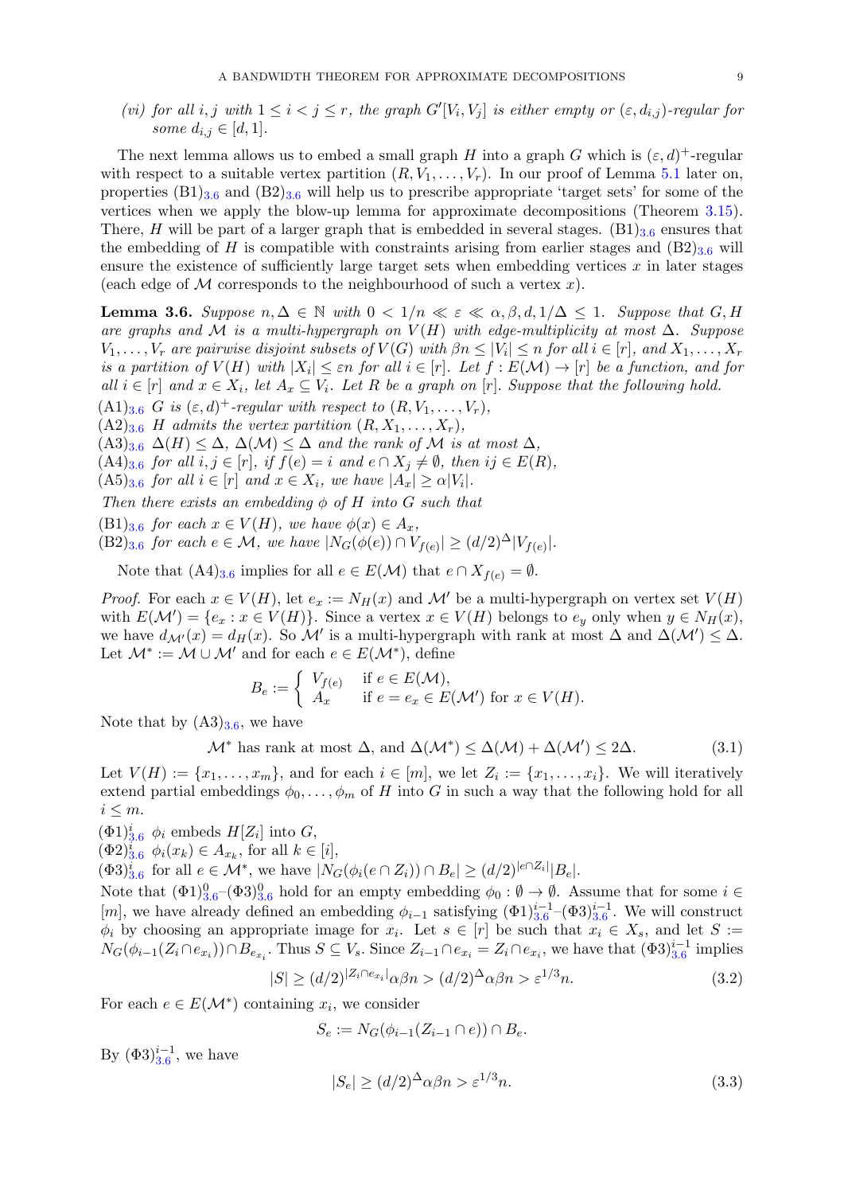(vi) for all i, j with  $1 \leq i < j \leq r$ , the graph  $G'[V_i, V_j]$  is either empty or  $(\varepsilon, d_{i,j})$ -regular for some  $d_{i,j} \in [d,1]$ .

The next lemma allows us to embed a small graph H into a graph G which is  $(\varepsilon, d)^+$ -regular with respect to a suitable vertex partition  $(R, V_1, \ldots, V_r)$ . In our proof of Lemma [5.1](#page-25-0) later on, properties  $(B1)_{3.6}$  $(B1)_{3.6}$  $(B1)_{3.6}$  and  $(B2)_{3.6}$  will help us to prescribe appropriate 'target sets' for some of the vertices when we apply the blow-up lemma for approximate decompositions (Theorem [3.15\)](#page-13-0). There, H will be part of a larger graph that is embedded in several stages.  $(B1)_{3.6}$  $(B1)_{3.6}$  $(B1)_{3.6}$  ensures that the embedding of H is compatible with constraints arising from earlier stages and  $(B2)_{3.6}$  $(B2)_{3.6}$  $(B2)_{3.6}$  will ensure the existence of sufficiently large target sets when embedding vertices  $x$  in later stages (each edge of M corresponds to the neighbourhood of such a vertex  $x$ ).

<span id="page-9-0"></span>**Lemma 3.6.** Suppose  $n, \Delta \in \mathbb{N}$  with  $0 < 1/n \ll \varepsilon \ll \alpha, \beta, d, 1/\Delta \leq 1$ . Suppose that  $G, H$ are graphs and M is a multi-hypergraph on  $V(H)$  with edge-multiplicity at most  $\Delta$ . Suppose  $V_1, \ldots, V_r$  are pairwise disjoint subsets of  $V(G)$  with  $\beta n \leq |V_i| \leq n$  for all  $i \in [r]$ , and  $X_1, \ldots, X_r$ is a partition of  $V(H)$  with  $|X_i| \leq \varepsilon n$  for all  $i \in [r]$ . Let  $f : E(\mathcal{M}) \to [r]$  be a function, and for all  $i \in [r]$  and  $x \in X_i$ , let  $A_x \subseteq V_i$ . Let R be a graph on [r]. Suppose that the following hold.

 $(A1)_{3.6}$  $(A1)_{3.6}$  $(A1)_{3.6}$  G is  $(\varepsilon, d)^+$ -regular with respect to  $(R, V_1, \ldots, V_r)$ ,

 $(A2)_{3.6}$  $(A2)_{3.6}$  $(A2)_{3.6}$  H admits the vertex partition  $(R, X_1, \ldots, X_r)$ ,

 $(A3)_{3.6}$  $(A3)_{3.6}$  $(A3)_{3.6}$   $\Delta(H) \leq \Delta$ ,  $\Delta(M) \leq \Delta$  and the rank of M is at most  $\Delta$ ,

 $(A4)_{3.6}$  $(A4)_{3.6}$  $(A4)_{3.6}$  for all  $i, j \in [r]$ , if  $f(e) = i$  and  $e \cap X_j \neq \emptyset$ , then  $ij \in E(R)$ ,

 $(A5)_{3.6}$  $(A5)_{3.6}$  $(A5)_{3.6}$  for all  $i \in [r]$  and  $x \in X_i$ , we have  $|A_x| \ge \alpha |V_i|$ .

Then there exists an embedding  $\phi$  of H into G such that

 $(B1)_{3.6}$  $(B1)_{3.6}$  $(B1)_{3.6}$  for each  $x \in V(H)$ , we have  $\phi(x) \in A_x$ ,

 $(B2)_{3.6}$  $(B2)_{3.6}$  $(B2)_{3.6}$  for each  $e \in \mathcal{M}$ , we have  $|N_G(\phi(e)) \cap V_{f(e)}| \geq (d/2)^{\Delta} |V_{f(e)}|$ .

Note that  $(A4)_{3.6}$  $(A4)_{3.6}$  $(A4)_{3.6}$  implies for all  $e \in E(\mathcal{M})$  that  $e \cap X_{f(e)} = \emptyset$ .

*Proof.* For each  $x \in V(H)$ , let  $e_x := N_H(x)$  and M' be a multi-hypergraph on vertex set  $V(H)$ with  $E(\mathcal{M}') = \{e_x : x \in V(H)\}.$  Since a vertex  $x \in V(H)$  belongs to  $e_y$  only when  $y \in N_H(x),$ we have  $d_{\mathcal{M}'}(x) = d_H(x)$ . So  $\mathcal{M}'$  is a multi-hypergraph with rank at most  $\Delta$  and  $\Delta(\mathcal{M}') \leq \Delta$ . Let  $\mathcal{M}^* := \mathcal{M} \cup \mathcal{M}'$  and for each  $e \in E(\mathcal{M}^*)$ , define

<span id="page-9-3"></span>
$$
B_e := \begin{cases} V_{f(e)} & \text{if } e \in E(\mathcal{M}), \\ A_x & \text{if } e = e_x \in E(\mathcal{M}') \text{ for } x \in V(H). \end{cases}
$$

Note that by  $(A3)_{3.6}$  $(A3)_{3.6}$  $(A3)_{3.6}$ , we have

 $\mathcal{M}^*$  has rank at most  $\Delta$ , and  $\Delta(\mathcal{M}^*) \leq \Delta(\mathcal{M}) + \Delta(\mathcal{M}') \leq 2\Delta$ . (3.1)

Let  $V(H) := \{x_1, \ldots, x_m\}$ , and for each  $i \in [m]$ , we let  $Z_i := \{x_1, \ldots, x_i\}$ . We will iteratively extend partial embeddings  $\phi_0, \ldots, \phi_m$  of H into G in such a way that the following hold for all  $i \leq m$ .

 $(\Phi 1)_{3.6}^i$  $(\Phi 1)_{3.6}^i$  $(\Phi 1)_{3.6}^i$   $\phi_i$  embeds  $H[Z_i]$  into  $G$ ,

 $(\Phi 2)_{3.6}^{i}$  $(\Phi 2)_{3.6}^{i}$  $(\Phi 2)_{3.6}^{i}$   $\phi_i(x_k) \in A_{x_k}$ , for all  $k \in [i],$ 

 $(\Phi 3)_{3.6}^i$  $(\Phi 3)_{3.6}^i$  $(\Phi 3)_{3.6}^i$  for all  $e \in \mathcal{M}^*$ , we have  $|N_G(\phi_i(e \cap Z_i)) \cap B_e| \geq (d/2)^{|e \cap Z_i|} |B_e|$ .

Note that  $(\Phi_1)_{3.6}^0$  $(\Phi_1)_{3.6}^0$  $(\Phi_1)_{3.6}^0$  ( $\Phi_2$ 3) $_{3.6}^0$  hold for an empty embedding  $\phi_0 : \emptyset \to \emptyset$ . Assume that for some  $i \in$ [m], we have already defined an embedding  $\phi_{i-1}$  satisfying  $(\Phi 1)_{3.6}^{i-1}$  $(\Phi 1)_{3.6}^{i-1}$  $(\Phi 1)_{3.6}^{i-1}$  -( $\Phi 3)_{3.6}^{i-1}$ . We will construct  $\phi_i$  by choosing an appropriate image for  $x_i$ . Let  $s \in [r]$  be such that  $x_i \in X_s$ , and let  $S :=$  $N_G(\phi_{i-1}(Z_i \cap e_{x_i})) \cap B_{e_{x_i}}$ . Thus  $S \subseteq V_s$ . Since  $Z_{i-1} \cap e_{x_i} = Z_i \cap e_{x_i}$ , we have that  $(\Phi 3)_{3.6}^{i-1}$  $(\Phi 3)_{3.6}^{i-1}$  $(\Phi 3)_{3.6}^{i-1}$  implies

$$
|S| \ge (d/2)^{|Z_i \cap e_{x_i}|} \alpha \beta n > (d/2)^{\Delta} \alpha \beta n > \varepsilon^{1/3} n. \tag{3.2}
$$

For each  $e \in E(\mathcal{M}^*)$  containing  $x_i$ , we consider

$$
S_e := N_G(\phi_{i-1}(Z_{i-1} \cap e)) \cap B_e.
$$

By  $(\Phi 3)_{3.6}^{i-1}$  $(\Phi 3)_{3.6}^{i-1}$  $(\Phi 3)_{3.6}^{i-1}$ , we have

<span id="page-9-2"></span><span id="page-9-1"></span>
$$
|S_e| \ge (d/2)^{\Delta} \alpha \beta n > \varepsilon^{1/3} n. \tag{3.3}
$$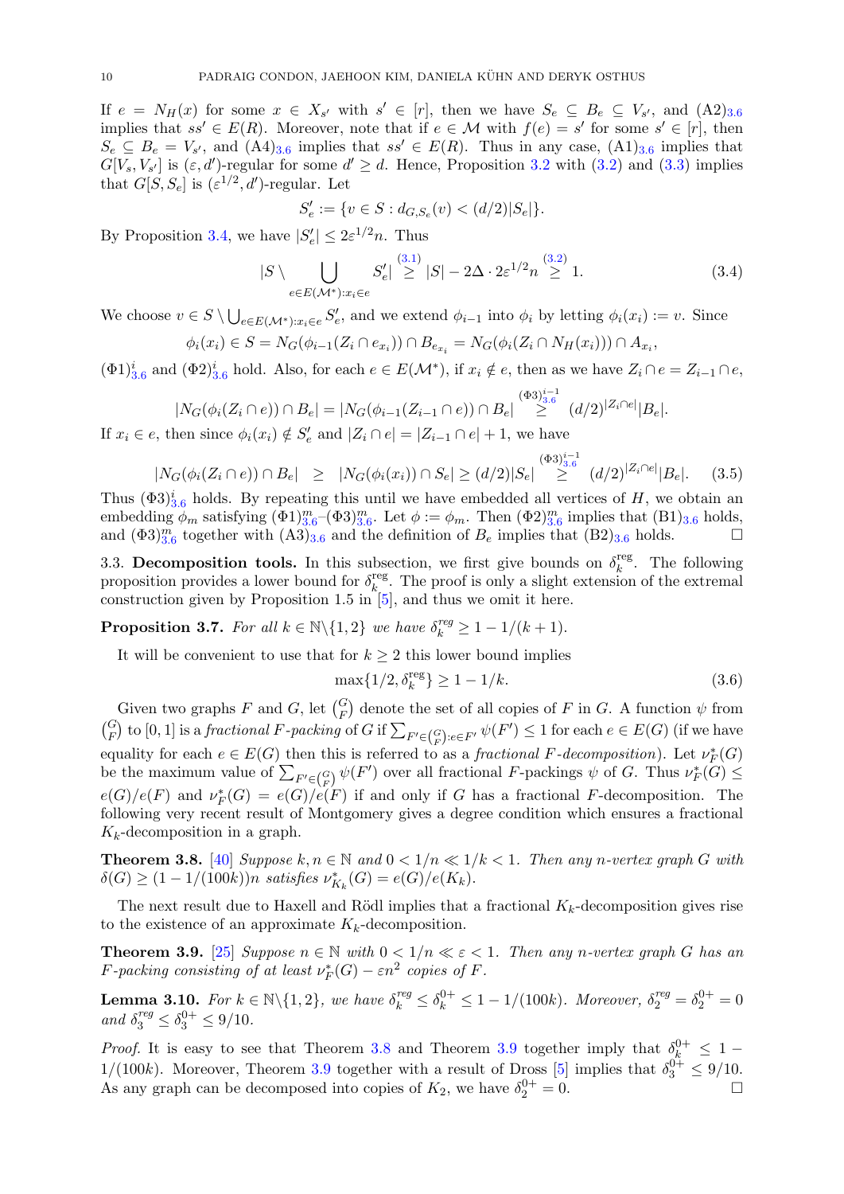If  $e = N_H(x)$  for some  $x \in X_{s'}$  with  $s' \in [r]$ , then we have  $S_e \subseteq B_e \subseteq V_{s'}$ , and  $(A2)_{3.6}$  $(A2)_{3.6}$  $(A2)_{3.6}$ implies that  $ss' \in E(R)$ . Moreover, note that if  $e \in \mathcal{M}$  with  $f(e) = s'$  for some  $s' \in [r]$ , then  $S_e \subseteq B_e = V_{s'}$ , and  $(A4)_{3.6}$  $(A4)_{3.6}$  $(A4)_{3.6}$  implies that  $ss' \in E(R)$ . Thus in any case,  $(A1)_{3.6}$  implies that  $G[V_s, V_{s'}]$  is  $(\varepsilon, d')$ -regular for some  $d' \geq d$ . Hence, Proposition [3.2](#page-8-1) with  $(3.2)$  and  $(3.3)$  implies that  $G[S, S_e]$  is  $(\varepsilon^{1/2}, d')$ -regular. Let

$$
S'_e := \{ v \in S : d_{G,S_e}(v) < (d/2)|S_e| \}.
$$

By Proposition [3.4,](#page-8-2) we have  $|S'_e| \leq 2\varepsilon^{1/2} n$ . Thus

$$
|S \setminus \bigcup_{e \in E(\mathcal{M}^*) : x_i \in e} S'_e| \stackrel{(3.1)}{\ge} |S| - 2\Delta \cdot 2\varepsilon^{1/2} n \stackrel{(3.2)}{\ge} 1. \tag{3.4}
$$

We choose  $v \in S \setminus \bigcup_{e \in E(\mathcal{M}^*) : x_i \in e} S'_e$ , and we extend  $\phi_{i-1}$  into  $\phi_i$  by letting  $\phi_i(x_i) := v$ . Since

$$
\phi_i(x_i) \in S = N_G(\phi_{i-1}(Z_i \cap e_{x_i})) \cap B_{e_{x_i}} = N_G(\phi_i(Z_i \cap N_H(x_i))) \cap A_{x_i},
$$

 $(\Phi 1)_{3.6}^i$  $(\Phi 1)_{3.6}^i$  $(\Phi 1)_{3.6}^i$  and  $(\Phi 2)_{3.6}^i$  hold. Also, for each  $e \in E(\mathcal{M}^*)$ , if  $x_i \notin e$ , then as we have  $Z_i \cap e = Z_{i-1} \cap e$ ,

$$
|N_G(\phi_i(Z_i \cap e)) \cap B_e| = |N_G(\phi_{i-1}(Z_{i-1} \cap e)) \cap B_e| \stackrel{(\Phi 3)_{3.6}^{i-1}}{\geq} (d/2)^{|Z_i \cap e|} |B_e|.
$$

If  $x_i \in e$ , then since  $\phi_i(x_i) \notin S'_e$  and  $|Z_i \cap e| = |Z_{i-1} \cap e| + 1$ , we have

$$
|N_G(\phi_i(Z_i \cap e)) \cap B_e| \geq |N_G(\phi_i(x_i)) \cap S_e| \geq (d/2)|S_e| \stackrel{(\Phi 3)^{i-1}_{3,6}}{\geq} (d/2)^{|Z_i \cap e|} |B_e|.
$$
 (3.5)

Thus  $(\Phi 3)_{3.6}^i$  $(\Phi 3)_{3.6}^i$  $(\Phi 3)_{3.6}^i$  holds. By repeating this until we have embedded all vertices of H, we obtain an embedding  $\phi_m$  satisfying  $(\Phi 1)_{3.6}^m$  $(\Phi 1)_{3.6}^m$  $(\Phi 1)_{3.6}^m$ - $(\Phi 3)_{3.6}^m$ . Let  $\phi := \phi_m$ . Then  $(\Phi 2)_{3.6}^m$  implies that  $(B1)_{3.6}$  holds, and  $(\Phi 3)_{3.6}^m$  $(\Phi 3)_{3.6}^m$  $(\Phi 3)_{3.6}^m$  together with  $(A3)_{3.6}$  and the definition of  $B_e$  implies that  $(B2)_{3.6}$  holds.

3.3. Decomposition tools. In this subsection, we first give bounds on  $\delta_k^{\text{reg}}$  $\frac{r \text{eg}}{k}$ . The following proposition provides a lower bound for  $\delta_k^{\text{reg}}$ <sup>reg</sup>. The proof is only a slight extension of the extremal construction given by Proposition 1.5 in  $[5]$ , and thus we omit it here.

<span id="page-10-0"></span>**Proposition 3.7.** For all  $k \in \mathbb{N} \setminus \{1, 2\}$  we have  $\delta_k^{reg} \geq 1 - 1/(k+1)$ .

It will be convenient to use that for  $k \geq 2$  this lower bound implies

<span id="page-10-4"></span>
$$
\max\{1/2, \delta_k^{\text{reg}}\} \ge 1 - 1/k. \tag{3.6}
$$

Given two graphs F and G, let  $\binom{G}{F}$  denote the set of all copies of F in G. A function  $\psi$  from  $\binom{G}{F}$  to  $[0, 1]$  is a *fractional* F-packing of G if  $\sum_{F' \in \binom{G}{F} : e \in F'} \psi(F') \le 1$  for each  $e \in E(G)$  (if we have equality for each  $e \in E(G)$  then this is referred to as a fractional F-decomposition). Let  $\nu_F^*(G)$ be the maximum value of  $\sum_{F' \in {G \choose F}} \psi(F')$  over all fractional F-packings  $\psi$  of G. Thus  $\nu_F^*(G) \le$  $e(G)/e(F)$  and  $\nu_F^*(G) = e(G)/e(F)$  if and only if G has a fractional F-decomposition. The following very recent result of Montgomery gives a degree condition which ensures a fractional  $K_k$ -decomposition in a graph.

<span id="page-10-2"></span>**Theorem 3.8.** [\[40\]](#page-49-12) Suppose  $k, n \in \mathbb{N}$  and  $0 < 1/n \ll 1/k < 1$ . Then any n-vertex graph G with  $\delta(G) \ge (1 - 1/(100k))n \text{ satisfies } \nu_{K_k}^*(G) = e(G)/e(K_k).$ 

The next result due to Haxell and Rödl implies that a fractional  $K_k$ -decomposition gives rise to the existence of an approximate  $K_k$ -decomposition.

<span id="page-10-3"></span>**Theorem 3.9.** [\[25\]](#page-49-16) Suppose  $n \in \mathbb{N}$  with  $0 < 1/n \ll \varepsilon < 1$ . Then any n-vertex graph G has an *F*-packing consisting of at least  $\nu_F^*(G) - \varepsilon n^2$  copies of *F*.

<span id="page-10-1"></span>**Lemma 3.10.** For  $k \in \mathbb{N} \setminus \{1, 2\}$ , we have  $\delta_k^{reg} \leq \delta_k^{0+} \leq 1 - 1/(100k)$ . Moreover,  $\delta_2^{reg} = \delta_2^{0+} = 0$ and  $\delta_3^{reg} \leq \delta_3^{0+} \leq 9/10$ .

*Proof.* It is easy to see that Theorem [3.8](#page-10-2) and Theorem [3.9](#page-10-3) together imply that  $\delta_k^{0+} \leq 1$  $1/(100k)$ . Moreover, Theorem [3.9](#page-10-3) together with a result of Dross [\[5\]](#page-48-13) implies that  $\delta_3^{0+} \leq 9/10$ . As any graph can be decomposed into copies of  $K_2$ , we have  $\delta_2^{0+} = 0$ .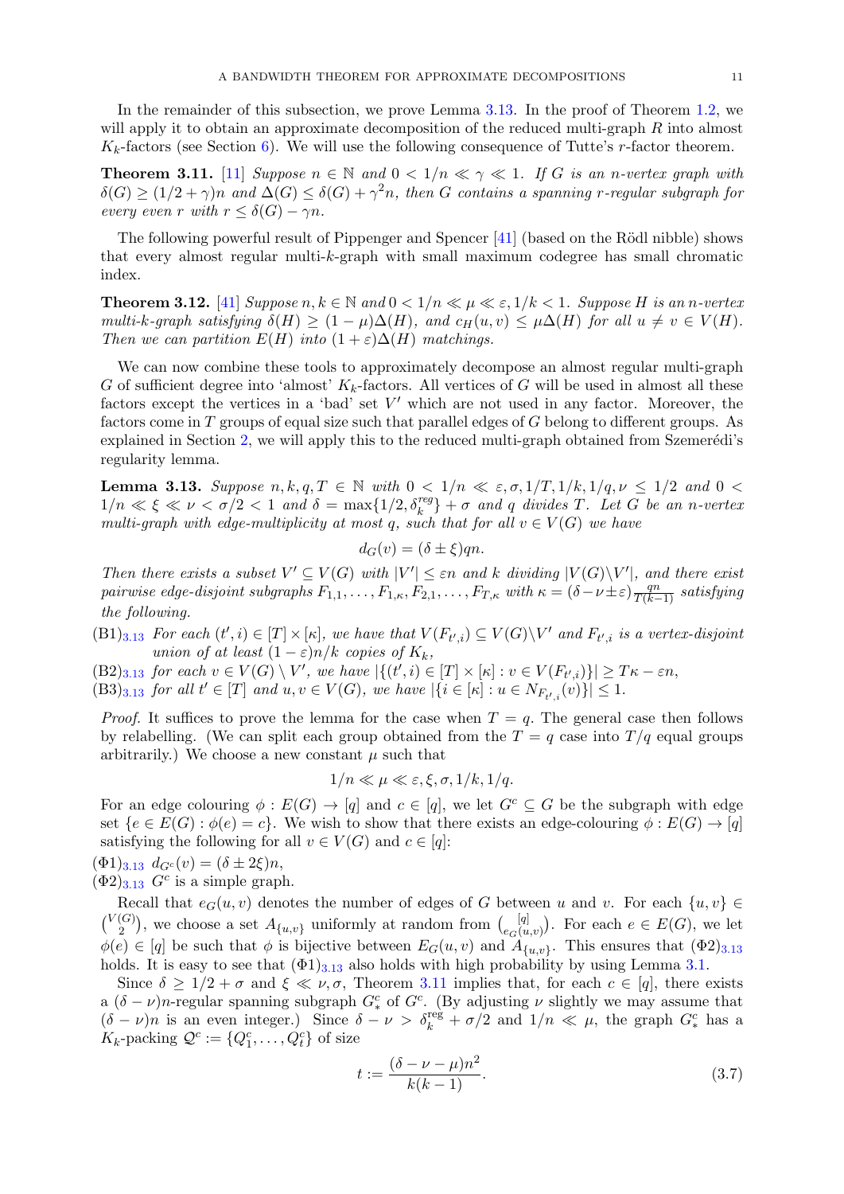In the remainder of this subsection, we prove Lemma [3.13.](#page-11-0) In the proof of Theorem [1.2,](#page-3-0) we will apply it to obtain an approximate decomposition of the reduced multi-graph R into almost  $K_k$ -factors (see Section [6\)](#page-38-0). We will use the following consequence of Tutte's r-factor theorem.

<span id="page-11-1"></span>**Theorem 3.11.** [\[11\]](#page-48-16) Suppose  $n \in \mathbb{N}$  and  $0 < 1/n \ll \gamma \ll 1$ . If G is an n-vertex graph with  $\delta(G) \geq (1/2 + \gamma)n$  and  $\Delta(G) \leq \delta(G) + \gamma^2 n$ , then G contains a spanning r-regular subgraph for every even r with  $r \leq \delta(G) - \gamma n$ .

The following powerful result of Pippenger and Spencer  $[41]$  (based on the Rödl nibble) shows that every almost regular multi-k-graph with small maximum codegree has small chromatic index.

<span id="page-11-3"></span>**Theorem 3.12.** [\[41\]](#page-49-17) Suppose  $n, k \in \mathbb{N}$  and  $0 < 1/n \ll \mu \ll \varepsilon$ ,  $1/k < 1$ . Suppose H is an n-vertex multi-k-graph satisfying  $\delta(H) \geq (1 - \mu) \Delta(H)$ , and  $c_H(u, v) \leq \mu \Delta(H)$  for all  $u \neq v \in V(H)$ . Then we can partition  $E(H)$  into  $(1 + \varepsilon)\Delta(H)$  matchings.

We can now combine these tools to approximately decompose an almost regular multi-graph G of sufficient degree into 'almost'  $K_k$ -factors. All vertices of G will be used in almost all these factors except the vertices in a 'bad' set  $V'$  which are not used in any factor. Moreover, the factors come in T groups of equal size such that parallel edges of G belong to different groups. As explained in Section [2,](#page-5-0) we will apply this to the reduced multi-graph obtained from Szemerédi's regularity lemma.

<span id="page-11-0"></span>**Lemma 3.13.** Suppose  $n, k, q, T \in \mathbb{N}$  with  $0 < 1/n \ll \varepsilon, \sigma, 1/T, 1/k, 1/q, \nu \leq 1/2$  and  $0 <$  $1/n \ll \xi \ll \nu < \sigma/2 < 1$  and  $\delta = \max\{1/2, \delta_k^{reg}\} + \sigma$  and q divides T. Let G be an n-vertex multi-graph with edge-multiplicity at most q, such that for all  $v \in V(G)$  we have

$$
d_G(v) = (\delta \pm \xi)qn.
$$

Then there exists a subset  $V' \subseteq V(G)$  with  $|V'| \leq \varepsilon n$  and k dividing  $|V(G) \setminus V'|$ , and there exist pairwise edge-disjoint subgraphs  $F_{1,1}, \ldots, F_{1,\kappa}, F_{2,1}, \ldots, F_{T,\kappa}$  with  $\kappa = (\delta - \nu \pm \varepsilon) \frac{qn}{T(k-1)}$  satisfying the following.

 $(B1)_{3,13}$  $(B1)_{3,13}$  $(B1)_{3,13}$  For each  $(t',i) \in [T] \times [\kappa]$ , we have that  $V(F_{t',i}) \subseteq V(G) \backslash V'$  and  $F_{t',i}$  is a vertex-disjoint union of at least  $(1 - \varepsilon)n/k$  copies of  $K_k$ ,

 $(B2)_{3.13}$  $(B2)_{3.13}$  $(B2)_{3.13}$  for each  $v \in V(G) \setminus V'$ , we have  $|\{(t', i) \in [T] \times [\kappa] : v \in V(F_{t', i})\}| \geq T\kappa - \varepsilon n$ ,

 $(B3)_{3.13}$  $(B3)_{3.13}$  $(B3)_{3.13}$  for all  $t' \in [T]$  and  $u, v \in V(G)$ , we have  $|\{i \in [\kappa] : u \in N_{F_{t',i}}(v)\}| \leq 1$ .

*Proof.* It suffices to prove the lemma for the case when  $T = q$ . The general case then follows by relabelling. (We can split each group obtained from the  $T = q$  case into  $T/q$  equal groups arbitrarily.) We choose a new constant  $\mu$  such that

$$
1/n \ll \mu \ll \varepsilon, \xi, \sigma, 1/k, 1/q.
$$

For an edge colouring  $\phi : E(G) \to [q]$  and  $c \in [q]$ , we let  $G^c \subseteq G$  be the subgraph with edge set  $\{e \in E(G) : \phi(e) = c\}$ . We wish to show that there exists an edge-colouring  $\phi : E(G) \to [q]$ satisfying the following for all  $v \in V(G)$  and  $c \in [q]$ :

 $(\Phi 1)_{3,13} d_{G^c}(v) = (\delta \pm 2\xi)n,$  $(\Phi 1)_{3,13} d_{G^c}(v) = (\delta \pm 2\xi)n,$  $(\Phi 1)_{3,13} d_{G^c}(v) = (\delta \pm 2\xi)n,$  $(\Phi 2)_{3.13}$  $(\Phi 2)_{3.13}$  $(\Phi 2)_{3.13}$  G<sup>c</sup> is a simple graph.

Recall that  $e_G(u, v)$  denotes the number of edges of G between u and v. For each  $\{u, v\} \in$  $\binom{V(G)}{2}$  $\binom{[G]}{2}$ , we choose a set  $A_{\{u,v\}}$  uniformly at random from  $\binom{[q]}{e_G(u,v)}$ . For each  $e \in E(G)$ , we let  $\phi(e) \in [q]$  be such that  $\phi$  is bijective between  $E_G(u, v)$  and  $A_{\{u, v\}}$ . This ensures that  $(\Phi_2)_{3, 13}$  $(\Phi_2)_{3, 13}$  $(\Phi_2)_{3, 13}$ holds. It is easy to see that  $(\Phi_1)_{3,13}$  $(\Phi_1)_{3,13}$  $(\Phi_1)_{3,13}$  also holds with high probability by using Lemma [3.1.](#page-8-3)

Since  $\delta \geq 1/2 + \sigma$  and  $\xi \ll \nu, \sigma$ , Theorem [3.11](#page-11-1) implies that, for each  $c \in [q]$ , there exists a  $(\delta - \nu)n$ -regular spanning subgraph  $G_*^c$  of  $G^c$ . (By adjusting  $\nu$  slightly we may assume that  $(\delta - \nu)n$  is an even integer.) Since  $\delta - \nu > \delta_k^{\text{reg}} + \sigma/2$  and  $1/n \ll \mu$ , the graph  $G_*^c$  has a  $K_k$ -packing  $\mathcal{Q}^c := \{Q_1^c, \ldots, Q_t^c\}$  of size

<span id="page-11-2"></span>
$$
t := \frac{(\delta - \nu - \mu)n^2}{k(k - 1)}.
$$
\n(3.7)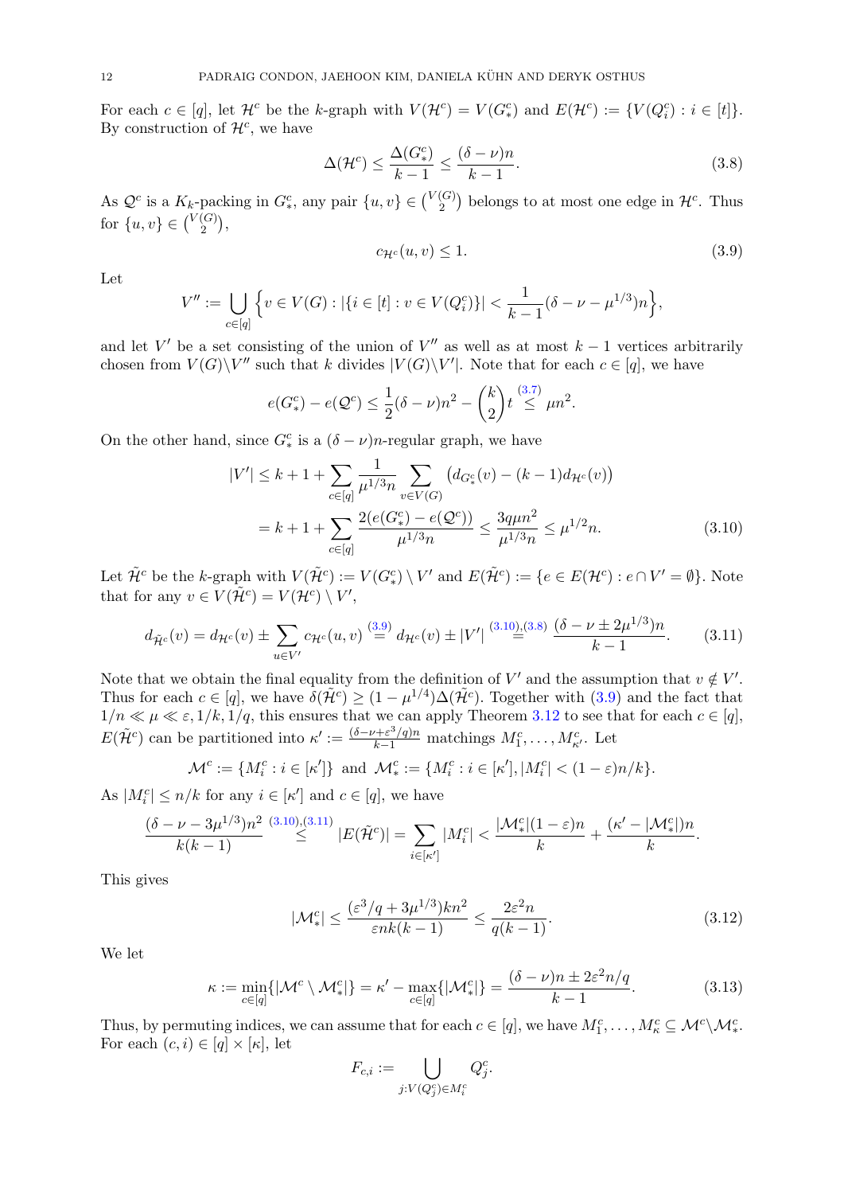For each  $c \in [q]$ , let  $\mathcal{H}^c$  be the k-graph with  $V(\mathcal{H}^c) = V(G^c_*)$  and  $E(\mathcal{H}^c) := \{V(Q^c_i) : i \in [t]\}.$ By construction of  $\mathcal{H}^c$ , we have

$$
\Delta(\mathcal{H}^c) \le \frac{\Delta(G^c_*)}{k-1} \le \frac{(\delta - \nu)n}{k-1}.\tag{3.8}
$$

As  $\mathcal{Q}^c$  is a  $K_k$ -packing in  $G^c_*$ , any pair  $\{u, v\} \in \binom{V(G)}{2}$  $\binom{G}{2}$  belongs to at most one edge in  $\mathcal{H}^c$ . Thus for  $\{u, v\} \in \binom{V(G)}{2}$  $\binom{(G)}{2},$ 

$$
c_{\mathcal{H}^c}(u,v) \le 1. \tag{3.9}
$$

<span id="page-12-2"></span><span id="page-12-1"></span><span id="page-12-0"></span>.

Let

$$
V'' := \bigcup_{c \in [q]} \left\{ v \in V(G) : |\{i \in [t] : v \in V(Q_i^c)\}| < \frac{1}{k-1} (\delta - \nu - \mu^{1/3}) n \right\},\
$$

and let V' be a set consisting of the union of V" as well as at most  $k-1$  vertices arbitrarily chosen from  $V(G)\backslash V''$  such that k divides  $|V(G)\backslash V'|$ . Note that for each  $c \in [q]$ , we have

$$
e(G_{*}^{c}) - e(\mathcal{Q}^{c}) \le \frac{1}{2}(\delta - \nu)n^{2} - {k \choose 2}t \stackrel{(3.7)}{\le} \mu n^{2}
$$

On the other hand, since  $G_*^c$  is a  $(\delta - \nu)n$ -regular graph, we have

$$
|V'| \le k + 1 + \sum_{c \in [q]} \frac{1}{\mu^{1/3} n} \sum_{v \in V(G)} \left( d_{G^c_*}(v) - (k - 1) d_{\mathcal{H}^c}(v) \right)
$$
  
=  $k + 1 + \sum_{c \in [q]} \frac{2(e(G^c_*) - e(\mathcal{Q}^c))}{\mu^{1/3} n} \le \frac{3q\mu n^2}{\mu^{1/3} n} \le \mu^{1/2} n.$  (3.10)

Let  $\tilde{\mathcal{H}}^c$  be the k-graph with  $V(\tilde{\mathcal{H}}^c) := V(G^c_*) \setminus V'$  and  $E(\tilde{\mathcal{H}}^c) := \{e \in E(\mathcal{H}^c) : e \cap V' = \emptyset\}$ . Note that for any  $v \in V(\tilde{\mathcal{H}}^c) = V(\mathcal{H}^c) \setminus V'$ ,

<span id="page-12-3"></span>
$$
d_{\tilde{\mathcal{H}}^c}(v) = d_{\mathcal{H}^c}(v) \pm \sum_{u \in V'} c_{\mathcal{H}^c}(u, v) \stackrel{(3.9)}{=} d_{\mathcal{H}^c}(v) \pm |V'| \stackrel{(3.10),(3.8)}{=} \frac{(\delta - \nu \pm 2\mu^{1/3})n}{k - 1}.
$$
 (3.11)

Note that we obtain the final equality from the definition of V' and the assumption that  $v \notin V'$ . Thus for each  $c \in [q]$ , we have  $\delta(\tilde{\mathcal{H}}^c) \geq (1 - \mu^{1/4})\Delta(\tilde{\mathcal{H}}^c)$ . Together with  $(3.9)$  and the fact that  $1/n \ll \mu \ll \varepsilon, 1/k, 1/q$ , this ensures that we can apply Theorem [3.12](#page-11-3) to see that for each  $c \in [q]$ ,  $E(\tilde{\mathcal{H}}^c)$  can be partitioned into  $\kappa' := \frac{(\delta - \nu + \varepsilon^3/q)n}{k-1}$  matchings  $M_1^c, \ldots, M_{\kappa'}^c$ . Let

$$
\mathcal{M}^c := \{ M_i^c : i \in [\kappa'] \} \text{ and } \mathcal{M}_*^c := \{ M_i^c : i \in [\kappa'], |M_i^c| < (1 - \varepsilon)n/k \}.
$$

As  $|M_i^c| \le n/k$  for any  $i \in [\kappa']$  and  $c \in [q]$ , we have

$$
\frac{(\delta-\nu-3\mu^{1/3})n^2}{k(k-1)} \stackrel{(3.10),(3.11)}{\leq} |E(\tilde{\mathcal{H}}^c)| = \sum_{i \in [\kappa']} |M_i^c| < \frac{|\mathcal{M}_*^c|(1-\varepsilon)n}{k} + \frac{(\kappa'-|\mathcal{M}_*^c|)n}{k}.
$$

This gives

$$
|\mathcal{M}_{*}^c| \le \frac{(\varepsilon^3/q + 3\mu^{1/3})kn^2}{\varepsilon nk(k-1)} \le \frac{2\varepsilon^2 n}{q(k-1)}.\tag{3.12}
$$

We let

$$
\kappa := \min_{c \in [q]} \{ |\mathcal{M}^c \setminus \mathcal{M}^c_*| \} = \kappa' - \max_{c \in [q]} \{ |\mathcal{M}^c_*| \} = \frac{(\delta - \nu)n \pm 2\varepsilon^2 n/q}{k - 1}.
$$
 (3.13)

Thus, by permuting indices, we can assume that for each  $c \in [q]$ , we have  $M_1^c, \ldots, M_\kappa^c \subseteq \mathcal{M}^c \backslash \mathcal{M}_*^c$ . For each  $(c, i) \in [q] \times [\kappa]$ , let

$$
F_{c,i} := \bigcup_{j: V(Q_j^c) \in M_i^c} Q_j^c.
$$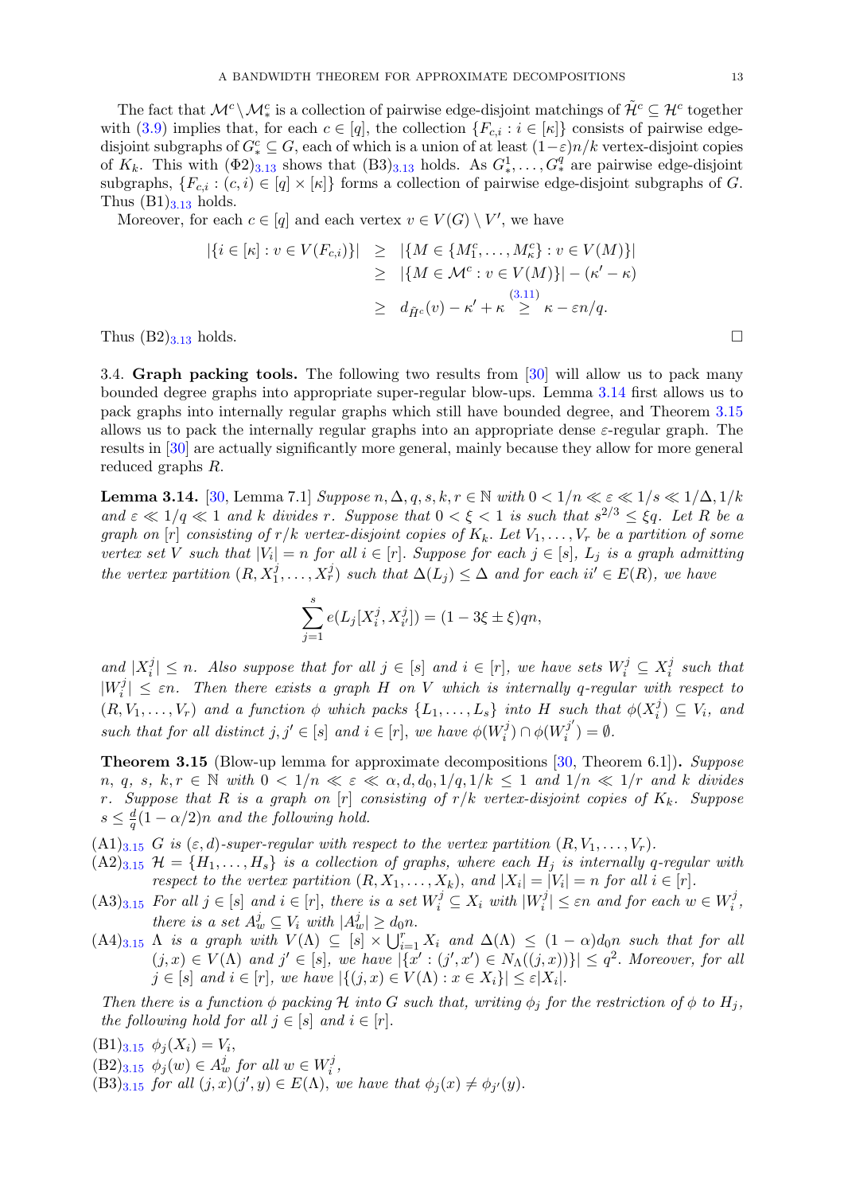The fact that  $\mathcal{M}^c \setminus \mathcal{M}^c_*$  is a collection of pairwise edge-disjoint matchings of  $\tilde{\mathcal{H}}^c \subseteq \mathcal{H}^c$  together with [\(3.9\)](#page-12-0) implies that, for each  $c \in [q]$ , the collection  $\{F_{c,i} : i \in [\kappa]\}\)$  consists of pairwise edgedisjoint subgraphs of  $G_*^c \subseteq G$ , each of which is a union of at least  $(1-\varepsilon)n/k$  vertex-disjoint copies of  $K_k$ . This with  $(\Phi 2)_{3.13}$  $(\Phi 2)_{3.13}$  $(\Phi 2)_{3.13}$  shows that  $(B3)_{3.13}$  holds. As  $G^1_*, \ldots, G^q_*$  are pairwise edge-disjoint subgraphs,  ${F_{c,i} : (c,i) \in [q] \times [\kappa]}$  forms a collection of pairwise edge-disjoint subgraphs of G. Thus  $(B1)_{3.13}$  $(B1)_{3.13}$  $(B1)_{3.13}$  holds.

Moreover, for each  $c \in [q]$  and each vertex  $v \in V(G) \setminus V'$ , we have

$$
|\{i \in [\kappa] : v \in V(F_{c,i})\}| \geq |\{M \in \{M_1^c, \dots, M_\kappa^c\} : v \in V(M)\}|
$$
  
\n
$$
\geq |\{M \in \mathcal{M}^c : v \in V(M)\}| - (\kappa' - \kappa)
$$
  
\n
$$
\geq d_{\tilde{H}^c}(v) - \kappa' + \kappa \geq \kappa - \varepsilon n/q.
$$

Thus  $(B2)_{3,13}$  $(B2)_{3,13}$  $(B2)_{3,13}$  holds.

3.4. Graph packing tools. The following two results from [\[30\]](#page-49-9) will allow us to pack many bounded degree graphs into appropriate super-regular blow-ups. Lemma [3.14](#page-13-1) first allows us to pack graphs into internally regular graphs which still have bounded degree, and Theorem [3.15](#page-13-0) allows us to pack the internally regular graphs into an appropriate dense  $\varepsilon$ -regular graph. The results in [\[30\]](#page-49-9) are actually significantly more general, mainly because they allow for more general reduced graphs R.

<span id="page-13-1"></span>**Lemma 3.14.** [\[30,](#page-49-9) Lemma 7.1] Suppose  $n, \Delta, q, s, k, r \in \mathbb{N}$  with  $0 < 1/n \ll \varepsilon \ll 1/s \ll 1/\Delta, 1/k$ and  $\varepsilon \ll 1/q \ll 1$  and k divides r. Suppose that  $0 < \xi < 1$  is such that  $s^{2/3} \leq \xi q$ . Let R be a graph on  $[r]$  consisting of  $r/k$  vertex-disjoint copies of  $K_k$ . Let  $V_1, \ldots, V_r$  be a partition of some vertex set V such that  $|V_i| = n$  for all  $i \in [r]$ . Suppose for each  $j \in [s]$ ,  $L_j$  is a graph admitting the vertex partition  $(R, X_1^j, \ldots, X_r^j)$  such that  $\Delta(L_j) \leq \Delta$  and for each  $ii' \in E(R)$ , we have

$$
\sum_{j=1}^{s} e(L_j[X_i^j, X_{i'}^j]) = (1 - 3\xi \pm \xi)qn,
$$

and  $|X_i^j$  $i, j \leq n$ . Also suppose that for all  $j \in [s]$  and  $i \in [r]$ , we have sets  $W_i^j \subseteq X_i^j$  $\int_i^j$  such that  $|W_i^j$  $\{f_i^j\} \leq \varepsilon n$ . Then there exists a graph H on V which is internally q-regular with respect to  $(R, V_1, \ldots, V_r)$  and a function  $\phi$  which packs  $\{L_1, \ldots, L_s\}$  into H such that  $\phi(X_i^j)$  $\binom{j}{i} \subseteq V_i$ , and such that for all distinct  $j, j' \in [s]$  and  $i \in [r]$ , we have  $\phi(W_i^j)$  $\varphi_i^{(j)} \cap \phi(W_i^{j'}$  $j^{(j)}_i$   $=$   $\emptyset$ .

<span id="page-13-0"></span>Theorem 3.15 (Blow-up lemma for approximate decompositions [\[30,](#page-49-9) Theorem 6.1]). Suppose  $n, q, s, k, r \in \mathbb{N}$  with  $0 < 1/n \ll \varepsilon \ll \alpha, d, d_0, 1/q, 1/k \leq 1$  and  $1/n \ll 1/r$  and k divides r. Suppose that R is a graph on  $[r]$  consisting of  $r/k$  vertex-disjoint copies of  $K_k$ . Suppose  $s \leq \frac{d}{a}$  $\frac{d}{q}(1-\alpha/2)n$  and the following hold.

 $(A1)_{3.15}$  $(A1)_{3.15}$  $(A1)_{3.15}$  G is  $(\varepsilon, d)$ -super-regular with respect to the vertex partition  $(R, V_1, \ldots, V_r)$ .

- $(A2)_{3.15}$  $(A2)_{3.15}$  $(A2)_{3.15}$   $H = \{H_1, \ldots, H_s\}$  is a collection of graphs, where each  $H_j$  is internally q-regular with respect to the vertex partition  $(R, X_1, \ldots, X_k)$ , and  $|X_i| = |V_i| = n$  for all  $i \in [r]$ .
- $(A3)_{3.15}$  $(A3)_{3.15}$  $(A3)_{3.15}$  For all  $j \in [s]$  and  $i \in [r]$ , there is a set  $W_i^j \subseteq X_i$  with  $|W_i^j|$  $|\mathbf{x}_i^j| \leq \varepsilon n$  and for each  $w \in W_i^j$  $\frac{r}{i}$ , there is a set  $A_w^j \subseteq V_i$  with  $|A_w^j| \ge d_0 n$ .
- $(A4)_{3.15}$  $(A4)_{3.15}$  $(A4)_{3.15}$   $\Lambda$  is a graph with  $V(\Lambda) \subseteq [s] \times \bigcup_{i=1}^r X_i$  and  $\Delta(\Lambda) \leq (1-\alpha)d_{0n}$  such that for all  $(j, x) \in V(\Lambda)$  and  $j' \in [s]$ , we have  $|\{x' : (j', x') \in N_{\Lambda}((j, x))\}| \leq q^2$ . Moreover, for all  $j \in [s]$  and  $i \in [r]$ , we have  $|\{(j,x) \in V(\Lambda) : x \in X_i\}| \leq \varepsilon |X_i|$ .

Then there is a function  $\phi$  packing H into G such that, writing  $\phi_i$  for the restriction of  $\phi$  to  $H_i$ , the following hold for all  $j \in [s]$  and  $i \in [r]$ .

- $(B1)_{3.15}$  $(B1)_{3.15}$  $(B1)_{3.15}$   $\phi_j(X_i) = V_i$ ,
- $(B2)_{3.15}$  $(B2)_{3.15}$  $(B2)_{3.15}$   $\phi_j(w) \in A_w^j$  for all  $w \in W_i^j$  $\frac{j}{i}$  ,
- $(B3)_{3.15}$  $(B3)_{3.15}$  $(B3)_{3.15}$  for all  $(j, x)(j', y) \in E(\Lambda)$ , we have that  $\phi_j(x) \neq \phi_{j'}(y)$ .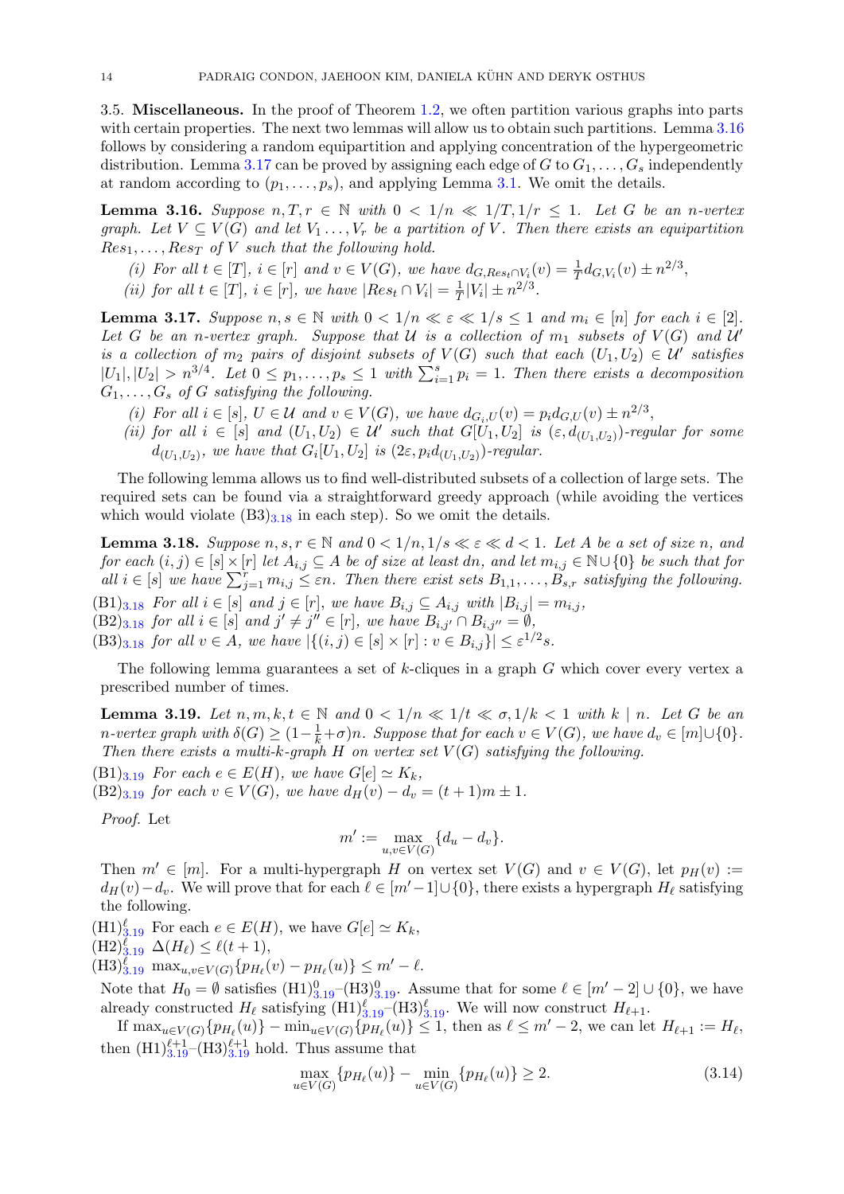3.5. Miscellaneous. In the proof of Theorem [1.2,](#page-3-0) we often partition various graphs into parts with certain properties. The next two lemmas will allow us to obtain such partitions. Lemma [3.16](#page-14-0) follows by considering a random equipartition and applying concentration of the hypergeometric distribution. Lemma [3.17](#page-14-1) can be proved by assigning each edge of G to  $G_1, \ldots, G_s$  independently at random according to  $(p_1, \ldots, p_s)$ , and applying Lemma [3.1.](#page-8-3) We omit the details.

<span id="page-14-0"></span>**Lemma 3.16.** Suppose  $n, T, r \in \mathbb{N}$  with  $0 < 1/n \ll 1/T, 1/r \leq 1$ . Let G be an n-vertex graph. Let  $V \subseteq V(G)$  and let  $V_1 \ldots, V_r$  be a partition of V. Then there exists an equipartition  $Res_1, \ldots, Res_T$  of V such that the following hold.

- (i) For all  $t \in [T]$ ,  $i \in [r]$  and  $v \in V(G)$ , we have  $d_{G, Res_t \cap V_i}(v) = \frac{1}{T} d_{G, V_i}(v) \pm n^{2/3}$ ,
- (ii) for all  $t \in [T]$ ,  $i \in [r]$ , we have  $|Res_t \cap V_i| = \frac{1}{T}$  $\frac{1}{T}|V_i| \pm n^{2/3}.$

<span id="page-14-1"></span>**Lemma 3.17.** Suppose  $n, s \in \mathbb{N}$  with  $0 < 1/n \ll \varepsilon \ll 1/s \leq 1$  and  $m_i \in [n]$  for each  $i \in [2]$ . Let G be an n-vertex graph. Suppose that  $U$  is a collection of  $m_1$  subsets of  $V(G)$  and  $U'$ is a collection of  $m_2$  pairs of disjoint subsets of  $V(G)$  such that each  $(U_1, U_2) \in \mathcal{U}'$  satisfies  $|U_1|, |U_2| > n^{3/4}$ . Let  $0 \le p_1, \ldots, p_s \le 1$  with  $\sum_{i=1}^s p_i = 1$ . Then there exists a decomposition  $G_1, \ldots, G_s$  of G satisfying the following.

- (i) For all  $i \in [s], U \in \mathcal{U}$  and  $v \in V(G)$ , we have  $d_{G_i,U}(v) = p_i d_{G,U}(v) \pm n^{2/3}$ ,
- (ii) for all  $i \in [s]$  and  $(U_1, U_2) \in U'$  such that  $G[U_1, U_2]$  is  $(\varepsilon, d_{(U_1, U_2)})$ -regular for some  $d_{(U_1,U_2)}$ , we have that  $G_i[U_1,U_2]$  is  $(2\varepsilon,p_id_{(U_1,U_2)})$ -regular.

The following lemma allows us to find well-distributed subsets of a collection of large sets. The required sets can be found via a straightforward greedy approach (while avoiding the vertices which would violate  $(B3)_{3,18}$  $(B3)_{3,18}$  $(B3)_{3,18}$  in each step). So we omit the details.

<span id="page-14-2"></span>**Lemma 3.18.** Suppose  $n, s, r \in \mathbb{N}$  and  $0 < 1/n, 1/s \ll \varepsilon \ll d < 1$ . Let A be a set of size n, and for each  $(i, j) \in [s] \times [r]$  let  $A_{i,j} \subseteq A$  be of size at least dn, and let  $m_{i,j} \in \mathbb{N} \cup \{0\}$  be such that for all  $i \in [s]$  we have  $\sum_{j=1}^r m_{i,j} \leq \varepsilon n$ . Then there exist sets  $B_{1,1}, \ldots, B_{s,r}$  satisfying the following.  $(B1)_{3.18}$  $(B1)_{3.18}$  $(B1)_{3.18}$  For all  $i \in [s]$  and  $j \in [r]$ , we have  $B_{i,j} \subseteq A_{i,j}$  with  $|B_{i,j}| = m_{i,j}$ ,  $(B2)_{3.18}$  $(B2)_{3.18}$  $(B2)_{3.18}$  for all  $i \in [s]$  and  $j' \neq j'' \in [r]$ , we have  $B_{i,j'} \cap B_{i,j''} = \emptyset$ ,  $(B3)_{3.18}$  $(B3)_{3.18}$  $(B3)_{3.18}$  for all  $v \in A$ , we have  $|\{(i,j) \in [s] \times [r] : v \in B_{i,j}\}| \leq \varepsilon^{1/2} s$ .

The following lemma guarantees a set of k-cliques in a graph G which cover every vertex a prescribed number of times.

<span id="page-14-3"></span>**Lemma 3.19.** Let  $n, m, k, t \in \mathbb{N}$  and  $0 < 1/n \ll 1/t \ll \sigma, 1/k < 1$  with  $k \mid n$ . Let G be an n-vertex graph with  $\delta(G) \geq (1 - \frac{1}{k} + \sigma)n$ . Suppose that for each  $v \in V(G)$ , we have  $d_v \in [m] \cup \{0\}$ . Then there exists a multi-k-graph H on vertex set  $V(G)$  satisfying the following.

 $(B1)_{3.19}$  $(B1)_{3.19}$  $(B1)_{3.19}$  For each  $e \in E(H)$ , we have  $G[e] \simeq K_k$ ,

 $(B2)_{3.19}$  $(B2)_{3.19}$  $(B2)_{3.19}$  for each  $v \in V(G)$ , we have  $d_H(v) - d_v = (t+1)m \pm 1$ .

Proof. Let

$$
m' := \max_{u,v \in V(G)} \{d_u - d_v\}.
$$

Then  $m' \in [m]$ . For a multi-hypergraph H on vertex set  $V(G)$  and  $v \in V(G)$ , let  $p_H(v) :=$  $d_H(v)-d_v$ . We will prove that for each  $\ell \in [m'-1] \cup \{0\}$ , there exists a hypergraph  $H_\ell$  satisfying the following.

 $(H1)_{3,19}^{\ell}$  $(H1)_{3,19}^{\ell}$  $(H1)_{3,19}^{\ell}$  For each  $e \in E(H)$ , we have  $G[e] \simeq K_k$ ,  $(\text{H2})^{\ell}_{3,19} \Delta(H_{\ell}) \leq \ell(t + 1),$  $(\text{H2})^{\ell}_{3,19} \Delta(H_{\ell}) \leq \ell(t + 1),$  $(\text{H2})^{\ell}_{3,19} \Delta(H_{\ell}) \leq \ell(t + 1),$ 

 $(H3)_{3.19}^{\ell}$  $(H3)_{3.19}^{\ell}$  $(H3)_{3.19}^{\ell}$  max<sub>u,v∈V(G)</sub>{ $p_{H_{\ell}}(v) - p_{H_{\ell}}(u)$ }  $\leq m' - \ell$ .

Note that  $H_0 = \emptyset$  satisfies  $(H1)_{3.19}^0$  $(H1)_{3.19}^0$  $(H1)_{3.19}^0$  – $(H3)_{3.19}^0$ . Assume that for some  $\ell \in [m'-2] \cup \{0\}$ , we have already constructed  $H_\ell$  satisfying  $(H1)_{3.19}^{\ell}$  $(H1)_{3.19}^{\ell}$  $(H1)_{3.19}^{\ell}$  –(H3) $_{3.19}^{\ell}$ . We will now construct  $H_{\ell+1}$ .

If  $\max_{u \in V(G)} \{ p_{H_\ell}(u) \} - \min_{u \in V(G)} \{ p_{H_\ell}(u) \} \leq 1$ , then as  $\ell \leq m'-2$ , we can let  $H_{\ell+1} := H_\ell$ , then  $(H1)_{3.19}^{\ell+1}$  $(H1)_{3.19}^{\ell+1}$  $(H1)_{3.19}^{\ell+1}$  (H3) $_{3.19}^{\ell+1}$  hold. Thus assume that

<span id="page-14-4"></span>
$$
\max_{u \in V(G)} \{ p_{H_{\ell}}(u) \} - \min_{u \in V(G)} \{ p_{H_{\ell}}(u) \} \ge 2.
$$
\n(3.14)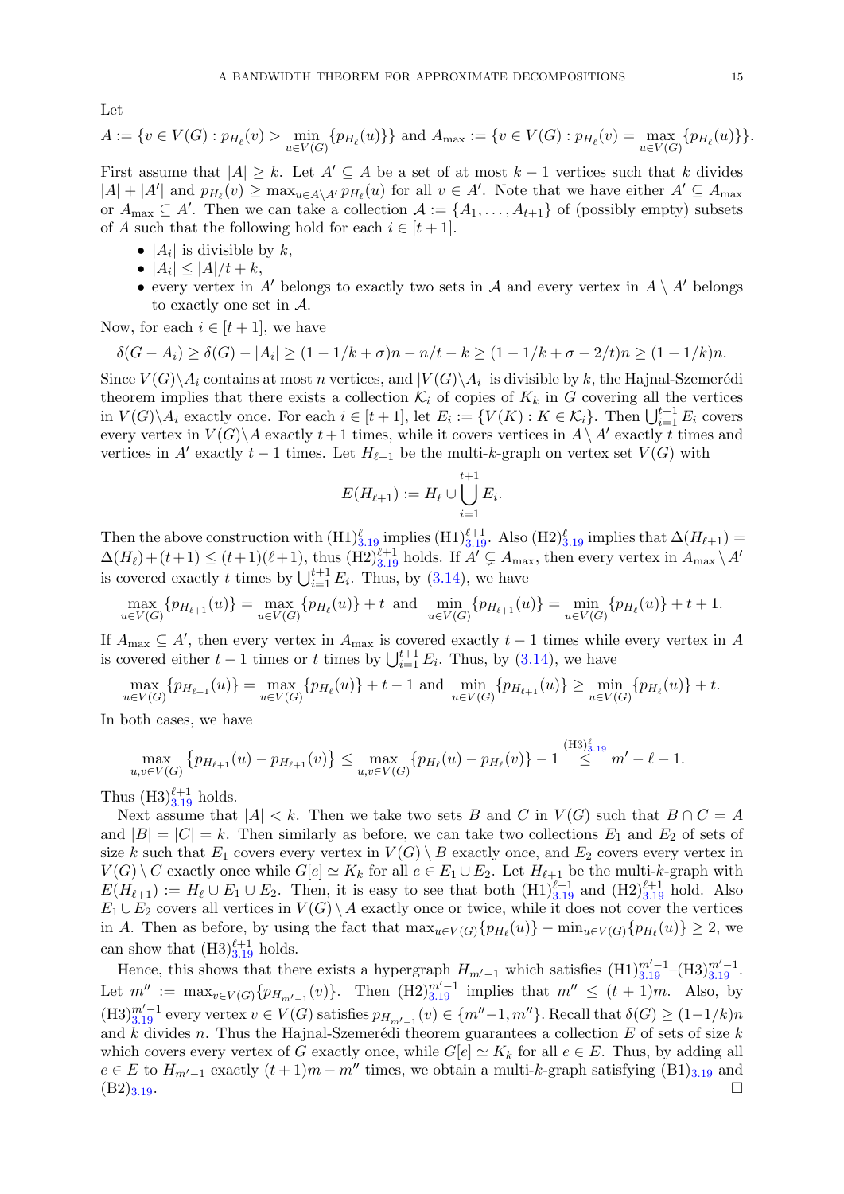Let

$$
A := \{ v \in V(G) : p_{H_{\ell}}(v) > \min_{u \in V(G)} \{ p_{H_{\ell}}(u) \} \} \text{ and } A_{\max} := \{ v \in V(G) : p_{H_{\ell}}(v) = \max_{u \in V(G)} \{ p_{H_{\ell}}(u) \} \}.
$$

First assume that  $|A| \geq k$ . Let  $A' \subseteq A$  be a set of at most  $k-1$  vertices such that k divides  $|A| + |A'|$  and  $p_{H_\ell}(v) \ge \max_{u \in A \setminus A'} p_{H_\ell}(u)$  for all  $v \in A'$ . Note that we have either  $A' \subseteq A_{\max}$ or  $A_{\text{max}} \subseteq A'$ . Then we can take a collection  $A := \{A_1, \ldots, A_{t+1}\}$  of (possibly empty) subsets of A such that the following hold for each  $i \in [t+1]$ .

- $|A_i|$  is divisible by  $k$ ,
- $|A_i| \leq |A|/t + k$ ,
- every vertex in A' belongs to exactly two sets in A and every vertex in  $A \setminus A'$  belongs to exactly one set in A.

Now, for each  $i \in [t+1]$ , we have

$$
\delta(G - A_i) \ge \delta(G) - |A_i| \ge (1 - 1/k + \sigma)n - n/t - k \ge (1 - 1/k + \sigma - 2/t)n \ge (1 - 1/k)n.
$$

Since  $V(G)\backslash A_i$  contains at most n vertices, and  $|V(G)\backslash A_i|$  is divisible by k, the Hajnal-Szemerédi theorem implies that there exists a collection  $\mathcal{K}_i$  of copies of  $K_k$  in G covering all the vertices in  $V(G)\backslash A_i$  exactly once. For each  $i \in [t+1]$ , let  $E_i := \{V(K) : K \in \mathcal{K}_i\}$ . Then  $\bigcup_{i=1}^{t+1} E_i$  covers every vertex in  $V(G) \backslash A$  exactly  $t+1$  times, while it covers vertices in  $A \backslash A'$  exactly t times and vertices in A' exactly  $t - 1$  times. Let  $H_{\ell+1}$  be the multi-k-graph on vertex set  $V(G)$  with

$$
E(H_{\ell+1}) := H_{\ell} \cup \bigcup_{i=1}^{t+1} E_i.
$$

Then the above construction with  $(H1)_{3.19}^{\ell}$  $(H1)_{3.19}^{\ell}$  $(H1)_{3.19}^{\ell}$  implies  $(H1)_{3.19}^{\ell+1}$ . Also  $(H2)_{3.19}^{\ell}$  implies that  $\Delta(H_{\ell+1})$  $\Delta(H_{\ell}) + (t+1) \leq (t+1)(\ell+1)$ , thus  $(\text{H2})_{3.19}^{\ell+1}$  $(\text{H2})_{3.19}^{\ell+1}$  $(\text{H2})_{3.19}^{\ell+1}$  holds. If  $A' \subsetneq A_{\text{max}}$ , then every vertex in  $A_{\text{max}} \setminus A'$ is covered exactly t times by  $\bigcup_{i=1}^{t+1} E_i$ . Thus, by [\(3.14\)](#page-14-4), we have

$$
\max_{u \in V(G)} \{ p_{H_{\ell+1}}(u) \} = \max_{u \in V(G)} \{ p_{H_{\ell}}(u) \} + t \text{ and } \min_{u \in V(G)} \{ p_{H_{\ell+1}}(u) \} = \min_{u \in V(G)} \{ p_{H_{\ell}}(u) \} + t + 1.
$$

If  $A_{\text{max}} \subseteq A'$ , then every vertex in  $A_{\text{max}}$  is covered exactly  $t-1$  times while every vertex in A is covered either  $t-1$  times or t times by  $\bigcup_{i=1}^{t+1} E_i$ . Thus, by [\(3.14\)](#page-14-4), we have

$$
\max_{u \in V(G)} \{ p_{H_{\ell+1}}(u) \} = \max_{u \in V(G)} \{ p_{H_{\ell}}(u) \} + t - 1 \text{ and } \min_{u \in V(G)} \{ p_{H_{\ell+1}}(u) \} \ge \min_{u \in V(G)} \{ p_{H_{\ell}}(u) \} + t.
$$

 $(TI9)$ 

In both cases, we have

$$
\max_{u,v \in V(G)} \left\{ p_{H_{\ell+1}}(u) - p_{H_{\ell+1}}(v) \right\} \le \max_{u,v \in V(G)} \left\{ p_{H_{\ell}}(u) - p_{H_{\ell}}(v) \right\} - 1 \stackrel{\text{(13)}3,19}{\leq} m' - \ell - 1.
$$

Thus  $(H3)_{3.19}^{\ell+1}$  $(H3)_{3.19}^{\ell+1}$  $(H3)_{3.19}^{\ell+1}$  holds.

Next assume that  $|A| < k$ . Then we take two sets B and C in  $V(G)$  such that  $B \cap C = A$ and  $|B| = |C| = k$ . Then similarly as before, we can take two collections  $E_1$  and  $E_2$  of sets of size k such that  $E_1$  covers every vertex in  $V(G) \setminus B$  exactly once, and  $E_2$  covers every vertex in  $V(G) \setminus C$  exactly once while  $G[e] \simeq K_k$  for all  $e \in E_1 \cup E_2$ . Let  $H_{\ell+1}$  be the multi-k-graph with  $E(H_{\ell+1}) := H_{\ell} \cup E_1 \cup E_2$ . Then, it is easy to see that both  $(H1)_{3.19}^{\ell+1}$  $(H1)_{3.19}^{\ell+1}$  $(H1)_{3.19}^{\ell+1}$  and  $(H2)_{3.19}^{\ell+1}$  hold. Also  $E_1 \cup E_2$  covers all vertices in  $V(G) \setminus A$  exactly once or twice, while it does not cover the vertices in A. Then as before, by using the fact that  $\max_{u \in V(G)} \{ p_{H_\ell}(u) \} - \min_{u \in V(G)} \{ p_{H_\ell}(u) \} \ge 2$ , we can show that  $(H3)_{3.19}^{\ell+1}$  $(H3)_{3.19}^{\ell+1}$  $(H3)_{3.19}^{\ell+1}$  holds.

Hence, this shows that there exists a hypergraph  $H_{m'-1}$  which satisfies  $(H1)_{3.19}^{m'-1}$  $(H1)_{3.19}^{m'-1}$  $(H1)_{3.19}^{m'-1}$  – $(H3)_{3.19}^{m'-1}$ . Let  $m'' := \max_{v \in V(G)} \{p_{H_{m'-1}}(v)\}.$  Then  $(H2)_{3.19}^{m'-1}$  $(H2)_{3.19}^{m'-1}$  $(H2)_{3.19}^{m'-1}$  implies that  $m'' \leq (t+1)m$ . Also, by  $(H3)_{3.19}^{m'-1}$  $(H3)_{3.19}^{m'-1}$  $(H3)_{3.19}^{m'-1}$  every vertex  $v \in V(G)$  satisfies  $p_{H_{m'-1}}(v) \in \{m''-1, m''\}$ . Recall that  $\delta(G) \ge (1-1/k)n$ and k divides n. Thus the Hajnal-Szemerédi theorem guarantees a collection  $E$  of sets of size k which covers every vertex of G exactly once, while  $G[e] \simeq K_k$  for all  $e \in E$ . Thus, by adding all  $e \in E$  to  $H_{m'-1}$  exactly  $(t+1)m - m''$  times, we obtain a multi-k-graph satisfying  $(B1)_{3,19}$  $(B1)_{3,19}$  $(B1)_{3,19}$  and  $(B2)_{3.19}$  $(B2)_{3.19}$  $(B2)_{3.19}$ .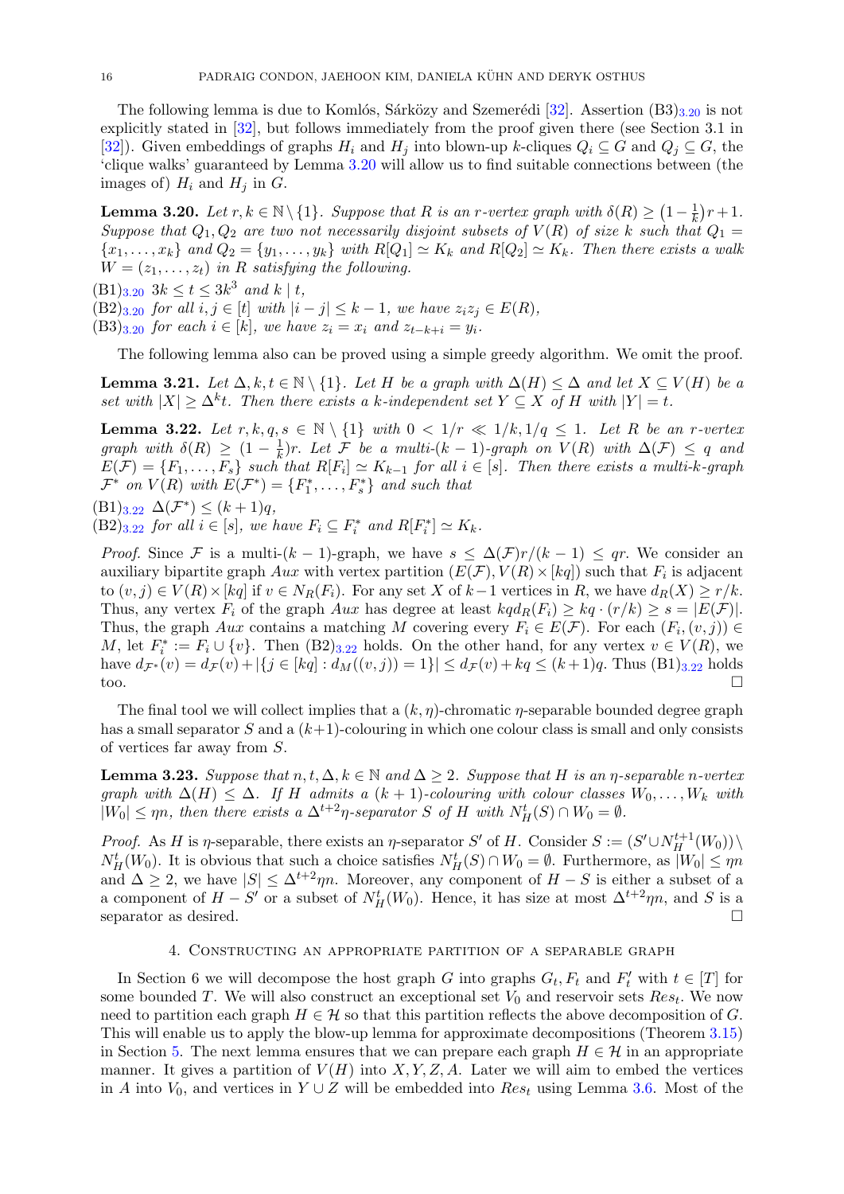The following lemma is due to Komlós, Sárközy and Szemerédi [\[32\]](#page-49-18). Assertion  $(B3)_{3,20}$  $(B3)_{3,20}$  $(B3)_{3,20}$  is not explicitly stated in [\[32\]](#page-49-18), but follows immediately from the proof given there (see Section 3.1 in [\[32\]](#page-49-18)). Given embeddings of graphs  $H_i$  and  $H_j$  into blown-up k-cliques  $Q_i \subseteq G$  and  $Q_j \subseteq G$ , the 'clique walks' guaranteed by Lemma [3.20](#page-16-1) will allow us to find suitable connections between (the images of)  $H_i$  and  $H_j$  in  $G$ .

<span id="page-16-1"></span>**Lemma 3.20.** Let  $r, k \in \mathbb{N} \setminus \{1\}$ . Suppose that R is an r-vertex graph with  $\delta(R) \geq (1 - \frac{1}{k})$  $(\frac{1}{k})r+1.$ Suppose that  $Q_1, Q_2$  are two not necessarily disjoint subsets of  $V(R)$  of size k such that  $Q_1 =$  $\{x_1, \ldots, x_k\}$  and  $Q_2 = \{y_1, \ldots, y_k\}$  with  $R[Q_1] \simeq K_k$  and  $R[Q_2] \simeq K_k$ . Then there exists a walk  $W = (z_1, \ldots, z_t)$  in R satisfying the following.

 $(B1)_{3.20}$  $(B1)_{3.20}$  $(B1)_{3.20}$   $3k \le t \le 3k^3$  and  $k \mid t$ ,

 $(B2)_{3.20}$  $(B2)_{3.20}$  $(B2)_{3.20}$  for all  $i, j \in [t]$  with  $|i - j| \leq k - 1$ , we have  $z_i z_j \in E(R)$ ,

 $(B3)_{3.20}$  $(B3)_{3.20}$  $(B3)_{3.20}$  for each  $i \in [k]$ , we have  $z_i = x_i$  and  $z_{t-k+i} = y_i$ .

The following lemma also can be proved using a simple greedy algorithm. We omit the proof.

<span id="page-16-4"></span>**Lemma 3.21.** Let  $\Delta, k, t \in \mathbb{N} \setminus \{1\}$ . Let H be a graph with  $\Delta(H) \leq \Delta$  and let  $X \subseteq V(H)$  be a set with  $|X| \geq \Delta^k t$ . Then there exists a k-independent set  $Y \subseteq X$  of H with  $|Y| = t$ .

<span id="page-16-2"></span>**Lemma 3.22.** Let  $r, k, q, s \in \mathbb{N} \setminus \{1\}$  with  $0 < 1/r \ll 1/k, 1/q \le 1$ . Let R be an r-vertex graph with  $\delta(R) \geq (1 - \frac{1}{k})$  $\frac{1}{k}$ )r. Let F be a multi-(k – 1)-graph on  $V(R)$  with  $\Delta(F) \leq q$  and  $E(\mathcal{F}) = \{F_1, \ldots, F_s\}$  such that  $R[F_i] \simeq K_{k-1}$  for all  $i \in [s]$ . Then there exists a multi-k-graph  $\mathcal{F}^*$  on  $V(R)$  with  $E(\mathcal{F}^*) = \{F_1^*, \ldots, F_s^*\}$  and such that

$$
(B1)_{3.22} \Delta(\mathcal{F}^*) \le (k+1)q,
$$

 $(B2)_{3.22}$  $(B2)_{3.22}$  $(B2)_{3.22}$  for all  $i \in [s]$ , we have  $F_i \subseteq F_i^*$  and  $R[F_i^*] \simeq K_k$ .

*Proof.* Since F is a multi- $(k-1)$ -graph, we have  $s \leq \Delta(\mathcal{F})r/(k-1) \leq qr$ . We consider an auxiliary bipartite graph  $Aux$  with vertex partition  $(E(\mathcal{F}), V(R) \times [kq])$  such that  $F_i$  is adjacent to  $(v, j) \in V(R) \times [kq]$  if  $v \in N_R(F_i)$ . For any set X of  $k-1$  vertices in R, we have  $d_R(X) \ge r/k$ . Thus, any vertex  $F_i$  of the graph Aux has degree at least  $kq d_R(F_i) \geq kq \cdot (r/k) \geq s = |E(\mathcal{F})|$ . Thus, the graph Aux contains a matching M covering every  $F_i \in E(\mathcal{F})$ . For each  $(F_i,(v,j)) \in$ M, let  $F_i^* := F_i \cup \{v\}$ . Then  $(B2)_{3.22}$  $(B2)_{3.22}$  $(B2)_{3.22}$  holds. On the other hand, for any vertex  $v \in V(R)$ , we have  $d_{\mathcal{F}^*}(v) = d_{\mathcal{F}}(v) + |\{j \in [kq] : d_M((v,j)) = 1\}| \leq d_{\mathcal{F}}(v) + kq \leq (k+1)q$ . Thus  $(B1)_{3.22}$  $(B1)_{3.22}$  $(B1)_{3.22}$  holds too.

The final tool we will collect implies that a  $(k, \eta)$ -chromatic  $\eta$ -separable bounded degree graph has a small separator S and a  $(k+1)$ -colouring in which one colour class is small and only consists of vertices far away from S.

<span id="page-16-3"></span>**Lemma 3.23.** Suppose that  $n, t, \Delta, k \in \mathbb{N}$  and  $\Delta \geq 2$ . Suppose that H is an  $\eta$ -separable n-vertex graph with  $\Delta(H) \leq \Delta$ . If H admits a  $(k + 1)$ -colouring with colour classes  $W_0, \ldots, W_k$  with  $|W_0| \le \eta n$ , then there exists a  $\Delta^{t+2}\eta$ -separator S of H with  $N_H^t(S) \cap W_0 = \emptyset$ .

*Proof.* As H is  $\eta$ -separable, there exists an  $\eta$ -separator S' of H. Consider  $S := (S' \cup N_H^{t+1}(W_0)) \setminus$  $N_H^t(W_0)$ . It is obvious that such a choice satisfies  $N_H^t(S) \cap W_0 = \emptyset$ . Furthermore, as  $|W_0| \le \eta n$ and  $\Delta \geq 2$ , we have  $|S| \leq \Delta^{t+2}\eta n$ . Moreover, any component of  $H-S$  is either a subset of a a component of  $H - S'$  or a subset of  $N_H^t(W_0)$ . Hence, it has size at most  $\Delta^{t+2}\eta n$ , and S is a separator as desired.  $\Box$ 

#### 4. Constructing an appropriate partition of a separable graph

<span id="page-16-0"></span>In Section 6 we will decompose the host graph G into graphs  $G_t$ ,  $F_t$  and  $F'_t$  with  $t \in [T]$  for some bounded T. We will also construct an exceptional set  $V_0$  and reservoir sets  $Res_t$ . We now need to partition each graph  $H \in \mathcal{H}$  so that this partition reflects the above decomposition of G. This will enable us to apply the blow-up lemma for approximate decompositions (Theorem [3.15\)](#page-13-0) in Section [5.](#page-24-0) The next lemma ensures that we can prepare each graph  $H \in \mathcal{H}$  in an appropriate manner. It gives a partition of  $V(H)$  into X, Y, Z, A. Later we will aim to embed the vertices in A into  $V_0$ , and vertices in Y ∪ Z will be embedded into  $Res_t$  using Lemma [3.6.](#page-9-0) Most of the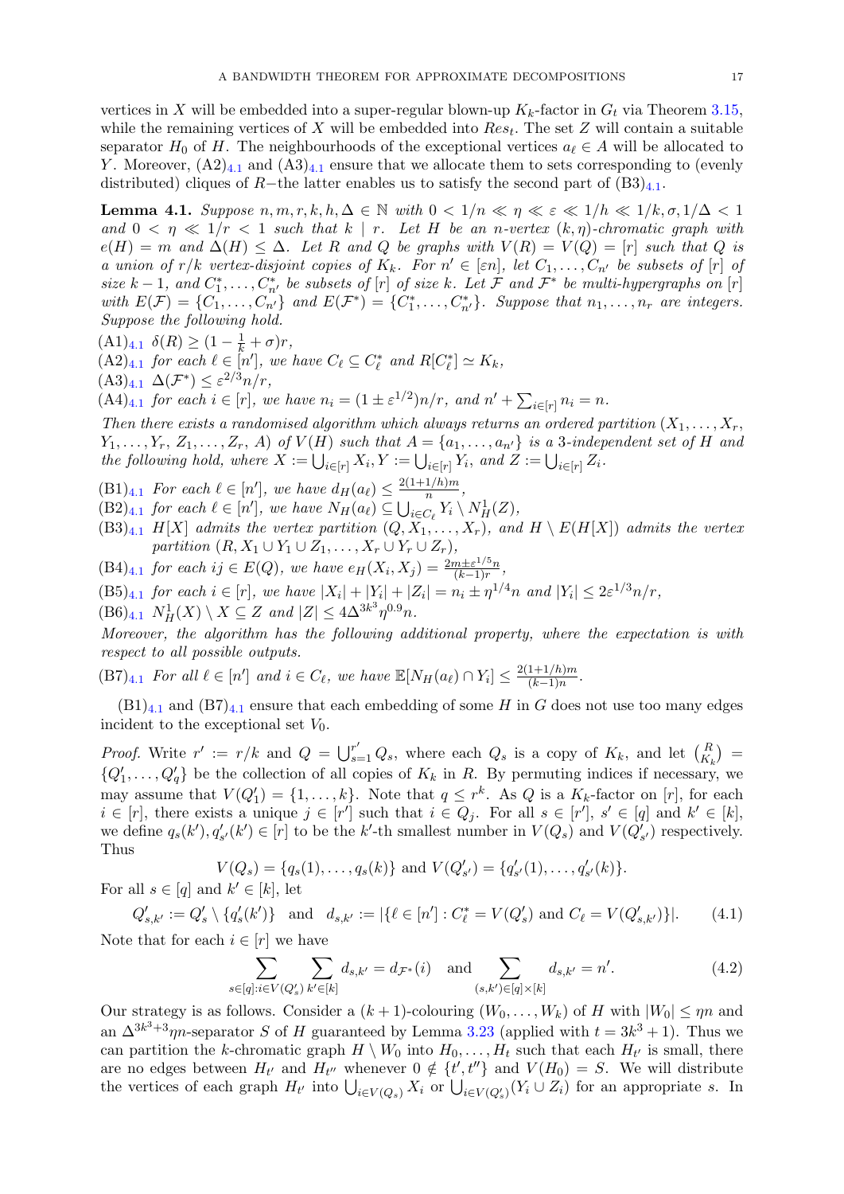vertices in X will be embedded into a super-regular blown-up  $K_k$ -factor in  $G_t$  via Theorem [3.15,](#page-13-0) while the remaining vertices of X will be embedded into  $Res_t$ . The set Z will contain a suitable separator  $H_0$  of H. The neighbourhoods of the exceptional vertices  $a_\ell \in A$  will be allocated to Y. Moreover,  $(A2)_{4,1}$  $(A2)_{4,1}$  $(A2)_{4,1}$  and  $(A3)_{4,1}$  ensure that we allocate them to sets corresponding to (evenly distributed) cliques of R−the latter enables us to satisfy the second part of  $(B3)_{4,1}$  $(B3)_{4,1}$  $(B3)_{4,1}$ .

<span id="page-17-0"></span>**Lemma 4.1.** Suppose  $n, m, r, k, h, \Delta \in \mathbb{N}$  with  $0 < 1/n \ll n \ll \varepsilon \ll 1/h \ll 1/k, \sigma, 1/\Delta < 1$ and  $0 \leq \eta \leq 1/r \leq 1$  such that  $k \mid r$ . Let H be an n-vertex  $(k, \eta)$ -chromatic graph with  $e(H) = m$  and  $\Delta(H) \leq \Delta$ . Let R and Q be graphs with  $V(R) = V(Q) = [r]$  such that Q is a union of  $r/k$  vertex-disjoint copies of  $K_k$ . For  $n' \in [\varepsilon n]$ , let  $C_1, \ldots, C_{n'}$  be subsets of  $[r]$  of size  $k-1$ , and  $C_1^*,\ldots,C_{n'}^*$  be subsets of  $[r]$  of size k. Let F and  $\mathcal{F}^*$  be multi-hypergraphs on  $[r]$ with  $E(\mathcal{F}) = \{C_1, \ldots, C_n\}$  and  $E(\mathcal{F}^*) = \{C_1^*, \ldots, C_{n'}^*\}$ . Suppose that  $n_1, \ldots, n_r$  are integers. Suppose the following hold.

 $(A1)_{4.1}$  $(A1)_{4.1}$  $(A1)_{4.1}$   $\delta(R) \geq (1 - \frac{1}{k} + \sigma)r,$ 

 $(A2)_{4.1}$  $(A2)_{4.1}$  $(A2)_{4.1}$  for each  $\ell \in [n'],$  we have  $C_{\ell} \subseteq C_{\ell}^*$  and  $R[C_{\ell}^*] \simeq K_k$ ,

 $(A3)_{4.1} \Delta(\mathcal{F}^*) \leq \varepsilon^{2/3} n/r,$  $(A3)_{4.1} \Delta(\mathcal{F}^*) \leq \varepsilon^{2/3} n/r,$  $(A3)_{4.1} \Delta(\mathcal{F}^*) \leq \varepsilon^{2/3} n/r,$ 

 $(A4)_{4.1}$  $(A4)_{4.1}$  $(A4)_{4.1}$  for each  $i \in [r]$ , we have  $n_i = (1 \pm \varepsilon^{1/2})n/r$ , and  $n' + \sum_{i \in [r]} n_i = n$ .

Then there exists a randomised algorithm which always returns an ordered partition  $(X_1, \ldots, X_r)$  $Y_1, \ldots, Y_r, Z_1, \ldots, Z_r, A)$  of  $V(H)$  such that  $A = \{a_1, \ldots, a_{n'}\}$  is a 3-independent set of H and the following hold, where  $X := \bigcup_{i \in [r]} X_i, Y := \bigcup_{i \in [r]} Y_i$ , and  $Z := \bigcup_{i \in [r]} Z_i$ .

- $(B1)_{4,1}$  $(B1)_{4,1}$  $(B1)_{4,1}$  For each  $\ell \in [n']$ , we have  $d_H(a_\ell) \leq \frac{2(1+1/h)m}{n}$  $\frac{1/n)m}{n}$ ,
- $(B2)_{4.1}$  $(B2)_{4.1}$  $(B2)_{4.1}$  for each  $\ell \in [n']$ , we have  $N_H(a_{\ell}) \subseteq \bigcup_{i \in C_{\ell}} Y_i \setminus N^1_H(Z)$ ,
- $(B3)_{4,1}$  $(B3)_{4,1}$  $(B3)_{4,1}$  H[X] admits the vertex partition  $(Q, X_1, \ldots, X_r)$ , and  $H \setminus E(H[X])$  admits the vertex partition  $(R, X_1 \cup Y_1 \cup Z_1, \ldots, X_r \cup Y_r \cup Z_r)$ ,
- $(B4)_{4.1}$  $(B4)_{4.1}$  $(B4)_{4.1}$  for each  $ij \in E(Q)$ , we have  $e_H(X_i, X_j) = \frac{2m \pm \varepsilon^{1/5} n}{(k-1)r}$  $\frac{n\pm\varepsilon^{1/\sigma}n}{(k-1)r},$
- $(B5)_{4.1}$  $(B5)_{4.1}$  $(B5)_{4.1}$  for each  $i \in [r]$ , we have  $|X_i| + |Y_i| + |Z_i| = n_i \pm \eta^{1/4} n$  and  $|Y_i| \leq 2\varepsilon^{1/3} n/r$ ,
- $(B6)_{4.1}$  $(B6)_{4.1}$  $(B6)_{4.1}$   $N_H^1(X) \setminus X \subseteq Z$  and  $|Z| \leq 4\Delta^{3k^3} \eta^{0.9} n$ .

Moreover, the algorithm has the following additional property, where the expectation is with respect to all possible outputs.

 $(B7)_{4,1}$  $(B7)_{4,1}$  $(B7)_{4,1}$  For all  $\ell \in [n']$  and  $i \in C_{\ell}$ , we have  $\mathbb{E}[N_H(a_{\ell}) \cap Y_i] \leq \frac{2(1+1/h)m}{(k-1)n}$  $\frac{1+1/n)m}{(k-1)n}$ .

 $(B1)_{4,1}$  $(B1)_{4,1}$  $(B1)_{4,1}$  and  $(B7)_{4,1}$  ensure that each embedding of some H in G does not use too many edges incident to the exceptional set  $V_0$ .

*Proof.* Write  $r' := r/k$  and  $Q = \bigcup_{s=1}^{r'} Q_s$ , where each  $Q_s$  is a copy of  $K_k$ , and let  $\binom{R}{K_k}$  ${Q'_1, \ldots, Q'_q}$  be the collection of all copies of  $K_k$  in R. By permuting indices if necessary, we may assume that  $V(Q'_1) = \{1, ..., k\}$ . Note that  $q \leq r^k$ . As Q is a  $K_k$ -factor on [r], for each  $i \in [r]$ , there exists a unique  $j \in [r']$  such that  $i \in Q_j$ . For all  $s \in [r']$ ,  $s' \in [q]$  and  $k' \in [k]$ , we define  $q_s(k')$ ,  $q'_{s'}(k') \in [r]$  to be the k'-th smallest number in  $V(Q_s)$  and  $V(Q'_{s'})$  respectively. Thus

$$
V(Q_s) = \{q_s(1), \ldots, q_s(k)\} \text{ and } V(Q'_{s'}) = \{q'_{s'}(1), \ldots, q'_{s'}(k)\}.
$$

For all  $s \in [q]$  and  $k' \in [k]$ , let

$$
Q'_{s,k'} := Q'_{s} \setminus \{q'_{s}(k')\} \text{ and } d_{s,k'} := |\{\ell \in [n'] : C^*_{\ell} = V(Q'_{s}) \text{ and } C_{\ell} = V(Q'_{s,k'})\}|. \tag{4.1}
$$

Note that for each  $i \in [r]$  we have

 $s∈$ 

<span id="page-17-2"></span><span id="page-17-1"></span>
$$
\sum_{\substack{[q]:i\in V(Q'_s)\\k'\in[k]}} \sum_{k'\in[k]} d_{s,k'} = d_{\mathcal{F}^*}(i) \text{ and } \sum_{(s,k')\in[q]\times[k]} d_{s,k'} = n'. \tag{4.2}
$$

Our strategy is as follows. Consider a  $(k + 1)$ -colouring  $(W_0, \ldots, W_k)$  of H with  $|W_0| \le \eta n$  and an  $\Delta^{3k^3+3}\eta n$ -separator S of H guaranteed by Lemma [3.23](#page-16-3) (applied with  $t = 3k^3 + 1$ ). Thus we can partition the k-chromatic graph  $H \setminus W_0$  into  $H_0, \ldots, H_t$  such that each  $H_{t'}$  is small, there are no edges between  $H_{t'}$  and  $H_{t''}$  whenever  $0 \notin \{t', t''\}$  and  $V(H_0) = S$ . We will distribute the vertices of each graph  $H_{t'}$  into  $\bigcup_{i\in V(Q_s)} X_i$  or  $\bigcup_{i\in V(Q'_s)} (Y_i \cup Z_i)$  for an appropriate s. In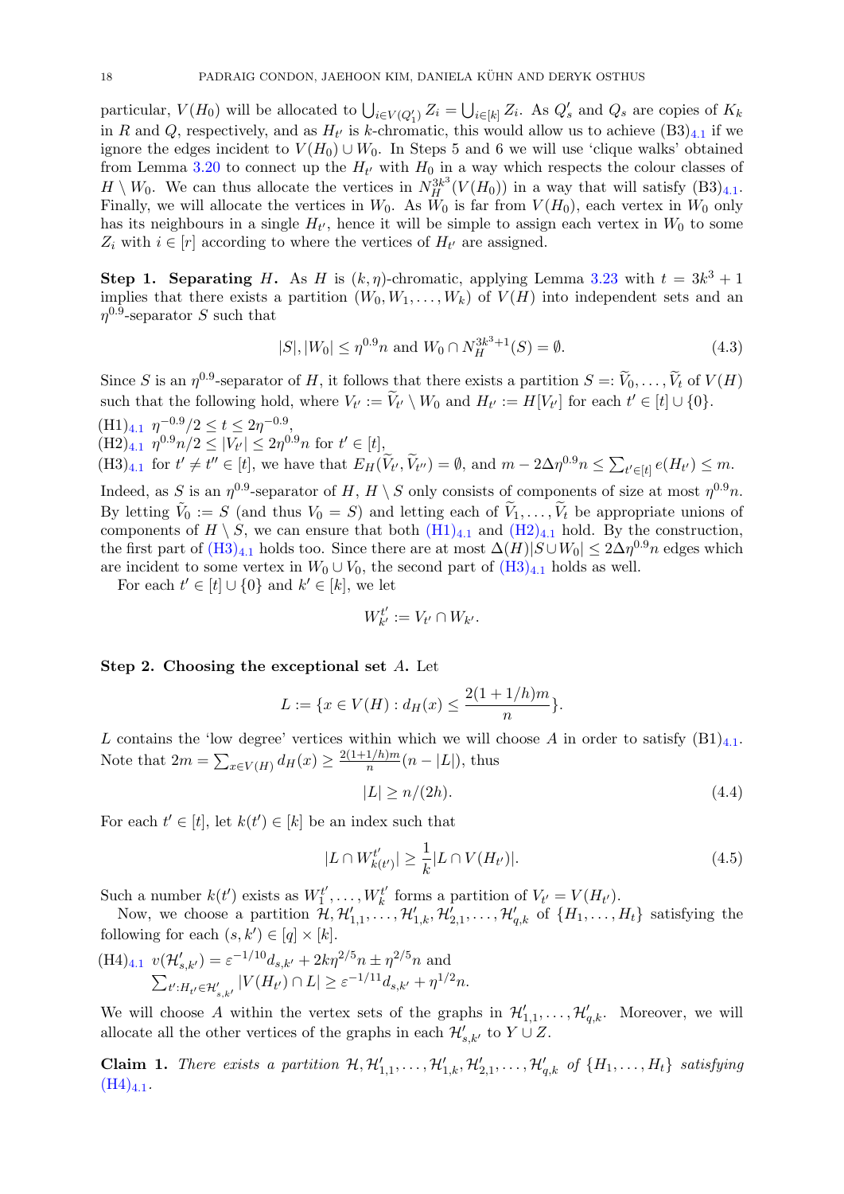particular,  $V(H_0)$  will be allocated to  $\bigcup_{i\in V(Q'_1)} Z_i = \bigcup_{i\in [k]} Z_i$ . As  $Q'_s$  and  $Q_s$  are copies of  $K_k$ in R and Q, respectively, and as  $H_{t'}$  is k-chromatic, this would allow us to achieve  $(B3)_{4,1}$  $(B3)_{4,1}$  $(B3)_{4,1}$  if we ignore the edges incident to  $V(H_0) \cup W_0$ . In Steps 5 and 6 we will use 'clique walks' obtained from Lemma [3.20](#page-16-1) to connect up the  $H_{t'}$  with  $H_0$  in a way which respects the colour classes of  $H \setminus W_0$ . We can thus allocate the vertices in  $N_H^{3k^3}(V(H_0))$  in a way that will satisfy  $(B3)_{4,1}$  $(B3)_{4,1}$  $(B3)_{4,1}$ . Finally, we will allocate the vertices in  $W_0$ . As  $W_0$  is far from  $V(H_0)$ , each vertex in  $W_0$  only has its neighbours in a single  $H_{t'}$ , hence it will be simple to assign each vertex in  $W_0$  to some  $Z_i$  with  $i \in [r]$  according to where the vertices of  $H_{t'}$  are assigned.

Step 1. Separating H. As H is  $(k, \eta)$ -chromatic, applying Lemma [3.23](#page-16-3) with  $t = 3k^3 + 1$ implies that there exists a partition  $(W_0, W_1, \ldots, W_k)$  of  $V(H)$  into independent sets and an  $\eta^{0.9}$ -separator S such that

<span id="page-18-5"></span>
$$
|S|, |W_0| \le \eta^{0.9} n \text{ and } W_0 \cap N_H^{3k^3+1}(S) = \emptyset. \tag{4.3}
$$

Since S is an  $\eta^{0.9}$ -separator of H, it follows that there exists a partition  $S =: V_0, \ldots, V_t$  of  $V(H)$ such that the following hold, where  $V_{t'} := \widetilde{V}_{t'} \setminus W_0$  and  $H_{t'} := H[V_{t'}]$  for each  $t' \in [t] \cup \{0\}.$ 

<span id="page-18-1"></span><span id="page-18-0"></span> $(H1)<sub>4.1</sub>$  $(H1)<sub>4.1</sub>$  $(H1)<sub>4.1</sub>$   $\eta^{-0.9}/2 \le t \le 2\eta^{-0.9}$ ,  $(H2)_{4.1}$  $(H2)_{4.1}$  $(H2)_{4.1}$   $\eta^{0.9}n/2 \leq |V_{t'}| \leq 2\eta^{0.9}n$  for  $t' \in [t],$  $(H3)_{4,1}$  $(H3)_{4,1}$  $(H3)_{4,1}$  for  $t' \neq t'' \in [t]$ , we have that  $E_H(\tilde{V}_{t'}, \tilde{V}_{t''}) = \emptyset$ , and  $m - 2\Delta \eta^{0.9} n \leq \sum_{t' \in [t]} e(H_{t'}) \leq m$ .

<span id="page-18-2"></span>Indeed, as S is an  $\eta^{0.9}$ -separator of H,  $H \setminus S$  only consists of components of size at most  $\eta^{0.9}n$ . By letting  $\tilde{V}_0 := S$  (and thus  $V_0 = S$ ) and letting each of  $\tilde{V}_1, \ldots, \tilde{V}_t$  be appropriate unions of components of  $H \setminus S$ , we can ensure that both  $(H1)_{4,1}$  $(H1)_{4,1}$  $(H1)_{4,1}$  $(H1)_{4,1}$  and  $(H2)_{4,1}$  $(H2)_{4,1}$  hold. By the construction, the first part of  $(H3)_{4,1}$  $(H3)_{4,1}$  $(H3)_{4,1}$  $(H3)_{4,1}$  holds too. Since there are at most  $\Delta(H)|S\cup W_0|\leq 2\Delta\eta^{0.9}n$  edges which are incident to some vertex in  $W_0 \cup V_0$ , the second part of  $(H3)_{4,1}$  $(H3)_{4,1}$  $(H3)_{4,1}$  $(H3)_{4,1}$  holds as well.

For each  $t' \in [t] \cup \{0\}$  and  $k' \in [k]$ , we let

$$
W_{k'}^{t'} := V_{t'} \cap W_{k'}.
$$

Step 2. Choosing the exceptional set A. Let

$$
L := \{ x \in V(H) : d_H(x) \le \frac{2(1 + 1/h)m}{n} \}.
$$

L contains the 'low degree' vertices within which we will choose A in order to satisfy  $(B1)_{4,1}$  $(B1)_{4,1}$  $(B1)_{4,1}$ . Note that  $2m = \sum_{x \in V(H)} d_H(x) \ge \frac{2(1+1/h)m}{n}$  $\frac{1}{n} \binom{n-|L|}{n}$ , thus

<span id="page-18-6"></span><span id="page-18-4"></span>
$$
|L| \ge n/(2h). \tag{4.4}
$$

For each  $t' \in [t]$ , let  $k(t') \in [k]$  be an index such that

$$
|L \cap W_{k(t')}^{t'}| \ge \frac{1}{k} |L \cap V(H_{t'})|.
$$
\n(4.5)

Such a number  $k(t')$  exists as  $W_1^{t'}$  $T_1^{t'},\ldots,W_k^{t'}$  $k_t^{t'}$  forms a partition of  $V_{t'} = V(H_{t'}).$ 

Now, we choose a partition  $\mathcal{H}, \mathcal{H}'_{1,1}, \ldots, \mathcal{H}'_{1,k}, \mathcal{H}'_{2,1}, \ldots, \mathcal{H}'_{q,k}$  of  $\{H_1, \ldots, H_t\}$  satisfying the following for each  $(s, k') \in [q] \times [k]$ .

<span id="page-18-3"></span>
$$
\begin{aligned} (\mathbf{H}4)_{4.1} \ \ v(\mathcal{H}'_{s,k'}) &= \varepsilon^{-1/10} d_{s,k'} + 2k\eta^{2/5} n \pm \eta^{2/5} n \text{ and} \\ \sum_{t':H_{t'} \in \mathcal{H}'_{s,k'}} |V(H_{t'}) \cap L| \ge \varepsilon^{-1/11} d_{s,k'} + \eta^{1/2} n. \end{aligned}
$$

We will choose A within the vertex sets of the graphs in  $\mathcal{H}'_{1,1},\ldots,\mathcal{H}'_{q,k}$ . Moreover, we will allocate all the other vertices of the graphs in each  $\mathcal{H}'_{s,k'}$  to  $Y \cup Z$ .

**Claim 1.** There exists a partition  $H, H'_{1,1}, \ldots, H'_{1,k}, H'_{2,1}, \ldots, H'_{q,k}$  of  $\{H_1, \ldots, H_t\}$  satisfying  $(H4)_{4.1}.$  $(H4)_{4.1}.$  $(H4)_{4.1}.$  $(H4)_{4.1}.$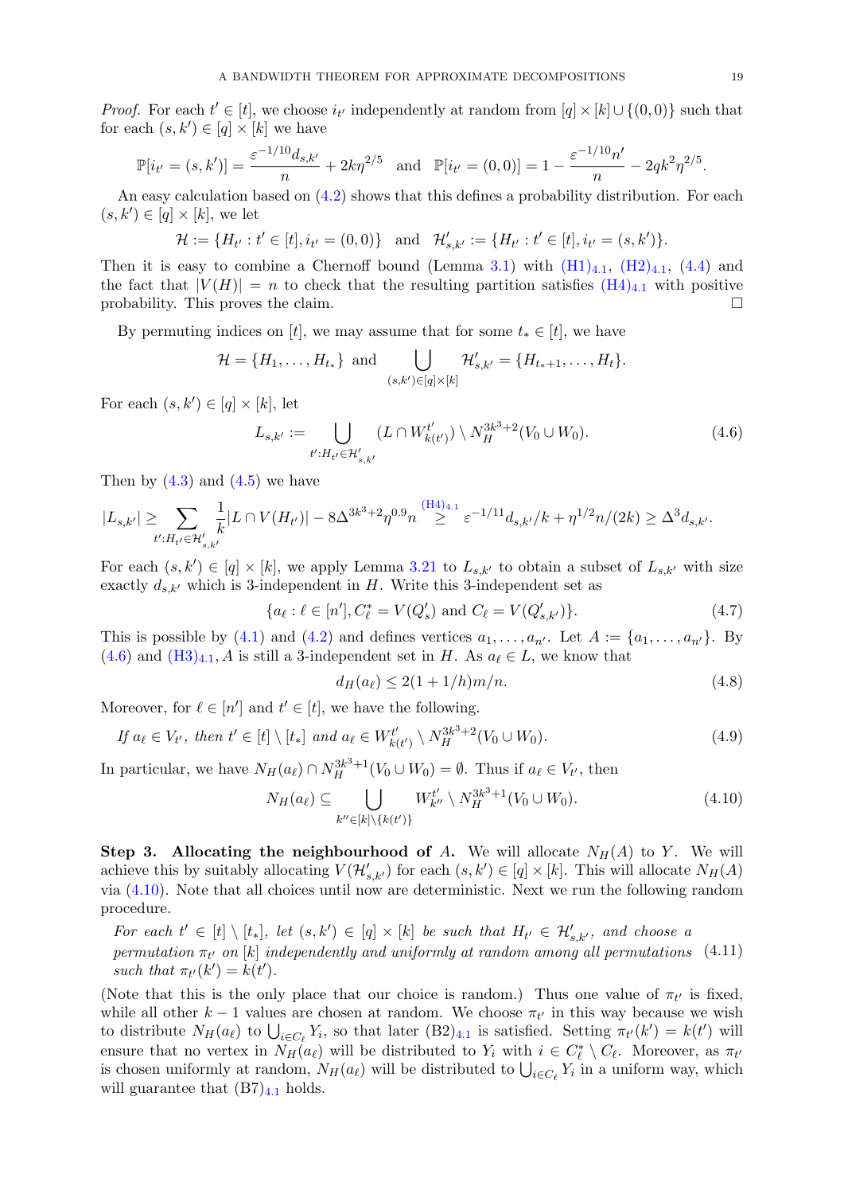*Proof.* For each  $t' \in [t]$ , we choose  $i_{t'}$  independently at random from  $[q] \times [k] \cup \{(0,0)\}$  such that for each  $(s, k') \in [q] \times [k]$  we have

$$
\mathbb{P}[i_{t'} = (s, k')] = \frac{\varepsilon^{-1/10} d_{s,k'}}{n} + 2k\eta^{2/5} \text{ and } \mathbb{P}[i_{t'} = (0, 0)] = 1 - \frac{\varepsilon^{-1/10} n'}{n} - 2q k^2 \eta^{2/5}.
$$

An easy calculation based on  $(4.2)$  shows that this defines a probability distribution. For each  $(s, k') \in [q] \times [k]$ , we let

$$
\mathcal{H} := \{ H_{t'} : t' \in [t], i_{t'} = (0,0) \} \text{ and } \mathcal{H}'_{s,k'} := \{ H_{t'} : t' \in [t], i_{t'} = (s,k') \}.
$$

Then it is easy to combine a Chernoff bound (Lemma [3.1\)](#page-8-3) with  $(H1)_{4,1}$  $(H1)_{4,1}$  $(H1)_{4,1}$  $(H1)_{4,1}$ ,  $(H2)_{4,1}$  $(H2)_{4,1}$ ,  $(4.4)$  and the fact that  $|V(H)| = n$  to check that the resulting partition satisfies  $(H4)_{4,1}$  $(H4)_{4,1}$  $(H4)_{4,1}$  $(H4)_{4,1}$  with positive probability. This proves the claim.

By permuting indices on [t], we may assume that for some  $t_* \in [t]$ , we have

$$
\mathcal{H} = \{H_1, \ldots, H_{t_*}\} \text{ and } \bigcup_{(s,k') \in [q] \times [k]} \mathcal{H}'_{s,k'} = \{H_{t_*+1}, \ldots, H_t\}.
$$

For each  $(s, k') \in [q] \times [k]$ , let

<span id="page-19-0"></span>
$$
L_{s,k'} := \bigcup_{t':H_{t'} \in \mathcal{H}'_{s,k'}} (L \cap W^{t'}_{k(t')}) \setminus N_H^{3k^3+2}(V_0 \cup W_0).
$$
 (4.6)

Then by  $(4.3)$  and  $(4.5)$  we have

$$
|L_{s,k'}| \geq \sum_{t': H_{t'} \in \mathcal{H}'_{s,k'}} \frac{1}{k} |L \cap V(H_{t'})| - 8\Delta^{3k^3 + 2} \eta^{0.9} n \stackrel{\text{(H4)}_{4,1}}{\geq} \varepsilon^{-1/11} d_{s,k'}/k + \eta^{1/2} n/(2k) \geq \Delta^3 d_{s,k'}.
$$

For each  $(s, k') \in [q] \times [k]$ , we apply Lemma [3.21](#page-16-4) to  $L_{s,k'}$  to obtain a subset of  $L_{s,k'}$  with size exactly  $d_{s,k'}$  which is 3-independent in H. Write this 3-independent set as

$$
\{a_{\ell} : \ell \in [n'], C_{\ell}^* = V(Q_s') \text{ and } C_{\ell} = V(Q_{s,k'}')\}.
$$
\n(4.7)

This is possible by [\(4.1\)](#page-17-2) and [\(4.2\)](#page-17-1) and defines vertices  $a_1, \ldots, a_{n'}$ . Let  $A := \{a_1, \ldots, a_{n'}\}$ . By  $(4.6)$  and  $(H3)_{4.1}$  $(H3)_{4.1}$  $(H3)_{4.1}$  $(H3)_{4.1}$ , A is still a 3-independent set in H. As  $a_\ell \in L$ , we know that

<span id="page-19-5"></span><span id="page-19-2"></span><span id="page-19-1"></span>
$$
d_H(a_\ell) \le 2(1+1/h)m/n. \tag{4.8}
$$

Moreover, for  $\ell \in [n']$  and  $t' \in [t]$ , we have the following.

<span id="page-19-3"></span>If 
$$
a_{\ell} \in V_{t'}
$$
, then  $t' \in [t] \setminus [t_*]$  and  $a_{\ell} \in W_{k(t')}^{t'} \setminus N_H^{3k^3+2}(V_0 \cup W_0)$ . (4.9)

In particular, we have  $N_H(a_\ell) \cap N_H^{3k^3+1}(V_0 \cup W_0) = \emptyset$ . Thus if  $a_\ell \in V_{t'}$ , then

$$
N_H(a_\ell) \subseteq \bigcup_{k'' \in [k] \backslash \{k(t')\}} W_{k''}^{t'} \setminus N_H^{3k^3+1}(V_0 \cup W_0). \tag{4.10}
$$

Step 3. Allocating the neighbourhood of A. We will allocate  $N_H(A)$  to Y. We will achieve this by suitably allocating  $V(\mathcal{H}'_{s,k'})$  for each  $(s,k') \in [q] \times [k]$ . This will allocate  $N_H(A)$ via [\(4.10\)](#page-19-1). Note that all choices until now are deterministic. Next we run the following random procedure.

<span id="page-19-4"></span>For each  $t' \in [t] \setminus [t_*]$ , let  $(s, k') \in [q] \times [k]$  be such that  $H_{t'} \in \mathcal{H}'_{s,k'}$ , and choose a permutation  $\pi_{t'}$  on [k] independently and uniformly at random among all permutations (4.11) such that  $\pi_{t'}(k') = k(t')$ .

(Note that this is the only place that our choice is random.) Thus one value of  $\pi_{t'}$  is fixed, while all other  $k-1$  values are chosen at random. We choose  $\pi_{t'}$  in this way because we wish to distribute  $N_H(a_\ell)$  to  $\bigcup_{i \in C_\ell} Y_i$ , so that later  $(B2)_{4,1}$  $(B2)_{4,1}$  $(B2)_{4,1}$  is satisfied. Setting  $\pi_{t'}(k') = k(t')$  will ensure that no vertex in  $N_H(a_\ell)$  will be distributed to  $Y_i$  with  $i \in C_\ell^* \setminus C_\ell$ . Moreover, as  $\pi_{t'}$ is chosen uniformly at random,  $N_H(a_\ell)$  will be distributed to  $\bigcup_{i\in C_\ell} Y_i$  in a uniform way, which will guarantee that  $(B7)<sub>4.1</sub>$  $(B7)<sub>4.1</sub>$  $(B7)<sub>4.1</sub>$  holds.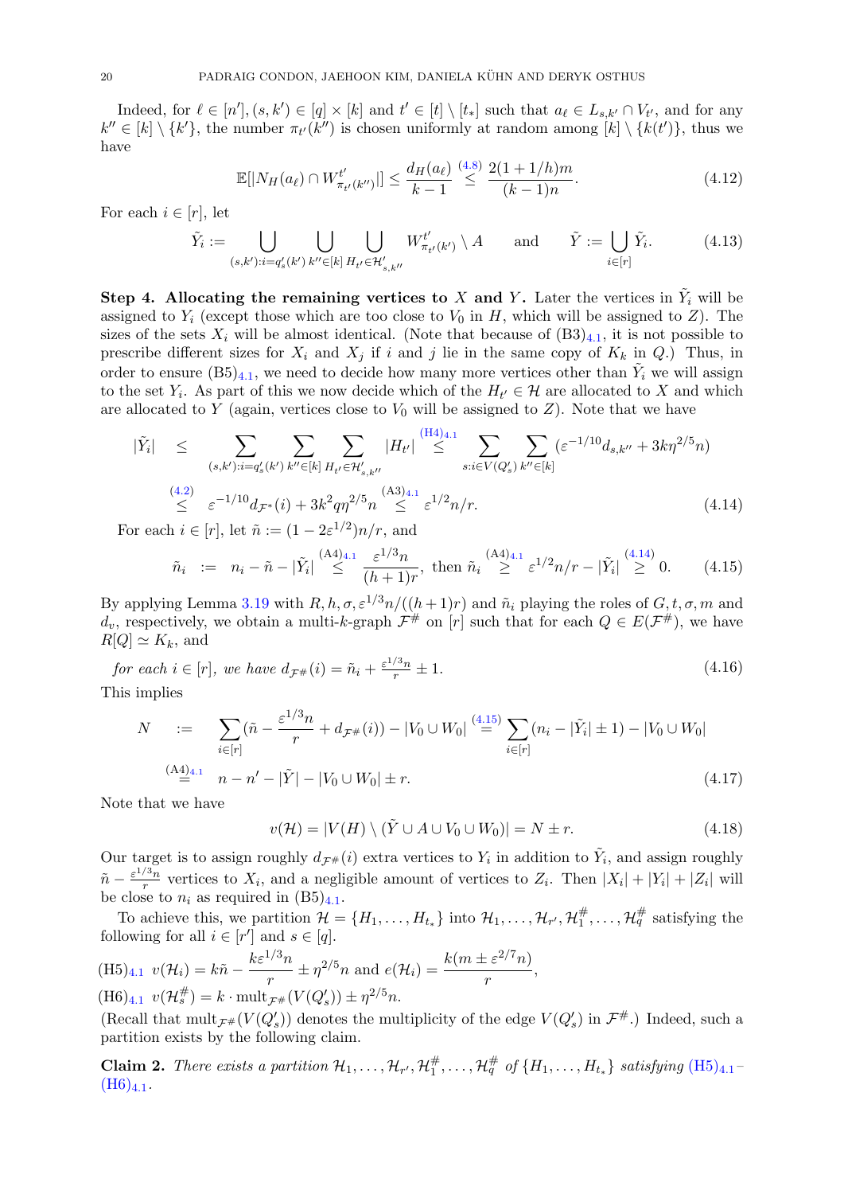Indeed, for  $\ell \in [n']$ ,  $(s, k') \in [q] \times [k]$  and  $t' \in [t] \setminus [t_*]$  such that  $a_{\ell} \in L_{s,k'} \cap V_{t'}$ , and for any  $k'' \in [k] \setminus \{k'\},\$  the number  $\pi_{t'}(k'')$  is chosen uniformly at random among  $[k] \setminus \{k(t')\},\$  thus we have

<span id="page-20-7"></span><span id="page-20-6"></span>
$$
\mathbb{E}[|N_H(a_\ell) \cap W_{\pi_{t'}(k'')}^{t'}|] \le \frac{d_H(a_\ell)}{k-1} \stackrel{(4.8)}{\le} \frac{2(1+1/h)m}{(k-1)n}.\tag{4.12}
$$

For each  $i \in [r]$ , let

$$
\tilde{Y}_i := \bigcup_{(s,k'): i = q'_s(k')} \bigcup_{k'' \in [k]} \bigcup_{H_{t'} \in \mathcal{H}'_{s,k''}} W^{t'}_{\pi_{t'}(k')} \setminus A \quad \text{and} \quad \tilde{Y} := \bigcup_{i \in [r]} \tilde{Y}_i. \tag{4.13}
$$

Step 4. Allocating the remaining vertices to X and Y. Later the vertices in  $\tilde{Y}_i$  will be assigned to  $Y_i$  (except those which are too close to  $V_0$  in H, which will be assigned to Z). The sizes of the sets  $X_i$  will be almost identical. (Note that because of  $(B3)_{4,1}$  $(B3)_{4,1}$  $(B3)_{4,1}$ , it is not possible to prescribe different sizes for  $X_i$  and  $X_j$  if i and j lie in the same copy of  $K_k$  in Q.) Thus, in order to ensure  $(B5)_{4,1}$  $(B5)_{4,1}$  $(B5)_{4,1}$ , we need to decide how many more vertices other than  $\tilde{Y}_i$  we will assign to the set  $Y_i$ . As part of this we now decide which of the  $H_{t'} \in \mathcal{H}$  are allocated to X and which are allocated to Y (again, vertices close to  $V_0$  will be assigned to Z). Note that we have

<span id="page-20-0"></span>
$$
|\tilde{Y}_i| \leq \sum_{(s,k'): i=q'_s(k')} \sum_{k'' \in [k]} \sum_{H_{t'} \in \mathcal{H}'_{s,k''}} |H_{t'}| \stackrel{\text{(H4)}_{4,1}}{\leq} \sum_{s:i \in V(Q'_s)} \sum_{k'' \in [k]} (\varepsilon^{-1/10} d_{s,k''} + 3k\eta^{2/5} n)
$$
\n
$$
\stackrel{\text{(4.2)}}{\leq} \varepsilon^{-1/10} d_{\mathcal{F}^*}(i) + 3k^2 q \eta^{2/5} n \stackrel{\text{(A3)}_{4,1}}{\leq} \varepsilon^{1/2} n/r. \tag{4.14}
$$

For each  $i \in [r]$ , let  $\tilde{n} := (1 - 2\varepsilon^{1/2})n/r$ , and

<span id="page-20-1"></span>
$$
\tilde{n}_i := n_i - \tilde{n} - |\tilde{Y}_i| \stackrel{\text{(A4)}_{4,1}}{\leq} \frac{\varepsilon^{1/3} n}{(h+1)r}, \text{ then } \tilde{n}_i \stackrel{\text{(A4)}_{4,1}}{\geq} \varepsilon^{1/2} n/r - |\tilde{Y}_i| \stackrel{\text{(4.14)}}{\geq} 0. \tag{4.15}
$$

By applying Lemma [3.19](#page-14-3) with  $R, h, \sigma, \varepsilon^{1/3}n/((h+1)r)$  and  $\tilde{n}_i$  playing the roles of  $G, t, \sigma, m$  and  $d_v$ , respectively, we obtain a multi-k-graph  $\mathcal{F}^{\#}$  on [r] such that for each  $Q \in E(\mathcal{F}^{\#})$ , we have  $R[Q] \simeq K_k$ , and

<span id="page-20-8"></span>for each 
$$
i \in [r]
$$
, we have  $d_{\mathcal{F}^{\#}}(i) = \tilde{n}_i + \frac{\varepsilon^{1/3} n}{r} \pm 1$ .  
\nThis implies

This implies

<span id="page-20-4"></span>
$$
N := \sum_{i \in [r]} (\tilde{n} - \frac{\varepsilon^{1/3} n}{r} + d_{\mathcal{F}^{\#}}(i)) - |V_0 \cup W_0| \stackrel{(4.15)}{=} \sum_{i \in [r]} (n_i - |\tilde{Y}_i| \pm 1) - |V_0 \cup W_0|
$$
  

$$
\stackrel{(A4)_{4,1}}{=} n - n' - |\tilde{Y}| - |V_0 \cup W_0| \pm r.
$$
 (4.17)

Note that we have

<span id="page-20-5"></span> $v(\mathcal{H}) = |V(H) \setminus (\tilde{Y} \cup A \cup V_0 \cup W_0)| = N \pm r.$  (4.18)

Our target is to assign roughly  $d_{\mathcal{F}^{\#}}(i)$  extra vertices to  $Y_i$  in addition to  $\tilde{Y}_i$ , and assign roughly  $\tilde{n}-\frac{\varepsilon^{1/3}n}{r}$  $\frac{S_{n}}{r}$  vertices to  $X_i$ , and a negligible amount of vertices to  $Z_i$ . Then  $|X_i| + |Y_i| + |Z_i|$  will be close to  $n_i$  as required in  $(B5)_{4.1}$  $(B5)_{4.1}$  $(B5)_{4.1}$ .

To achieve this, we partition  $\mathcal{H} = \{H_1, \ldots, H_{t_*}\}\$ into  $\mathcal{H}_1, \ldots, \mathcal{H}_{r'}, \mathcal{H}_1^{\#}$  $\frac{\#}{1}, \ldots, \mathcal{H}_q^{\#}$  satisfying the following for all  $i \in [r']$  and  $s \in [q]$ .

<span id="page-20-2"></span>
$$
\begin{aligned} (\text{H5})_{4.1} \ v(\mathcal{H}_i) &= k\tilde{n} - \frac{k\varepsilon^{1/3}n}{r} \pm \eta^{2/5}n \text{ and } e(\mathcal{H}_i) = \frac{k(m \pm \varepsilon^{2/7}n)}{r},\\ (\text{H6})_{4.1} \ v(\mathcal{H}_s^{\#}) &= k \cdot \text{mult}_{\mathcal{F}^{\#}}(V(Q'_s)) \pm \eta^{2/5}n. \end{aligned}
$$

<span id="page-20-3"></span>(Recall that  $\text{mult}_{\mathcal{F}^{\#}}(V(Q_s'))$  denotes the multiplicity of the edge  $V(Q_s')$  in  $\mathcal{F}^{\#}$ .) Indeed, such a partition exists by the following claim.

**Claim 2.** There exists a partition  $\mathcal{H}_1, \ldots, \mathcal{H}_{r'}$ ,  $\mathcal{H}_1^{\#}$  $A_1^{\#}, \ldots, \mathcal{H}_q^{\#}$  of  $\{H_1, \ldots, H_{t_*}\}$  satisfying  $(\text{H5})_{4.1}$  $(\text{H5})_{4.1}$  $(\text{H5})_{4.1}$  $(H6)_{4.1}.$  $(H6)_{4.1}.$  $(H6)_{4.1}.$  $(H6)_{4.1}.$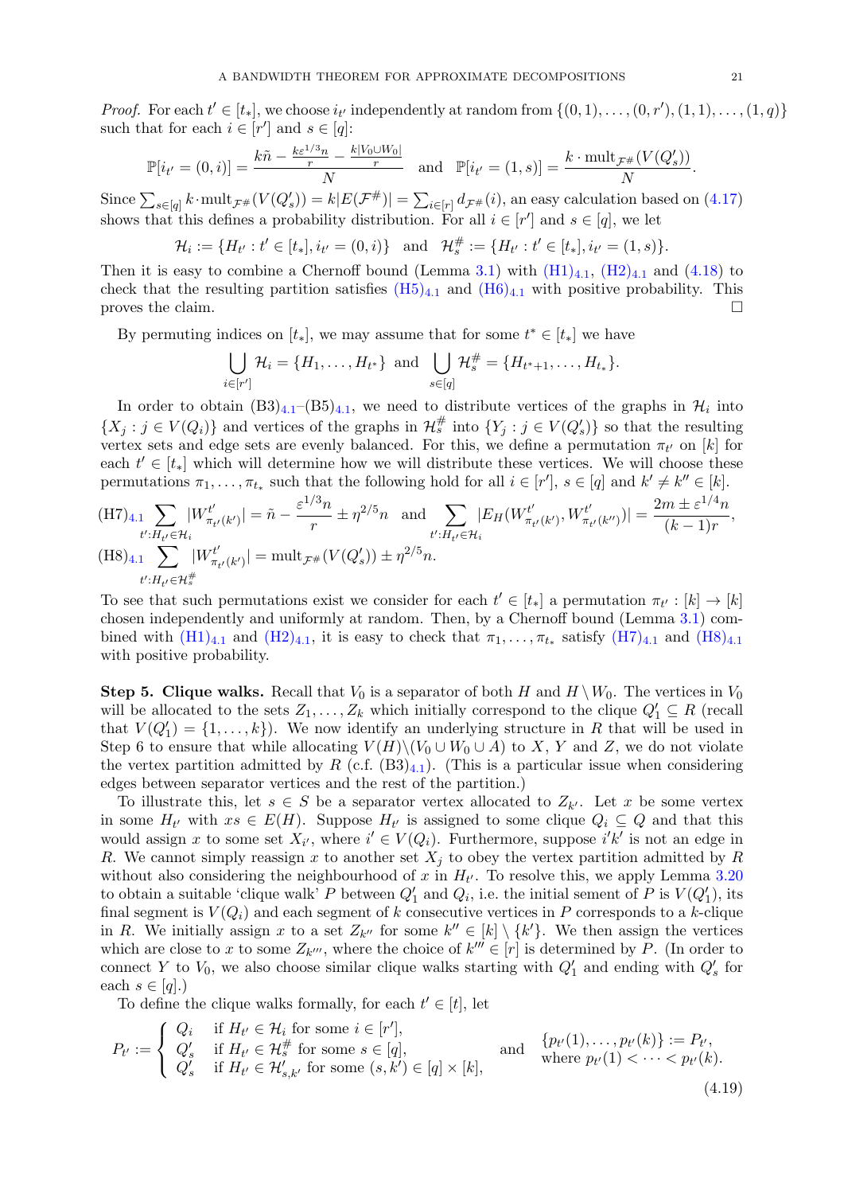*Proof.* For each  $t' \in [t_*]$ , we choose  $i_{t'}$  independently at random from  $\{(0,1), \ldots, (0,r'), (1,1), \ldots, (1,q)\}$ such that for each  $i \in [r']$  and  $s \in [q]$ :

$$
\mathbb{P}[i_{t'}=(0,i)]=\frac{k\tilde{n}-\frac{k\varepsilon^{1/3}n}{r}-\frac{k|V_0\cup W_0|}{r}}{N} \text{ and } \mathbb{P}[i_{t'}=(1,s)]=\frac{k\cdot \text{mult}_{\mathcal{F}^{\#}}(V(Q_s'))}{N}.
$$

Since  $\sum_{s\in[q]} k \cdot \text{mult}_{\mathcal{F}^{\#}}(V(Q_s)) = k|E(\mathcal{F}^{\#})| = \sum_{i\in[r]} d_{\mathcal{F}^{\#}}(i)$ , an easy calculation based on  $(4.17)$ shows that this defines a probability distribution. For all  $i \in [r']$  and  $s \in [q]$ , we let

$$
\mathcal{H}_i := \{ H_{t'} : t' \in [t_*], i_{t'} = (0, i) \} \text{ and } \mathcal{H}_s^{\#} := \{ H_{t'} : t' \in [t_*], i_{t'} = (1, s) \}.
$$

Then it is easy to combine a Chernoff bound (Lemma [3.1\)](#page-8-3) with  $(H1)_{4,1}$  $(H1)_{4,1}$  $(H1)_{4,1}$  $(H1)_{4,1}$ ,  $(H2)_{4,1}$  $(H2)_{4,1}$  and  $(4.18)$  to check that the resulting partition satisfies  $(H5)_{4.1}$  $(H5)_{4.1}$  $(H5)_{4.1}$  $(H5)_{4.1}$  and  $(H6)_{4.1}$  $(H6)_{4.1}$  with positive probability. This proves the claim.

By permuting indices on  $[t_*]$ , we may assume that for some  $t^* \in [t_*]$  we have

$$
\bigcup_{i \in [r']} \mathcal{H}_i = \{H_1, \ldots, H_{t^*}\} \text{ and } \bigcup_{s \in [q]} \mathcal{H}_s^{\#} = \{H_{t^*+1}, \ldots, H_{t_*}\}.
$$

In order to obtain  $(B3)_{4.1}$  $(B3)_{4.1}$  $(B3)_{4.1}$ - $(B5)_{4.1}$ , we need to distribute vertices of the graphs in  $\mathcal{H}_i$  into  $\{X_j : j \in V(Q_i)\}\$ and vertices of the graphs in  $\mathcal{H}_s^{\#}$  into  $\{Y_j : j \in V(Q'_s)\}\$  so that the resulting vertex sets and edge sets are evenly balanced. For this, we define a permutation  $\pi_{t'}$  on [k] for each  $t' \in [t_*]$  which will determine how we will distribute these vertices. We will choose these permutations  $\pi_1, \ldots, \pi_{t_*}$  such that the following hold for all  $i \in [r']$ ,  $s \in [q]$  and  $k' \neq k'' \in [k]$ .

<span id="page-21-1"></span><span id="page-21-0"></span>
$$
\begin{aligned} \n(\text{H7})_{4.1} \sum_{t': H_{t'} \in \mathcal{H}_i} |W^{t'}_{\pi_{t'}(k')}| &= \tilde{n} - \frac{\varepsilon^{1/3} n}{r} \pm \eta^{2/5} n \quad \text{and} \sum_{t': H_{t'} \in \mathcal{H}_i} |E_H(W^{t'}_{\pi_{t'}(k')}, W^{t'}_{\pi_{t'}(k'')})| = \frac{2m \pm \varepsilon^{1/4} n}{(k-1)r},\\ \n(\text{H8})_{4.1} \sum_{t': H_{t'} \in \mathcal{H}_s^{\#}} |W^{t'}_{\pi_{t'}(k')}| &= \text{mult}_{\mathcal{F}^{\#}} (V(Q_s')) \pm \eta^{2/5} n. \n\end{aligned}
$$

To see that such permutations exist we consider for each  $t' \in [t_*]$  a permutation  $\pi_{t'} : [k] \to [k]$ chosen independently and uniformly at random. Then, by a Chernoff bound (Lemma [3.1\)](#page-8-3) combined with  $(H1)_{4,1}$  $(H1)_{4,1}$  $(H1)_{4,1}$  $(H1)_{4,1}$  and  $(H2)_{4,1}$  $(H2)_{4,1}$ , it is easy to check that  $\pi_1, \ldots, \pi_{t_*}$  satisfy  $(H7)_{4,1}$  $(H7)_{4,1}$  and  $(H8)_{4,1}$  $(H8)_{4,1}$ with positive probability.

**Step 5. Clique walks.** Recall that  $V_0$  is a separator of both H and  $H \setminus W_0$ . The vertices in  $V_0$ will be allocated to the sets  $Z_1, \ldots, Z_k$  which initially correspond to the clique  $Q'_1 \subseteq R$  (recall that  $V(Q'_1) = \{1, \ldots, k\}$ . We now identify an underlying structure in R that will be used in Step 6 to ensure that while allocating  $V(H)\setminus (V_0\cup W_0\cup A)$  to X, Y and Z, we do not violate the vertex partition admitted by R (c.f.  $(B3)_{4.1}$  $(B3)_{4.1}$  $(B3)_{4.1}$ ). (This is a particular issue when considering edges between separator vertices and the rest of the partition.)

To illustrate this, let  $s \in S$  be a separator vertex allocated to  $Z_{k'}$ . Let x be some vertex in some  $H_{t'}$  with  $xs \in E(H)$ . Suppose  $H_{t'}$  is assigned to some clique  $Q_i \subseteq Q$  and that this would assign x to some set  $X_{i'}$ , where  $i' \in V(Q_i)$ . Furthermore, suppose  $i'k'$  is not an edge in R. We cannot simply reassign x to another set  $X_j$  to obey the vertex partition admitted by R without also considering the neighbourhood of x in  $H_{t'}$ . To resolve this, we apply Lemma [3.20](#page-16-1) to obtain a suitable 'clique walk' P between  $Q'_1$  and  $Q_i$ , i.e. the initial sement of P is  $V(Q'_1)$ , its final segment is  $V(Q_i)$  and each segment of k consecutive vertices in P corresponds to a k-clique in R. We initially assign x to a set  $Z_{k''}$  for some  $k'' \in [k] \setminus \{k'\}$ . We then assign the vertices which are close to x to some  $Z_{k''}$ , where the choice of  $k''' \in [r]$  is determined by P. (In order to connect Y to  $V_0$ , we also choose similar clique walks starting with  $Q'_1$  and ending with  $Q'_s$  for each  $s \in [q]$ .)

<span id="page-21-2"></span>To define the clique walks formally, for each  $t' \in [t]$ , let

$$
P_{t'} := \begin{cases} Q_i & \text{if } H_{t'} \in \mathcal{H}_i \text{ for some } i \in [r'],\\ Q_s' & \text{if } H_{t'} \in \mathcal{H}_s^{\#} \text{ for some } s \in [q],\\ Q_s' & \text{if } H_{t'} \in \mathcal{H}_{s,k'}' \text{ for some } (s,k') \in [q] \times [k], \end{cases} \quad \text{and} \quad \begin{cases} p_{t'}(1), \dots, p_{t'}(k) \text{ is } P_{t'},\\ \text{where } p_{t'}(1) < \dots < p_{t'}(k). \end{cases} \tag{4.19}
$$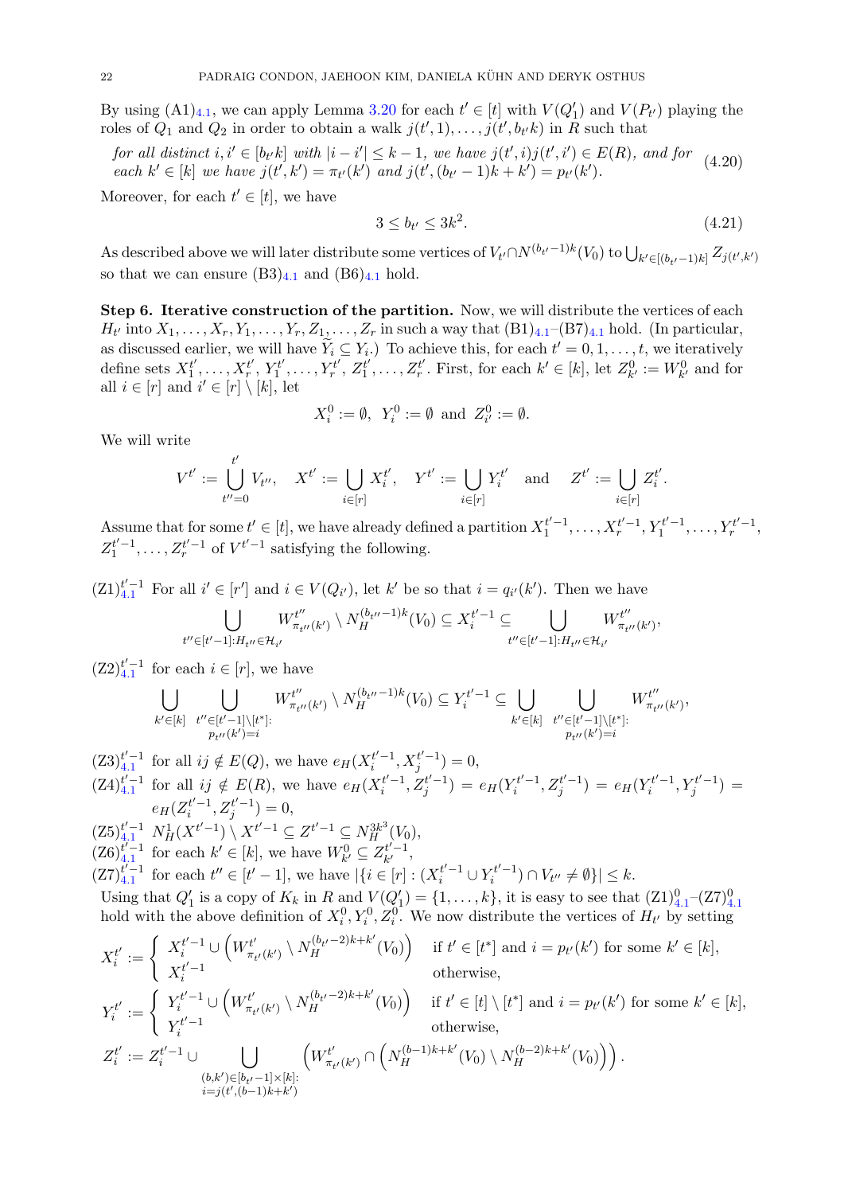By using  $(A1)_{4,1}$  $(A1)_{4,1}$  $(A1)_{4,1}$ , we can apply Lemma [3.20](#page-16-1) for each  $t' \in [t]$  with  $V(Q'_1)$  and  $V(P_{t'})$  playing the roles of  $Q_1$  and  $Q_2$  in order to obtain a walk  $j(t', 1), \ldots, j(t', b_{t'}k)$  in R such that

<span id="page-22-1"></span>for all distinct  $i, i' \in [b_t, k]$  with  $|i - i'| \leq k - 1$ , we have  $j(t', i)j(t', i') \in E(R)$ , and for  $(4.20)$ each  $k' \in [k]$  we have  $j(t', k') = \pi_{t'}(k')$  and  $j(t', (b_{t'} - 1)k + k') = p_{t'}(k')$ .

Moreover, for each  $t' \in [t]$ , we have

<span id="page-22-0"></span>
$$
3 \le b_{t'} \le 3k^2. \tag{4.21}
$$

As described above we will later distribute some vertices of  $V_{t'} \cap N^{(b_{t'}-1)k}(V_0)$  to  $\bigcup_{k' \in [(b_{t'}-1)k]} Z_{j(t',k')}$ so that we can ensure  $(B3)_{4,1}$  $(B3)_{4,1}$  $(B3)_{4,1}$  and  $(B6)_{4,1}$  hold.

Step 6. Iterative construction of the partition. Now, we will distribute the vertices of each  $H_{t'}$  into  $X_1, \ldots, X_r, Y_1, \ldots, Y_r, Z_1, \ldots, Z_r$  in such a way that  $(B1)_{4.1}$  $(B1)_{4.1}$  $(B1)_{4.1}$   $-(B7)_{4.1}$  hold. (In particular, as discussed earlier, we will have  $\widetilde{Y}_i \subseteq Y_i$ . To achieve this, for each  $t' = 0, 1, \ldots, t$ , we iteratively define sets  $X_1^{t'}$  $X_1^{t'}, \ldots, X_r^{t'}, Y_1^{t'}$  $Y_1^{t'}, \ldots, Y_r^{t'}, Z_1^{t'}$  $\mathcal{I}_1^{t'}, \ldots, \mathcal{Z}_r^{t'}$ . First, for each  $k' \in [k]$ , let  $\mathcal{Z}_{k'}^0 := W_{k'}^0$  and for all  $i \in [r]$  and  $i' \in [r] \setminus [k]$ , let

$$
X_i^0 := \emptyset
$$
,  $Y_i^0 := \emptyset$  and  $Z_{i'}^0 := \emptyset$ .

We will write

$$
V^{t'} := \bigcup_{t''=0}^{t'} V_{t''}, \quad X^{t'} := \bigcup_{i \in [r]} X_i^{t'}, \quad Y^{t'} := \bigcup_{i \in [r]} Y_i^{t'} \quad \text{and} \quad Z^{t'} := \bigcup_{i \in [r]} Z_i^{t'}.
$$

Assume that for some  $t' \in [t]$ , we have already defined a partition  $X_1^{t'-1}, \ldots, X_r^{t'-1}, Y_1^{t'-1}, \ldots, Y_r^{t'-1}$ ,  $Z_1^{t'-1}, \ldots, Z_r^{t'-1}$  of  $V^{t'-1}$  satisfying the following.

 $(Z1)_{4,1}^{t'-1}$  $(Z1)_{4,1}^{t'-1}$  $(Z1)_{4,1}^{t'-1}$  For all  $i' \in [r']$  and  $i \in V(Q_{i'})$ , let k' be so that  $i = q_{i'}(k')$ . Then we have

$$
\bigcup_{t'' \in [t'-1]: H_{t''} \in \mathcal{H}_{i'}} W^{t''}_{\pi_{t''}(k')} \setminus N_H^{(b_{t''}-1)k}(V_0) \subseteq X_i^{t'-1} \subseteq \bigcup_{t'' \in [t'-1]: H_{t''} \in \mathcal{H}_{i'}} W^{t''}_{\pi_{t''}(k')} ,
$$

 $(Z2)_{4.1}^{t'-1}$  $(Z2)_{4.1}^{t'-1}$  $(Z2)_{4.1}^{t'-1}$  for each  $i \in [r]$ , we have

$$
\bigcup_{k' \in [k]} \bigcup_{\substack{t'' \in [t'-1] \setminus [t^*]: \\ p_{t''}(k') = i}} W^{t''}_{\pi_{t''}(k')} \setminus N_H^{(b_{t''}-1)k}(V_0) \subseteq Y^{t'-1}_i \subseteq \bigcup_{k' \in [k]} \bigcup_{\substack{t'' \in [t'-1] \setminus [t^*]: \\ p_{t''}(k') = i}} W^{t''}_{\pi_{t''}(k')}
$$

$$
(Z3)^{t'-1}_{4,1} \text{ for all } ij \notin E(Q), \text{ we have } e_H(X_i^{t'-1}, X_j^{t'-1}) = 0,
$$
  
\n
$$
(Z4)^{t'-1}_{4,1} \text{ for all } ij \notin E(R), \text{ we have } e_H(X_i^{t'-1}, Z_j^{t'-1}) = e_H(Y_i^{t'-1}, Z_j^{t'-1}) = e_H(Y_i^{t'-1}, Y_j^{t'-1}) =
$$
  
\n
$$
e_H(Z_i^{t'-1}, Z_j^{t'-1}) = 0,
$$
  
\n
$$
(Z5)^{t'-1}_{4,1} N^1_H(X^{t'-1}) \setminus X^{t'-1} \subseteq Z^{t'-1} \subseteq N_H^{3k^3}(V_0),
$$
  
\n
$$
(Z6)^{t'-1}_{4,1} \text{ for each } k' \in [k], \text{ we have } W^0_{k'} \subseteq Z_{k'}^{t'-1},
$$
  
\n
$$
(Z7)^{t'-1}_{4,1} \text{ for each } t'' \in [t'-1], \text{ we have } |\{i \in [r] : (X_i^{t'-1} \cup Y_i^{t'-1}) \cap V_{t''} \neq \emptyset\}| \le k.
$$
  
\nUsing that  $Q'_1$  is a copy of  $K_k$  in  $R$  and  $V(Q'_1) = \{1, \ldots, k\}$ , it is easy to see that  $(Z1)^0_{4,1} - (Z7)^0_{4,1}$ 

Using that  $Q_1$  is a copy of  $K_k$  in A and  $V(Q_1) = \{1, \ldots, K\}$ , it is easy to see that  $(\Sigma 1)_{4,1} - (\Sigma 1)_{4}$  $(\Sigma 1)_{4,1} - (\Sigma 1)_{4}$  $(\Sigma 1)_{4,1} - (\Sigma 1)_{4}$ <br>hold with the above definition of  $X_i^0, Y_i^0, Z_i^0$ . We now distribute the vertices of  $H_{t'}$  by setting

$$
X_i^{t'} := \begin{cases} X_i^{t'-1} \cup \left( W_{\pi_{t'}(k')}^{t'} \setminus N_H^{(b_{t'}-2)k+k'}(V_0) \right) & \text{if } t' \in [t^*] \text{ and } i = p_{t'}(k') \text{ for some } k' \in [k], \\ X_i^{t'-1} & \text{otherwise,} \end{cases}
$$
  
\n
$$
Y_i^{t'} := \begin{cases} Y_i^{t'-1} \cup \left( W_{\pi_{t'}(k')}^{t'} \setminus N_H^{(b_{t'}-2)k+k'}(V_0) \right) & \text{if } t' \in [t] \setminus [t^*] \text{ and } i = p_{t'}(k') \text{ for some } k' \in [k], \\ Y_i^{t'-1} & \text{otherwise,} \end{cases}
$$
  
\n
$$
Z_i^{t'} := Z_i^{t'-1} \cup \bigcup_{\substack{(b,k') \in [b_{t'}-1] \times [k]: \\ i = j(t',(b-1)k+k')} } \left( W_{\pi_{t'}(k')}^{t'} \cap \left( N_H^{(b-1)k+k'}(V_0) \setminus N_H^{(b-2)k+k'}(V_0) \right) \right).
$$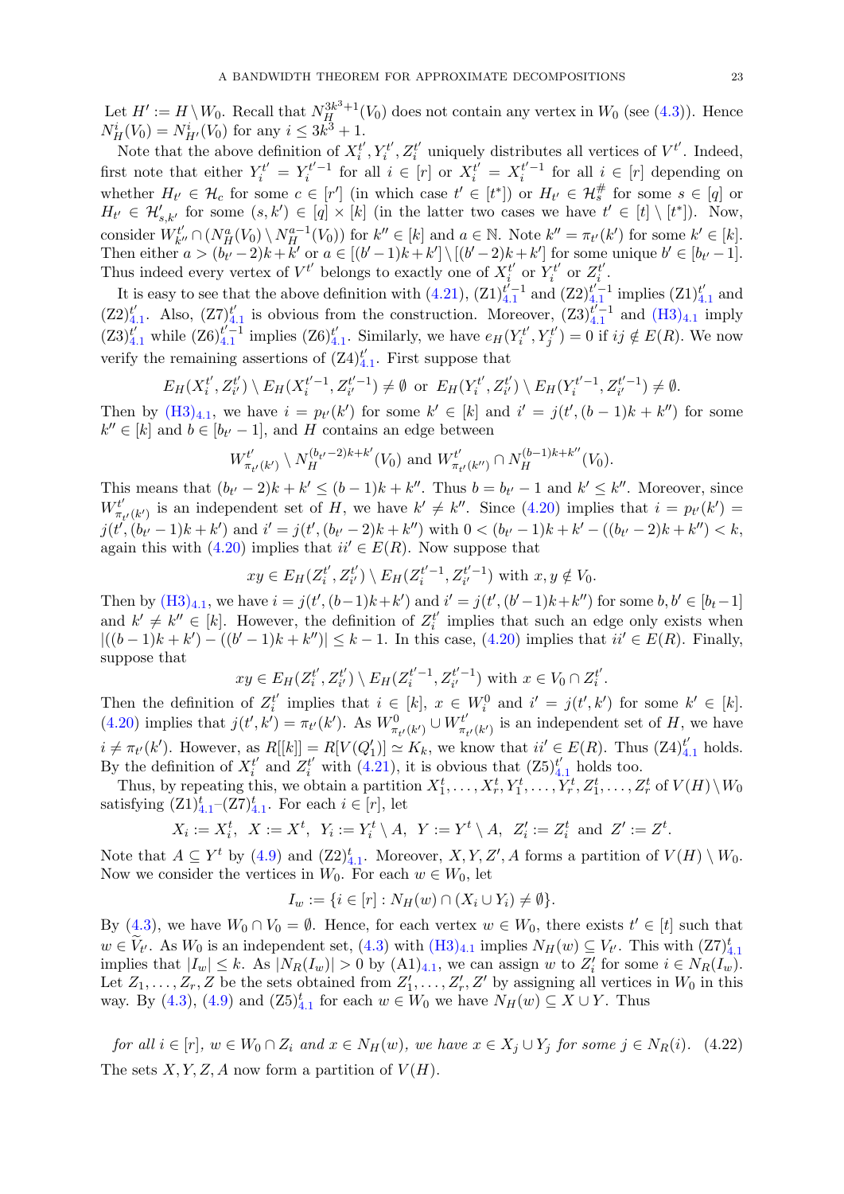Let  $H' := H \setminus W_0$ . Recall that  $N_H^{3k^3+1}(V_0)$  does not contain any vertex in  $W_0$  (see [\(4.3\)](#page-18-5)). Hence  $N_H^i(V_0) = N_{H'}^i(V_0)$  for any  $i \leq 3k^3 + 1$ .

Note that the above definition of  $X_i^{t'}$  $i', Y_i^{t'}$  $\zeta^{t'}_i,Z^{t'}_i$  $t_i^{t'}$  uniquely distributes all vertices of  $V^{t'}$ . Indeed, first note that either  $Y_i^{t'} = Y_i^{t'-1}$  for all  $i \in [r]$  or  $X_i^{t'} = X_i^{t'-1}$  for all  $i \in [r]$  depending on whether  $H_{t'} \in \mathcal{H}_c$  for some  $c \in [r']$  (in which case  $t' \in [t^*]$ ) or  $H_{t'} \in \mathcal{H}_s^{\#}$  for some  $s \in [q]$  or  $H_{t'} \in \mathcal{H}'_{s,k'}$  for some  $(s,k') \in [q] \times [k]$  (in the latter two cases we have  $t' \in [t] \setminus [t^*]$ ). Now, consider  $W_{k'}^{t'}$  $\mathcal{H}_{k''}^t \cap (N_H^a(V_0) \setminus N_H^{a-1}(V_0))$  for  $k'' \in [k]$  and  $a \in \mathbb{N}$ . Note  $k'' = \pi_{t'}(k')$  for some  $k' \in [k]$ . Then either  $a > (b_{t'}-2)k + k'$  or  $a \in [(b'-1)k+k'] \setminus [(b'-2)k+k']$  for some unique  $b' \in [b_{t'}-1]$ . Thus indeed every vertex of  $V^{t'}$  belongs to exactly one of  $X_i^{t'}$  $\iota_i^t$  or  $Y_i^{t'}$  $Z_i^{t'}$  or  $Z_i^{t'}$  $\frac{t'}{i}$  .

It is easy to see that the above definition with  $(4.21)$ ,  $(Z1)_{4.1}^{t'-1}$  $(Z1)_{4.1}^{t'-1}$  $(Z1)_{4.1}^{t'-1}$  and  $(Z2)_{4.1}^{t'-1}$  implies  $(Z1)_{4.1}^{t'}$  $\frac{t'}{4.1}$  $\frac{t'}{4.1}$  $\frac{t'}{4.1}$  and  $(Z2)_{4}^{t'}$  $_{4.1}^{t'}$  $_{4.1}^{t'}$  $_{4.1}^{t'}$ . Also,  $(Z7)_{4}^{t'}$  $t'_{4,1}$  $t'_{4,1}$  $t'_{4,1}$  is obvious from the construction. Moreover,  $(23)_{4,1}^{t'-1}$  and  $(H3)_{4,1}$  $(H3)_{4,1}$  imply  $(23)_{4.1}^{t'}$  $(23)_{4.1}^{t'}$  $(23)_{4.1}^{t'}$  while  $(26)_{4.1}^{t'-1}$  implies  $(26)_{4.1}^{t'}$  $t'_{4.1}$  $t'_{4.1}$  $t'_{4.1}$ . Similarly, we have  $e_H(Y_i^{t'}$  $Y_i^{t'}, Y_j^{t'}$  $j^{rt'}_j$  = 0 if  $ij \notin E(R)$ . We now verify the remaining assertions of  $(Z4)_4^{t'}$  $_{4.1}^{t'}$  $_{4.1}^{t'}$  $_{4.1}^{t'}$ . First suppose that

$$
E_H(X_i^{t'}, Z_{i'}^{t'}) \setminus E_H(X_i^{t'-1}, Z_{i'}^{t'-1}) \neq \emptyset \text{ or } E_H(Y_i^{t'}, Z_{i'}^{t'}) \setminus E_H(Y_i^{t'-1}, Z_{i'}^{t'-1}) \neq \emptyset.
$$

Then by  $(H3)_{4,1}$  $(H3)_{4,1}$  $(H3)_{4,1}$  $(H3)_{4,1}$ , we have  $i = p_{t'}(k')$  for some  $k' \in [k]$  and  $i' = j(t', (b-1)k + k'')$  for some  $k'' \in [k]$  and  $b \in [b_{t'} - 1]$ , and H contains an edge between

$$
W_{\pi_{t'}(k')}^{t'} \setminus N_H^{(b_{t'}-2)k+k'}(V_0)
$$
 and  $W_{\pi_{t'}(k'')}^{t'} \cap N_H^{(b-1)k+k''}(V_0)$ .

This means that  $(b_{t'}-2)k + k' \leq (b-1)k + k''$ . Thus  $b = b_{t'}-1$  and  $k' \leq k''$ . Moreover, since  $W_{\pi}^{t'}$  $\tau'_{\tau'}(k')$  is an independent set of H, we have  $k' \neq k''$ . Since [\(4.20\)](#page-22-1) implies that  $i = p_{t'}(k') =$  $j(t^{i}, (b_{t'}-1)k+k')$  and  $i'=j(t', (b_{t'}-2)k+k'')$  with  $0<(b_{t'}-1)k+k'-(b_{t'}-2)k+k'') < k$ , again this with [\(4.20\)](#page-22-1) implies that  $ii' \in E(R)$ . Now suppose that

$$
xy \in E_H(Z_i^{t'}, Z_{i'}^{t'}) \setminus E_H(Z_i^{t'-1}, Z_{i'}^{t'-1})
$$
 with  $x, y \notin V_0$ .

Then by  $(H3)_{4,1}$  $(H3)_{4,1}$  $(H3)_{4,1}$  $(H3)_{4,1}$ , we have  $i = j(t', (b-1)k+k')$  and  $i' = j(t', (b'-1)k+k'')$  for some  $b, b' \in [b_t-1]$ and  $k' \neq k'' \in [k]$ . However, the definition of  $Z_i^{t'}$  $i<sub>i</sub>$  implies that such an edge only exists when  $|((b-1)k+k') - ((b'-1)k+k'')| \leq k-1$ . In this case, [\(4.20\)](#page-22-1) implies that  $ii' \in E(R)$ . Finally, suppose that

$$
xy \in E_H(Z_i^{t'}, Z_{i'}^{t'}) \setminus E_H(Z_i^{t'-1}, Z_{i'}^{t'-1})
$$
 with  $x \in V_0 \cap Z_i^{t'}$ .

Then the definition of  $Z_i^{t'}$  $i'$  implies that  $i \in [k], x \in W_i^0$  and  $i' = j(t', k')$  for some  $k' \in [k]$ . [\(4.20\)](#page-22-1) implies that  $j(t', k') = \pi_{t'}(k')$ . As  $W_{\pi_{t'}(k')}^0 \cup W_{\pi_{t'}}^{t'}$  $\pi_{t'}^{t'}(k')$  is an independent set of H, we have  $i \neq \pi_{t'}(k')$ . However, as  $R[[k]] = R[V(Q_1')] \simeq K_k$ , we know that  $ii' \in E(R)$ . Thus  $(Z4)_{4,1}^{t'}$  $(Z4)_{4,1}^{t'}$  $(Z4)_{4,1}^{t'}$  holds. By the definition of  $X_i^{t'}$  $t'_i$  and  $Z_i^{t'}$  with [\(4.21\)](#page-22-0), it is obvious that  $(Z5)_{4.1}^{t'}$  $(Z5)_{4.1}^{t'}$  $(Z5)_{4.1}^{t'}$  holds too.

Thus, by repeating this, we obtain a partition  $X_1^t, \ldots, X_r^t, Y_1^t, \ldots, Y_r^t, Z_1^t, \ldots, Z_r^t$  of  $V(H) \setminus W_0$ satisfying  $(Z1)_{4.1}^{t}$  $(Z1)_{4.1}^{t}$  $(Z1)_{4.1}^{t}$  – $(Z7)_{4.1}^{t}$ . For each  $i \in [r]$ , let

$$
X_i := X_i^t, \ \ X := X^t, \ \ Y_i := Y_i^t \setminus A, \ \ Y := Y^t \setminus A, \ \ Z_i' := Z_i^t \ \text{ and } \ Z' := Z^t.
$$

Note that  $A \subseteq Y^t$  by [\(4.9\)](#page-19-3) and  $(Z2)^t_{4,1}$  $(Z2)^t_{4,1}$  $(Z2)^t_{4,1}$ . Moreover,  $X, Y, Z', A$  forms a partition of  $V(H) \setminus W_0$ . Now we consider the vertices in  $W_0$ . For each  $w \in W_0$ , let

$$
I_w := \{ i \in [r] : N_H(w) \cap (X_i \cup Y_i) \neq \emptyset \}.
$$

By [\(4.3\)](#page-18-5), we have  $W_0 \cap V_0 = \emptyset$ . Hence, for each vertex  $w \in W_0$ , there exists  $t' \in [t]$  such that  $w \in \widetilde{V}_{t'}$ . As  $W_0$  is an independent set, [\(4.3\)](#page-18-5) with  $(H3)_{4.1}$  $(H3)_{4.1}$  $(H3)_{4.1}$  $(H3)_{4.1}$  implies  $N_H(w) \subseteq V_{t'}$ . This with  $(Z7)^t_{4.1}$ implies that  $|I_w| \leq k$ . As  $|N_R(I_w)| > 0$  by  $(A1)_{4,1}$  $(A1)_{4,1}$  $(A1)_{4,1}$ , we can assign w to  $Z'_i$  for some  $i \in N_R(I_w)$ . Let  $Z_1, \ldots, Z_r, Z$  be the sets obtained from  $Z'_1, \ldots, Z'_r, Z'$  by assigning all vertices in  $W_0$  in this way. By [\(4.3\)](#page-18-5), [\(4.9\)](#page-19-3) and  $(Z5)_{4.1}^t$  $(Z5)_{4.1}^t$  $(Z5)_{4.1}^t$  for each  $w \in W_0$  we have  $N_H(w) \subseteq X \cup Y$ . Thus

<span id="page-23-0"></span>for all  $i \in [r]$ ,  $w \in W_0 \cap Z_i$  and  $x \in N_H(w)$ , we have  $x \in X_j \cup Y_j$  for some  $j \in N_R(i)$ . (4.22) The sets  $X, Y, Z, A$  now form a partition of  $V(H)$ .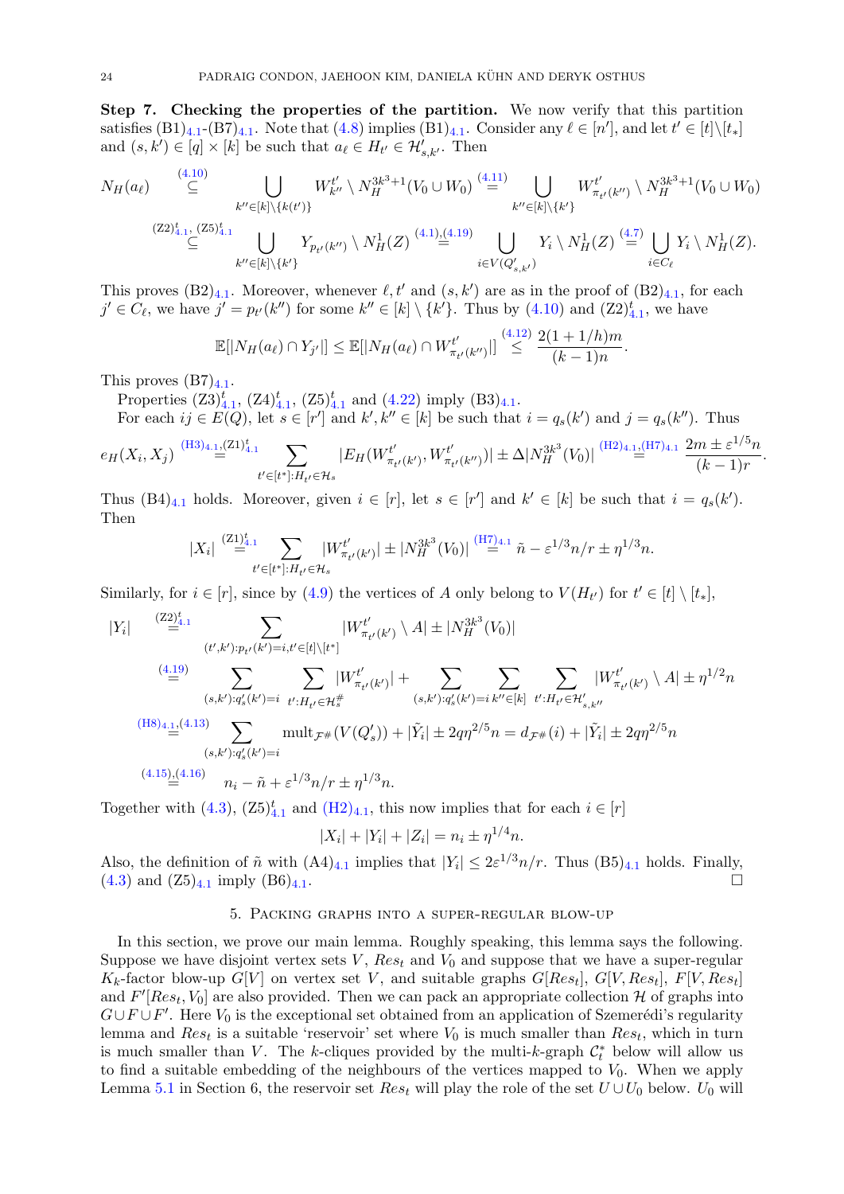Step 7. Checking the properties of the partition. We now verify that this partition satisfies  $(B1)_{4,1}$  $(B1)_{4,1}$  $(B1)_{4,1}$ - $(B7)_{4,1}$ . Note that  $(4.8)$  implies  $(B1)_{4,1}$ . Consider any  $\ell \in [n']$ , and let  $t' \in [t] \setminus [t_*]$ and  $(s, k') \in [q] \times [k]$  be such that  $a_{\ell} \in H_{t'} \in \mathcal{H}'_{s, k'}$ . Then

$$
N_H(a_\ell) \quad \overset{(4.10)}{\subseteq} \bigcup_{\substack{k'' \in [k] \setminus \{k(t')\} \\ \subseteq}} W_{k''}^{t'} \setminus N_H^{3k^3+1}(V_0 \cup W_0) \overset{(4.11)}{=} \bigcup_{\substack{k'' \in [k] \setminus \{k'\} \\ \subseteq}} W_{\pi_{t'}(k'')}^{t'} \setminus N_H^{3k^3+1}(V_0 \cup W_0)
$$
\n
$$
(Z2)^{t}_{4.1}, (Z5)^{t}_{4.1} \bigcup_{\substack{k'' \in [k] \setminus \{k'\} \\ \subseteq}} Y_{p_{t'}(k'')} \setminus N_H^1(Z) \overset{(4.19)}{=} \bigcup_{i \in V(Q'_{s,k'})} Y_i \setminus N_H^1(Z) \overset{(4.7)}{=} \bigcup_{i \in C_\ell} Y_i \setminus N_H^1(Z).
$$

This proves  $(B2)_{4,1}$  $(B2)_{4,1}$  $(B2)_{4,1}$ . Moreover, whenever  $\ell, t'$  and  $(s, k')$  are as in the proof of  $(B2)_{4,1}$ , for each  $j' \in C_{\ell}$ , we have  $j' = p_{t'}(k'')$  for some  $k'' \in [k] \setminus \{k'\}$ . Thus by  $(4.10)$  and  $(Z2)_{4.1}^t$  $(Z2)_{4.1}^t$  $(Z2)_{4.1}^t$ , we have

$$
\mathbb{E}[|N_H(a_{\ell}) \cap Y_{j'}|] \leq \mathbb{E}[|N_H(a_{\ell}) \cap W_{\pi_{t'}(k'')}^{t'}|] \stackrel{(4.12)}{\leq} \frac{2(1+1/h)m}{(k-1)n}.
$$

This proves  $(B7)_{4.1}$  $(B7)_{4.1}$  $(B7)_{4.1}$ .

Properties  $(23)_{4.1}^t$  $(23)_{4.1}^t$  $(23)_{4.1}^t$ ,  $(24)_{4.1}^t$ ,  $(25)_{4.1}^t$  and  $(4.22)$  imply  $(B3)_{4.1}$ .

For each  $ij \in E(Q)$ , let  $s \in [r']$  and  $k', k'' \in [k]$  be such that  $i = q_s(k')$  and  $j = q_s(k'')$ . Thus

$$
e_H(X_i, X_j) \stackrel{\text{(H3)}_{4.1}, \text{(Z1)}_{4.1}^t}{=} \sum_{t' \in [t^*]: H_{t'} \in \mathcal{H}_s} |E_H(W_{\pi_{t'}(k')}^{t'}, W_{\pi_{t'}(k'')}^{t'}))| \pm \Delta |N_H^{3k^3}(V_0)| \stackrel{\text{(H2)}_{4.1}, \text{(H7)}_{4.1}}{=} \frac{2m \pm \varepsilon^{1/5} n}{(k-1)r}.
$$

Thus  $(B4)_{4,1}$  $(B4)_{4,1}$  $(B4)_{4,1}$  holds. Moreover, given  $i \in [r]$ , let  $s \in [r']$  and  $k' \in [k]$  be such that  $i = q_s(k')$ . Then

$$
|X_i| \stackrel{(Z1)^t_{4.1}}{=} \sum_{t' \in [t^*]: H_{t'} \in \mathcal{H}_s} |W^{t'}_{\pi_{t'}(k')}| \pm |N_H^{3k^3}(V_0)| \stackrel{(\text{H7})_{4.1}}{=} \tilde{n} - \varepsilon^{1/3} n/r \pm \eta^{1/3} n.
$$

Similarly, for  $i \in [r]$ , since by [\(4.9\)](#page-19-3) the vertices of A only belong to  $V(H_{t'})$  for  $t' \in [t] \setminus [t_*]$ ,

$$
|Y_{i}| \sum_{(t',k'):p_{t'}(k')=i,t'\in[t]\setminus[t^{*}]} |W^{t'}_{\pi_{t'}(k')}\setminus A| \pm |N^{3k^{3}}_{H}(V_{0})|
$$
  
\n
$$
= \sum_{(s,k'):q'_{s}(k')=i} \sum_{t':H_{t'}\in\mathcal{H}^{#}_{s}} |W^{t'}_{\pi_{t'}(k')}| + \sum_{(s,k'):q'_{s}(k')=i} \sum_{k''\in[k]} \sum_{t':H_{t'}\in\mathcal{H}'_{s,k''}} |W^{t'}_{\pi_{t'}(k')}\setminus A| \pm \eta^{1/2}n
$$
  
\n
$$
(H8)_{4,\underline{1},(4.13)} \sum_{(s,k'):q'_{s}(k')=i} \text{mult}_{\mathcal{F}^{#}} (V(Q'_{s})) + |\tilde{Y}_{i}| \pm 2q\eta^{2/5}n = d_{\mathcal{F}^{#}}(i) + |\tilde{Y}_{i}| \pm 2q\eta^{2/5}n
$$
  
\n
$$
(4.15)_{4}(4.16) \sum_{(s,k'):q'_{s}(k')=i} \eta_{i} - \tilde{\eta} + \varepsilon^{1/3}n/r \pm \eta^{1/3}n.
$$

Together with [\(4.3\)](#page-18-5),  $(25)^{t}_{4,1}$  $(25)^{t}_{4,1}$  $(25)^{t}_{4,1}$  and  $(H2)_{4,1}$  $(H2)_{4,1}$ , this now implies that for each  $i \in [r]$ 

$$
|X_i| + |Y_i| + |Z_i| = n_i \pm \eta^{1/4} n.
$$

Also, the definition of  $\tilde{n}$  with  $(A4)_{4,1}$  $(A4)_{4,1}$  $(A4)_{4,1}$  implies that  $|Y_i| \leq 2\varepsilon^{1/3} n/r$ . Thus  $(B5)_{4,1}$  holds. Finally,  $(4.3)$  and  $(25)_{4.1}$  $(25)_{4.1}$  $(25)_{4.1}$  imply  $(86)_{4.1}$ .

#### 5. Packing graphs into a super-regular blow-up

<span id="page-24-0"></span>In this section, we prove our main lemma. Roughly speaking, this lemma says the following. Suppose we have disjoint vertex sets  $V$ ,  $Res_t$  and  $V_0$  and suppose that we have a super-regular  $K_k$ -factor blow-up  $G[V]$  on vertex set V, and suitable graphs  $G[Res_t]$ ,  $G[V, Res_t]$ ,  $F[V, Res_t]$ and  $F'[Res_t, V_0]$  are also provided. Then we can pack an appropriate collection H of graphs into  $G \cup F \cup F'$ . Here  $V_0$  is the exceptional set obtained from an application of Szemerédi's regularity lemma and  $Res_t$  is a suitable 'reservoir' set where  $V_0$  is much smaller than  $Res_t$ , which in turn is much smaller than V. The k-cliques provided by the multi-k-graph  $\mathcal{C}_t^*$  below will allow us to find a suitable embedding of the neighbours of the vertices mapped to  $V_0$ . When we apply Lemma [5.1](#page-25-0) in Section 6, the reservoir set  $Res_t$  will play the role of the set  $U \cup U_0$  below.  $U_0$  will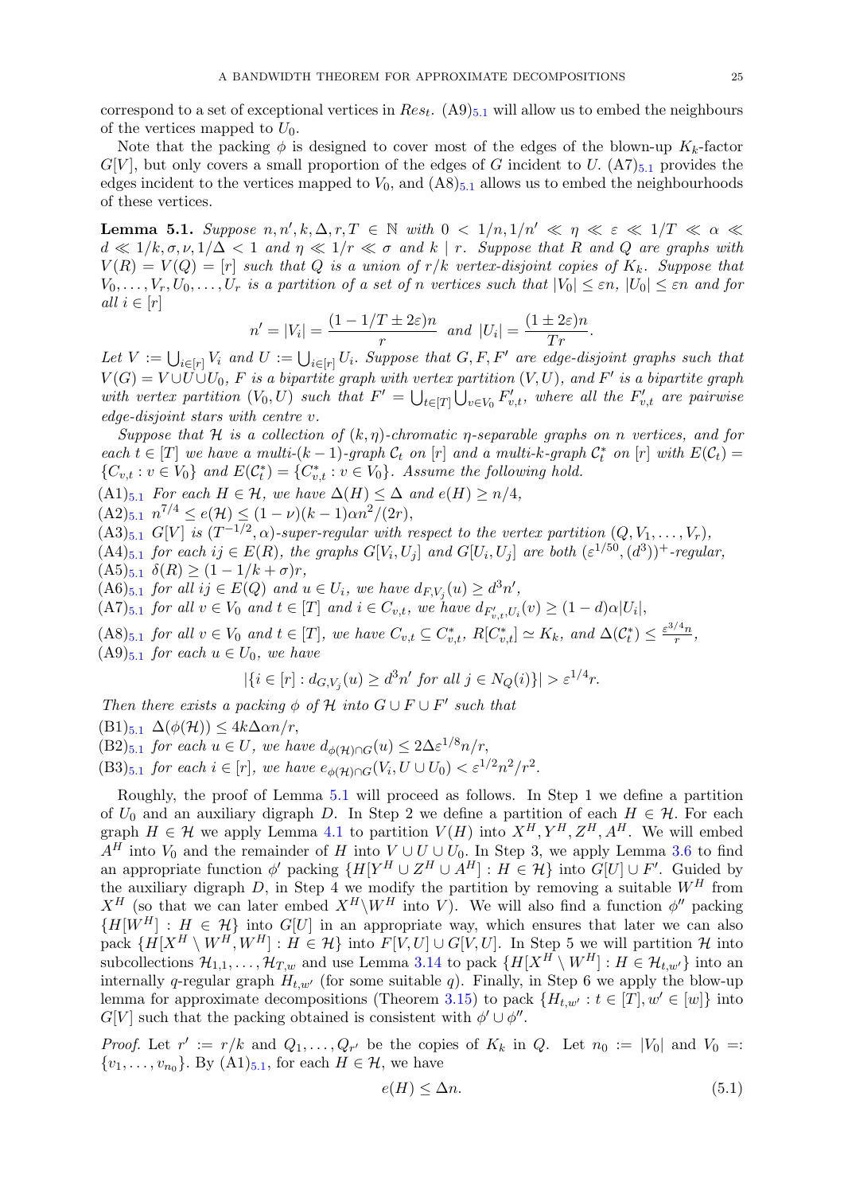correspond to a set of exceptional vertices in  $Res_t$ .  $(A9)_{5,1}$  $(A9)_{5,1}$  $(A9)_{5,1}$  will allow us to embed the neighbours of the vertices mapped to  $U_0$ .

Note that the packing  $\phi$  is designed to cover most of the edges of the blown-up  $K_k$ -factor  $G[V]$ , but only covers a small proportion of the edges of G incident to U.  $(A7)_{5,1}$  $(A7)_{5,1}$  $(A7)_{5,1}$  provides the edges incident to the vertices mapped to  $V_0$ , and  $(AS)_{5,1}$  $(AS)_{5,1}$  $(AS)_{5,1}$  allows us to embed the neighbourhoods of these vertices.

<span id="page-25-0"></span>**Lemma 5.1.** Suppose  $n, n', k, \Delta, r, T \in \mathbb{N}$  with  $0 < 1/n, 1/n' \ll \eta \ll \varepsilon \ll 1/T \ll \alpha \ll \eta$  $d \ll 1/k, \sigma, \nu, 1/\Delta < 1$  and  $\eta \ll 1/r \ll \sigma$  and k | r. Suppose that R and Q are graphs with  $V(R) = V(Q) = [r]$  such that Q is a union of  $r/k$  vertex-disjoint copies of  $K_k$ . Suppose that  $V_0, \ldots, V_r, U_0, \ldots, U_r$  is a partition of a set of n vertices such that  $|V_0| \leq \varepsilon n$ ,  $|U_0| \leq \varepsilon n$  and for all  $i \in [r]$ 

$$
n' = |V_i| = \frac{(1 - 1/T \pm 2\varepsilon)n}{r} \text{ and } |U_i| = \frac{(1 \pm 2\varepsilon)n}{Tr}.
$$

Let  $V := \bigcup_{i \in [r]} V_i$  and  $U := \bigcup_{i \in [r]} U_i$ . Suppose that  $G, F, F'$  are edge-disjoint graphs such that  $V(G) = V \cup U \cup U_0$ , F is a bipartite graph with vertex partition  $(V, U)$ , and F' is a bipartite graph with vertex partition  $(V_0, U)$  such that  $F' = \bigcup_{t \in [T]} \bigcup_{v \in V_0} F'_{v,t}$ , where all the  $F'_{v,t}$  are pairwise edge-disjoint stars with centre v.

Suppose that H is a collection of  $(k, \eta)$ -chromatic  $\eta$ -separable graphs on n vertices, and for each  $t \in [T]$  we have a multi- $(k-1)$ -graph  $C_t$  on  $[r]$  and a multi-k-graph  $C_t^*$  on  $[r]$  with  $E(C_t)$  $\{C_{v,t} : v \in V_0\}$  and  $E(\mathcal{C}_t^*) = \{C_{v,t}^* : v \in V_0\}$ . Assume the following hold.

 $(A1)_{5.1}$  $(A1)_{5.1}$  $(A1)_{5.1}$  For each  $H \in \mathcal{H}$ , we have  $\Delta(H) \leq \Delta$  and  $e(H) \geq n/4$ ,

 $(A2)_{5.1} n^{7/4} \le e(\mathcal{H}) \le (1 - \nu)(k - 1)\alpha n^2/(2r),$  $(A2)_{5.1} n^{7/4} \le e(\mathcal{H}) \le (1 - \nu)(k - 1)\alpha n^2/(2r),$  $(A2)_{5.1} n^{7/4} \le e(\mathcal{H}) \le (1 - \nu)(k - 1)\alpha n^2/(2r),$ 

 $(A3)_{5,1}$  $(A3)_{5,1}$  $(A3)_{5,1}$   $G[V]$  is  $(T^{-1/2}, \alpha)$ -super-regular with respect to the vertex partition  $(Q, V_1, \ldots, V_r)$ ,

 $(A4)_{5,1}$  $(A4)_{5,1}$  $(A4)_{5,1}$  for each  $ij \in E(R)$ , the graphs  $G[V_i, U_j]$  and  $G[U_i, U_j]$  are both  $(\varepsilon^{1/50}, (d^3))^+$ -regular,  $(A5)_{5,1}$  $(A5)_{5,1}$  $(A5)_{5,1}$   $\delta(R) \geq (1 - 1/k + \sigma)r$ ,

 $(A6)_{5.1}$  $(A6)_{5.1}$  $(A6)_{5.1}$  for all  $ij \in E(Q)$  and  $u \in U_i$ , we have  $d_{F,V_j}(u) \geq d^3n'$ ,

 $(A7)_{5.1}$  $(A7)_{5.1}$  $(A7)_{5.1}$  for all  $v \in V_0$  and  $t \in [T]$  and  $i \in C_{v,t}$ , we have  $d_{F'_{v,t},U_i}(v) \geq (1-d) \alpha |U_i|$ ,

 $(A8)_{5.1}$  $(A8)_{5.1}$  $(A8)_{5.1}$  for all  $v \in V_0$  and  $t \in [T]$ , we have  $C_{v,t} \subseteq C_{v,t}^*$ ,  $R[C_{v,t}^*] \simeq K_k$ , and  $\Delta(C_t^*) \leq \frac{\varepsilon^{3/4} n}{r}$  $\frac{r}{r}$ ,  $(A9)_{5.1}$  $(A9)_{5.1}$  $(A9)_{5.1}$  for each  $u \in U_0$ , we have

$$
|\{i \in [r] : d_{G,V_j}(u) \ge d^3n' \text{ for all } j \in N_Q(i)\}| > \varepsilon^{1/4}r.
$$

Then there exists a packing  $\phi$  of  $\mathcal H$  into  $G \cup F \cup F'$  such that

 $(B1)_{5,1} \Delta(\phi(H)) \leq 4k\Delta\alpha n/r,$  $(B1)_{5,1} \Delta(\phi(H)) \leq 4k\Delta\alpha n/r,$  $(B1)_{5,1} \Delta(\phi(H)) \leq 4k\Delta\alpha n/r,$ 

 $(B2)_{5.1}$  $(B2)_{5.1}$  $(B2)_{5.1}$  for each  $u \in U$ , we have  $d_{\phi(\mathcal{H}) \cap G}(u) \leq 2\Delta \varepsilon^{1/8} n/r$ ,

 $(B3)_{5.1}$  $(B3)_{5.1}$  $(B3)_{5.1}$  for each  $i \in [r]$ , we have  $e_{\phi(H) \cap G}(V_i, U \cup U_0) < \varepsilon^{1/2} n^2 / r^2$ .

Roughly, the proof of Lemma [5.1](#page-25-0) will proceed as follows. In Step 1 we define a partition of  $U_0$  and an auxiliary digraph D. In Step 2 we define a partition of each  $H \in \mathcal{H}$ . For each graph  $H \in \mathcal{H}$  we apply Lemma [4.1](#page-17-0) to partition  $V(H)$  into  $X^H, Y^H, Z^H, A^H$ . We will embed  $A<sup>H</sup>$  into  $V_0$  and the remainder of H into  $V \cup U \cup U_0$ . In Step 3, we apply Lemma [3.6](#page-9-0) to find an appropriate function  $\phi'$  packing  $\{H|Y^H \cup Z^H \cup A^H| : H \in \mathcal{H}\}\$ into  $G[U] \cup F'$ . Guided by the auxiliary digraph  $D$ , in Step 4 we modify the partition by removing a suitable  $W^H$  from  $X^H$  (so that we can later embed  $X^H\backslash W^H$  into V). We will also find a function  $\phi''$  packing  ${H[W^H] : H \in \mathcal{H}}$  into  $G[U]$  in an appropriate way, which ensures that later we can also pack  $\{H[X^H \setminus W^H, W^H] : H \in \mathcal{H}\}\$  into  $F[V, U] \cup G[V, U]$ . In Step 5 we will partition  $\mathcal{H}$  into subcollections  $\mathcal{H}_{1,1}, \ldots, \mathcal{H}_{T,w}$  and use Lemma [3.14](#page-13-1) to pack  $\{H[X^H \setminus W^H] : H \in \mathcal{H}_{t,w'}\}$  into an internally q-regular graph  $H_{t,w'}$  (for some suitable q). Finally, in Step 6 we apply the blow-up lemma for approximate decompositions (Theorem [3.15\)](#page-13-0) to pack  $\{H_{t,w'} : t \in [T], w' \in [w]\}$  into  $G[V]$  such that the packing obtained is consistent with  $\phi' \cup \phi''$ .

*Proof.* Let  $r' := r/k$  and  $Q_1, \ldots, Q_{r'}$  be the copies of  $K_k$  in  $Q$ . Let  $n_0 := |V_0|$  and  $V_0 =$ :  $\{v_1, \ldots, v_{n_0}\}$ . By  $(A1)_{5.1}$  $(A1)_{5.1}$  $(A1)_{5.1}$ , for each  $H \in \mathcal{H}$ , we have

<span id="page-25-1"></span>
$$
e(H) \le \Delta n. \tag{5.1}
$$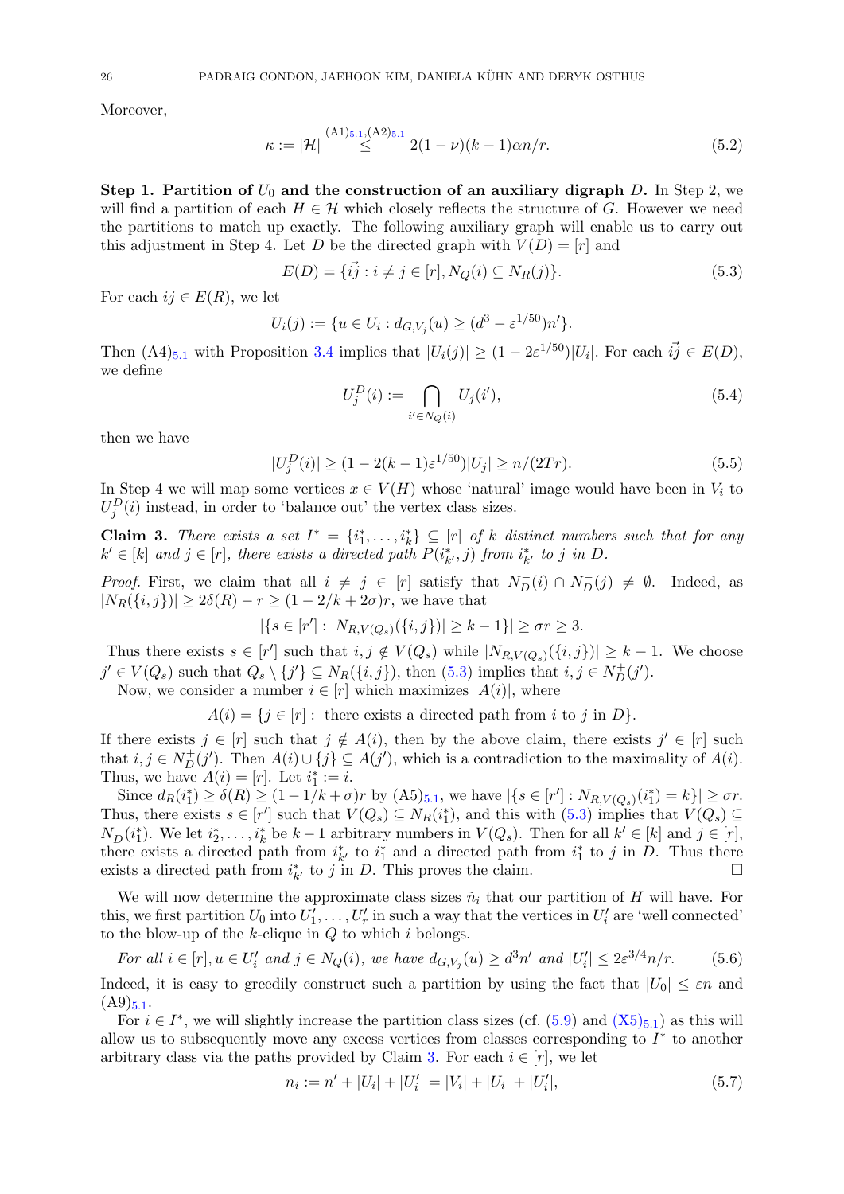Moreover,

<span id="page-26-3"></span>
$$
\kappa := |\mathcal{H}| \stackrel{\text{(A1)}_{5.1},\text{(A2)}_{5.1}}{\leq} 2(1-\nu)(k-1)\alpha n/r. \tag{5.2}
$$

Step 1. Partition of  $U_0$  and the construction of an auxiliary digraph D. In Step 2, we will find a partition of each  $H \in \mathcal{H}$  which closely reflects the structure of G. However we need the partitions to match up exactly. The following auxiliary graph will enable us to carry out this adjustment in Step 4. Let D be the directed graph with  $V(D) = [r]$  and

$$
E(D) = \{\vec{ij} : i \neq j \in [r], N_Q(i) \subseteq N_R(j)\}.
$$
\n(5.3)

For each  $ij \in E(R)$ , we let

$$
U_i(j) := \{ u \in U_i : d_{G,V_j}(u) \ge (d^3 - \varepsilon^{1/50}) n' \}.
$$

Then  $(A4)_{5,1}$  $(A4)_{5,1}$  $(A4)_{5,1}$  with Proposition [3.4](#page-8-2) implies that  $|U_i(j)| \geq (1 - 2\varepsilon^{1/50})|U_i|$ . For each  $i\vec{j} \in E(D)$ , we define

<span id="page-26-6"></span><span id="page-26-5"></span><span id="page-26-0"></span>
$$
U_j^D(i) := \bigcap_{i' \in N_Q(i)} U_j(i'),\tag{5.4}
$$

then we have

$$
|U_j^D(i)| \ge (1 - 2(k - 1)\varepsilon^{1/50})|U_j| \ge n/(2Tr). \tag{5.5}
$$

In Step 4 we will map some vertices  $x \in V(H)$  whose 'natural' image would have been in  $V_i$  to  $U_j^D(i)$  instead, in order to 'balance out' the vertex class sizes.

<span id="page-26-1"></span>**Claim 3.** There exists a set  $I^* = \{i_1^*, \ldots, i_k^*\} \subseteq [r]$  of k distinct numbers such that for any  $k' \in [k]$  and  $j \in [r]$ , there exists a directed path  $P(i_{k'}^*, j)$  from  $i_{k'}^*$  to j in D.

*Proof.* First, we claim that all  $i \neq j \in [r]$  satisfy that  $N_D^-(i) \cap N_D^-(j) \neq \emptyset$ . Indeed, as  $|N_R(\{i, j\})| \geq 2\delta(R) - r \geq (1 - 2/k + 2\sigma)r$ , we have that

$$
|\{s \in [r'] : |N_{R,V(Q_s)}(\{i,j\})| \ge k-1\}| \ge \sigma r \ge 3.
$$

Thus there exists  $s \in [r']$  such that  $i, j \notin V(Q_s)$  while  $|N_{R,V(Q_s)}(\{i,j\})| \geq k-1$ . We choose  $j' \in V(Q_s)$  such that  $Q_s \setminus \{j'\} \subseteq N_R(\{i, j\}),$  then  $(5.3)$  implies that  $i, j \in N_D^+(j').$ Now, we consider a number  $i \in [r]$  which maximizes  $|A(i)|$ , where

 $A(i) = \{j \in [r]: \text{ there exists a directed path from } i \text{ to } j \text{ in } D\}.$ 

If there exists  $j \in [r]$  such that  $j \notin A(i)$ , then by the above claim, there exists  $j' \in [r]$  such that  $i, j \in N_D^+(j')$ . Then  $A(i) \cup \{j\} \subseteq A(j')$ , which is a contradiction to the maximality of  $A(i)$ . Thus, we have  $A(i) = [r]$ . Let  $i_1^* := i$ .

Since  $d_R(i_1^*) \geq \delta(R) \geq (1 - 1/k + \sigma)r$  by  $(A5)_{5,1}$  $(A5)_{5,1}$  $(A5)_{5,1}$ , we have  $|\{s \in [r'] : N_{R,V(Q_s)}(i_1^*) = k\}| \geq \sigma r$ . Thus, there exists  $s \in [r']$  such that  $V(Q_s) \subseteq N_R(i_1^*)$ , and this with  $(5.3)$  implies that  $V(Q_s) \subseteq$  $N_D^-(i_1^*)$ . We let  $i_2^*, \ldots, i_k^*$  be  $k-1$  arbitrary numbers in  $V(Q_s)$ . Then for all  $k' \in [k]$  and  $j \in [r]$ , there exists a directed path from  $i^*_{k'}$  to  $i^*_{1}$  and a directed path from  $i^*_{1}$  to j in D. Thus there exists a directed path from  $i_{k'}^*$  to j in D. This proves the claim.

We will now determine the approximate class sizes  $\tilde{n}_i$  that our partition of H will have. For this, we first partition  $U_0$  into  $U'_1, \ldots, U'_r$  in such a way that the vertices in  $U'_i$  are 'well connected' to the blow-up of the  $k$ -clique in  $Q$  to which i belongs.

<span id="page-26-4"></span>For all 
$$
i \in [r]
$$
,  $u \in U'_i$  and  $j \in N_Q(i)$ , we have  $d_{G,V_j}(u) \geq d^3n'$  and  $|U'_i| \leq 2\varepsilon^{3/4}n/r$ . (5.6)

Indeed, it is easy to greedily construct such a partition by using the fact that  $|U_0| \leq \varepsilon n$  and  $(A9)_{5.1}$  $(A9)_{5.1}$  $(A9)_{5.1}$ .

For  $i \in I^*$ , we will slightly increase the partition class sizes (cf.  $(5.9)$  and  $(X5)_{5.1}$  $(X5)_{5.1}$  $(X5)_{5.1}$  $(X5)_{5.1}$ ) as this will allow us to subsequently move any excess vertices from classes corresponding to  $I^*$  to another arbitrary class via the paths provided by Claim [3.](#page-26-1) For each  $i \in [r]$ , we let

<span id="page-26-2"></span>
$$
n_i := n' + |U_i| + |U'_i| = |V_i| + |U_i| + |U'_i|,\tag{5.7}
$$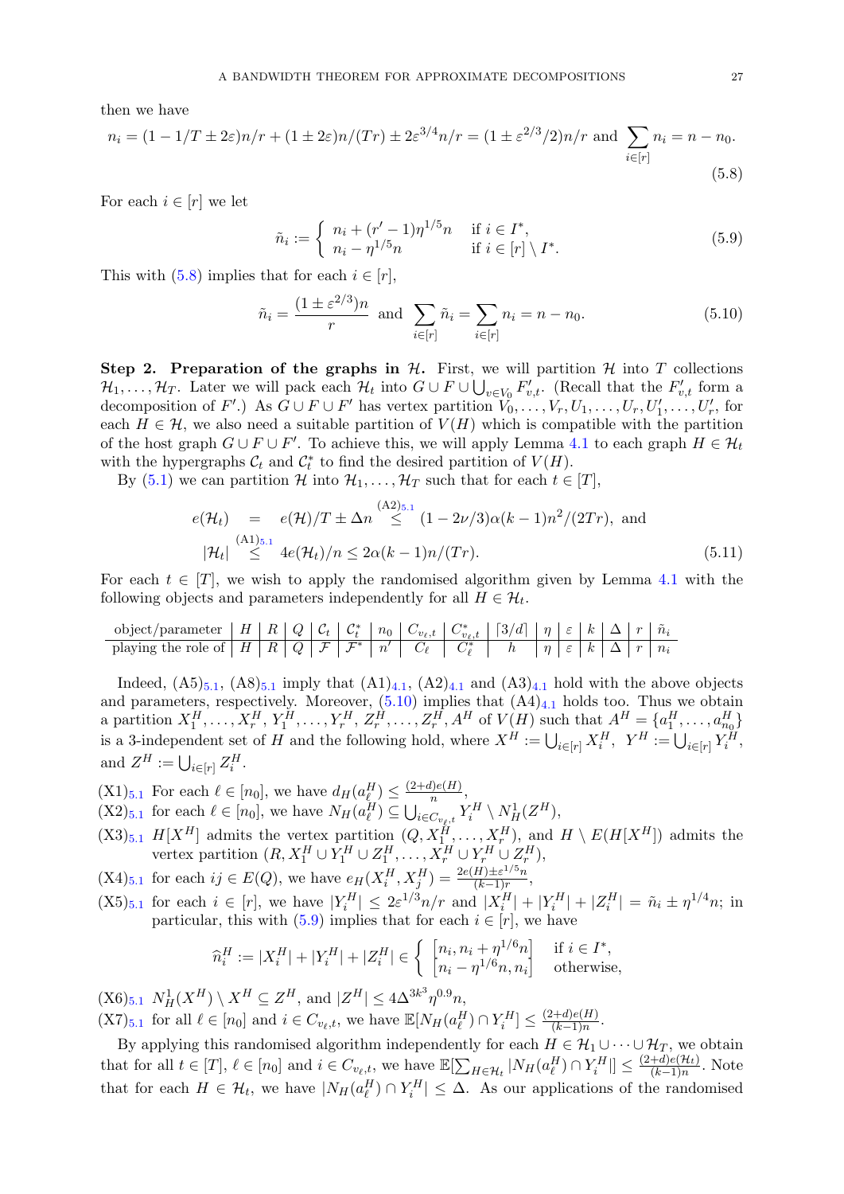then we have

$$
n_i = (1 - 1/T \pm 2\varepsilon)n/r + (1 \pm 2\varepsilon)n/(Tr) \pm 2\varepsilon^{3/4}n/r = (1 \pm \varepsilon^{2/3}/2)n/r \text{ and } \sum_{i \in [r]} n_i = n - n_0.
$$
\n(5.8)

For each  $i \in [r]$  we let

<span id="page-27-3"></span><span id="page-27-2"></span><span id="page-27-0"></span>
$$
\tilde{n}_i := \begin{cases} n_i + (r'-1)\eta^{1/5}n & \text{if } i \in I^*, \\ n_i - \eta^{1/5}n & \text{if } i \in [r] \setminus I^*. \end{cases} (5.9)
$$

This with  $(5.8)$  implies that for each  $i \in [r]$ ,

$$
\tilde{n}_i = \frac{(1 \pm \varepsilon^{2/3})n}{r} \text{ and } \sum_{i \in [r]} \tilde{n}_i = \sum_{i \in [r]} n_i = n - n_0. \tag{5.10}
$$

Step 2. Preparation of the graphs in  $H$ . First, we will partition  $H$  into T collections  $\mathcal{H}_1,\ldots,\mathcal{H}_T$ . Later we will pack each  $\mathcal{H}_t$  into  $G \cup F \cup \bigcup_{v \in V_0} F'_{v,t}$ . (Recall that the  $F'_{v,t}$  form a decomposition of F'.) As  $G \cup F \cup F'$  has vertex partition  $V_0, \ldots, V_r, U_1, \ldots, U_r, U'_1, \ldots, U'_r$ , for each  $H \in \mathcal{H}$ , we also need a suitable partition of  $V(H)$  which is compatible with the partition of the host graph  $G \cup F \cup F'$ . To achieve this, we will apply Lemma [4.1](#page-17-0) to each graph  $H \in \mathcal{H}_t$ with the hypergraphs  $\mathcal{C}_t$  and  $\mathcal{C}_t^*$  to find the desired partition of  $V(H)$ .

By [\(5.1\)](#page-25-1) we can partition H into  $\mathcal{H}_1, \ldots, \mathcal{H}_T$  such that for each  $t \in [T]$ ,

<span id="page-27-4"></span>
$$
e(\mathcal{H}_t) = e(\mathcal{H})/T \pm \Delta n \stackrel{\text{(A2)}_{5,1}}{\leq} (1 - 2\nu/3)\alpha(k - 1)n^2/(2Tr), \text{ and}
$$
  

$$
|\mathcal{H}_t| \stackrel{\text{(A1)}_{5,1}}{\leq} 4e(\mathcal{H}_t)/n \leq 2\alpha(k - 1)n/(Tr).
$$
 (5.11)

For each  $t \in [T]$ , we wish to apply the randomised algorithm given by Lemma [4.1](#page-17-0) with the following objects and parameters independently for all  $H \in \mathcal{H}_t$ .

object/parameter H R Q C<sup>t</sup> C ∗ <sup>t</sup> n<sup>0</sup> Cv`,t C ∗ <sup>v</sup>`,t d3/de η ε k ∆ r n˜<sup>i</sup> playing the role of H R Q F F <sup>∗</sup> n <sup>0</sup> C` C ∗ ` h η ε k ∆ r n<sup>i</sup>

Indeed,  $(A5)_{5,1}$  $(A5)_{5,1}$  $(A5)_{5,1}$ ,  $(A8)_{5,1}$  imply that  $(A1)_{4,1}$  $(A1)_{4,1}$  $(A1)_{4,1}$ ,  $(A2)_{4,1}$  and  $(A3)_{4,1}$  hold with the above objects and parameters, respectively. Moreover,  $(5.10)$  implies that  $(A4)_{4.1}$  $(A4)_{4.1}$  $(A4)_{4.1}$  holds too. Thus we obtain a partition  $X_1^H, \ldots, X_r^H, Y_1^H, \ldots, Y_r^H, Z_r^H, \ldots, Z_r^H, A^H$  of  $V(H)$  such that  $A^H = \{a_1^H, \ldots, a_{n_0}^H\}$ is a 3-independent set of H and the following hold, where  $X^H := \bigcup_{i \in [r]} X_i^H$ ,  $Y^H := \bigcup_{i \in [r]} Y_i^H$ , and  $Z^H := \bigcup_{i \in [r]} Z_i^H$ .

- <span id="page-27-5"></span> $(X1)_{5.1}$  $(X1)_{5.1}$  $(X1)_{5.1}$  For each  $\ell \in [n_0]$ , we have  $d_H(a_{\ell}^H) \leq \frac{(2+d)e(H)}{n}$  $\frac{i}{n}$ ,
- <span id="page-27-8"></span> $(X2)_{5.1}$  $(X2)_{5.1}$  $(X2)_{5.1}$  for each  $\ell \in [n_0]$ , we have  $N_H(a_{\ell}^H) \subseteq \bigcup_{i \in C_{v_{\ell},t}} Y_i^H \setminus N_H^1(Z^H)$ ,
- <span id="page-27-7"></span> $(X3)_{5,1}$  $(X3)_{5,1}$  $(X3)_{5,1}$  H[X<sup>H</sup>] admits the vertex partition  $(Q, X_1^H, \ldots, X_r^H)$ , and  $H \setminus E(H[X^H])$  admits the vertex partition  $(R, X_1^H \cup Y_1^H \cup Z_1^H, \ldots, X_r^H \cup Y_r^H \cup Z_r^H)$ ,
- <span id="page-27-9"></span> $(X4)_{5,1}$  $(X4)_{5,1}$  $(X4)_{5,1}$  for each  $ij \in E(Q)$ , we have  $e_H(X_i^H, X_j^H) = \frac{2e(H) \pm \varepsilon^{1/5} n}{(k-1)r}$  $\frac{H(\mathcal{F}^{\pm})^{\infty}n}{(k-1)r},$
- <span id="page-27-1"></span> $(X5)_{5,1}$  $(X5)_{5,1}$  $(X5)_{5,1}$  for each  $i \in [r]$ , we have  $|Y_i^H| \leq 2\varepsilon^{1/3}n/r$  and  $|X_i^H| + |Y_i^H| + |Z_i^H| = \tilde{n}_i \pm \eta^{1/4}n$ ; in particular, this with  $(5.9)$  implies that for each  $i \in [r]$ , we have

$$
\widehat{n}_i^H := |X_i^H| + |Y_i^H| + |Z_i^H| \in \left\{ \begin{array}{c} [n_i, n_i + \eta^{1/6} n] & \text{if } i \in I^*, \\ [n_i - \eta^{1/6} n, n_i] & \text{otherwise,} \end{array} \right.
$$

<span id="page-27-6"></span> $(X6)_{5.1} N_H^1(X^H) \setminus X^H \subseteq Z^H$  $(X6)_{5.1} N_H^1(X^H) \setminus X^H \subseteq Z^H$  $(X6)_{5.1} N_H^1(X^H) \setminus X^H \subseteq Z^H$ , and  $|Z^H| \leq 4\Delta^{3k^3} \eta^{0.9} n$ ,  $(X7)_{5.1}$  $(X7)_{5.1}$  $(X7)_{5.1}$  for all  $\ell \in [n_0]$  and  $i \in C_{v_{\ell},t}$ , we have  $\mathbb{E}[N_H(a_{\ell}^H) \cap Y_i^H] \leq \frac{(2+d)e(H)}{(k-1)n}$  $\frac{(k-1)n}{(k-1)n}$ .

By applying this randomised algorithm independently for each  $H \in H_1 \cup \cdots \cup H_T$ , we obtain that for all  $t \in [T]$ ,  $\ell \in [n_0]$  and  $i \in C_{v_{\ell},t}$ , we have  $\mathbb{E}[\sum_{H \in \mathcal{H}_t} |N_H(a_{\ell}^H) \cap Y_i^H|] \leq \frac{(2+d)e(\mathcal{H}_t)}{(k-1)n}$  $\frac{+a)e(H_t)}{(k-1)n}$ . Note that for each  $H \in \mathcal{H}_t$ , we have  $|N_H(a_\ell^H) \cap Y_i^H| \leq \Delta$ . As our applications of the randomised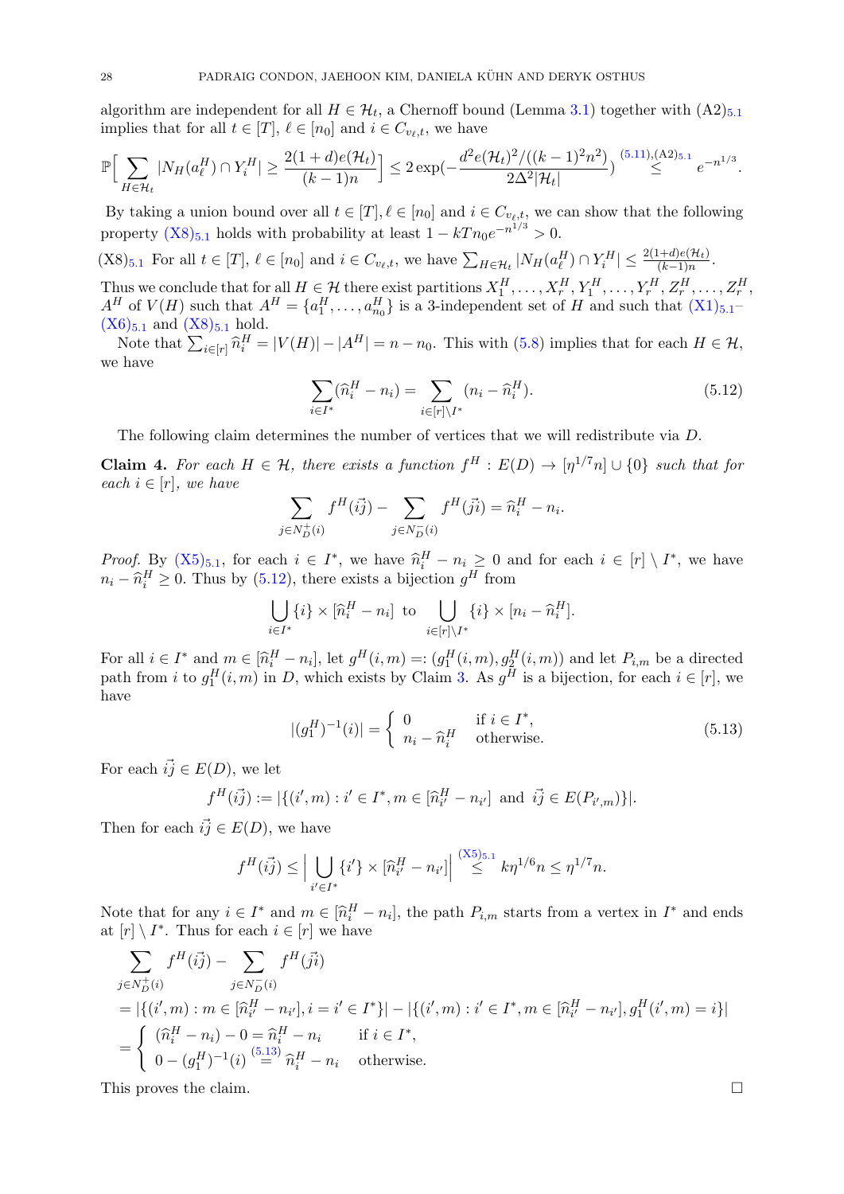algorithm are independent for all  $H \in \mathcal{H}_t$ , a Chernoff bound (Lemma [3.1\)](#page-8-3) together with  $(A2)_{5,1}$  $(A2)_{5,1}$  $(A2)_{5,1}$ implies that for all  $t \in [T], \ell \in [n_0]$  and  $i \in C_{v_\ell,t}$ , we have

$$
\mathbb{P}\Big[\sum_{H\in\mathcal{H}_t}|N_H(a_\ell^H)\cap Y_i^H|\geq \frac{2(1+d)e(\mathcal{H}_t)}{(k-1)n}\Big]\leq 2\exp\left(-\frac{d^2e(\mathcal{H}_t)^2/((k-1)^2n^2)}{2\Delta^2|\mathcal{H}_t|}\right)^{(5.11),(A2)_{5.1}}\leq e^{-n^{1/3}}.
$$

By taking a union bound over all  $t \in [T], \ell \in [n_0]$  and  $i \in C_{v_{\ell},t}$ , we can show that the following property  $(X8)_{5.1}$  $(X8)_{5.1}$  $(X8)_{5.1}$  $(X8)_{5.1}$  holds with probability at least  $1 - kT n_0 e^{-n^{1/3}} > 0$ .

<span id="page-28-0"></span> $(X8)_{5,1}$  $(X8)_{5,1}$  $(X8)_{5,1}$  For all  $t \in [T]$ ,  $\ell \in [n_0]$  and  $i \in C_{v_{\ell},t}$ , we have  $\sum_{H \in \mathcal{H}_t} |N_H(a_{\ell}^H) \cap Y_i^H| \leq \frac{2(1+d)e(\mathcal{H}_t)}{(k-1)n}$ .

Thus we conclude that for all  $H \in \mathcal{H}$  there exist partitions  $X_1^H, \ldots, X_r^H, Y_1^H, \ldots, Y_r^H, Z_r^H, \ldots, Z_r^H$  $A^H$  of  $V(H)$  such that  $A^H = \{a_1^H, \ldots, a_{n_0}^H\}$  is a 3-independent set of H and such that  $(X1)_{5,1}$  $(X1)_{5,1}$  $(X1)_{5,1}$  $(X1)_{5,1}$  $(X6)_{5.1}$  $(X6)_{5.1}$  $(X6)_{5.1}$  $(X6)_{5.1}$  and  $(X8)_{5.1}$  $(X8)_{5.1}$  hold.

Note that  $\sum_{i\in[r]} \widehat{n}_i^H = |V(H)| - |A^H| = n - n_0$ . This with [\(5.8\)](#page-27-2) implies that for each  $H \in \mathcal{H}$ , we have

<span id="page-28-1"></span>
$$
\sum_{i \in I^*} (\hat{n}_i^H - n_i) = \sum_{i \in [r] \setminus I^*} (n_i - \hat{n}_i^H).
$$
\n(5.12)

The following claim determines the number of vertices that we will redistribute via D.

<span id="page-28-3"></span>**Claim 4.** For each  $H \in \mathcal{H}$ , there exists a function  $f^H : E(D) \to [\eta^{1/7}n] \cup \{0\}$  such that for each  $i \in [r]$ , we have

$$
\sum_{j \in N_{D}^{+}(i)} f^{H}(\vec{i}) - \sum_{j \in N_{D}^{-}(i)} f^{H}(\vec{j}) = \hat{n}_{i}^{H} - n_{i}.
$$

*Proof.* By  $(X5)_{5,1}$  $(X5)_{5,1}$  $(X5)_{5,1}$  $(X5)_{5,1}$ , for each  $i \in I^*$ , we have  $\hat{n}_i^H - n_i \geq 0$  and for each  $i \in [r] \setminus I^*$ , we have  $n_i - \hat{n}_i^H \ge 0$ . Thus by [\(5.12\)](#page-28-1), there exists a bijection  $g^H$  from

$$
\bigcup_{i \in I^*} \{i\} \times [\widehat{n}_i^H - n_i] \text{ to } \bigcup_{i \in [r] \setminus I^*} \{i\} \times [n_i - \widehat{n}_i^H].
$$

For all  $i \in I^*$  and  $m \in [\hat{n}_i^H - n_i]$ , let  $g^H(i, m) =: (g_1^H(i, m), g_2^H(i, m))$  and let  $P_{i,m}$  be a directed<br>path from i to  $g^H(i, m)$  in D, which evidence by Claim 2. As  $g^H$  is a bijection for each i  $\in [n]$ , we path from i to  $g_1^H(i,m)$  in D, which exists by Claim [3.](#page-26-1) As  $g^H$  is a bijection, for each  $i \in [r]$ , we have

<span id="page-28-2"></span>
$$
|(g_1^H)^{-1}(i)| = \begin{cases} 0 & \text{if } i \in I^*, \\ n_i - \widehat{n}_i^H & \text{otherwise.} \end{cases}
$$
 (5.13)

For each  $i\vec{j} \in E(D)$ , we let

$$
f^H(i\vec{j}) := |\{(i', m) : i' \in I^*, m \in [\hat{n}_{i'}^H - n_{i'}] \text{ and } i\vec{j} \in E(P_{i',m})\}|.
$$

Then for each  $i\vec{j} \in E(D)$ , we have

$$
f^H(i\vec{j}) \leq \Big| \bigcup_{i' \in I^*} \{i'\} \times [\widehat{n}_{i'}^H - n_{i'}] \Big| \stackrel{(X5)_{5,1}}{\leq} k\eta^{1/6} n \leq \eta^{1/7} n.
$$

Note that for any  $i \in I^*$  and  $m \in [\hat{n}_i^H - n_i]$ , the path  $P_{i,m}$  starts from a vertex in  $I^*$  and ends at  $[n] \setminus I^*$ . Thus for each  $i \in [n]$  we have at  $[r] \setminus I^*$ . Thus for each  $i \in [r]$  we have

$$
\sum_{j \in N_D^+(i)} f^H(ij) - \sum_{j \in N_D^-(i)} f^H(ji)
$$
\n
$$
= |\{(i', m) : m \in [\hat{n}_{i'}^H - n_{i'}], i = i' \in I^* \}| - |\{(i', m) : i' \in I^*, m \in [\hat{n}_{i'}^H - n_{i'}], g_1^H(i', m) = i \}|
$$
\n
$$
= \begin{cases} (\hat{n}_i^H - n_i) - 0 = \hat{n}_i^H - n_i & \text{if } i \in I^*, \\ 0 - (g_1^H)^{-1}(i) \stackrel{(5.13)}{=} \hat{n}_i^H - n_i & \text{otherwise.} \end{cases}
$$

This proves the claim.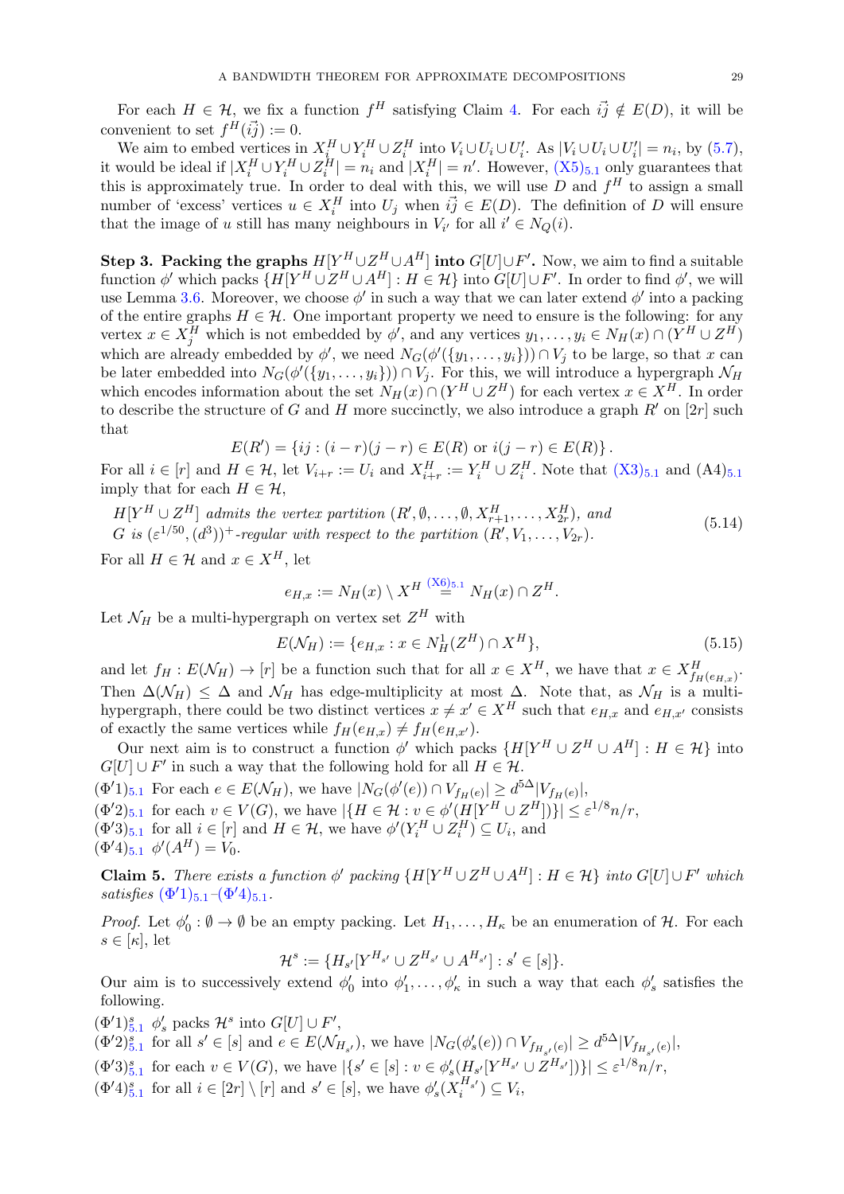For each  $H \in \mathcal{H}$ , we fix a function  $f^H$  satisfying Claim [4.](#page-28-3) For each  $\vec{ij} \notin E(D)$ , it will be convenient to set  $f^H(i\vec{j}) := 0$ .

We aim to embed vertices in  $X_i^H \cup Y_i^H \cup Z_i^H$  into  $V_i \cup U_i \cup U'_i$ . As  $|V_i \cup U_i \cup U'_i| = n_i$ , by [\(5.7\)](#page-26-2), it would be ideal if  $|X_i^H \cup Y_i^H \cup Z_i^H| = n_i$  and  $|X_i^H| = n'$ . However,  $(X_5)_{5,1}$  $(X_5)_{5,1}$  $(X_5)_{5,1}$  only guarantees that this is approximately true. In order to deal with this, we will use D and  $f^H$  to assign a small number of 'excess' vertices  $u \in X_i^H$  into  $U_j$  when  $\vec{ij} \in E(D)$ . The definition of D will ensure that the image of u still has many neighbours in  $V_{i'}$  for all  $i' \in N_Q(i)$ .

Step 3. Packing the graphs  $H[Y^H \cup Z^H \cup A^H]$  into  $G[U] \cup F'$ . Now, we aim to find a suitable function  $\phi'$  which packs  $\{H[Y^H \cup Z^H \cup A^H] : H \in \mathcal{H}\}\$ into  $G[U] \cup F'$ . In order to find  $\phi'$ , we will use Lemma [3.6.](#page-9-0) Moreover, we choose  $\phi'$  in such a way that we can later extend  $\phi'$  into a packing of the entire graphs  $H \in \mathcal{H}$ . One important property we need to ensure is the following: for any vertex  $x \in X_j^H$  which is not embedded by  $\phi'$ , and any vertices  $y_1, \ldots, y_i \in N_H(x) \cap (Y^H \cup Z^H)$ which are already embedded by  $\phi'$ , we need  $N_G(\phi'(\{y_1,\ldots,y_i\})) \cap V_j$  to be large, so that x can be later embedded into  $N_G(\phi'(\{y_1,\ldots,y_i\})) \cap V_j$ . For this, we will introduce a hypergraph  $\mathcal{N}_H$ which encodes information about the set  $N_H(x) \cap (Y^H \cup Z^H)$  for each vertex  $x \in X^H$ . In order to describe the structure of G and H more succinctly, we also introduce a graph  $R'$  on [2r] such that

$$
E(R') = \{ ij : (i - r)(j - r) \in E(R) \text{ or } i(j - r) \in E(R) \}.
$$

For all  $i \in [r]$  and  $H \in \mathcal{H}$ , let  $V_{i+r} := U_i$  and  $X_{i+r}^H := Y_i^H \cup Z_i^H$ . Note that  $(X3)_{5,1}$  $(X3)_{5,1}$  $(X3)_{5,1}$  $(X3)_{5,1}$  and  $(A4)_{5,1}$ imply that for each  $H \in \mathcal{H}$ ,

<span id="page-29-5"></span> $H[Y^H \cup Z^H]$  admits the vertex partition  $(R', \emptyset, \ldots, \emptyset, X^H_{r+1}, \ldots, X^H_{2r}),$  and G is  $(\varepsilon^{1/50}, (d^3))^+$ -regular with respect to the partition  $(R', V_1, \ldots, V_{2r})$ . (5.14)

For all  $H \in \mathcal{H}$  and  $x \in X^H$ , let

$$
e_{H,x} := N_H(x) \setminus X^H \stackrel{(\text{X6})_{5,1}}{=} N_H(x) \cap Z^H.
$$

Let  $\mathcal{N}_H$  be a multi-hypergraph on vertex set  $Z^H$  with

<span id="page-29-8"></span>
$$
E(\mathcal{N}_H) := \{ e_{H,x} : x \in N_H^1(Z^H) \cap X^H \},\tag{5.15}
$$

and let  $f_H: E(\mathcal{N}_H) \to [r]$  be a function such that for all  $x \in X^H$ , we have that  $x \in X^H_{f_H(e_{H,x})}$ . Then  $\Delta(\mathcal{N}_H) \leq \Delta$  and  $\mathcal{N}_H$  has edge-multiplicity at most  $\Delta$ . Note that, as  $\mathcal{N}_H$  is a multihypergraph, there could be two distinct vertices  $x \neq x' \in X^H$  such that  $e_{H,x}$  and  $e_{H,x'}$  consists of exactly the same vertices while  $f_H(e_{H,x}) \neq f_H(e_{H,x'})$ .

Our next aim is to construct a function  $\phi'$  which packs  $\{H[Y^H \cup Z^H \cup A^H] : H \in \mathcal{H}\}\$ into  $G[U] \cup F'$  in such a way that the following hold for all  $H \in \mathcal{H}$ .

<span id="page-29-7"></span><span id="page-29-6"></span><span id="page-29-0"></span> $(\Phi'1)_{5.1}$  $(\Phi'1)_{5.1}$  $(\Phi'1)_{5.1}$  For each  $e \in E(\mathcal{N}_H)$ , we have  $|N_G(\phi'(e)) \cap V_{f_H(e)}| \geq d^{5\Delta} |V_{f_H(e)}|$ ,  $(\Phi'2)_{5.1}$  $(\Phi'2)_{5.1}$  $(\Phi'2)_{5.1}$  for each  $v \in V(G)$ , we have  $|\{H \in \mathcal{H} : v \in \phi'(H[Y^H \cup Z^H])\}| \leq \varepsilon^{1/8} n/r$ ,  $(\Phi'3)_{5.1}$  $(\Phi'3)_{5.1}$  $(\Phi'3)_{5.1}$  for all  $i \in [r]$  and  $H \in \mathcal{H}$ , we have  $\phi'(Y_i^H \cup Z_i^H) \subseteq U_i$ , and  $(\Phi'4)_{5.1}$  $(\Phi'4)_{5.1}$  $(\Phi'4)_{5.1}$   $\phi'(A^H) = V_0.$ 

<span id="page-29-1"></span>**Claim 5.** There exists a function  $\phi'$  packing  $\{H[Y^H \cup Z^H \cup A^H] : H \in \mathcal{H}\}\$ into  $G[U] \cup F'$  which satisfies  $(\Phi'1)_{5,1}-(\Phi'4)_{5,1}$  $(\Phi'1)_{5,1}-(\Phi'4)_{5,1}$  $(\Phi'1)_{5,1}-(\Phi'4)_{5,1}$ .

*Proof.* Let  $\phi_0': \emptyset \to \emptyset$  be an empty packing. Let  $H_1, \ldots, H_\kappa$  be an enumeration of  $\mathcal{H}$ . For each  $s \in [\kappa]$ , let

$$
\mathcal{H}^s := \{H_{s'}[Y^{H_{s'}} \cup Z^{H_{s'}} \cup A^{H_{s'}}] : s' \in [s]\}.
$$

Our aim is to successively extend  $\phi'_0$  into  $\phi'_1,\ldots,\phi'_\kappa$  in such a way that each  $\phi'_s$  satisfies the following.

<span id="page-29-4"></span><span id="page-29-3"></span><span id="page-29-2"></span> $(\Phi' 1)_{5.1}^s$  $(\Phi' 1)_{5.1}^s$  $(\Phi' 1)_{5.1}^s$   $\phi'_s$  packs  $\mathcal{H}^s$  into  $G[U] \cup F'$ ,  $(\Phi'_{s})_{\delta,1}^s$  for all  $s' \in [s]$  and  $e \in E(\mathcal{N}_{H_{s'}})$ , we have  $|N_G(\phi'_{s}(e)) \cap V_{f_{H_{s'}}(e)}| \geq d^{5\Delta}|V_{f_{H_{s'}}(e)}|$  $|N_G(\phi'_{s}(e)) \cap V_{f_{H_{s'}}(e)}| \geq d^{5\Delta}|V_{f_{H_{s'}}(e)}|$  $|N_G(\phi'_{s}(e)) \cap V_{f_{H_{s'}}(e)}| \geq d^{5\Delta}|V_{f_{H_{s'}}(e)}|$ ,  $(\Phi'3)_{5.1}^s$  $(\Phi'3)_{5.1}^s$  $(\Phi'3)_{5.1}^s$  for each  $v \in V(G)$ , we have  $|\{s' \in [s] : v \in \phi'_s(H_{s'}[Y^{H_{s'}} \cup Z^{H_{s'}}])\}| \leq \varepsilon^{1/8} n/r$ ,  $(\Phi'4)_{5.1}^s$  $(\Phi'4)_{5.1}^s$  $(\Phi'4)_{5.1}^s$  for all  $i \in [2r] \setminus [r]$  and  $s' \in [s]$ , we have  $\phi'_s(X_i^{H_{s'}}) \subseteq V_i$ ,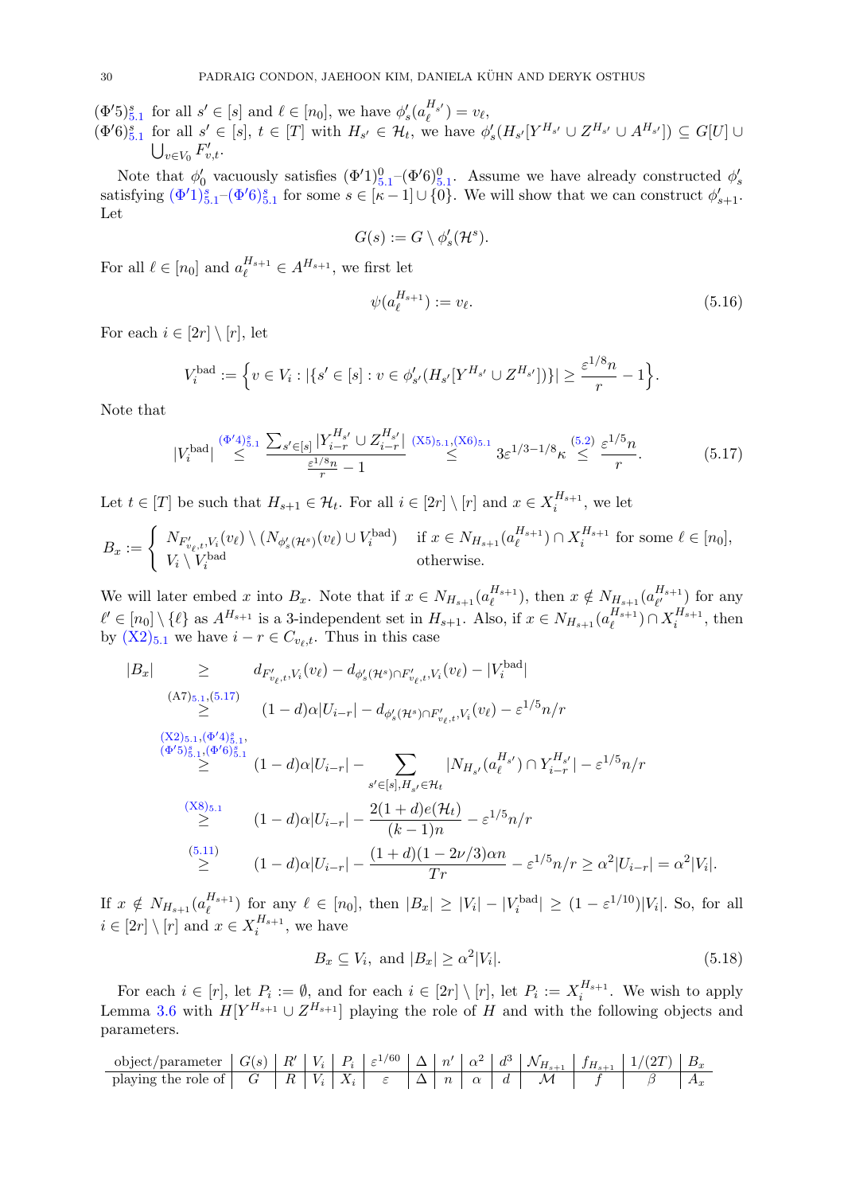<span id="page-30-2"></span><span id="page-30-0"></span> $(\Phi'5)_{5.1}^s$  $(\Phi'5)_{5.1}^s$  $(\Phi'5)_{5.1}^s$  for all  $s' \in [s]$  and  $\ell \in [n_0]$ , we have  $\phi'_s(a_{\ell}^{H_{s'}}) = v_{\ell}$ ,  $(\Phi'6)_{5.1}^s$  $(\Phi'6)_{5.1}^s$  $(\Phi'6)_{5.1}^s$  for all  $s' \in [s], t \in [T]$  with  $H_{s'} \in \mathcal{H}_t$ , we have  $\phi'_s(H_{s'}[Y^{H_{s'}} \cup Z^{H_{s'}} \cup A^{H_{s'}}]) \subseteq G[U] \cup$  $\bigcup_{v\in V_0} F'_{v,t}.$ 

Note that  $\phi'_0$  vacuously satisfies  $(\Phi'1)_{5,1}^0$  $(\Phi'1)_{5,1}^0$  $(\Phi'1)_{5,1}^0$  – $(\Phi'6)_{5,1}^0$ . Assume we have already constructed  $\phi'_s$ satisfying  $(\Phi'1)_{5,1}^s - (\Phi'6)_{5,1}^s$  $(\Phi'1)_{5,1}^s - (\Phi'6)_{5,1}^s$  $(\Phi'1)_{5,1}^s - (\Phi'6)_{5,1}^s$  for some  $s \in [\kappa-1] \cup \{0\}$ . We will show that we can construct  $\phi'_{s+1}$ . Let

$$
G(s) := G \setminus \phi'_s(\mathcal{H}^s).
$$

For all  $\ell \in [n_0]$  and  $a_{\ell}^{H_{s+1}} \in A^{H_{s+1}}$ , we first let

<span id="page-30-4"></span>
$$
\psi(a_{\ell}^{H_{s+1}}) := v_{\ell}.\tag{5.16}
$$

For each  $i \in [2r] \setminus [r]$ , let

$$
V_i^{\text{bad}} := \Big\{ v \in V_i : |\{s' \in [s] : v \in \phi'_{s'}(H_{s'}[Y^{H_{s'}} \cup Z^{H_{s'}}])\}| \geq \frac{\varepsilon^{1/8}n}{r} - 1 \Big\}.
$$

Note that

<span id="page-30-1"></span>
$$
|V_i^{\text{bad}}| \stackrel{(\Phi'4)^s_{5,1}}{\leq} \frac{\sum_{s' \in [s]} |Y_{i-r}^{H_{s'}} \cup Z_{i-r}^{H_{s'}}|}{\frac{\varepsilon^{1/s} n}{r} - 1} \stackrel{\text{(X5)}_{5,1},\text{(X6)}_{5,1}}{\leq} 3\varepsilon^{1/3 - 1/8} \kappa \stackrel{\text{(5.2)}}{\leq} \frac{\varepsilon^{1/5} n}{r}.
$$

Let  $t \in [T]$  be such that  $H_{s+1} \in \mathcal{H}_t$ . For all  $i \in [2r] \setminus [r]$  and  $x \in X_i^{H_{s+1}}$  $i^{H_{s+1}}$ , we let

$$
B_x := \begin{cases} N_{F'_{v_\ell,t}, V_i}(v_\ell) \setminus (N_{\phi'_s(\mathcal{H}^s)}(v_\ell) \cup V_i^{\text{bad}}) & \text{if } x \in N_{H_{s+1}}(a_\ell^{H_{s+1}}) \cap X_i^{H_{s+1}} \text{ for some } \ell \in [n_0],\\ V_i \setminus V_i^{\text{bad}} & \text{otherwise.} \end{cases}
$$

We will later embed x into  $B_x$ . Note that if  $x \in N_{H_{s+1}}(a_{\ell}^{H_{s+1}})$  $_{\ell}^{H_{s+1}}$ ), then  $x \notin N_{H_{s+1}}(a_{\ell'}^{H_{s+1}})$  $\binom{n_{s+1}}{l'}$  for any  $\ell' \in [n_0] \setminus {\ell}$  as  $A^{H_{s+1}}$  is a 3-independent set in  $H_{s+1}$ . Also, if  $x \in N_{H_{s+1}} (a_{\ell}^{H_{s+1}})$  $\binom{H_{s+1}}{\ell} \cap X_i^{H_{s+1}}$  $i^{H_{s+1}}$ , then by  $(X2)_{5.1}$  $(X2)_{5.1}$  $(X2)_{5.1}$  $(X2)_{5.1}$  we have  $i - r \in C_{v_{\ell},t}$ . Thus in this case

$$
|B_{x}| \geq d_{F'_{v_{\ell}}, V_{i}}(v_{\ell}) - d_{\phi'_{s}(\mathcal{H}^{s}) \cap F'_{v_{\ell}}, V_{i}}(v_{\ell}) - |V_{i}^{\text{bad}}|
$$
\n
$$
\leq (A7)_{5.1, (5.17)} \leq (1-d) \alpha |U_{i-r}| - d_{\phi'_{s}(\mathcal{H}^{s}) \cap F'_{v_{\ell}, t}, V_{i}}(v_{\ell}) - \varepsilon^{1/5} n/r
$$
\n
$$
\leq (X2)_{5.1, (\Phi^{'}4)_{5.1}^{s}},
$$
\n
$$
\leq (Y^{\text{total}})_{5.1, (\Phi^{'}4)_{5.1}^{s}},
$$
\n
$$
\leq (1-d) \alpha |U_{i-r}| - \sum_{s' \in [s], H_{s'} \in \mathcal{H}_{t}} |N_{H_{s'}}(a_{\ell}^{H_{s'}}) \cap Y_{i-r}^{H_{s'}}| - \varepsilon^{1/5} n/r
$$
\n
$$
\leq (1-d) \alpha |U_{i-r}| - \frac{2(1+d)e(\mathcal{H}_{t})}{(k-1)n} - \varepsilon^{1/5} n/r
$$
\n
$$
\leq (1-d) \alpha |U_{i-r}| - \frac{(1+d)(1-2\nu/3)\alpha n}{Tr} - \varepsilon^{1/5} n/r \geq \alpha^{2} |U_{i-r}| = \alpha^{2} |V_{i}|.
$$

If  $x \notin N_{H_{s+1}}(a_{\ell}^{H_{s+1}})$  $\binom{H_{s+1}}{\ell}$  for any  $\ell \in [n_0]$ , then  $|B_x| \geq |V_i| - |V_i^{\text{bad}}| \geq (1 - \varepsilon^{1/10})|V_i|$ . So, for all  $i \in [2r] \setminus [r]$  and  $x \in X_i^{H_{s+1}}$  $i^{n_{s+1}},$  we have

<span id="page-30-3"></span>
$$
B_x \subseteq V_i, \text{ and } |B_x| \ge \alpha^2 |V_i|. \tag{5.18}
$$

For each  $i \in [r]$ , let  $P_i := \emptyset$ , and for each  $i \in [2r] \setminus [r]$ , let  $P_i := X_i^{H_{s+1}}$  $i^{n_{s+1}}$ . We wish to apply Lemma [3.6](#page-9-0) with  $H[Y^{H_{s+1}} \cup Z^{H_{s+1}}]$  playing the role of H and with the following objects and parameters.

| object/parameter $  G(s)   R'   V_i   P_i   \varepsilon^{1/60}   \Delta   n'   \alpha^2   d^3   \mathcal{N}_{H_{s+1}}   f_{H_{s+1}}   1/(2T)   B_x$ |  |  |  |  |  |  |  |
|-----------------------------------------------------------------------------------------------------------------------------------------------------|--|--|--|--|--|--|--|
| playing the role of $ G   R   V_i  X_i   \varepsilon  \Delta  n  \alpha   d  M   f  \beta   A_x$                                                    |  |  |  |  |  |  |  |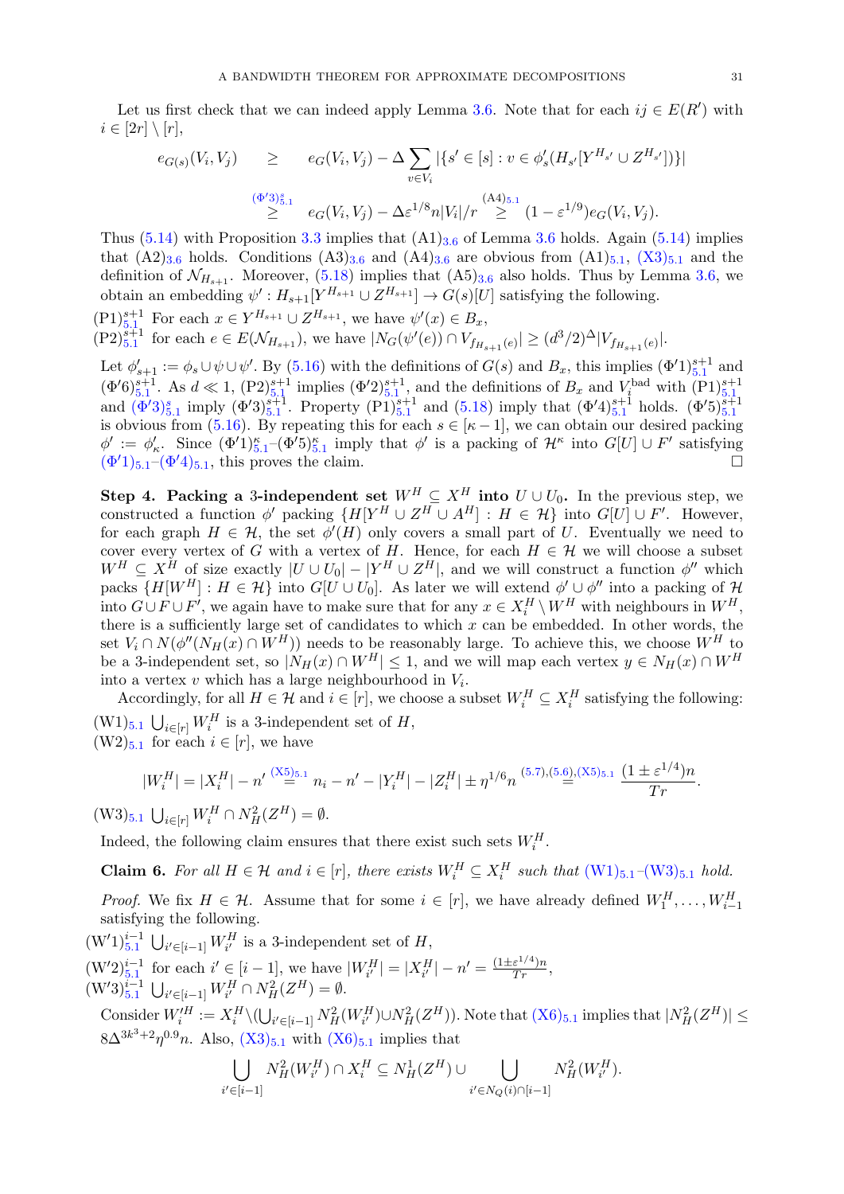Let us first check that we can indeed apply Lemma [3.6.](#page-9-0) Note that for each  $ij \in E(R')$  with  $i \in [2r] \setminus [r],$ 

$$
e_{G(s)}(V_i, V_j) \ge e_G(V_i, V_j) - \Delta \sum_{v \in V_i} |\{s' \in [s] : v \in \phi'_s(H_{s'}[Y^{H_{s'}} \cup Z^{H_{s'}}])\}|
$$
  

$$
\ge \sum_{i=1}^{(\Phi'3)_{5,1}^s} e_G(V_i, V_j) - \Delta \varepsilon^{1/8} n|V_i|/r \ge \sum_{i=1}^{(\Lambda4)_{5,1}} (1 - \varepsilon^{1/9}) e_G(V_i, V_j).
$$

Thus  $(5.14)$  with Proposition [3.3](#page-8-4) implies that  $(A1)_{3.6}$  $(A1)_{3.6}$  $(A1)_{3.6}$  of Lemma [3.6](#page-9-0) holds. Again  $(5.14)$  implies that  $(A2)_{3.6}$  $(A2)_{3.6}$  $(A2)_{3.6}$  holds. Conditions  $(A3)_{3.6}$  and  $(A4)_{3.6}$  are obvious from  $(A1)_{5.1}$  $(A1)_{5.1}$  $(A1)_{5.1}$ ,  $(X3)_{5.1}$  $(X3)_{5.1}$  and the definition of  $\mathcal{N}_{H_{s+1}}$ . Moreover, [\(5.18\)](#page-30-3) implies that  $(A5)_{3.6}$  $(A5)_{3.6}$  $(A5)_{3.6}$  also holds. Thus by Lemma [3.6,](#page-9-0) we obtain an embedding  $\psi': H_{s+1}[Y^{H_{s+1}} \cup Z^{H_{s+1}}] \to G(s)[U]$  satisfying the following.

$$
(P1)_{5,1}^{s+1}
$$
 For each  $x \in Y^{H_{s+1}} \cup Z^{H_{s+1}}$ , we have  $\psi'(x) \in B_x$ ,

 $(P2)_{5,1}^{s+1}$  $(P2)_{5,1}^{s+1}$  $(P2)_{5,1}^{s+1}$  for each  $e \in E(\mathcal{N}_{H_{s+1}})$ , we have  $|N_G(\psi'(e)) \cap V_{f_{H_{s+1}}(e)}| \geq (d^3/2)^{\Delta} |V_{f_{H_{s+1}}(e)}|$ .

Let  $\phi'_{s+1} := \phi_s \cup \psi \cup \psi'$ . By [\(5.16\)](#page-30-4) with the definitions of  $G(s)$  and  $B_x$ , this implies  $(\Phi'1)_{5,1}^{s+1}$  $(\Phi'1)_{5,1}^{s+1}$  $(\Phi'1)_{5,1}^{s+1}$  and  $(\Phi'6)^{s+1}_{5,1}$  $(\Phi'6)^{s+1}_{5,1}$  $(\Phi'6)^{s+1}_{5,1}$ . As  $d \ll 1$ ,  $(\text{P2})^{s+1}_{5,1}$  implies  $(\Phi'2)^{s+1}_{5,1}$ , and the definitions of  $B_x$  and  $V_i^{\text{bad}}$  with  $(\text{P1})^{s+1}_{5,1}$  and  $(\Phi'3)^{s}_{5,1}$  imply  $(\Phi'3)^{s+1}_{5,1}$ . Property  $(\text{P1})^{s+1}_{5,1}$  and  $(5.18)$ is obvious from [\(5.16\)](#page-30-4). By repeating this for each  $s \in [\kappa - 1]$ , we can obtain our desired packing  $\phi' := \phi'_\kappa$ . Since  $(\Phi'1)_{5,1}^{\kappa} - (\Phi'5)_{5,1}^{\kappa}$  $(\Phi'1)_{5,1}^{\kappa} - (\Phi'5)_{5,1}^{\kappa}$  $(\Phi'1)_{5,1}^{\kappa} - (\Phi'5)_{5,1}^{\kappa}$  imply that  $\phi'$  is a packing of  $\mathcal{H}^{\kappa}$  into  $G[U] \cup F'$  satisfying  $(\Phi'1)_{5,1}$  $(\Phi'1)_{5,1}$  $(\Phi'1)_{5,1}$ – $(\Phi'4)_{5,1}$ , this proves the claim.

Step 4. Packing a 3-independent set  $W^H \subseteq X^H$  into  $U \cup U_0$ . In the previous step, we constructed a function  $\phi'$  packing  $\{H[Y^H \cup Z^H \cup A^H] : H \in \mathcal{H}\}\$ into  $G[U] \cup F'$ . However, for each graph  $H \in \mathcal{H}$ , the set  $\phi'(H)$  only covers a small part of U. Eventually we need to cover every vertex of G with a vertex of H. Hence, for each  $H \in \mathcal{H}$  we will choose a subset  $W^H \subseteq X^H$  of size exactly  $|U \cup U_0| - |Y^H \cup Z^H|$ , and we will construct a function  $\phi''$  which packs  $\{H[W^H] : H \in \mathcal{H}\}\$  into  $G[U \cup U_0]$ . As later we will extend  $\phi' \cup \phi''$  into a packing of  $\mathcal{H}$ into  $G \cup F \cup F'$ , we again have to make sure that for any  $x \in X_i^H \setminus W^H$  with neighbours in  $W^H$ , there is a sufficiently large set of candidates to which  $x$  can be embedded. In other words, the set  $V_i \cap N(\phi''(N_H(x) \cap W^H))$  needs to be reasonably large. To achieve this, we choose  $W^H$  to be a 3-independent set, so  $|N_H(x) \cap W^H| \leq 1$ , and we will map each vertex  $y \in N_H(x) \cap W^H$ into a vertex  $v$  which has a large neighbourhood in  $V_i$ .

<span id="page-31-2"></span><span id="page-31-0"></span>Accordingly, for all  $H \in \mathcal{H}$  and  $i \in [r]$ , we choose a subset  $W_i^H \subseteq X_i^H$  satisfying the following:  $(W1)_{5.1}$  $(W1)_{5.1}$  $(W1)_{5.1}$   $\bigcup_{i \in [r]} W_i^H$  is a 3-independent set of H,  $(W2)_{5.1}$  $(W2)_{5.1}$  $(W2)_{5.1}$  for each  $i \in [r]$ , we have

$$
|W_i^H| = |X_i^H| - n' \stackrel{(\text{X5})_{5,1}}{=} n_i - n' - |Y_i^H| - |Z_i^H| \pm n^{1/6} n^{(5.7),(5.6),(\text{X5})_{5,1}} \frac{(1 \pm \varepsilon^{1/4})n}{Tr}.
$$

<span id="page-31-1"></span> $(W3)_{5.1}$  $(W3)_{5.1}$  $(W3)_{5.1}$   $\bigcup_{i \in [r]} W_i^H \cap N_H^2(Z^H) = \emptyset.$ 

Indeed, the following claim ensures that there exist such sets  $W_i^H$ .

**Claim 6.** For all  $H \in \mathcal{H}$  and  $i \in [r]$ , there exists  $W_i^H \subseteq X_i^H$  such that  $(W_1)_{5,1}-(W_3)_{5,1}$  $(W_1)_{5,1}-(W_3)_{5,1}$  $(W_1)_{5,1}-(W_3)_{5,1}$  hold.

*Proof.* We fix  $H \in \mathcal{H}$ . Assume that for some  $i \in [r]$ , we have already defined  $W_1^H, \ldots, W_{i-1}^H$ satisfying the following.

 $(W'1)^{i-1}_{5.1} \bigcup_{i' \in [i-1]} W^H_{i'}$  $(W'1)^{i-1}_{5.1} \bigcup_{i' \in [i-1]} W^H_{i'}$  $(W'1)^{i-1}_{5.1} \bigcup_{i' \in [i-1]} W^H_{i'}$  is a 3-independent set of  $H$ ,

 $(W'2)^{i-1}_{5,1}$  $(W'2)^{i-1}_{5,1}$  $(W'2)^{i-1}_{5,1}$  for each  $i' \in [i-1]$ , we have  $|W^H_{i'}| = |X^H_{i'}| - n' = \frac{(1 \pm \varepsilon^{1/4})n}{Tr}$ ,  $(W'3)_{5.1}^{i-1}$  $(W'3)_{5.1}^{i-1}$  $(W'3)_{5.1}^{i-1}$   $\bigcup_{i' \in [i-1]} W_{i'}^H \cap N_H^2(Z^H) = \emptyset.$ 

Consider  $W_i^{\prime H} := X_i^H \setminus (\bigcup_{i' \in [i-1]} N_H^2(W_{i'}^H) \cup N_H^2(Z^H))$ . Note that  $(X6)_{5.1}$  $(X6)_{5.1}$  $(X6)_{5.1}$  $(X6)_{5.1}$  implies that  $|N_H^2(Z^H)| \le$  $8\Delta^{3k^3+2}\eta^{0.9}n$ . Also,  $(X3)_{5.1}$  $(X3)_{5.1}$  $(X3)_{5.1}$  $(X3)_{5.1}$  with  $(X6)_{5.1}$  $(X6)_{5.1}$  implies that

$$
\bigcup_{i' \in [i-1]} N_H^2(W_{i'}^H) \cap X_i^H \subseteq N_H^1(Z^H) \cup \bigcup_{i' \in N_Q(i) \cap [i-1]} N_H^2(W_{i'}^H).
$$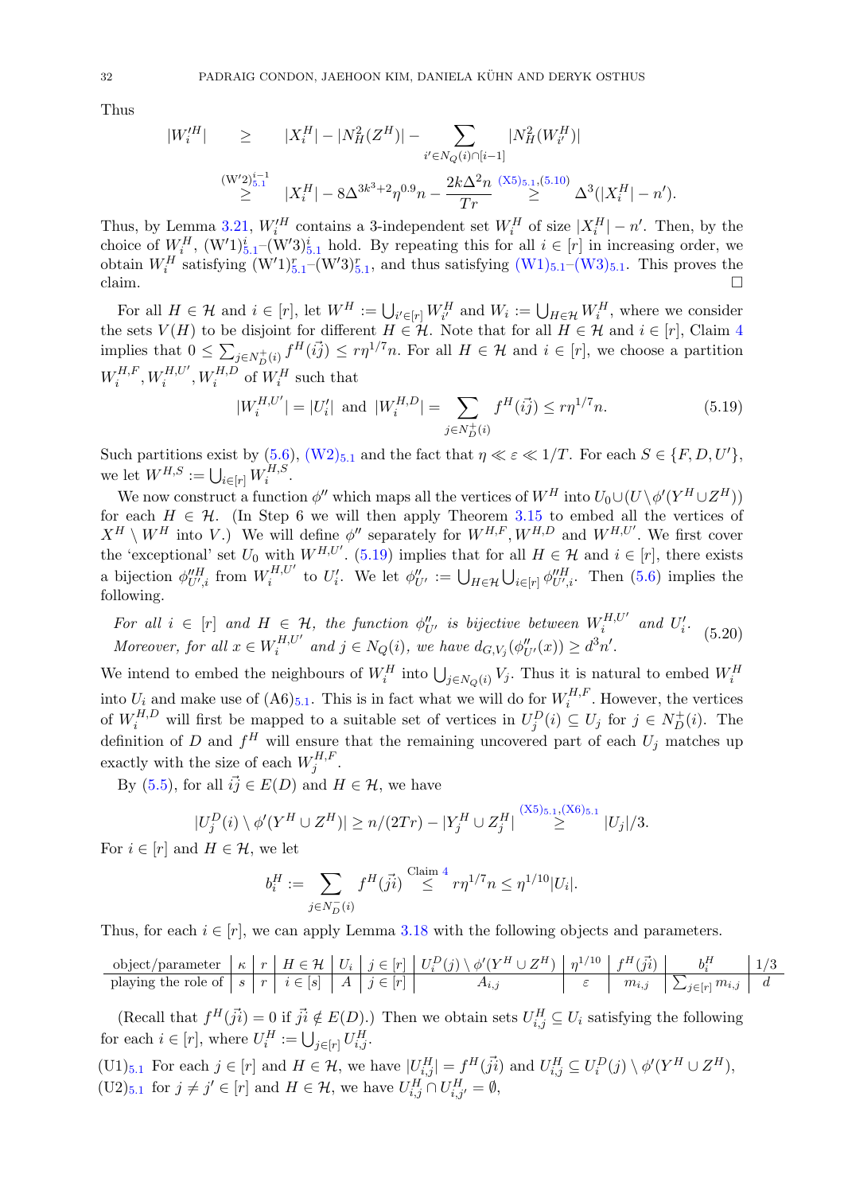Thus

$$
|W_i'^H| \ge |X_i^H| - |N_H^2(Z^H)| - \sum_{i' \in N_Q(i) \cap [i-1]} |N_H^2(W_{i'}^H)|
$$
  

$$
\ge |W_2^{i-1}|
$$
  

$$
\ge |X_i^H| - 8\Delta^{3k^3 + 2}\eta^{0.9}n - \frac{2k\Delta^2 n}{Tr} \stackrel{(X5)_{5,1}(5,10)}{\ge} \Delta^3(|X_i^H| - n').
$$

Thus, by Lemma [3.21,](#page-16-4)  $W_i^H$  contains a 3-independent set  $W_i^H$  of size  $|X_i^H| - n'$ . Then, by the choice of  $W_i^H$ ,  $(W'1)_{5,1}^i$  $(W'1)_{5,1}^i$  $(W'1)_{5,1}^i$  (W'3) $_{5,1}^i$  hold. By repeating this for all  $i \in [r]$  in increasing order, we obtain  $W_i^H$  satisfying  $(W'1)_{5,1}^r$  $(W'1)_{5,1}^r$  $(W'1)_{5,1}^r$  –  $(W'3)_{5,1}^r$ , and thus satisfying  $(W1)_{5,1}$  $(W1)_{5,1}$ – $(W3)_{5,1}$ . This proves the claim.

For all  $H \in \mathcal{H}$  and  $i \in [r]$ , let  $W^H := \bigcup_{i' \in [r]} W_{i'}^H$  and  $W_i := \bigcup_{H \in \mathcal{H}} W_i^H$ , where we consider the sets  $V(H)$  to be disjoint for different  $H \in \mathcal{H}$ . Note that for all  $H \in \mathcal{H}$  and  $i \in [r]$ , Claim [4](#page-28-3) implies that  $0 \le \sum_{j \in N_{D}^{+}(i)} f^{H}(i\vec{j}) \le r\eta^{1/7}n$ . For all  $H \in \mathcal{H}$  and  $i \in [r]$ , we choose a partition  $W_i^{H,F}$  $\overline{W_i^{H,F}}, W_i^{H,U'}, W_i^{H,D}$  of  $\overline{W_i^H}$  such that

<span id="page-32-0"></span>
$$
|W_i^{H,U'}| = |U'_i| \text{ and } |W_i^{H,D}| = \sum_{j \in N_D^+(i)} f^H(ij) \le r\eta^{1/7}n. \tag{5.19}
$$

Such partitions exist by  $(5.6)$ ,  $(W2)_{5.1}$  $(W2)_{5.1}$  $(W2)_{5.1}$  $(W2)_{5.1}$  and the fact that  $\eta \ll \varepsilon \ll 1/T$ . For each  $S \in \{F, D, U'\}$ , we let  $W^{H,S} := \bigcup_{i \in [r]} W_i^{H,S}$  $i^{H,5}$ .

We now construct a function  $\phi''$  which maps all the vertices of  $W^H$  into  $U_0 \cup (U \setminus \phi'(Y^H \cup Z^H))$ for each  $H \in \mathcal{H}$ . (In Step 6 we will then apply Theorem [3.15](#page-13-0) to embed all the vertices of  $X^H \setminus W^H$  into V.) We will define  $\phi''$  separately for  $W^{H,F}$ ,  $W^{H,D}$  and  $W^{H,U'}$ . We first cover the 'exceptional' set  $U_0$  with  $W^{H,U'}$ . [\(5.19\)](#page-32-0) implies that for all  $H \in \mathcal{H}$  and  $i \in [r]$ , there exists a bijection  $\phi_{U',i}^{\prime\prime H}$  from  $W_i^{H,U'}$  $\mathcal{U}_i^{H,U'}$  to  $U_i'$ . We let  $\phi_{U'}'' := \bigcup_{H \in \mathcal{H}} \bigcup_{i \in [r]} \phi_{U',i}''^H$ . Then [\(5.6\)](#page-26-4) implies the following.

<span id="page-32-3"></span>For all  $i \in [r]$  and  $H \in \mathcal{H}$ , the function  $\phi''_{U'}$  is bijective between  $W_i^{H,U'}$  $U_i^{H,U'}$  and  $U_i'$ . Moreover, for all  $x \in W_i^{H,U'}$  $i_t^{H,U'}$  and  $j \in N_Q(i)$ , we have  $d_{G,V_j}(\phi''_{U'}(x)) \geq d^3n'.$  $(5.20)$ 

We intend to embed the neighbours of  $W_i^H$  into  $\bigcup_{j\in N_Q(i)} V_j$ . Thus it is natural to embed  $W_i^H$ into  $U_i$  and make use of  $(A6)_{5,1}$  $(A6)_{5,1}$  $(A6)_{5,1}$ . This is in fact what we will do for  $W_i^{H,F}$  $i^{H,F}$ . However, the vertices of  $W_i^{H,D}$  will first be mapped to a suitable set of vertices in  $U_j^D(i) \subseteq U_j$  for  $j \in N_D^+(i)$ . The definition of D and  $f^H$  will ensure that the remaining uncovered part of each  $U_j$  matches up exactly with the size of each  $W_i^{H,F}$  $_j^{H,F}$  .

By [\(5.5\)](#page-26-5), for all  $\vec{ij} \in E(D)$  and  $H \in \mathcal{H}$ , we have

$$
|U_j^D(i) \setminus \phi'(Y^H \cup Z^H)| \ge n/(2Tr) - |Y_j^H \cup Z_j^H| \stackrel{(X5)_{5,1}, (X6)_{5,1}}{\ge} |U_j|/3.
$$

For  $i \in [r]$  and  $H \in \mathcal{H}$ , we let

$$
b_i^H := \sum_{j \in N_D^-(i)} f^H(j_i^i) \stackrel{\text{Claim } 4}{\leq} r \eta^{1/7} n \leq \eta^{1/10} |U_i|.
$$

Thus, for each  $i \in [r]$ , we can apply Lemma [3.18](#page-14-2) with the following objects and parameters.

$$
\text{object/parameter } \mid \kappa \mid r \mid H \in \mathcal{H} \mid U_i \mid j \in [r] \mid U_i^D(j) \setminus \phi'(Y^H \cup Z^H) \mid \eta^{1/10} \mid f^H(j_i) \mid b_i^H \mid 1/3
$$
\n
$$
\text{playing the role of } s \mid r \mid i \in [s] \mid A \mid j \in [r] \mid A_{i,j} \mid A_{i,j} \mid \varepsilon \mid m_{i,j} \mid \sum_{j \in [r]} m_{i,j} \mid d
$$

(Recall that  $f^H(\vec{ji}) = 0$  if  $\vec{ji} \notin E(D)$ .) Then we obtain sets  $U_{i,j}^H \subseteq U_i$  satisfying the following for each  $i \in [r]$ , where  $U_i^H := \bigcup_{j \in [r]} U_{i,j}^H$ .

<span id="page-32-2"></span><span id="page-32-1"></span> $(U1)_{5,1}$  $(U1)_{5,1}$  $(U1)_{5,1}$  For each  $j \in [r]$  and  $H \in \mathcal{H}$ , we have  $|U_{i,j}^H| = f^H(ji)$  and  $U_{i,j}^H \subseteq U_i^D(j) \setminus \phi'(Y^H \cup Z^H)$ ,  $(U2)_{5,1}$  $(U2)_{5,1}$  $(U2)_{5,1}$  for  $j \neq j' \in [r]$  and  $H \in \mathcal{H}$ , we have  $U_{i,j}^H \cap U_{i,j'}^H = \emptyset$ ,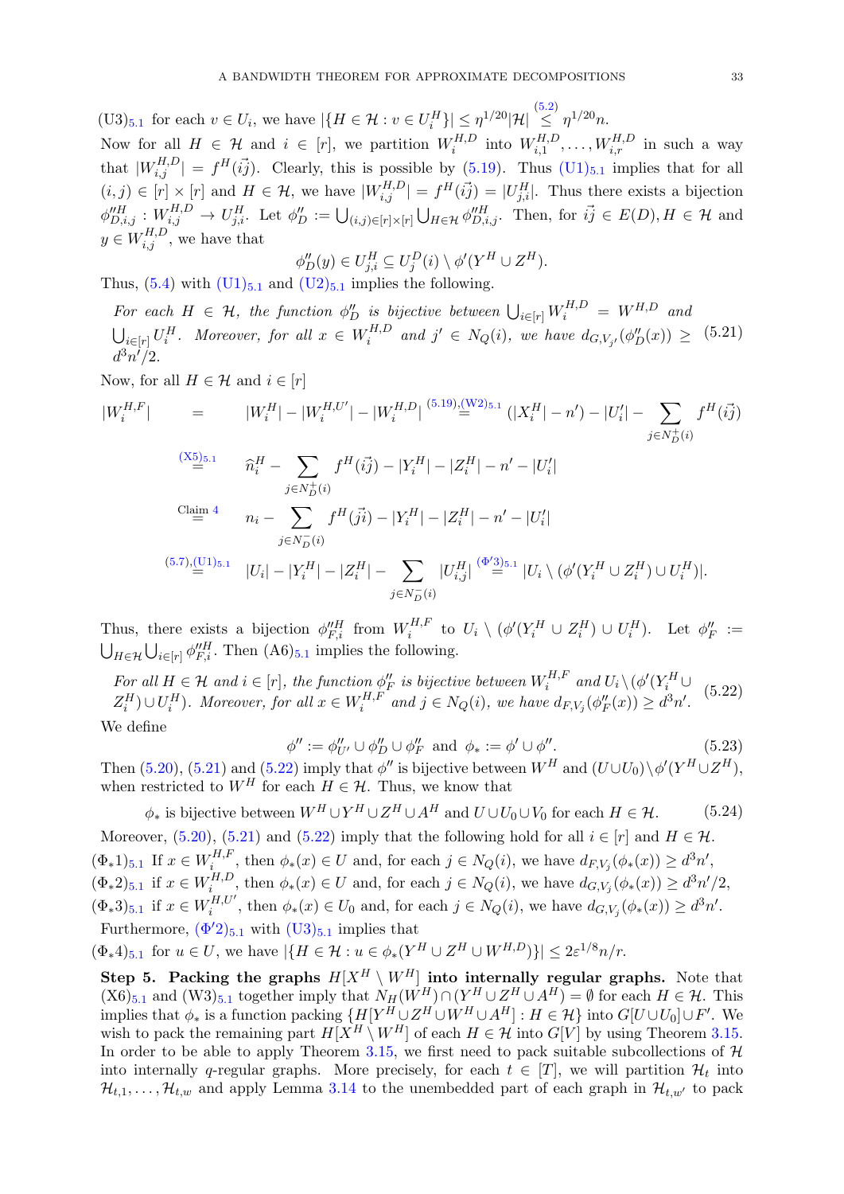<span id="page-33-2"></span>(U3)<sub>[5](#page-25-0).1</sub> for each  $v \in U_i$ , we have  $|\{H \in \mathcal{H} : v \in U_i^H\}| \leq \eta^{1/20} |\mathcal{H}| \stackrel{(5.2)}{\leq} \eta^{1/20} n$  $|\{H \in \mathcal{H} : v \in U_i^H\}| \leq \eta^{1/20} |\mathcal{H}| \stackrel{(5.2)}{\leq} \eta^{1/20} n$  $|\{H \in \mathcal{H} : v \in U_i^H\}| \leq \eta^{1/20} |\mathcal{H}| \stackrel{(5.2)}{\leq} \eta^{1/20} n$ . Now for all  $H \in \mathcal{H}$  and  $i \in [r]$ , we partition  $W_i^{H,D}$  $W^{H,D}_{i}$  into  $W^{H,D}_{i,1}$  $W_{i,1}^{H,D}, \ldots, W_{i,r}^{H,D}$  in such a way that  $|W_{i,j}^{H,D}| = f^H(ij)$ . Clearly, this is possible by [\(5.19\)](#page-32-0). Thus  $(U1)_{5,1}$  $(U1)_{5,1}$  $(U1)_{5,1}$  $(U1)_{5,1}$  implies that for all  $(i, j) \in [r] \times [r]$  and  $H \in \mathcal{H}$ , we have  $|W_{i,j}^{H,D}| = f^H(ij) = |U_{j,i}^H|$ . Thus there exists a bijection  $\phi_{D,i,j}^{\prime\prime H}: W_{i,j}^{H,D} \to U_{j,i}^H$ . Let  $\phi_{D}^{\prime\prime} := \bigcup_{(i,j)\in [r]\times [r]} \bigcup_{H\in\mathcal{H}} \phi_{D,i,j}^{\prime\prime H}$ . Then, for  $\vec{ij} \in E(D), H \in \mathcal{H}$  and  $y \in W_{i,j}^{H,D}$ , we have that

$$
\phi_D''(y) \in U_{j,i}^H \subseteq U_j^D(i) \setminus \phi'(Y^H \cup Z^H).
$$

Thus,  $(5.4)$  with  $(U1)_{5.1}$  $(U1)_{5.1}$  $(U1)_{5.1}$  $(U1)_{5.1}$  and  $(U2)_{5.1}$  $(U2)_{5.1}$  implies the following.

<span id="page-33-0"></span>For each  $H \in \mathcal{H}$ , the function  $\phi''_D$  is bijective between  $\bigcup_{i \in [r]} W_i^{H,D} = W^{H,D}$  and  $\bigcup_{i\in[r]}U_i^H$ . Moreover, for all  $x \in W_i^{H,D}$  $i_t^{H,D}$  and  $j' \in N_Q(i)$ , we have  $d_{G,V_{j'}}(\phi''_D(x)) \geq (5.21)$  $d^3n^i/2$ .

Now, for all  $H \in \mathcal{H}$  and  $i \in [r]$ 

$$
|W_i^{H,F}| = |W_i^H| - |W_i^{H,U'}| - |W_i^{H,D}| \stackrel{(5.19),(W2)_{5.1}}{=} (|X_i^H| - n') - |U_i'| - \sum_{j \in N_D^+(i)} f^H(ij)
$$
  
\n
$$
\stackrel{(X5)_{5.1}}{=} \hat{n}_i^H - \sum_{j \in N_D^+(i)} f^H(ij) - |Y_i^H| - |Z_i^H| - n' - |U_i'|
$$
  
\n
$$
\stackrel{\text{Claim 4}}{=} n_i - \sum_{j \in N_D^-(i)} f^H(ji) - |Y_i^H| - |Z_i^H| - n' - |U_i'|
$$
  
\n
$$
\stackrel{(5.7),\underline{(U1)_{5.1}}}{=} |U_i| - |Y_i^H| - |Z_i^H| - \sum_{j \in N_D^-(i)} |U_{i,j}^H| \stackrel{(\Phi'3)_{5.1}}{=} |U_i \setminus (\phi'(Y_i^H \cup Z_i^H) \cup U_i^H)|.
$$

Thus, there exists a bijection  $\phi_{F,i}^{\prime\prime H}$  from  $W_i^{H,F}$  $\iota^{H,F}$  to  $U_i \setminus (\phi'(Y_i^H \cup Z_i^H) \cup U_i^H)$ . Let  $\phi''_F :=$  $\bigcup_{H \in \mathcal{H}} \bigcup_{i \in [r]} \phi_{F,i}^{\prime\prime H}$ . Then  $(A6)_{5.1}$  $(A6)_{5.1}$  $(A6)_{5.1}$  implies the following.

<span id="page-33-1"></span>For all  $H \in \mathcal{H}$  and  $i \in [r]$ , the function  $\phi''_F$  is bijective between  $W_i^{H,F}$  $V_i^{H,F}$  and  $U_i \setminus (\phi'(Y_i^H \cup$  $(Z_i^H) \cup U_i^H$ ). Moreover, for all  $x \in W_i^{H,F}$  $i_t^{H,F}$  and  $j \in N_Q(i)$ , we have  $d_{F,V_j}(\phi''_F(x)) \geq d^3n'.$ (5.22)

We define

<span id="page-33-7"></span>
$$
\phi'' := \phi''_{U'} \cup \phi''_D \cup \phi''_F \text{ and } \phi_* := \phi' \cup \phi''.
$$
\n
$$
(5.23)
$$

Then [\(5.20\)](#page-32-3), [\(5.21\)](#page-33-0) and [\(5.22\)](#page-33-1) imply that  $\phi''$  is bijective between  $W^H$  and  $(U \cup U_0) \setminus \phi'(Y^H \cup Z^H)$ , when restricted to  $W^H$  for each  $H \in \mathcal{H}$ . Thus, we know that

<span id="page-33-6"></span><span id="page-33-4"></span><span id="page-33-3"></span> $\phi_*$  is bijective between  $W^H \cup Y^H \cup Z^H \cup A^H$  and  $U \cup U_0 \cup V_0$  for each  $H \in \mathcal{H}$ . (5.24) Moreover, [\(5.20\)](#page-32-3), [\(5.21\)](#page-33-0) and [\(5.22\)](#page-33-1) imply that the following hold for all  $i \in [r]$  and  $H \in \mathcal{H}$ .  $(\Phi_* 1)_{5.1}$  $(\Phi_* 1)_{5.1}$  $(\Phi_* 1)_{5.1}$  If  $x \in W_i^{H,F}$  $i_t^{H,F}$ , then  $\phi_*(x) \in U$  and, for each  $j \in N_Q(i)$ , we have  $d_{F,V_j}(\phi_*(x)) \geq d^3n'$ ,  $(\Phi_* 2)_{5.1}$  $(\Phi_* 2)_{5.1}$  $(\Phi_* 2)_{5.1}$  if  $x \in W_i^{H,D}$  $i_t^{H,D}$ , then  $\phi_*(x) \in U$  and, for each  $j \in N_Q(i)$ , we have  $d_{G,V_j}(\phi_*(x)) \geq d^3n'/2$ ,  $(\Phi_* 3)_{5.1}$  $(\Phi_* 3)_{5.1}$  $(\Phi_* 3)_{5.1}$  if  $x \in W_i^{H,U'}$  $i_t^{H,U'}$ , then  $\phi_*(x) \in U_0$  and, for each  $j \in N_Q(i)$ , we have  $d_{G,V_j}(\phi_*(x)) \geq d^3n'.$ Furthermore,  $(\Phi'2)_{5,1}$  $(\Phi'2)_{5,1}$  $(\Phi'2)_{5,1}$  with  $(\text{U3})_{5,1}$  implies that

<span id="page-33-8"></span><span id="page-33-5"></span> $(\Phi_* 4)_{5,1}$  $(\Phi_* 4)_{5,1}$  $(\Phi_* 4)_{5,1}$  for  $u \in U$ , we have  $|\{H \in \mathcal{H} : u \in \phi_*(Y^H \cup Z^H \cup W^{H,D})\}| \leq 2\varepsilon^{1/8} n/r$ .

Step 5. Packing the graphs  $H[X^H \setminus W^H]$  into internally regular graphs. Note that  $(X6)_{5.1}$  $(X6)_{5.1}$  $(X6)_{5.1}$  and  $(W3)_{5.1}$  together imply that  $N_H(W^H) \cap (Y^H \cup Z^H \cup A^H) = \emptyset$  for each  $H \in \mathcal{H}$ . This implies that  $\phi_*$  is a function packing  $\{H[Y^H \cup Z^H \cup W^H \cup A^H] : H \in \mathcal{H}\}\$ into  $G[U \cup U_0] \cup F'$ . We wish to pack the remaining part  $H[X^H \setminus W^H]$  of each  $H \in \mathcal{H}$  into  $G[V]$  by using Theorem [3.15.](#page-13-0) In order to be able to apply Theorem [3.15,](#page-13-0) we first need to pack suitable subcollections of  $H$ into internally q-regular graphs. More precisely, for each  $t \in [T]$ , we will partition  $\mathcal{H}_t$  into  $\mathcal{H}_{t,1}, \ldots, \mathcal{H}_{t,w}$  and apply Lemma [3.14](#page-13-1) to the unembedded part of each graph in  $\mathcal{H}_{t,w'}$  to pack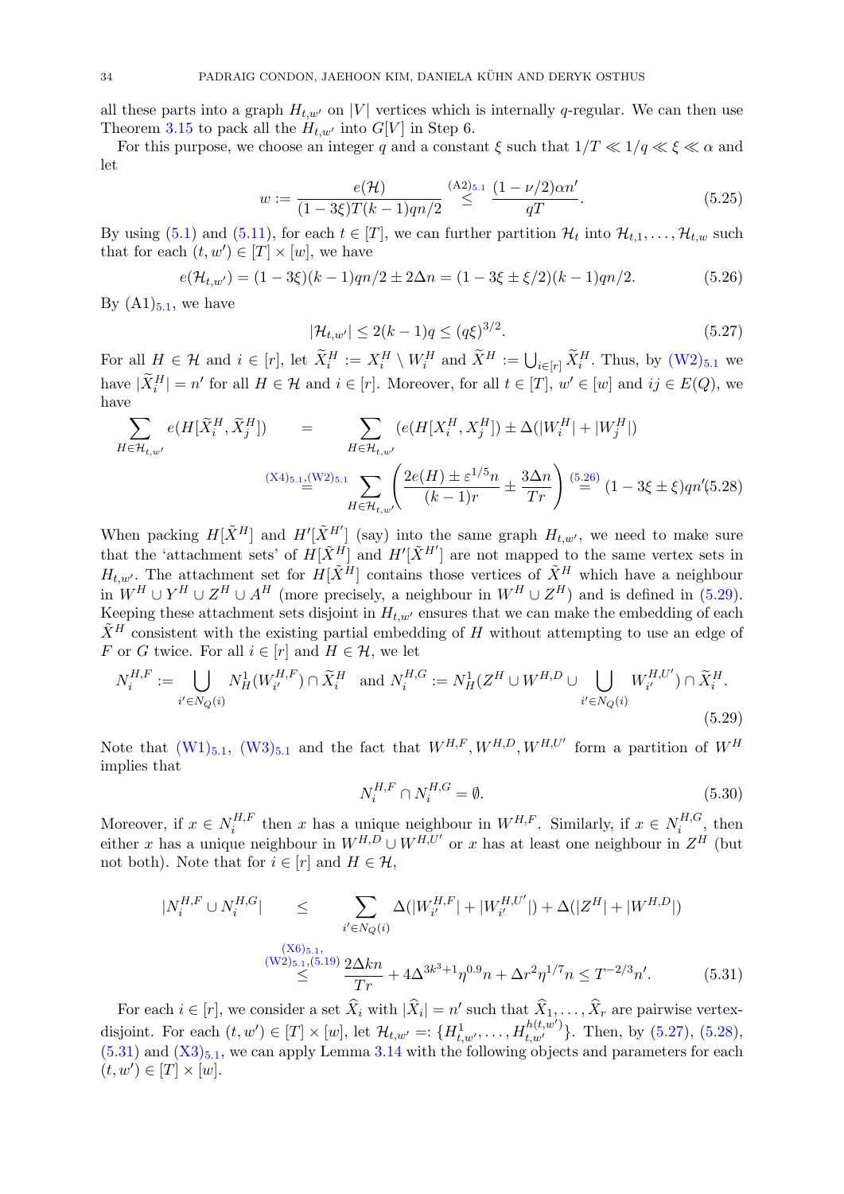all these parts into a graph  $H_{t,w'}$  on |V| vertices which is internally q-regular. We can then use Theorem [3.15](#page-13-0) to pack all the  $H_{t,w'}$  into  $G[V]$  in Step 6.

For this purpose, we choose an integer q and a constant  $\xi$  such that  $1/T \ll 1/q \ll \xi \ll \alpha$  and let

$$
w := \frac{e(\mathcal{H})}{(1 - 3\xi)T(k - 1)qn/2} \stackrel{\text{(A2)}_{5,1}}{\leq} \frac{(1 - \nu/2)\alpha n'}{qT}.
$$
\n(5.25)

By using [\(5.1\)](#page-25-1) and [\(5.11\)](#page-27-4), for each  $t \in [T]$ , we can further partition  $\mathcal{H}_t$  into  $\mathcal{H}_{t,1}, \ldots, \mathcal{H}_{t,w}$  such that for each  $(t, w') \in [T] \times [w]$ , we have

<span id="page-34-0"></span>
$$
e(\mathcal{H}_{t,w'}) = (1 - 3\xi)(k - 1)qn/2 \pm 2\Delta n = (1 - 3\xi \pm \xi/2)(k - 1)qn/2.
$$
 (5.26)

By  $(A1)_{5,1}$  $(A1)_{5,1}$  $(A1)_{5,1}$ , we have

<span id="page-34-6"></span><span id="page-34-2"></span>
$$
|\mathcal{H}_{t,w'}| \le 2(k-1)q \le (q\xi)^{3/2}.
$$
\n(5.27)

For all  $H \in \mathcal{H}$  and  $i \in [r]$ , let  $\widetilde{X}_i^H := X_i^H \setminus W_i^H$  and  $\widetilde{X}^H := \bigcup_{i \in [r]} \widetilde{X}_i^H$ . Thus, by  $(W2)_{5,1}$  $(W2)_{5,1}$  $(W2)_{5,1}$  $(W2)_{5,1}$  we have  $|\widetilde{X}_i^H| = n'$  for all  $H \in \mathcal{H}$  and  $i \in [r]$ . Moreover, for all  $t \in [T]$ ,  $w' \in [w]$  and  $ij \in E(Q)$ , we have

<span id="page-34-3"></span>
$$
\sum_{H \in \mathcal{H}_{t,w'}} e(H[\tilde{X}_i^H, \tilde{X}_j^H]) = \sum_{H \in \mathcal{H}_{t,w'}} (e(H[X_i^H, X_j^H]) \pm \Delta(|W_i^H| + |W_j^H|)
$$
\n
$$
\xrightarrow{(X4)_{5.1} \underline{\mathbf{i}}_{\mathbf{k}}} \sum_{H \in \mathcal{H}_{t,w'}} \left( \frac{2e(H) \pm \varepsilon^{1/5} n}{(k-1)r} \pm \frac{3\Delta n}{Tr} \right) \stackrel{(5.26)}{=} (1 - 3\xi \pm \xi) q n'(5.28)
$$

When packing  $H[\tilde{X}^H]$  and  $H'[\tilde{X}^{H'}]$  (say) into the same graph  $H_{t,w'}$ , we need to make sure that the 'attachment sets' of  $H[\tilde{X}^H]$  and  $H'[\tilde{X}^{H'}]$  are not mapped to the same vertex sets in  $H_{t,w'}$ . The attachment set for  $H[\tilde{X}^H]$  contains those vertices of  $\tilde{X}^H$  which have a neighbour in  $W^H \cup Y^H \cup Z^H \cup A^H$  (more precisely, a neighbour in  $W^H \cup Z^H$ ) and is defined in [\(5.29\)](#page-34-1). Keeping these attachment sets disjoint in  $H_{t,w'}$  ensures that we can make the embedding of each  $\tilde{X}^H$  consistent with the existing partial embedding of H without attempting to use an edge of F or G twice. For all  $i \in [r]$  and  $H \in \mathcal{H}$ , we let

$$
N_i^{H,F} := \bigcup_{i' \in N_Q(i)} N_H^1(W_{i'}^{H,F}) \cap \widetilde{X}_i^H \text{ and } N_i^{H,G} := N_H^1(Z^H \cup W^{H,D} \cup \bigcup_{i' \in N_Q(i)} W_{i'}^{H,U'}) \cap \widetilde{X}_i^H.
$$
\n(5.29)

Note that  $(W1)_{5.1}$  $(W1)_{5.1}$  $(W1)_{5.1}$  $(W1)_{5.1}$ ,  $(W3)_{5.1}$  $(W3)_{5.1}$  and the fact that  $W^{H,F}, W^{H,D}, W^{H,U'}$  form a partition of  $W^H$ implies that

<span id="page-34-5"></span><span id="page-34-1"></span>
$$
N_i^{H,F} \cap N_i^{H,G} = \emptyset. \tag{5.30}
$$

Moreover, if  $x \in N_i^{H,F}$  $t_i^{H,F}$  then x has a unique neighbour in  $W^{H,F}$ . Similarly, if  $x \in N_i^{H,G}$  $i^{H,\mathsf{G}},$  then either x has a unique neighbour in  $W^{H,D} \cup W^{H,U'}$  or x has at least one neighbour in  $Z^H$  (but not both). Note that for  $i \in [r]$  and  $H \in \mathcal{H}$ ,

<span id="page-34-4"></span>
$$
|N_i^{H,F} \cup N_i^{H,G}| \leq \sum_{i' \in N_Q(i)} \Delta(|W_{i'}^{H,F}| + |W_{i'}^{H,U'}|) + \Delta(|Z^H| + |W^{H,D}|)
$$
  

$$
\leq \sum_{\substack{(W2)_{5.1},(5.19) \\ \leq}} \frac{\Delta(kn)}{Tr} + 4\Delta^{3k^3+1} \eta^{0.9} n + \Delta r^2 \eta^{1/7} n \leq T^{-2/3} n'.
$$
 (5.31)

For each  $i \in [r]$ , we consider a set  $\widehat{X}_i$  with  $|\widehat{X}_i| = n'$  such that  $\widehat{X}_1, \ldots, \widehat{X}_r$  are pairwise vertexdisjoint. For each  $(t, w') \in [T] \times [w]$ , let  $\mathcal{H}_{t, w'} =: \{H_{t, w'}^{1}, \ldots, H_{t, w'}^{h(t, w')}\}.$  Then, by  $(5.27), (5.28),$  $(5.27), (5.28),$  $(5.27), (5.28),$  $(5.27), (5.28),$  $(5.31)$  and  $(X3)_{5,1}$  $(X3)_{5,1}$  $(X3)_{5,1}$  $(X3)_{5,1}$ , we can apply Lemma [3.14](#page-13-1) with the following objects and parameters for each  $(t, w') \in [T] \times [w].$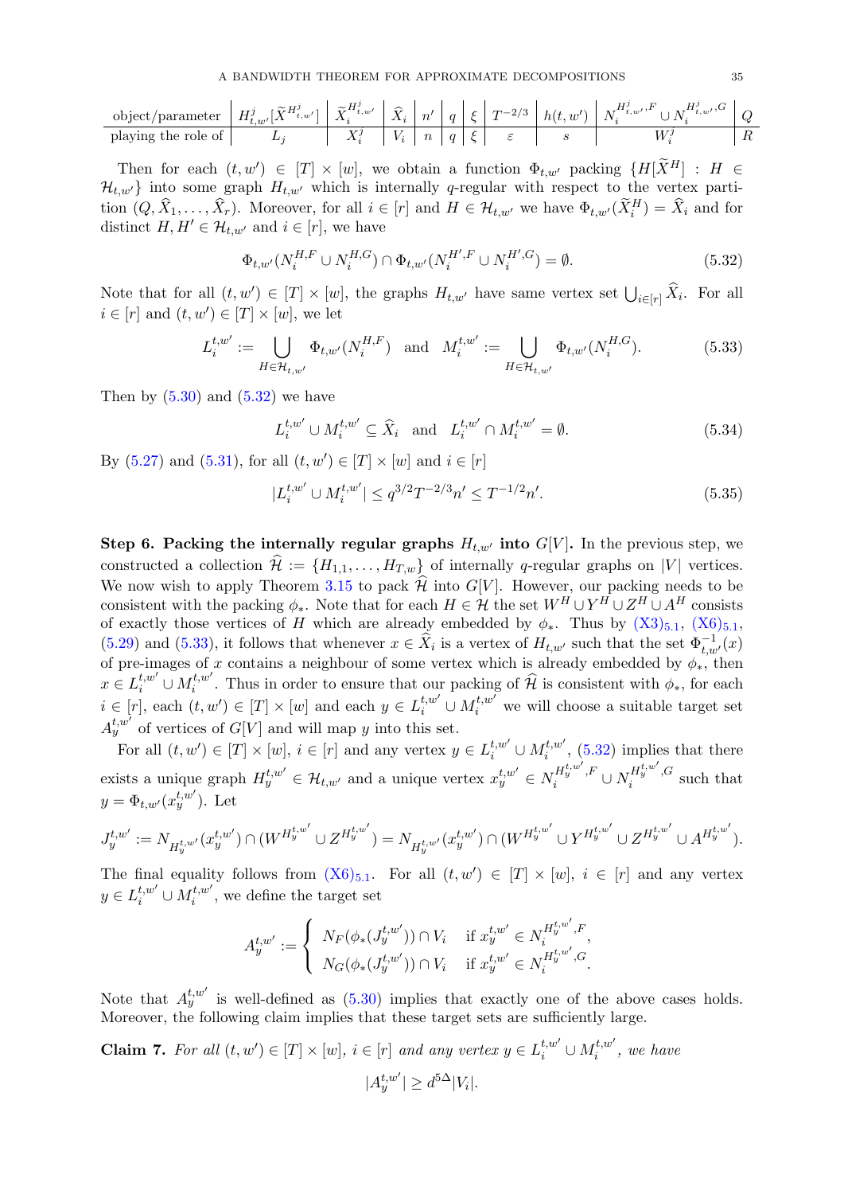$$
\text{object/parameter } \left\lvert H^j_{t,w'}[\widetilde{X}^{H^j_{t,w'}}] \left\lvert \begin{array}{c|c} \widetilde{X}^{H^j_{t,w'}} & \widetilde{X}_i & n' & q & \xi \\ \hline \widetilde{X}^{j}_i & K_i & K_i & n & q & \xi \\ \end{array} \right\rvert \left\lvert \begin{array}{c|c} \widetilde{X}^{j}_i & n' & q & \xi & T^{-2/3} & h(t,w') & N^{H^j_{t,w'},F}_i \cup N^{H^j_{t,w'},G}_i & Q \\ \hline \widetilde{X}^{j}_i & K_i & n & q & \xi & \varepsilon & s \\ \end{array} \right\rvert \left\lvert H^j_{t,w'} \right\rvert \left\lvert H^j_{t,w'} \left\lvert H^j_{t,w'} \right\rvert \right\rvert \left\lvert H^j_{t,w'} \left\lvert H^j_{t,w'} \right\rvert \right\rvert \left\lvert H^j_{t,w'} \left\lvert H^j_{t,w'} \right\rvert \right\rvert \left\lvert H^j_{t,w'} \left\lvert H^j_{t,w'} \right\rvert \right\rvert \right\rvert
$$

Then for each  $(t, w') \in [T] \times [w]$ , we obtain a function  $\Phi_{t, w'}$  packing  $\{H[\tilde{X}^H] : H \in$  $\mathcal{H}_{t,w'}$  into some graph  $H_{t,w'}$  which is internally q-regular with respect to the vertex partition  $(Q, \hat{X}_1, \ldots, \hat{X}_r)$ . Moreover, for all  $i \in [r]$  and  $H \in \mathcal{H}_{t,w'}$  we have  $\Phi_{t,w'}(\tilde{X}_i^H) = \hat{X}_i$  and for distinct  $H, H' \in \mathcal{H}_{t,w'}$  and  $i \in [r]$ , we have

<span id="page-35-0"></span>
$$
\Phi_{t,w'}(N_i^{H,F} \cup N_i^{H,G}) \cap \Phi_{t,w'}(N_i^{H',F} \cup N_i^{H',G}) = \emptyset.
$$
\n(5.32)

Note that for all  $(t, w') \in [T] \times [w]$ , the graphs  $H_{t,w'}$  have same vertex set  $\bigcup_{i \in [r]} \hat{X}_i$ . For all  $i \in [r]$  and  $(t, w') \in [T] \times [w]$ , we let

$$
L_i^{t,w'} := \bigcup_{H \in \mathcal{H}_{t,w'}} \Phi_{t,w'}(N_i^{H,F}) \text{ and } M_i^{t,w'} := \bigcup_{H \in \mathcal{H}_{t,w'}} \Phi_{t,w'}(N_i^{H,G}).
$$
 (5.33)

Then by  $(5.30)$  and  $(5.32)$  we have

<span id="page-35-1"></span>
$$
L_i^{t,w'} \cup M_i^{t,w'} \subseteq \widehat{X}_i \quad \text{and} \quad L_i^{t,w'} \cap M_i^{t,w'} = \emptyset. \tag{5.34}
$$

By  $(5.27)$  and  $(5.31)$ , for all  $(t, w') \in [T] \times [w]$  and  $i \in [r]$ 

<span id="page-35-3"></span>
$$
|L_i^{t,w'} \cup M_i^{t,w'}| \le q^{3/2} T^{-2/3} n' \le T^{-1/2} n'. \tag{5.35}
$$

Step 6. Packing the internally regular graphs  $H_{t,w'}$  into  $G[V]$ . In the previous step, we constructed a collection  $\hat{\mathcal{H}} := \{H_{1,1}, \ldots, H_{T,w}\}$  of internally q-regular graphs on |V| vertices. We now wish to apply Theorem [3.15](#page-13-0) to pack  $\hat{\mathcal{H}}$  into  $G[V]$ . However, our packing needs to be consistent with the packing  $\phi_*$ . Note that for each  $H \in \mathcal{H}$  the set  $W^H \cup Y^H \cup Z^H \cup A^H$  consists of exactly those vertices of H which are already embedded by  $\phi_*$ . Thus by  $(X3)_{5.1}$  $(X3)_{5.1}$  $(X3)_{5.1}$  $(X3)_{5.1}$ ,  $(X6)_{5.1}$  $(X6)_{5.1}$ , [\(5.29\)](#page-34-1) and [\(5.33\)](#page-35-1), it follows that whenever  $x \in \hat{X}_i$  is a vertex of  $H_{t,w'}$  such that the set  $\Phi_{t,w'}^{-1}(x)$ of pre-images of x contains a neighbour of some vertex which is already embedded by  $\phi_*$ , then  $x \in L_i^{t,w'} \cup M_i^{t,w'}$ <sup>t,*w*</sup>. Thus in order to ensure that our packing of H is consistent with  $\phi_*$ , for each  $i \in [r]$ , each  $(t, w') \in [T] \times [w]$  and each  $y \in L_i^{t, w'} \cup M_i^{t, w'}$  we will choose a suitable target set  $A_{y}^{t,w'}$  of vertices of  $G[V]$  and will map y into this set.

For all  $(t, w') \in [T] \times [w]$ ,  $i \in [r]$  and any vertex  $y \in L_i^{t, w'} \cup M_i^{t, w'}$  $i_i^{t,w}$ , [\(5.32\)](#page-35-0) implies that there exists a unique graph  $H_y^{t,w'} \in \mathcal{H}_{t,w'}$  and a unique vertex  $x_y^{t,w'} \in N_i^{H_y^{t,w'},F} \cup N_i^{H_y^{t,w'},G}$  $\int_{i}^{H_y}$  such that  $y = \Phi_{t,w'}(x^{t,w'}_y)$ . Let

$$
J_y^{t,w'} := N_{H_y^{t,w'}}(x_y^{t,w'}) \cap (W^{H_y^{t,w'}} \cup Z^{H_y^{t,w'}}) = N_{H_y^{t,w'}}(x_y^{t,w'}) \cap (W^{H_y^{t,w'}} \cup Y^{H_y^{t,w'}} \cup Z^{H_y^{t,w'}} \cup A^{H_y^{t,w'}}).
$$

The final equality follows from  $(X6)_{5,1}$  $(X6)_{5,1}$  $(X6)_{5,1}$  $(X6)_{5,1}$ . For all  $(t, w') \in [T] \times [w]$ ,  $i \in [r]$  and any vertex  $y \in L_i^{t,w'} \cup M_i^{t,w'}$  $i^{t,w}$ , we define the target set

$$
A_y^{t,w'} := \begin{cases} N_F(\phi_*(J_y^{t,w'})) \cap V_i & \text{if } x_y^{t,w'} \in N_i^{H_y^{t,w'},F}, \\ N_G(\phi_*(J_y^{t,w'})) \cap V_i & \text{if } x_y^{t,w'} \in N_i^{H_y^{t,w'},G}. \end{cases}
$$

Note that  $A_y^{t,w'}$  is well-defined as [\(5.30\)](#page-34-5) implies that exactly one of the above cases holds. Moreover, the following claim implies that these target sets are sufficiently large.

<span id="page-35-2"></span>**Claim 7.** For all 
$$
(t, w') \in [T] \times [w]
$$
,  $i \in [r]$  and any vertex  $y \in L_i^{t, w'} \cup M_i^{t, w'}$ , we have  

$$
|A_y^{t, w'}| \ge d^{5\Delta} |V_i|.
$$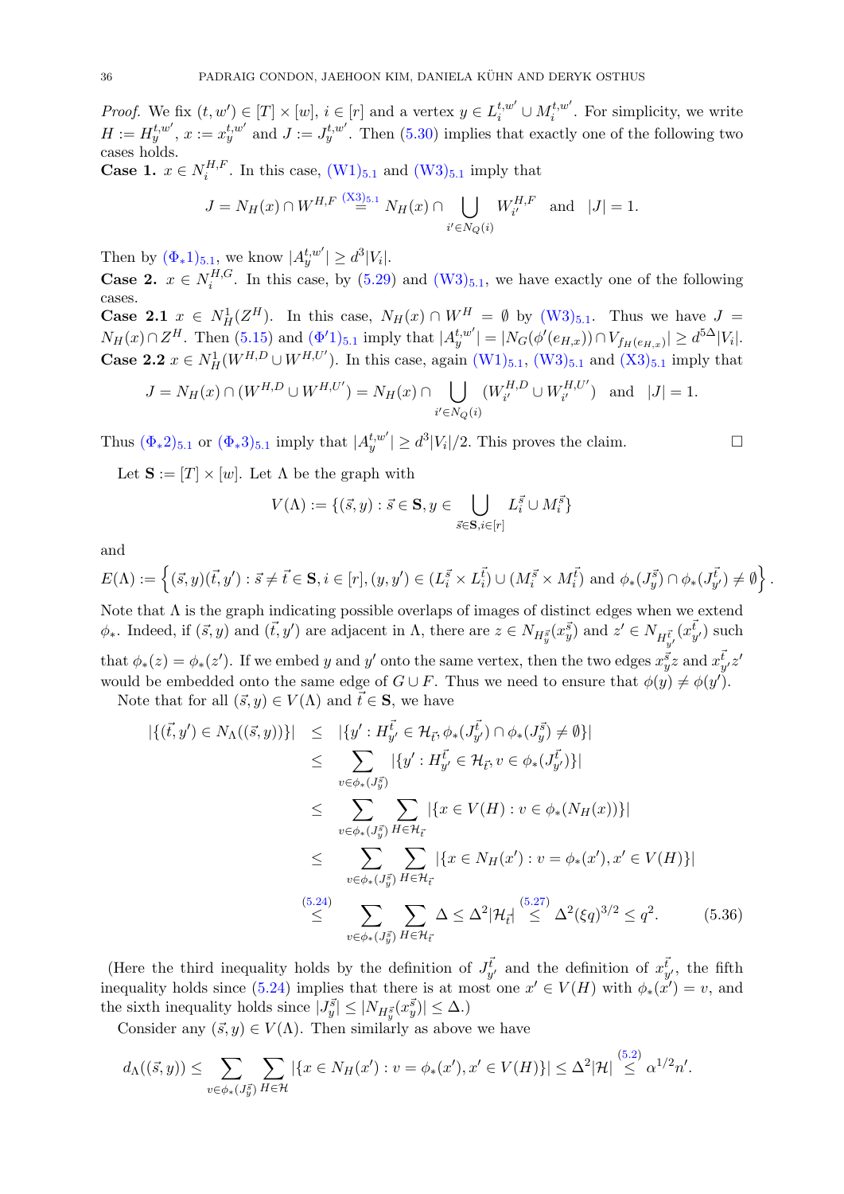*Proof.* We fix  $(t, w') \in [T] \times [w]$ ,  $i \in [r]$  and a vertex  $y \in L_i^{t, w'} \cup M_i^{t, w'}$  $i_i^{t,w}$ . For simplicity, we write  $H := H_y^{t,w'}, x := x_y^{t,w'}$  and  $J := J_y^{t,w'}$ . Then [\(5.30\)](#page-34-5) implies that exactly one of the following two cases holds.

Case 1.  $x \in N_i^{H,F}$  $i_i^{H,r}$ . In this case,  $(W1)_{5.1}$  $(W1)_{5.1}$  $(W1)_{5.1}$  $(W1)_{5.1}$  and  $(W3)_{5.1}$  $(W3)_{5.1}$  imply that

$$
J = N_H(x) \cap W^{H,F} \stackrel{(\text{X3})_{5.1}}{=} N_H(x) \cap \bigcup_{i' \in N_Q(i)} W^{H,F}_{i'} \text{ and } |J| = 1.
$$

Then by  $(\Phi_* 1)_{5.1}$  $(\Phi_* 1)_{5.1}$  $(\Phi_* 1)_{5.1}$ , we know  $|A_y^{t,w'}| \ge d^3 |V_i|$ .

Case 2.  $x \in N_i^{H,G}$  $i^{H,G}$ . In this case, by  $(5.29)$  and  $(W3)_{5.1}$  $(W3)_{5.1}$  $(W3)_{5.1}$  $(W3)_{5.1}$ , we have exactly one of the following cases.

**Case 2.1**  $x \in N^1_H(Z^H)$ . In this case,  $N_H(x) \cap W^H = \emptyset$  by  $(W3)_{5,1}$  $(W3)_{5,1}$  $(W3)_{5,1}$  $(W3)_{5,1}$ . Thus we have  $J =$  $N_H(x) \cap Z^H$ . Then [\(5.15\)](#page-29-8) and  $(\Phi'1)_{5,1}$  $(\Phi'1)_{5,1}$  $(\Phi'1)_{5,1}$  imply that  $|A_y^{t,w'}| = |N_G(\phi'(e_{H,x})) \cap V_{f_H(e_{H,x})}| \geq d^{5\Delta} |V_i|$ . **Case 2.2**  $x \in N^1_H(W^{H,D} \cup W^{H,U'})$ . In this case, again  $(W_1)_{5,1}$  $(W_1)_{5,1}$  $(W_1)_{5,1}$ ,  $(W_3)_{5,1}$  and  $(X_3)_{5,1}$  imply that

$$
J = N_H(x) \cap (W^{H,D} \cup W^{H,U'}) = N_H(x) \cap \bigcup_{i' \in N_Q(i)} (W^{H,D}_{i'} \cup W^{H,U'}_{i'}) \text{ and } |J| = 1.
$$

Thus  $(\Phi_* 2)_{5.1}$  $(\Phi_* 2)_{5.1}$  $(\Phi_* 2)_{5.1}$  or  $(\Phi_* 3)_{5.1}$  imply that  $|A_y^{t,w'}| \ge d^3 |V_i|/2$ . This proves the claim.

Let  $\mathbf{S} := [T] \times [w]$ . Let  $\Lambda$  be the graph with

$$
V(\Lambda) := \{ (\vec{s}, y) : \vec{s} \in \mathbf{S}, y \in \bigcup_{\vec{s} \in \mathbf{S}, i \in [r]} L_i^{\vec{s}} \cup M_i^{\vec{s}} \}
$$

and

$$
E(\Lambda) := \left\{ (\vec{s}, y)(\vec{t}, y') : \vec{s} \neq \vec{t} \in \mathbf{S}, i \in [r], (y, y') \in (L_i^{\vec{s}} \times L_i^{\vec{t}}) \cup (M_i^{\vec{s}} \times M_i^{\vec{t}}) \text{ and } \phi_*(J_{y'}^{\vec{s}}) \cap \phi_*(J_{y'}^{\vec{t}}) \neq \emptyset \right\}.
$$

Note that  $\Lambda$  is the graph indicating possible overlaps of images of distinct edges when we extend  $\phi_*$ . Indeed, if  $(\vec{s}, y)$  and  $(\vec{t}, y')$  are adjacent in  $\Lambda$ , there are  $z \in N_{H^{\vec{s}}_y}(x^{\vec{s}}_y)$  and  $z' \in N_{H^{\vec{t}}_{y'}}(x^{\vec{t}}_{y'})$  such that  $\phi_*(z) = \phi_*(z')$ . If we embed y and y' onto the same vertex, then the two edges  $x_y^{\vec{s}} z$  and  $x_{y'}^{\vec{t}} z'$ would be embedded onto the same edge of  $G \cup F$ . Thus we need to ensure that  $\phi(y) \neq \phi(y')$ .

Note that for all  $(\vec{s}, y) \in V(\Lambda)$  and  $\vec{t} \in \mathbf{S}$ , we have

<span id="page-36-0"></span>
$$
|\{( \vec{t}, y') \in N_{\Lambda}((\vec{s}, y)) \}| \leq |\{ y' : H_{y'}^{\vec{t}} \in \mathcal{H}_{\vec{t}}, \phi_*(J_{y'}^{\vec{t}}) \cap \phi_*(J_{y}^{\vec{s}}) \neq \emptyset \}|
$$
  
\n
$$
\leq \sum_{v \in \phi_*(J_{y}^{\vec{s}})} |\{ y' : H_{y'}^{\vec{t}} \in \mathcal{H}_{\vec{t}}, v \in \phi_*(J_{y'}^{\vec{t}}) \}|
$$
  
\n
$$
\leq \sum_{v \in \phi_*(J_{y}^{\vec{s}})} \sum_{H \in \mathcal{H}_{\vec{t}}} |\{ x \in V(H) : v \in \phi_*(N_H(x)) \}|
$$
  
\n
$$
\leq \sum_{v \in \phi_*(J_{y}^{\vec{s}})} \sum_{H \in \mathcal{H}_{\vec{t}}} |\{ x \in N_H(x') : v = \phi_*(x'), x' \in V(H) \}|
$$
  
\n
$$
\leq \sum_{v \in \phi_*(J_{y}^{\vec{s}})} \sum_{H \in \mathcal{H}_{\vec{t}}} \Delta \leq \Delta^2 |\mathcal{H}_{\vec{t}}| \leq \Delta^2 (\xi q)^{3/2} \leq q^2.
$$
 (5.36)

(Here the third inequality holds by the definition of  $J_{y'}^{\vec{t}}$  and the definition of  $x_{y'}^{\vec{t}}$ , the fifth inequality holds since [\(5.24\)](#page-33-6) implies that there is at most one  $x' \in V(H)$  with  $\phi_*(x') = v$ , and the sixth inequality holds since  $|J_y^{\vec{s}}| \leq |N_{H_y^{\vec{s}}}(x_y^{\vec{s}})| \leq \Delta$ .)

Consider any  $(\vec{s}, y) \in V(\Lambda)$ . Then similarly as above we have

$$
d_{\Lambda}((\vec{s},y)) \leq \sum_{v \in \phi_*(J_y^{\vec{s}})} \sum_{H \in \mathcal{H}} |\{x \in N_H(x') : v = \phi_*(x'), x' \in V(H)\}| \leq \Delta^2 |\mathcal{H}| \stackrel{(5.2)}{\leq} \alpha^{1/2} n'.
$$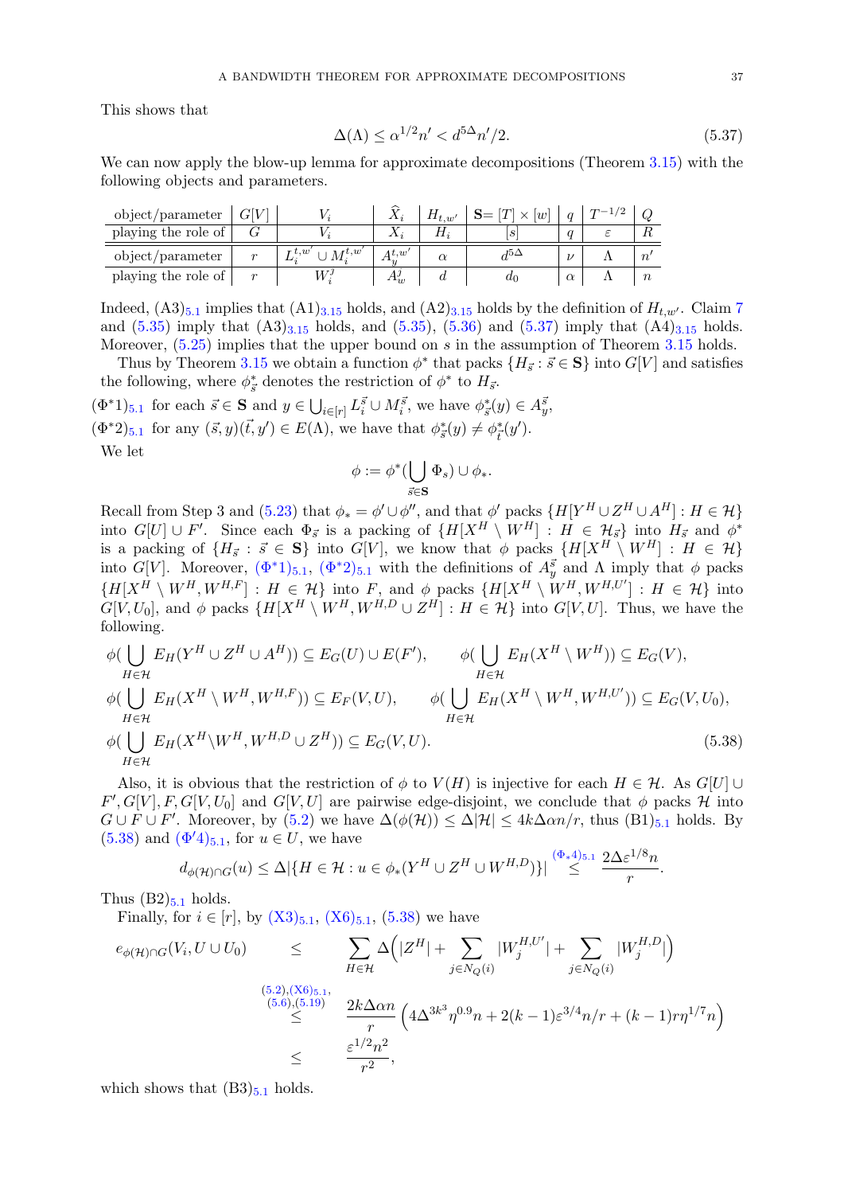This shows that

<span id="page-37-0"></span>
$$
\Delta(\Lambda) \le \alpha^{1/2} n' < d^{5\Delta} n'/2. \tag{5.37}
$$

We can now apply the blow-up lemma for approximate decompositions (Theorem [3.15\)](#page-13-0) with the following objects and parameters.

| object/parameter    | আ |                         |       | $H_{t,w'}$ | $\times$<br> w | $T-1$ . |        |
|---------------------|---|-------------------------|-------|------------|----------------|---------|--------|
| playing the role of |   |                         |       |            |                |         |        |
| object/parameter    | m | $\tau t.w$<br>$M^{t,w}$ | A t.w |            |                |         |        |
| playing the role of |   |                         |       |            | ur             |         | $\, n$ |

Indeed,  $(A3)_{5.1}$  $(A3)_{5.1}$  $(A3)_{5.1}$  implies that  $(A1)_{3.15}$  $(A1)_{3.15}$  $(A1)_{3.15}$  holds, and  $(A2)_{3.15}$  holds by the definition of  $H_{t,w'}$ . Claim [7](#page-35-2) and  $(5.35)$  imply that  $(A3)_{3.15}$  $(A3)_{3.15}$  $(A3)_{3.15}$  holds, and  $(5.35)$ ,  $(5.36)$  and  $(5.37)$  imply that  $(A4)_{3.15}$  holds. Moreover,  $(5.25)$  implies that the upper bound on s in the assumption of Theorem [3.15](#page-13-0) holds.

Thus by Theorem [3.15](#page-13-0) we obtain a function  $\phi^*$  that packs  $\{H_{\vec{s}}: \vec{s} \in \mathbf{S}\}\$  into  $G[V]$  and satisfies the following, where  $\phi_{\vec s}^*$  denotes the restriction of  $\phi^*$  to  $H_{\vec s}.$ 

<span id="page-37-2"></span><span id="page-37-1"></span> $(\Phi^*1)_{5,1}$  $(\Phi^*1)_{5,1}$  $(\Phi^*1)_{5,1}$  for each  $\vec{s} \in \mathbf{S}$  and  $y \in \bigcup_{i \in [r]} L_i^{\vec{s}} \cup M_i^{\vec{s}},$  we have  $\phi^*_{\vec{s}}(y) \in A_{\vec{y}}^{\vec{s}},$  $(\Phi^*2)_{5.1}$  $(\Phi^*2)_{5.1}$  $(\Phi^*2)_{5.1}$  for any  $(\vec{s}, y)(\vec{t}, y') \in E(\Lambda)$ , we have that  $\phi_{\vec{s}}^*(y) \neq \phi_{\vec{t}}^*(y')$ . We let

<span id="page-37-3"></span>
$$
\phi := \phi^*(\bigcup_{\vec{s} \in \mathbf{S}} \Phi_s) \cup \phi_*.
$$

Recall from Step 3 and [\(5.23\)](#page-33-7) that  $\phi_* = \phi' \cup \phi''$ , and that  $\phi'$  packs  $\{H[Y^H \cup Z^H \cup A^H] : H \in \mathcal{H}\}\$ into  $G[U] \cup F'$ . Since each  $\Phi_{\vec{s}}$  is a packing of  $\{H[X^H \setminus W^H] : H \in \mathcal{H}_{\vec{s}}\}$  into  $H_{\vec{s}}$  and  $\phi^*$ is a packing of  $\{H_{\vec{s}} : \vec{s} \in S\}$  into  $G[V]$ , we know that  $\phi$  packs  $\{H[X^H \setminus W^H] : H \in \mathcal{H}\}$ into G[V]. Moreover,  $(\Phi^*1)_{5,1}$  $(\Phi^*1)_{5,1}$  $(\Phi^*1)_{5,1}$ ,  $(\Phi^*2)_{5,1}$  with the definitions of  $A_y^{\vec{s}}$  and  $\Lambda$  imply that  $\phi$  packs  $\{H[X^H \setminus W^H, W^{H,F}] : H \in \mathcal{H}\}\$ into F, and  $\phi$  packs  $\{H[X^H \setminus W^H, W^{H,U'}] : H \in \mathcal{H}\}\$ into  $G[V, U_0]$ , and  $\phi$  packs  $\{H[X^H \setminus W^H, W^{H,D} \cup Z^H] : H \in \mathcal{H}\}\$  into  $G[V, U]$ . Thus, we have the following.

$$
\phi(\bigcup_{H \in \mathcal{H}} E_H(Y^H \cup Z^H \cup A^H)) \subseteq E_G(U) \cup E(F'), \qquad \phi(\bigcup_{H \in \mathcal{H}} E_H(X^H \setminus W^H)) \subseteq E_G(V),
$$
  
\n
$$
\phi(\bigcup_{H \in \mathcal{H}} E_H(X^H \setminus W^H, W^{H, F})) \subseteq E_F(V, U), \qquad \phi(\bigcup_{H \in \mathcal{H}} E_H(X^H \setminus W^H, W^{H, U'})) \subseteq E_G(V, U_0),
$$
  
\n
$$
\phi(\bigcup_{H \in \mathcal{H}} E_H(X^H \setminus W^H, W^{H, D} \cup Z^H)) \subseteq E_G(V, U).
$$
\n(5.38)

Also, it is obvious that the restriction of  $\phi$  to  $V(H)$  is injective for each  $H \in \mathcal{H}$ . As  $G[U] \cup$  $F', G[V], F, G[V, U_0]$  and  $G[V, U]$  are pairwise edge-disjoint, we conclude that  $\phi$  packs  $\mathcal{H}$  into  $G \cup F \cup F'$ . Moreover, by  $(5.2)$  we have  $\Delta(\phi(\mathcal{H})) \leq \Delta |\mathcal{H}| \leq 4k\Delta \alpha n/r$ , thus  $(B1)_{5,1}$  $(B1)_{5,1}$  $(B1)_{5,1}$  holds. By  $(5.38)$  and  $(\Phi'4)_{5.1}$  $(\Phi'4)_{5.1}$  $(\Phi'4)_{5.1}$ , for  $u \in U$ , we have

$$
d_{\phi(\mathcal{H})\cap G}(u) \leq \Delta |\{H \in \mathcal{H} : u \in \phi_*(Y^H \cup Z^H \cup W^{H,D})\}| \stackrel{(\Phi_* 4)_{5,1}}{\leq} \frac{2\Delta \varepsilon^{1/8} n}{r}.
$$

Thus  $(B2)_{5,1}$  $(B2)_{5,1}$  $(B2)_{5,1}$  holds.

Finally, for  $i \in [r]$ , by  $(X3)_{5,1}$  $(X3)_{5,1}$  $(X3)_{5,1}$  $(X3)_{5,1}$ ,  $(X6)_{5,1}$  $(X6)_{5,1}$ ,  $(5.38)$  we have

$$
e_{\phi(\mathcal{H})\cap G}(V_{i},U\cup U_{0}) \leq \sum_{H\in\mathcal{H}} \Delta\Big(|Z^{H}| + \sum_{j\in N_{Q}(i)} |W_{j}^{H,U'}| + \sum_{j\in N_{Q}(i)} |W_{j}^{H,D}|\Big)
$$
  
\n(5.2),(X6)5.1,  
\n(5.6),(5.19)  
\n
$$
\leq \frac{2k\Delta\alpha n}{r} \left(4\Delta^{3k^{3}}\eta^{0.9}n + 2(k-1)\varepsilon^{3/4}n/r + (k-1)r\eta^{1/7}n\right)
$$
  
\n
$$
\leq \frac{\varepsilon^{1/2}n^{2}}{r^{2}},
$$

which shows that  $(B3)_{5.1}$  $(B3)_{5.1}$  $(B3)_{5.1}$  holds.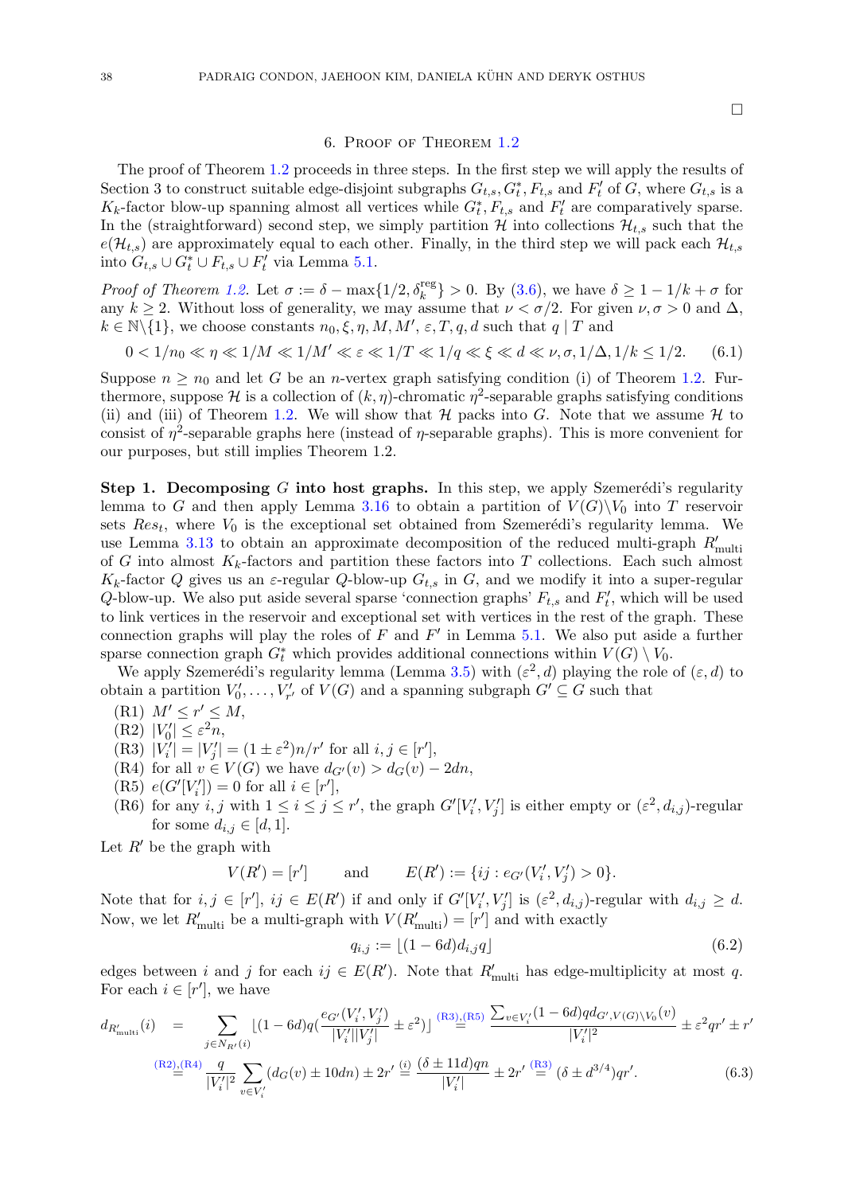#### <span id="page-38-8"></span> $\Box$

#### 6. Proof of Theorem [1.2](#page-3-0)

<span id="page-38-0"></span>The proof of Theorem [1.2](#page-3-0) proceeds in three steps. In the first step we will apply the results of Section 3 to construct suitable edge-disjoint subgraphs  $G_{t,s}, G_t^*, F_{t,s}$  and  $F'_t$  of G, where  $G_{t,s}$  is a  $K_k$ -factor blow-up spanning almost all vertices while  $G_t^*, F_{t,s}$  and  $F_t'$  are comparatively sparse. In the (straightforward) second step, we simply partition  $H$  into collections  $\mathcal{H}_{t,s}$  such that the  $e(\mathcal{H}_{t,s})$  are approximately equal to each other. Finally, in the third step we will pack each  $\mathcal{H}_{t,s}$ into  $G_{t,s} \cup G_t^* \cup F_{t,s} \cup F_t'$  via Lemma [5.1.](#page-25-0)

*Proof of Theorem [1.2.](#page-3-0)* Let  $\sigma := \delta - \max\{1/2, \delta_k^{\text{reg}}\} > 0$ . By [\(3.6\)](#page-10-4), we have  $\delta \geq 1 - 1/k + \sigma$  for any  $k \geq 2$ . Without loss of generality, we may assume that  $\nu < \sigma/2$ . For given  $\nu, \sigma > 0$  and  $\Delta$ ,  $k \in \mathbb{N} \backslash \{1\}$ , we choose constants  $n_0, \xi, \eta, M, M', \varepsilon, T, q, d$  such that  $q \mid T$  and

$$
0 < 1/n_0 \ll \eta \ll 1/M \ll 1/M' \ll \varepsilon \ll 1/T \ll 1/q \ll \xi \ll d \ll \nu, \sigma, 1/\Delta, 1/k \le 1/2. \tag{6.1}
$$

Suppose  $n \geq n_0$  and let G be an *n*-vertex graph satisfying condition (i) of Theorem [1.2.](#page-3-0) Furthermore, suppose H is a collection of  $(k, \eta)$ -chromatic  $\eta^2$ -separable graphs satisfying conditions (ii) and (iii) of Theorem [1.2.](#page-3-0) We will show that  $H$  packs into G. Note that we assume  $H$  to consist of  $\eta^2$ -separable graphs here (instead of  $\eta$ -separable graphs). This is more convenient for our purposes, but still implies Theorem 1.2.

Step 1. Decomposing G into host graphs. In this step, we apply Szemerédi's regularity lemma to G and then apply Lemma [3.16](#page-14-0) to obtain a partition of  $V(G)\backslash V_0$  into T reservoir sets  $Res_t$ , where  $V_0$  is the exceptional set obtained from Szemerédi's regularity lemma. We use Lemma [3.13](#page-11-0) to obtain an approximate decomposition of the reduced multi-graph  $R'_{\text{multi}}$ of G into almost  $K_k$ -factors and partition these factors into T collections. Each such almost  $K_k$ -factor Q gives us an  $\varepsilon$ -regular Q-blow-up  $G_{t,s}$  in G, and we modify it into a super-regular Q-blow-up. We also put aside several sparse 'connection graphs'  $F_{t,s}$  and  $F'_t$ , which will be used to link vertices in the reservoir and exceptional set with vertices in the rest of the graph. These connection graphs will play the roles of  $F$  and  $F'$  in Lemma [5.1.](#page-25-0) We also put aside a further sparse connection graph  $G_t^*$  which provides additional connections within  $V(G) \setminus V_0$ .

We apply Szemerédi's regularity lemma (Lemma [3.5\)](#page-8-0) with  $(\varepsilon^2, d)$  playing the role of  $(\varepsilon, d)$  to obtain a partition  $V'_0, \ldots, V'_{r'}$  of  $V(G)$  and a spanning subgraph  $G' \subseteq G$  such that

- $(R1)$   $M' \leq r' \leq M$ ,
- <span id="page-38-3"></span>(R2)  $|V'_0| \leq \varepsilon^2 n$ ,
- <span id="page-38-1"></span>(R3)  $|V'_i| = |V'_j| = (1 \pm \varepsilon^2)n/r'$  for all  $i, j \in [r'],$
- <span id="page-38-4"></span>(R4) for all  $v \in V(G)$  we have  $d_{G'}(v) > d_G(v) - 2dn$ ,
- <span id="page-38-2"></span>(R5)  $e(G'[V'_i]) = 0$  for all  $i \in [r']$ ,
- <span id="page-38-6"></span>(R6) for any  $i, j$  with  $1 \leq i \leq j \leq r'$ , the graph  $G'[V'_i, V'_j]$  is either empty or  $(\varepsilon^2, d_{i,j})$ -regular for some  $d_{i,j} \in [d,1]$ .

Let  $R'$  be the graph with

$$
V(R') = [r']
$$
 and  $E(R') := \{ij : e_{G'}(V'_i, V'_j) > 0\}.$ 

Note that for  $i, j \in [r']$ ,  $ij \in E(R')$  if and only if  $G'[V'_i, V'_j]$  is  $(\varepsilon^2, d_{i,j})$ -regular with  $d_{i,j} \geq d$ . Now, we let  $R'_{\text{multi}}$  be a multi-graph with  $V(R'_{\text{multi}}) = [r']$  and with exactly

<span id="page-38-7"></span>
$$
q_{i,j} := \lfloor (1 - 6d)d_{i,j}q \rfloor \tag{6.2}
$$

edges between i and j for each  $ij \in E(R')$ . Note that  $R'_{\text{multi}}$  has edge-multiplicity at most q. For each  $i \in [r']$ , we have

<span id="page-38-5"></span>
$$
d_{R'_{\text{multi}}}(i) = \sum_{j \in N_{R'}(i)} \left[ (1 - 6d)q \left( \frac{e_{G'}(V'_i, V'_j)}{|V'_i||V'_j|} \pm \varepsilon^2 \right) \right] \xrightarrow{\text{(R3)}_{\text{m}}(R5)} \frac{\sum_{v \in V'_i} (1 - 6d)q d_{G', V(G) \setminus V_0}(v)}{|V'_i|^2} \pm \varepsilon^2 qr' \pm r'
$$
\n
$$
\xrightarrow{\text{(R2)}_{\text{m}}(R4)} \frac{q}{|V'_i|^2} \sum_{v \in V'_i} (d_G(v) \pm 10dn) \pm 2r' \xrightarrow{\text{(i)}} \frac{(\delta \pm 11d)qn}{|V'_i|} \pm 2r' \xrightarrow{\text{(R3)}} (\delta \pm d^{3/4})qr'.
$$
\n
$$
(6.3)
$$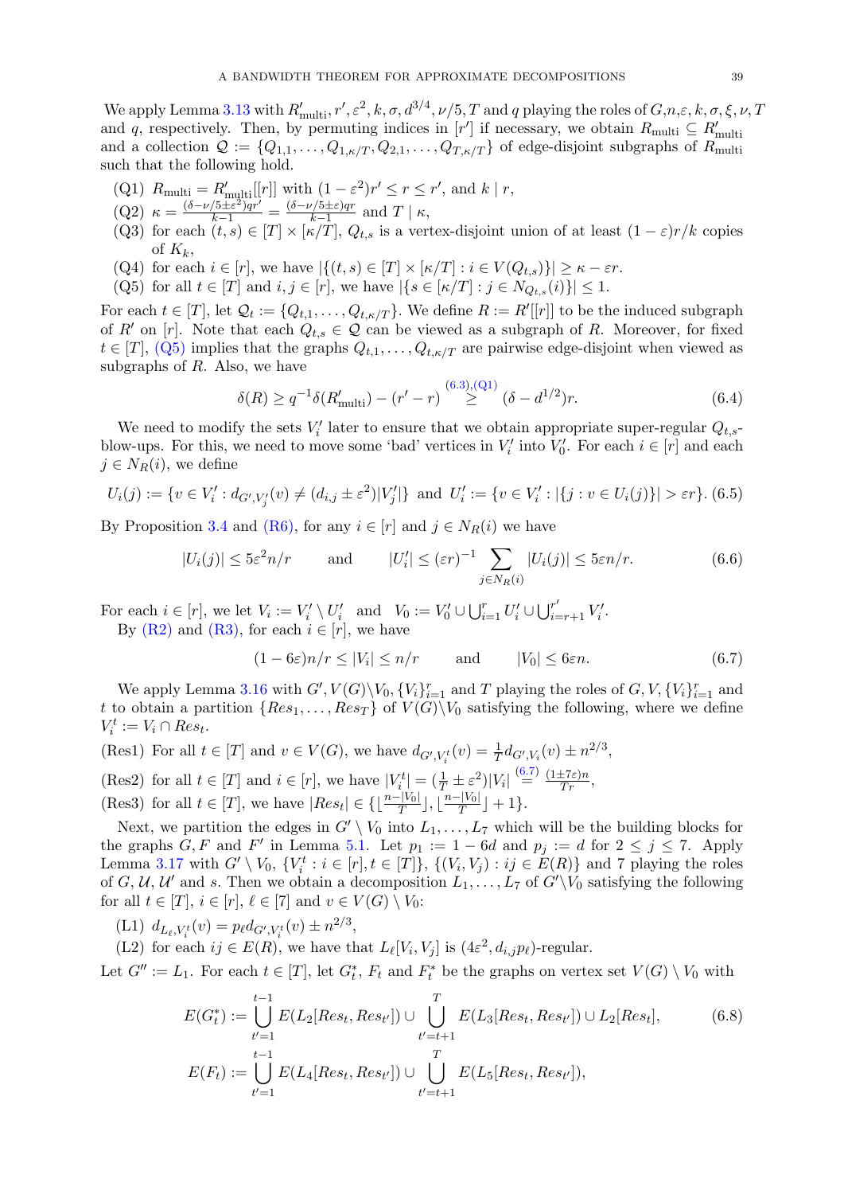We apply Lemma [3.13](#page-11-0) with  $R'_{\rm multi}$ ,  $r', \varepsilon^2, k, \sigma, d^{3/4}, \nu/5, T$  and q playing the roles of  $G, n, \varepsilon, k, \sigma, \xi, \nu, T$ and q, respectively. Then, by permuting indices in  $[r']$  if necessary, we obtain  $R_{\text{multi}} \subseteq R'_{\text{multi}}$ and a collection  $\mathcal{Q} := \{Q_{1,1}, \ldots, Q_{1,\kappa/T}, Q_{2,1}, \ldots, Q_{T,\kappa/T}\}\$  of edge-disjoint subgraphs of  $R_{\text{multi}}$ such that the following hold.

- <span id="page-39-1"></span>(Q1)  $R_{\text{multi}} = R'_{\text{multi}}[[r]]$  with  $(1 - \varepsilon^2)r' \le r \le r'$ , and  $k \mid r$ ,
- <span id="page-39-11"></span> $(Q2) \; \kappa = \frac{(\delta - \nu/5 \pm \varepsilon^2)qr'}{k-1} = \frac{(\delta - \nu/5 \pm \varepsilon)qr}{k-1}$  $\frac{\gamma_1 \circ \pm \varepsilon)qr}{k-1}$  and  $T \mid \kappa$ ,
- <span id="page-39-6"></span>(Q3) for each  $(t, s) \in [T] \times [\kappa/T]$ ,  $Q_{t,s}$  is a vertex-disjoint union of at least  $(1 - \varepsilon)r/k$  copies of  $K_k$ ,
- <span id="page-39-10"></span>(Q4) for each  $i \in [r]$ , we have  $|\{(t, s) \in [T] \times [\kappa/T] : i \in V(Q_{t,s})\}| \geq \kappa - \varepsilon r$ .
- <span id="page-39-0"></span>(Q5) for all  $t \in [T]$  and  $i, j \in [r]$ , we have  $|\{s \in [\kappa/T] : j \in N_{Q_{t,s}}(i)\}| \leq 1$ .

For each  $t \in [T]$ , let  $\mathcal{Q}_t := \{Q_{t,1}, \ldots, Q_{t,\kappa/T}\}\.$  We define  $R := R'[[r]]$  to be the induced subgraph of R' on [r]. Note that each  $Q_{t,s} \in \mathcal{Q}$  can be viewed as a subgraph of R. Moreover, for fixed  $t \in [T], (Q5)$  $t \in [T], (Q5)$  implies that the graphs  $Q_{t,1}, \ldots, Q_{t,\kappa/T}$  are pairwise edge-disjoint when viewed as subgraphs of  $R$ . Also, we have

<span id="page-39-13"></span>
$$
\delta(R) \ge q^{-1} \delta(R'_{\text{multi}}) - (r' - r) \stackrel{(6.3),(Q1)}{\ge} (\delta - d^{1/2})r. \tag{6.4}
$$

We need to modify the sets  $V_i'$  later to ensure that we obtain appropriate super-regular  $Q_{t,s}$ blow-ups. For this, we need to move some 'bad' vertices in  $V_i'$  into  $V_0'$ . For each  $i \in [r]$  and each  $j \in N_R(i)$ , we define

<span id="page-39-9"></span>
$$
U_i(j) := \{ v \in V'_i : d_{G',V'_j}(v) \neq (d_{i,j} \pm \varepsilon^2) |V'_j| \} \text{ and } U'_i := \{ v \in V'_i : |\{ j : v \in U_i(j) \}| > \varepsilon r \}. \tag{6.5}
$$

By Proposition [3.4](#page-8-2) and [\(R6\),](#page-38-6) for any  $i \in [r]$  and  $j \in N_R(i)$  we have

<span id="page-39-4"></span>
$$
|U_i(j)| \le 5\varepsilon^2 n/r \qquad \text{and} \qquad |U_i'| \le (\varepsilon r)^{-1} \sum_{j \in N_R(i)} |U_i(j)| \le 5\varepsilon n/r. \tag{6.6}
$$

For each  $i \in [r]$ , we let  $V_i := V'_i \setminus U'_i$  and  $V_0 := V'_0 \cup \bigcup_{i=1}^r U'_i \cup \bigcup_{i=r+1}^{r'} V'_i$ .

By  $(R2)$  and  $(R3)$ , for each  $i \in [r]$ , we have

<span id="page-39-2"></span>
$$
(1 - 6\varepsilon)n/r \le |V_i| \le n/r \qquad \text{and} \qquad |V_0| \le 6\varepsilon n. \tag{6.7}
$$

We apply Lemma [3.16](#page-14-0) with  $G', V(G) \setminus V_0, \{V_i\}_{i=1}^r$  and T playing the roles of  $G, V, \{V_i\}_{i=1}^r$  and t to obtain a partition  $\{Res_1, \ldots, Res_T\}$  of  $V(G) \backslash V_0$  satisfying the following, where we define  $V_i^t := V_i \cap Res_t.$ 

<span id="page-39-8"></span><span id="page-39-5"></span>(Res1) For all  $t \in [T]$  and  $v \in V(G)$ , we have  $d_{G', V_i^t}(v) = \frac{1}{T} d_{G', V_i}(v) \pm n^{2/3}$ , i (Res2) for all  $t \in [T]$  and  $i \in [r]$ , we have  $|V_i^t| = \left(\frac{1}{T} \pm \varepsilon^2\right)|V_i| \stackrel{(6.7)}{=} \frac{(1 \pm 7\varepsilon)n}{Tr}$  $|V_i^t| = \left(\frac{1}{T} \pm \varepsilon^2\right)|V_i| \stackrel{(6.7)}{=} \frac{(1 \pm 7\varepsilon)n}{Tr}$  $|V_i^t| = \left(\frac{1}{T} \pm \varepsilon^2\right)|V_i| \stackrel{(6.7)}{=} \frac{(1 \pm 7\varepsilon)n}{Tr}$ ,

<span id="page-39-12"></span>(Res3) for all  $t \in [T]$ , we have  $|Res_t| \in {\{\lfloor \frac{n-|V_0|}{T}\rfloor, \lfloor \frac{n-|V_0|}{T}\rfloor\}}$  $\frac{-|V_0|}{T}$  | + 1 }.

Next, we partition the edges in  $G' \setminus V_0$  into  $L_1, \ldots, L_7$  which will be the building blocks for the graphs  $G, F$  and  $F'$  in Lemma [5.1.](#page-25-0) Let  $p_1 := 1 - 6d$  and  $p_j := d$  for  $2 \le j \le 7$ . Apply Lemma [3.17](#page-14-1) with  $G' \setminus V_0$ ,  $\{V_i^t : i \in [r], t \in [T]\}, \{(V_i, V_j) : ij \in E(R)\}\$  and 7 playing the roles of G, U, U' and s. Then we obtain a decomposition  $L_1, \ldots, L_7$  of  $G' \backslash V_0$  satisfying the following for all  $t \in [T], i \in [r], \ell \in [7]$  and  $v \in V(G) \setminus V_0$ :

<span id="page-39-7"></span>(L1)  $d_{L_{\ell}, V_i^t}(v) = p_{\ell} d_{G', V_i^t}(v) \pm n^{2/3},$ 

<span id="page-39-3"></span>(L2) for each  $ij \in E(R)$ , we have that  $L_{\ell}[V_i, V_j]$  is  $(4\varepsilon^2, d_{i,j}p_{\ell})$ -regular.

Let  $G'' := L_1$ . For each  $t \in [T]$ , let  $G_t^*$ ,  $F_t$  and  $F_t^*$  be the graphs on vertex set  $V(G) \setminus V_0$  with

<span id="page-39-14"></span>
$$
E(G_t^*) := \bigcup_{t'=1}^{t-1} E(L_2[Res_t, Res_{t'}]) \cup \bigcup_{t'=t+1}^{T} E(L_3[Res_t, Res_{t'}]) \cup L_2[Res_t],
$$
\n
$$
E(F_t) := \bigcup_{t'=1}^{t-1} E(L_4[Res_t, Res_{t'}]) \cup \bigcup_{t'=t+1}^{T} E(L_5[Res_t, Res_{t'}]),
$$
\n(6.8)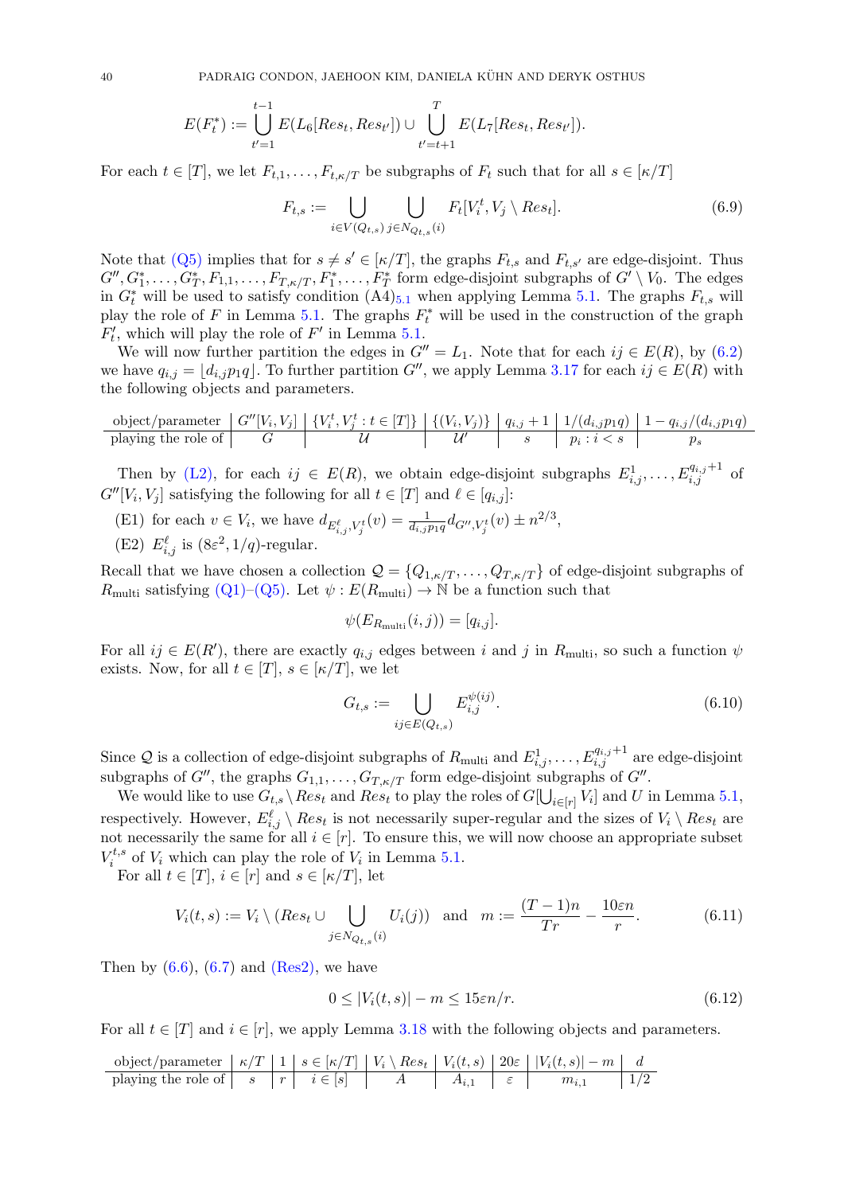40 PADRAIG CONDON, JAEHOON KIM, DANIELA KÜHN AND DERYK OSTHUS

$$
E(F_t^*) := \bigcup_{t'=1}^{t-1} E(L_6[Res_t, Res_{t'}]) \cup \bigcup_{t'=t+1}^{T} E(L_7[Res_t, Res_{t'}]).
$$

For each  $t \in [T]$ , we let  $F_{t,1}, \ldots, F_{t,\kappa/T}$  be subgraphs of  $F_t$  such that for all  $s \in [\kappa/T]$ 

<span id="page-40-1"></span>
$$
F_{t,s} := \bigcup_{i \in V(Q_{t,s})} \bigcup_{j \in N_{Q_{t,s}}(i)} F_t[V_i^t, V_j \setminus Res_t].
$$
\n(6.9)

Note that [\(Q5\)](#page-39-0) implies that for  $s \neq s' \in [\kappa/T]$ , the graphs  $F_{t,s}$  and  $F_{t,s'}$  are edge-disjoint. Thus  $G'', G_1^*, \ldots, G_T^*, F_{1,1}, \ldots, F_{T,\kappa/T}, F_1^*, \ldots, F_T^*$  form edge-disjoint subgraphs of  $G' \setminus V_0$ . The edges in  $G_t^*$  will be used to satisfy condition  $(A4)_{5,1}$  $(A4)_{5,1}$  $(A4)_{5,1}$  when applying Lemma [5.1.](#page-25-0) The graphs  $F_{t,s}$  will play the role of F in Lemma [5.1.](#page-25-0) The graphs  $F_t^*$  will be used in the construction of the graph  $F'$ , which will play the role of  $F'$  in Lemma [5.1.](#page-25-0)

We will now further partition the edges in  $G'' = L_1$ . Note that for each  $ij \in E(R)$ , by [\(6.2\)](#page-38-7) we have  $q_{i,j} = |d_{i,j}p_1q|$ . To further partition G'', we apply Lemma [3.17](#page-14-1) for each  $ij \in E(R)$  with the following objects and parameters.

$$
\text{object/parameter } G''[V_i,V_j] \mid \{V_i^t,V_j^t : t \in [T] \} \mid \{ (V_i,V_j) \} \mid q_{i,j}+1 \mid 1/(d_{i,j}p_1q) \mid 1-q_{i,j}/(d_{i,j}p_1q) \text{ playing the role of } G''[V_i,V_j^t] \mid \text{if} \quad U'' \mid s \mid p_i : i < s \mid p_s
$$

Then by [\(L2\),](#page-39-3) for each  $ij \in E(R)$ , we obtain edge-disjoint subgraphs  $E^1_{i,j}, \ldots, E^{q_{i,j}+1}_{i,j}$  of  $G''[V_i, V_j]$  satisfying the following for all  $t \in [T]$  and  $\ell \in [q_{i,j}]$ :

- <span id="page-40-3"></span>(E1) for each  $v \in V_i$ , we have  $d_{E_{i,j}^{\ell}, V_j^t}(v) = \frac{1}{d_{i,j}p_1q} d_{G'', V_j^t}(v) \pm n^{2/3}$ ,
- <span id="page-40-2"></span>(E2)  $E_{i,j}^{\ell}$  is  $(8\varepsilon^2, 1/q)$ -regular.

Recall that we have chosen a collection  $\mathcal{Q} = \{Q_{1,\kappa/T}, \ldots, Q_{T,\kappa/T}\}\$  of edge-disjoint subgraphs of  $R_{\text{multi}}$  satisfying [\(Q1\)–](#page-39-1)[\(Q5\).](#page-39-0) Let  $\psi : E(R_{\text{multi}}) \to \mathbb{N}$  be a function such that

$$
\psi(E_{R_{\text{multi}}}(i,j)) = [q_{i,j}].
$$

For all  $ij \in E(R')$ , there are exactly  $q_{i,j}$  edges between i and j in  $R_{\text{multi}}$ , so such a function  $\psi$ exists. Now, for all  $t \in [T], s \in [\kappa/T],$  we let

<span id="page-40-4"></span>
$$
G_{t,s} := \bigcup_{ij \in E(Q_{t,s})} E_{i,j}^{\psi(ij)}.
$$
\n(6.10)

Since Q is a collection of edge-disjoint subgraphs of  $R_{\text{multi}}$  and  $E^1_{i,j}, \ldots, E^{q_{i,j}+1}_{i,j}$  are edge-disjoint subgraphs of G'', the graphs  $G_{1,1}, \ldots, G_{T,\kappa/T}$  form edge-disjoint subgraphs of G''.

We would like to use  $G_{t,s} \setminus Res_t$  and  $Res_t$  to play the roles of  $G[\bigcup_{i \in [r]} V_i]$  and U in Lemma [5.1,](#page-25-0) respectively. However,  $E_{i,j}^{\ell} \setminus Res_t$  is not necessarily super-regular and the sizes of  $V_i \setminus Res_t$  are not necessarily the same for all  $i \in [r]$ . To ensure this, we will now choose an appropriate subset  $V_i^{t,s}$  $i^{t,s}$  of  $V_i$  which can play the role of  $V_i$  in Lemma [5.1.](#page-25-0)

For all  $t \in [T], i \in [r]$  and  $s \in [\kappa/T],$  let

$$
V_i(t,s) := V_i \setminus (Res_t \cup \bigcup_{j \in N_{Q_{t,s}}(i)} U_i(j)) \text{ and } m := \frac{(T-1)n}{Tr} - \frac{10\varepsilon n}{r}.
$$
 (6.11)

Then by  $(6.6)$ ,  $(6.7)$  and  $(Res2)$ , we have

<span id="page-40-0"></span>
$$
0 \le |V_i(t, s)| - m \le 15\epsilon n/r. \tag{6.12}
$$

For all  $t \in [T]$  and  $i \in [r]$ , we apply Lemma [3.18](#page-14-2) with the following objects and parameters.

$$
\text{object/parameter } \mid \kappa/T \mid 1 \mid s \in [\kappa/T] \mid V_i \setminus Res_t \mid V_i(t,s) \mid 20\varepsilon \mid |V_i(t,s)| - m \mid d \text{ playing the role of } \mid s \mid r \mid i \in [s] \mid A \mid A_{i,1} \mid \varepsilon \mid m_{i,1} \mid 1/2
$$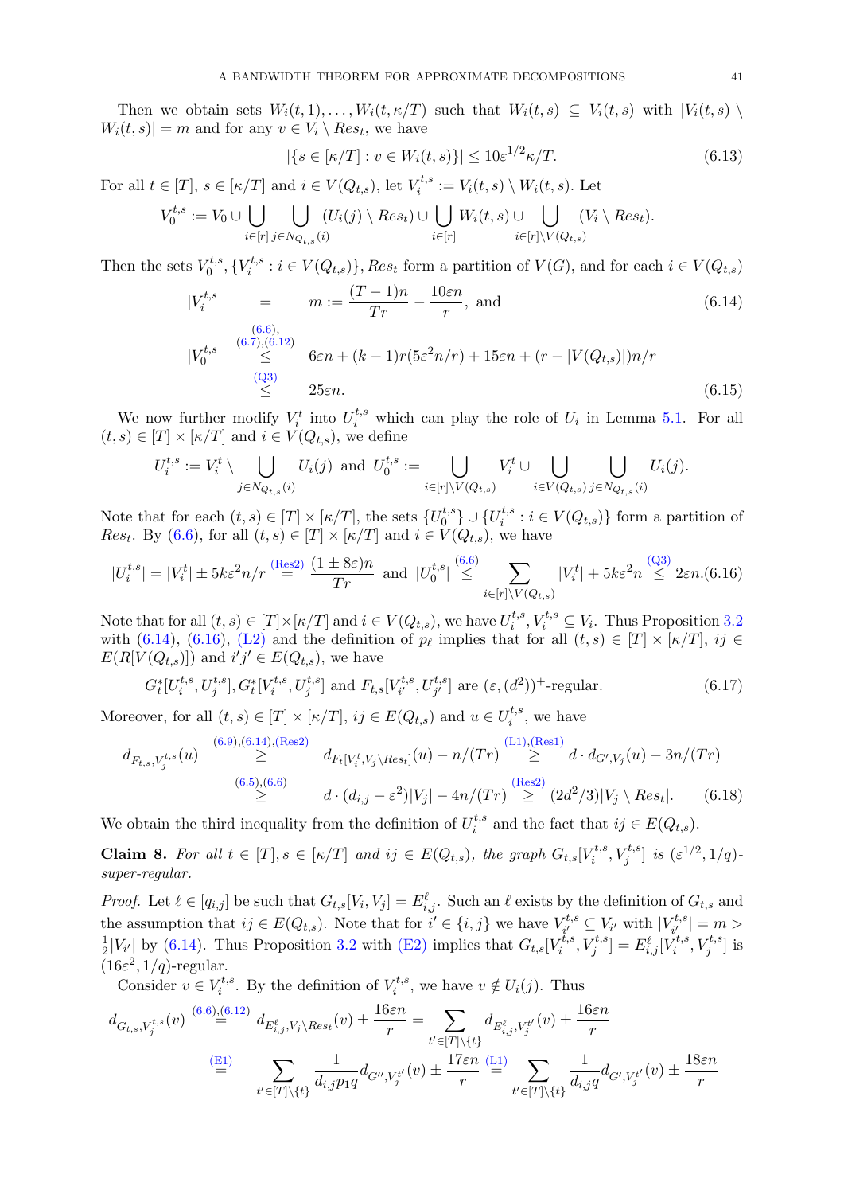Then we obtain sets  $W_i(t,1), \ldots, W_i(t,\kappa/T)$  such that  $W_i(t,s) \subseteq V_i(t,s)$  with  $|V_i(t,s)| \setminus$  $W_i(t,s)| = m$  and for any  $v \in V_i \setminus Res_t$ , we have

<span id="page-41-5"></span>
$$
|\{s \in [\kappa/T] : v \in W_i(t,s)\}| \le 10\varepsilon^{1/2} \kappa/T.
$$
\n(6.13)

For all  $t \in [T]$ ,  $s \in [\kappa/T]$  and  $i \in V(Q_{t,s})$ , let  $V_i^{t,s}$  $V_i^{t,s} := V_i(t,s) \setminus W_i(t,s)$ . Let

$$
V_0^{t,s} := V_0 \cup \bigcup_{i \in [r]} \bigcup_{j \in N_{Q_{t,s}}(i)} (U_i(j) \setminus Res_t) \cup \bigcup_{i \in [r]} W_i(t,s) \cup \bigcup_{i \in [r] \setminus V(Q_{t,s})} (V_i \setminus Res_t).
$$

Then the sets  $V_0^{t,s}$  $U^{t,s}_0,\{V^{t,s}_i$  $i_i^{\tau,s}: i \in V(Q_{t,s})\}, Res_t$  form a partition of  $V(G)$ , and for each  $i \in V(Q_{t,s})$ 

<span id="page-41-0"></span>
$$
|V_i^{t,s}| = m := \frac{(T-1)n}{Tr} - \frac{10\varepsilon n}{r}, \text{ and}
$$
(6.14)  

$$
|V_0^{t,s}| \leq 6\varepsilon n + (k-1)r(5\varepsilon^2 n/r) + 15\varepsilon n + (r - |V(Q_{t,s})|)n/r
$$
  

$$
\leq 25\varepsilon n.
$$
(6.15)

We now further modify  $V_i^t$  into  $U_i^{t,s}$  which can play the role of  $U_i$  in Lemma [5.1.](#page-25-0) For all  $(t, s) \in [T] \times [\kappa/T]$  and  $i \in V(Q_{t,s}),$  we define

$$
U_i^{t,s} := V_i^t \setminus \bigcup_{j \in N_{Q_{t,s}}(i)} U_i(j) \text{ and } U_0^{t,s} := \bigcup_{i \in [r] \setminus V(Q_{t,s})} V_i^t \cup \bigcup_{i \in V(Q_{t,s})} \bigcup_{j \in N_{Q_{t,s}}(i)} U_i(j).
$$

Note that for each  $(t, s) \in [T] \times [\kappa/T]$ , the sets  $\{U_0^{t,s}$  $\{U_i^{t,s}\}\cup\{U_i^{t,s}$  $i_i^{\tau,s}: i \in V(Q_{t,s})\}$  form a partition of *Res<sub>t</sub>*. By [\(6.6\)](#page-39-4), for all  $(t, s) \in [T] \times [\kappa/T]$  and  $i \in V(Q_{t,s})$ , we have

<span id="page-41-1"></span>
$$
|U_i^{t,s}| = |V_i^t| \pm 5k\varepsilon^2 n/r \stackrel{\text{(Res2)}}{=} \frac{(1 \pm 8\varepsilon)n}{Tr} \text{ and } |U_0^{t,s}| \stackrel{(6.6)}{\leq} \sum_{i \in [r] \backslash V(Q_{t,s})} |V_i^t| + 5k\varepsilon^2 n \stackrel{(Q3)}{\leq} 2\varepsilon n.(6.16)
$$

Note that for all  $(t, s) \in [T] \times [\kappa/T]$  and  $i \in V(Q_{t,s}),$  we have  $U_i^{t,s}$  $i_t^{t,s}, V_i^{t,s} \subseteq V_i$ . Thus Proposition [3.2](#page-8-1) with [\(6.14\)](#page-41-0), [\(6.16\)](#page-41-1), [\(L2\)](#page-39-3) and the definition of  $p_\ell$  implies that for all  $(t, s) \in [T] \times [\kappa/T]$ ,  $ij \in$  $E(R[V(Q_{t,s})])$  and  $i'j' \in E(Q_{t,s})$ , we have

<span id="page-41-2"></span>
$$
G_t^*[U_i^{t,s}, U_j^{t,s}], G_t^*[V_i^{t,s}, U_j^{t,s}] \text{ and } F_{t,s}[V_{i'}^{t,s}, U_{j'}^{t,s}] \text{ are } (\varepsilon, (d^2))^+\text{-regular.}
$$
 (6.17)

Moreover, for all  $(t, s) \in [T] \times [\kappa/T]$ ,  $ij \in E(Q_{t,s})$  and  $u \in U_i^{t,s}$  $i^{t,s}$ , we have

<span id="page-41-4"></span>
$$
d_{F_{t,s}, V_j^{t,s}}(u) \geq \begin{cases} (6.9), (6.14), (\text{Res2}) \ 0 & \text{if } t \geq 0 \\ \geq \end{cases} d_{F_t[V_t^t, V_j \setminus Res_t]}(u) - n/(Tr) \geq d \cdot d_{G', V_j}(u) - 3n/(Tr) \\ \geq \begin{cases} (6.5), (6.6) \ 0 & \text{if } t \geq 0 \\ d \cdot (d_{i,j} - \varepsilon^2) |V_j| - 4n/(Tr) \geq (2d^2/3) |V_j \setminus Res_t|. \end{cases} \tag{6.18}
$$

We obtain the third inequality from the definition of  $U_i^{t,s}$  $i_i^{t,s}$  and the fact that  $ij \in E(Q_{t,s})$ .

<span id="page-41-3"></span>**Claim 8.** For all  $t \in [T], s \in [\kappa/T]$  and  $ij \in E(Q_{t,s})$ , the graph  $G_{t,s}[V_i^{t,s}]$  $[v_i^{t,s}, V_j^{t,s}]$  is  $(\varepsilon^{1/2}, 1/q)$ super-regular.

*Proof.* Let  $\ell \in [q_{i,j}]$  be such that  $G_{t,s}[V_i, V_j] = E_{i,j}^{\ell}$ . Such an  $\ell$  exists by the definition of  $G_{t,s}$  and the assumption that  $ij \in E(Q_{t,s})$ . Note that for  $i' \in \{i, j\}$  we have  $V_{i'}^{t,s}$  $V^{t,s}_{i'} \subseteq V_{i'}$  with  $|V^{t,s}_{i'}|$  $\left|\frac{a}{i'}^{t,s}\right|=m>$ 1  $\frac{1}{2}|V_{i'}|$  by [\(6.14\)](#page-41-0). Thus Proposition [3.2](#page-8-1) with [\(E2\)](#page-40-2) implies that  $G_{t,s}[V_i^{\tilde{t},s}]$  $[x_i^{\widetilde{t},s},V_j^{t,s}]=E_{i,j}^\ell[\check{V}_i^{t,s}]$  $\mathbf{V}_i^{t,s}, V_j^{t,s}]$  is  $(16\varepsilon^2, 1/q)$ -regular.

Consider  $v \in V_i^{t,s}$  $\mathbf{y}_i^{t,s}$ . By the definition of  $V_i^{t,s}$  $v_i^{t,s}$ , we have  $v \notin U_i(j)$ . Thus

$$
d_{G_{t,s}, V_j^{t,s}}(v) \stackrel{(6.6),(6.12)}{=} d_{E_{i,j}^{\ell}, V_j \setminus Res_t}(v) \pm \frac{16\varepsilon n}{r} = \sum_{t' \in [T] \setminus \{t\}} d_{E_{i,j}^{\ell}, V_j^{t'}}(v) \pm \frac{16\varepsilon n}{r}
$$

$$
\stackrel{(E1)}{=} \sum_{t' \in [T] \setminus \{t\}} \frac{1}{d_{i,j}p_1 q} d_{G'', V_j^{t'}}(v) \pm \frac{17\varepsilon n}{r} \stackrel{(L1)}{=} \sum_{t' \in [T] \setminus \{t\}} \frac{1}{d_{i,j} q} d_{G', V_j^{t'}}(v) \pm \frac{18\varepsilon n}{r}
$$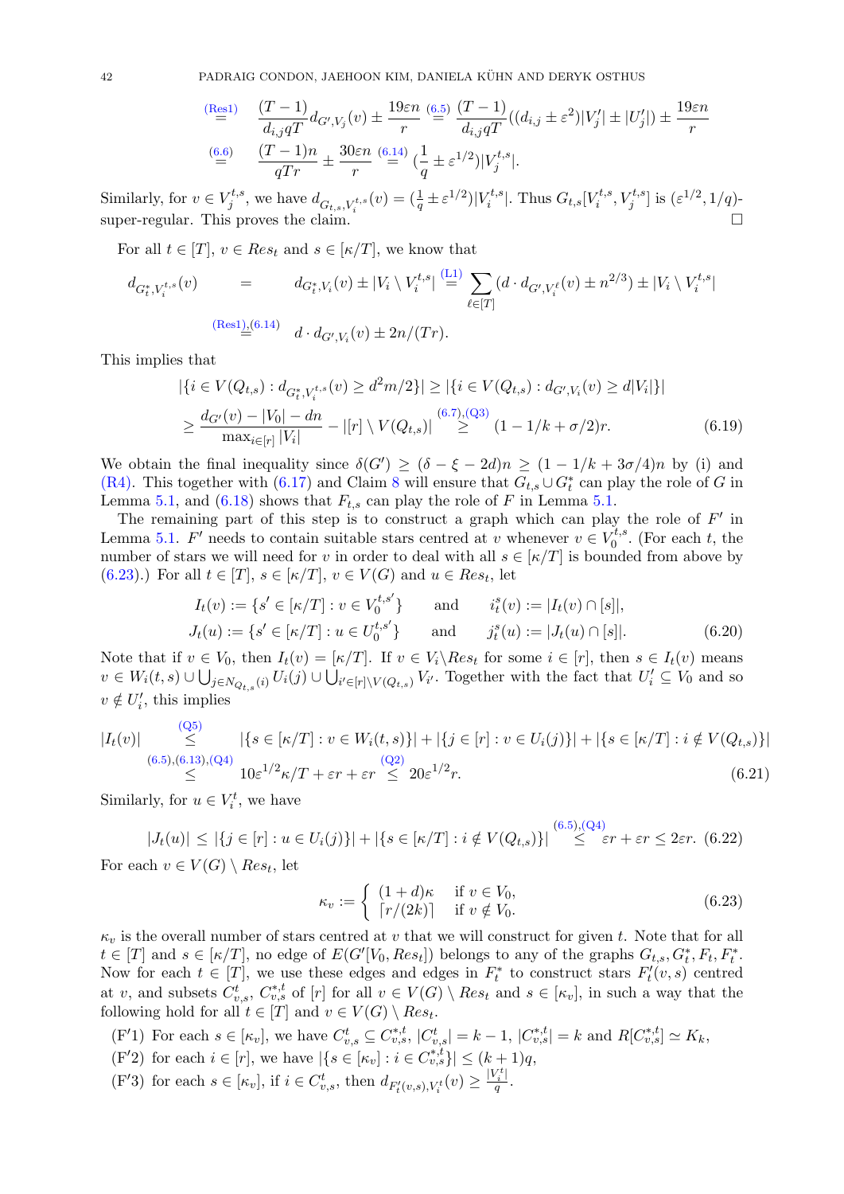42 PADRAIG CONDON, JAEHOON KIM, DANIELA KUHN AND DERYK OSTHUS ¨

$$
\begin{aligned}\n\frac{\text{(Res1)}}{\equiv} & \frac{(T-1)}{d_{i,j}qT} d_{G',V_j}(v) \pm \frac{19\varepsilon n}{r} \stackrel{(6.5)}{=} \frac{(T-1)}{d_{i,j}qT} ((d_{i,j} \pm \varepsilon^2)|V'_j| \pm |U'_j|) \pm \frac{19\varepsilon n}{r} \\
& \frac{(6.6)}{qTr} \pm \frac{30\varepsilon n}{r} \stackrel{(6.14)}{=} \left(\frac{1}{q} \pm \varepsilon^{1/2}\right)|V_j^{t,s}|.\n\end{aligned}
$$

Similarly, for  $v \in V_i^{t,s}$  $j^{t,s}$ , we have  $d_{G_{t,s}, V_i^{t,s}}(v) = (\frac{1}{q} \pm \varepsilon^{1/2})|V_i^{t,s}$  $\mathcal{F}_i^{t,s}$ . Thus  $G_{t,s}[V_i^{t,s}]$  $[v_i^{t,s}, V_j^{t,s}]$  is  $(\varepsilon^{1/2}, 1/q)$ super-regular. This proves the claim.

For all  $t \in [T]$ ,  $v \in Res_t$  and  $s \in [\kappa/T]$ , we know that

$$
d_{G_t^*, V_i^{t,s}}(v) = d_{G_t^*, V_i}(v) \pm |V_i \setminus V_i^{t,s}| \stackrel{\text{(L1)}}{=} \sum_{\ell \in [T]} (d \cdot d_{G', V_i^{\ell}}(v) \pm n^{2/3}) \pm |V_i \setminus V_i^{t,s}|
$$
\n
$$
\stackrel{\text{(Res1)}_{{}_{\text{min}}}(6.14)}{=} d \cdot d_{G', V_i}(v) \pm 2n/(Tr).
$$

This implies that

<span id="page-42-7"></span>
$$
|\{i \in V(Q_{t,s}) : d_{G_t^*, V_i^{t,s}}(v) \ge d^2 m/2\}| \ge |\{i \in V(Q_{t,s}) : d_{G', V_i}(v) \ge d|V_i|\}|
$$
  

$$
\ge \frac{d_{G'}(v) - |V_0| - dn}{\max_{i \in [r]} |V_i|} - |[r] \setminus V(Q_{t,s})| \stackrel{(6.7),(Q_3)}{\ge} (1 - 1/k + \sigma/2)r.
$$
 (6.19)

We obtain the final inequality since  $\delta(G') \geq (\delta - \xi - 2d)n \geq (1 - 1/k + 3\sigma/4)n$  by (i) and [\(R4\).](#page-38-4) This together with [\(6.17\)](#page-41-2) and Claim [8](#page-41-3) will ensure that  $G_{t,s} \cup G_t^*$  can play the role of G in Lemma [5.1,](#page-25-0) and [\(6.18\)](#page-41-4) shows that  $F_{t,s}$  can play the role of F in Lemma [5.1.](#page-25-0)

The remaining part of this step is to construct a graph which can play the role of  $F'$  in Lemma [5.1.](#page-25-0) F' needs to contain suitable stars centred at v whenever  $v \in V_0^{t,s}$  $v_0^{t,s}$ . (For each t, the number of stars we will need for v in order to deal with all  $s \in \lbrack \kappa/T \rbrack$  is bounded from above by [\(6.23\)](#page-42-0).) For all  $t \in [T]$ ,  $s \in [\kappa/T]$ ,  $v \in V(G)$  and  $u \in Res_t$ , let

<span id="page-42-3"></span>
$$
I_t(v) := \{ s' \in [\kappa/T] : v \in V_0^{t,s'} \} \quad \text{and} \quad i_t^s(v) := |I_t(v) \cap [s]|,
$$
  
\n
$$
J_t(u) := \{ s' \in [\kappa/T] : u \in U_0^{t,s'} \} \quad \text{and} \quad j_t^s(u) := |J_t(u) \cap [s]|.
$$
\n(6.20)

Note that if  $v \in V_0$ , then  $I_t(v) = [\kappa/T]$ . If  $v \in V_i \backslash Res_t$  for some  $i \in [r]$ , then  $s \in I_t(v)$  means  $v \in W_i(t, s) \cup \bigcup_{j \in N_{Q_{t,s}}(i)} U_i(j) \cup \bigcup_{i' \in [r] \setminus V(Q_{t,s})} V_{i'}$ . Together with the fact that  $U'_i \subseteq V_0$  and so  $v \notin U'_i$ , this implies

<span id="page-42-4"></span>
$$
|I_t(v)| \leq (Q5) \leq | \{ s \in [\kappa/T] : v \in W_i(t, s) \} | + | \{ j \in [r] : v \in U_i(j) \} | + | \{ s \in [\kappa/T] : i \notin V(Q_{t, s}) \} |
$$
  
\n
$$
\leq (6.5), (6.13), (Q4) \leq 10\varepsilon^{1/2}\kappa/T + \varepsilon r + \varepsilon r \leq 20\varepsilon^{1/2}r.
$$
  
\n(6.21)

Similarly, for  $u \in V_i^t$ , we have

<span id="page-42-6"></span>
$$
|J_t(u)| \leq |\{j \in [r] : u \in U_i(j)\}| + |\{s \in [\kappa/T] : i \notin V(Q_{t,s})\}| \stackrel{(6.5),(Q4)}{\leq} \varepsilon r + \varepsilon r \leq 2\varepsilon r. \tag{6.22}
$$

For each  $v \in V(G) \setminus Res_t$ , let

<span id="page-42-0"></span>
$$
\kappa_v := \begin{cases} (1+d)\kappa & \text{if } v \in V_0, \\ \lceil r/(2k) \rceil & \text{if } v \notin V_0. \end{cases}
$$
\n(6.23)

 $\kappa_v$  is the overall number of stars centred at v that we will construct for given t. Note that for all  $t \in [T]$  and  $s \in [\kappa/T]$ , no edge of  $E(G'[V_0, Res_t])$  belongs to any of the graphs  $G_{t,s}, G_t^*, F_t, F_t^*$ . Now for each  $t \in [T]$ , we use these edges and edges in  $F_t^*$  to construct stars  $F_t'(v, s)$  centred at v, and subsets  $C_{v,s}^t$ ,  $C_{v,s}^{*,t}$  of  $[r]$  for all  $v \in V(G) \setminus Res_t$  and  $s \in [\kappa_v]$ , in such a way that the following hold for all  $t \in [T]$  and  $v \in V(G) \setminus Res_t$ .

- <span id="page-42-5"></span><span id="page-42-1"></span>(F'1) For each  $s \in [\kappa_v]$ , we have  $C_{v,s}^t \subseteq C_{v,s}^{*,t}$ ,  $|C_{v,s}^t| = k - 1$ ,  $|C_{v,s}^{*,t}| = k$  and  $R[C_{v,s}^{*,t}] \simeq K_k$ , (F'2) for each  $i \in [r]$ , we have  $|\{s \in [\kappa_v] : i \in C_{v,s}^{*,t}\}| \leq (k+1)q$ ,
- <span id="page-42-2"></span>(F'3) for each  $s \in [\kappa_v]$ , if  $i \in C^t_{v,s}$ , then  $d_{F'_t(v,s), V^t_i}(v) \geq \frac{|V^t_i|}{q}$  $\frac{i}{q}$ .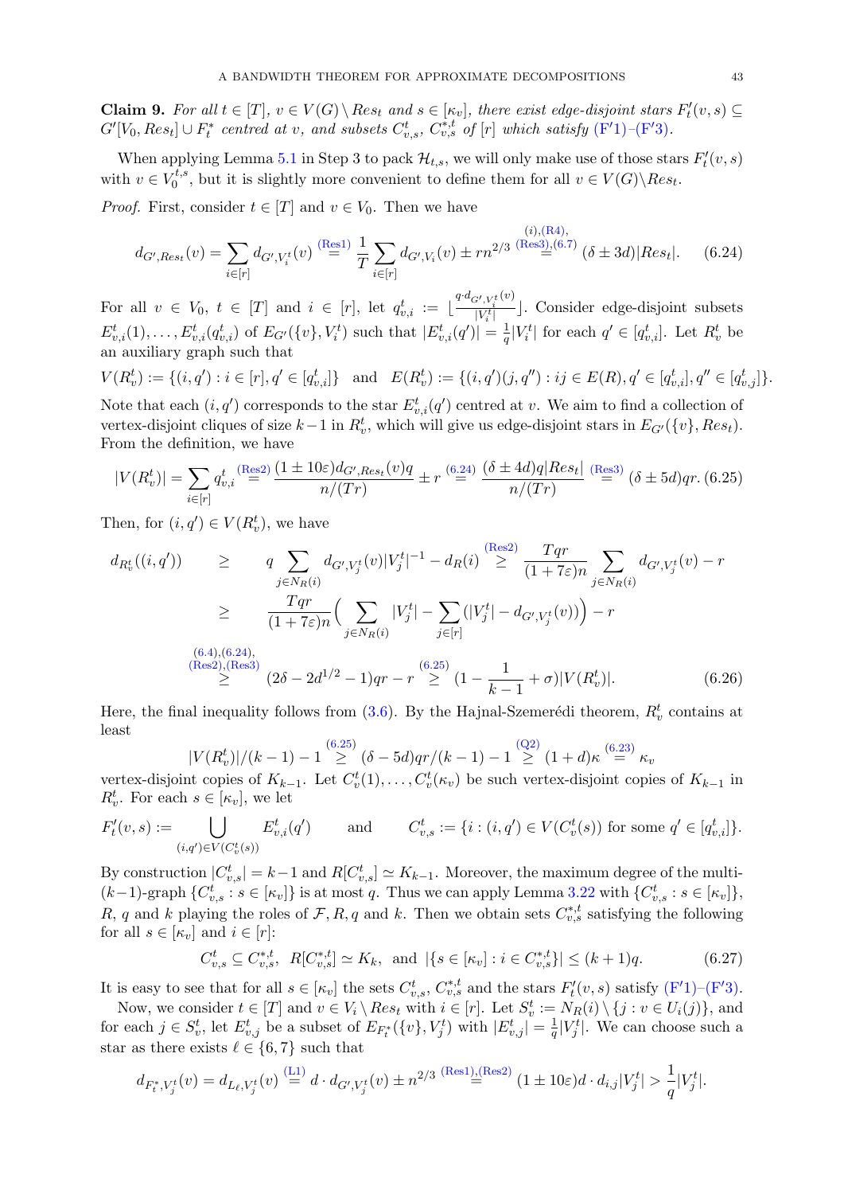<span id="page-43-2"></span>**Claim 9.** For all  $t \in [T]$ ,  $v \in V(G) \setminus Res_t$  and  $s \in [\kappa_v]$ , there exist edge-disjoint stars  $F'_t(v, s) \subseteq$  $G'[V_0, Res_t] \cup F_t^*$  centred at v, and subsets  $C_{v,s}^t$ ,  $C_{v,s}^{*,t}$  of  $[r]$  which satisfy  $(F'1) - (F'3)$  $(F'1) - (F'3)$ .

When applying Lemma [5.1](#page-25-0) in Step 3 to pack  $\mathcal{H}_{t,s}$ , we will only make use of those stars  $F'_t(v,s)$ with  $v \in V_0^{t,s}$  $U_0^{t,s}$ , but it is slightly more convenient to define them for all  $v \in V(G) \backslash Res_t$ .

*Proof.* First, consider  $t \in [T]$  and  $v \in V_0$ . Then we have

<span id="page-43-0"></span>
$$
d_{G',Res_t}(v) = \sum_{i \in [r]} d_{G',V_i^t}(v) \stackrel{\text{(Res1)}}{=} \frac{1}{T} \sum_{i \in [r]} d_{G',V_i}(v) \pm rn^{2/3} \stackrel{\text{(i),(R4),}}{=} (\delta \pm 3d) |Res_t|.
$$
 (6.24)

For all  $v \in V_0, t \in [T]$  and  $i \in [r]$ , let  $q_{v,i}^t := \lfloor \frac{q \cdot d_{G',V_i^t}(v)}{|V_i^t|} \rfloor$  $\frac{y_i, v_i^T \cdot y_i}{|V_i^t|}$ . Consider edge-disjoint subsets  $E_{v,i}^t(1), \ldots, E_{v,i}^t(q_{v,i}^t)$  of  $E_{G'}(\{v\}, V_i^t)$  such that  $|E_{v,i}^t(q')| = \frac{1}{q}$  $\frac{1}{q}|V_i^t|$  for each  $q' \in [q_{v,i}^t]$ . Let  $R_v^t$  be an auxiliary graph such that

 $V(R_v^t) := \{(i, q') : i \in [r], q' \in [q_{v,i}^t]\}$  and  $E(R_v^t) := \{(i, q')(j, q'') : ij \in E(R), q' \in [q_{v,i}^t], q'' \in [q_{v,j}^t]\}.$ 

Note that each  $(i, q')$  corresponds to the star  $E_{v,i}^t(q')$  centred at v. We aim to find a collection of vertex-disjoint cliques of size  $k-1$  in  $R_v^t$ , which will give us edge-disjoint stars in  $E_{G'}(\{v\}, Res_t)$ . From the definition, we have

<span id="page-43-1"></span>
$$
|V(R_v^t)| = \sum_{i \in [r]} q_{v,i}^t \stackrel{\text{(Res2)}}{=} \frac{(1 \pm 10\varepsilon)d_{G',Res_t}(v)q}{n/(Tr)} \pm r \stackrel{(6.24)}{=} \frac{(\delta \pm 4d)q|Res_t|}{n/(Tr)} \stackrel{\text{(Res3)}}{=} (\delta \pm 5d)qr. \tag{6.25}
$$

Then, for  $(i, q') \in V(R_v^t)$ , we have

$$
d_{R_v^t}((i,q')) \geq q \sum_{j \in N_R(i)} d_{G',V_j^t}(v)|V_j^t|^{-1} - d_R(i) \stackrel{\text{(Res2)}}{\geq} \frac{Tqr}{(1+7\varepsilon)n} \sum_{j \in N_R(i)} d_{G',V_j^t}(v) - r
$$
  
\n
$$
\geq \frac{Tqr}{(1+7\varepsilon)n} \Big( \sum_{j \in N_R(i)} |V_j^t| - \sum_{j \in [r]} (|V_j^t| - d_{G',V_j^t}(v)) \Big) - r
$$
  
\n
$$
\xrightarrow{\text{(6.4),(6.24),}} \sum_{\text{(Res3)},\text{(Res3)}} (2\delta - 2d^{1/2} - 1)qr - r \stackrel{\text{(6.25)}}{\geq} (1 - \frac{1}{k-1} + \sigma)|V(R_v^t)|. \tag{6.26}
$$

Here, the final inequality follows from  $(3.6)$ . By the Hajnal-Szemerédi theorem,  $R_v^t$  contains at least

$$
|V(R_v^t)|/(k-1) - 1 \overset{(6.25)}{\ge} (\delta - 5d)qr/(k-1) - 1 \overset{(Q2)}{\ge} (1+d)\kappa \overset{(6.23)}{=} \kappa_v
$$

vertex-disjoint copies of  $K_{k-1}$ . Let  $C_v^t(1), \ldots, C_v^t(\kappa_v)$  be such vertex-disjoint copies of  $K_{k-1}$  in  $R_v^t$ . For each  $s \in [\kappa_v]$ , we let

$$
F'_t(v, s) := \bigcup_{(i, q') \in V(C_v^t(s))} E_{v, i}^t(q') \quad \text{and} \quad C_{v, s}^t := \{i : (i, q') \in V(C_v^t(s)) \text{ for some } q' \in [q_{v, i}^t] \}.
$$

By construction  $|C_{v,s}^t| = k-1$  and  $R[C_{v,s}^t] \simeq K_{k-1}$ . Moreover, the maximum degree of the multi- $(k-1)$ -graph  $\{C_{v,s}^t : s \in [\kappa_v]\}$  is at most q. Thus we can apply Lemma [3.22](#page-16-2) with  $\{C_{v,s}^t : s \in [\kappa_v]\},$ R, q and k playing the roles of F, R, q and k. Then we obtain sets  $C_{v,s}^{*,t}$  satisfying the following for all  $s \in [\kappa_v]$  and  $i \in [r]$ :

$$
C_{v,s}^t \subseteq C_{v,s}^{*,t}, \ R[C_{v,s}^{*,t}] \simeq K_k, \text{ and } |\{s \in [\kappa_v] : i \in C_{v,s}^{*,t}\}| \leq (k+1)q. \tag{6.27}
$$

It is easy to see that for all  $s \in [\kappa_v]$  the sets  $C_{v,s}^t$ ,  $C_{v,s}^{*,t}$  and the stars  $F_t'(v, s)$  satisfy  $(F'1)$  $(F'1)$ – $(F'3)$ .

Now, we consider  $t \in [T]$  and  $v \in V_i \setminus Res_t$  with  $i \in [r]$ . Let  $S_v^t := N_R(i) \setminus \{j : v \in U_i(j)\}$ , and for each  $j \in S_v^t$ , let  $E_{v,j}^t$  be a subset of  $E_{F_t^*}(\{v\}, V_j^t)$  with  $|E_{v,j}^t| = \frac{1}{q}$  $\frac{1}{q}|V_j^t|$ . We can choose such a star as there exists  $\ell \in \{6, 7\}$  such that

$$
d_{F_t^*, V_j^t}(v) = d_{L_{\ell}, V_j^t}(v) \stackrel{\text{(L1)}}{=} d \cdot d_{G', V_j^t}(v) \pm n^{2/3} \stackrel{\text{(Res1)}_{\text{L}}(Res2)}{=} (1 \pm 10\varepsilon)d \cdot d_{i,j}|V_j^t| > \frac{1}{q}|V_j^t|.
$$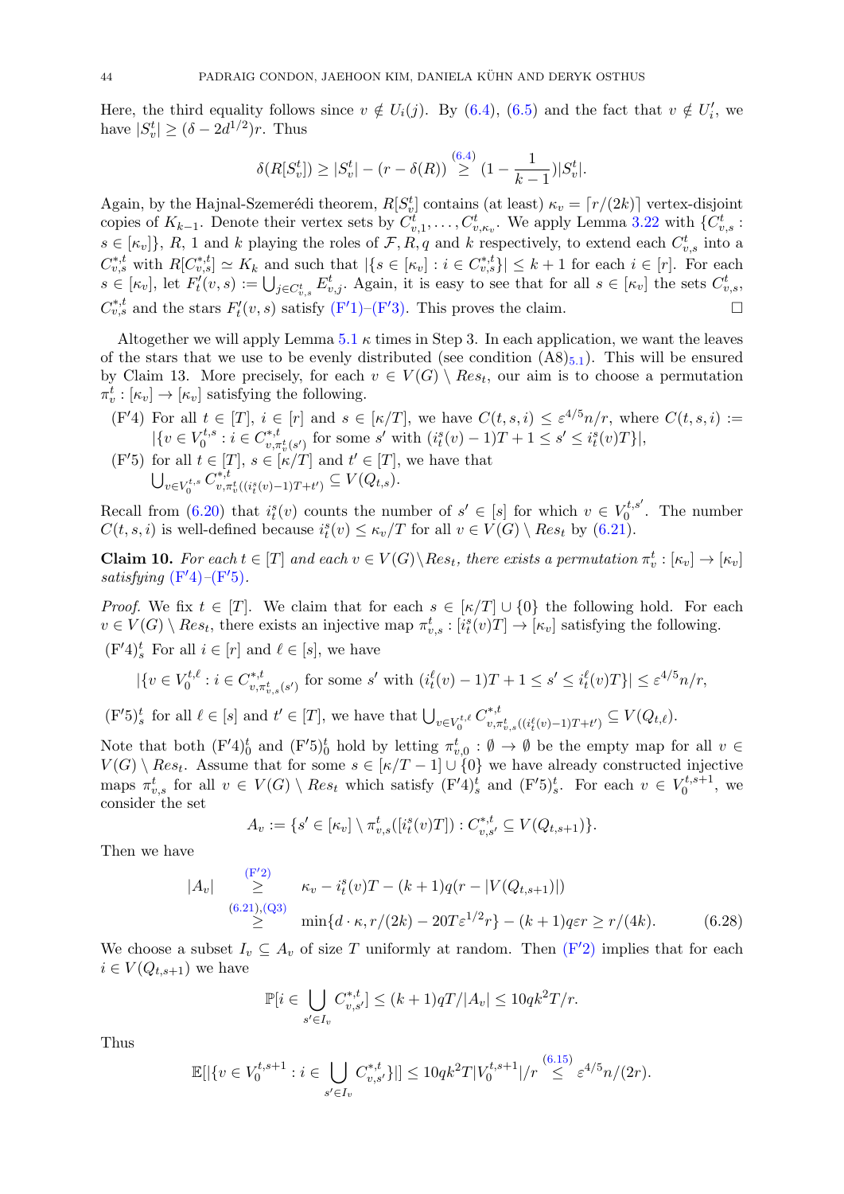Here, the third equality follows since  $v \notin U_i(j)$ . By [\(6.4\)](#page-39-13), [\(6.5\)](#page-39-9) and the fact that  $v \notin U'_i$ , we have  $|S_v^t| \ge (\delta - 2d^{1/2})r$ . Thus

$$
\delta(R[S_v^t]) \ge |S_v^t| - (r - \delta(R)) \stackrel{(6.4)}{\ge} (1 - \frac{1}{k-1}) |S_v^t|.
$$

Again, by the Hajnal-Szemerédi theorem,  $R[S_v^t]$  contains (at least)  $\kappa_v = \lceil r/(2k) \rceil$  vertex-disjoint copies of  $K_{k-1}$ . Denote their vertex sets by  $C_{v,1}^t, \ldots, C_{v,\kappa_v}^t$ . We apply Lemma [3.22](#page-16-2) with  $\{C_{v,s}^t:$  $s \in [\kappa_v]$ , R, 1 and k playing the roles of F, R, q and k respectively, to extend each  $C_{v,s}^t$  into a  $C_{v,s}^{*,t}$  with  $R[C_{v,s}^{*,t}] \simeq K_k$  and such that  $|\{s \in [\kappa_v] : i \in C_{v,s}^{*,t}\}| \leq k+1$  for each  $i \in [r]$ . For each  $s \in [\kappa_v]$ , let  $F'_t(v, s) := \bigcup_{j \in C_{v,s}^t} E^t_{v,j}$ . Again, it is easy to see that for all  $s \in [\kappa_v]$  the sets  $C_{v,s}^t$ ,  $C_{v,s}^{*,t}$  and the stars  $F'_t(v,s)$  satisfy  $(F'1)$  $(F'1)$ – $(F'3)$ . This proves the claim.

Altogether we will apply Lemma [5.1](#page-25-0)  $\kappa$  times in Step 3. In each application, we want the leaves of the stars that we use to be evenly distributed (see condition  $(A8)_{5,1}$  $(A8)_{5,1}$  $(A8)_{5,1}$ ). This will be ensured by Claim 13. More precisely, for each  $v \in V(G) \setminus Res_t$ , our aim is to choose a permutation  $\pi_v^t : [\kappa_v] \to [\kappa_v]$  satisfying the following.

- <span id="page-44-0"></span> $(F'4)$  For all  $t \in [T], i \in [r]$  and  $s \in [\kappa/T],$  we have  $C(t, s, i) \leq \varepsilon^{4/5} n/r$ , where  $C(t, s, i) :=$  $\{v \in V_0^{t,s}\}$  $\sigma^{t,s}_0:i\in C^{*,t}_{v,\pi}$ \*, $t_{v,\pi_v^t(s')}$  for some s' with  $(i_t^s(v) - 1)T + 1 \le s' \le i_t^s(v)T\}$ ,
- <span id="page-44-1"></span> $(F'5)$  for all  $t \in [T], s \in [K/T]$  and  $t' \in [T],$  we have that  $\bigcup_{v\in V_0^{t,s}}C_{v,\pi}^{*,t}$  $v, \pi_v^t((i_t^s(v)-1)T+t') \subseteq V(Q_{t,s}).$

Recall from [\(6.20\)](#page-42-3) that  $i_t^s(v)$  counts the number of  $s' \in [s]$  for which  $v \in V_0^{t,s'}$  $v_0^{\tau,s}$ . The number  $C(t, s, i)$  is well-defined because  $i_t^s(v) \leq \kappa_v/T$  for all  $v \in V(G) \setminus Res_t$  by [\(6.21\)](#page-42-4).

**Claim 10.** For each  $t \in [T]$  and each  $v \in V(G) \setminus Res_t$ , there exists a permutation  $\pi_v^t : [\kappa_v] \to [\kappa_v]$ satisfying  $(F'4)$  $(F'4)$ – $(F'5)$ .

*Proof.* We fix  $t \in [T]$ . We claim that for each  $s \in [\kappa/T] \cup \{0\}$  the following hold. For each  $v \in V(G) \setminus Res_t$ , there exists an injective map  $\pi_{v,s}^t : [i_t^s(v)T] \to [\kappa_v]$  satisfying the following.

 $(F'4)_s^t$  For all  $i \in [r]$  and  $\ell \in [s]$ , we have

$$
|\{v \in V_0^{t,\ell} : i \in C_{v,\pi_{v,s}^t(s')}^{*,t} \text{ for some } s' \text{ with } (i_t^{\ell}(v)-1)T+1 \leq s' \leq i_t^{\ell}(v)T\}| \leq \varepsilon^{4/5}n/r,
$$

 $(\mathbf{F}'5)^t_s$  for all  $\ell \in [s]$  and  $t' \in [T]$ , we have that  $\bigcup_{v \in V_0^{t,\ell}} C^{*,t}_{v,\tau}$  $v^{*,t}_{v,\pi^t_{v,s}((i^{\ell}_t(v)-1)T+t')} \subseteq V(Q_{t,\ell}).$ 

Note that both  $(F'4)_0^t$  and  $(F'5)_0^t$  hold by letting  $\pi_{v,0}^t : \emptyset \to \emptyset$  be the empty map for all  $v \in$  $V(G) \setminus Res_t$ . Assume that for some  $s \in [\kappa/T-1] \cup \{0\}$  we have already constructed injective maps  $\pi_{v,s}^t$  for all  $v \in V(G) \setminus Res_t$  which satisfy  $(\mathbf{F}'^t)^t_s$  and  $(\mathbf{F}'^t)^t_s$ . For each  $v \in V_0^{t,s+1}$  $\begin{array}{c} \n\sigma^{t,s+1}$ , we consider the set

$$
A_v := \{ s' \in [\kappa_v] \setminus \pi_{v,s}^t([i_t^s(v)T]): C_{v,s'}^{*,t} \subseteq V(Q_{t,s+1}) \}.
$$

Then we have

$$
|A_v| \geq \kappa_v - i_t^s(v)T - (k+1)q(r - |V(Q_{t,s+1})|)
$$
  
\n(6.21),(Q3)  
\n
$$
\geq \min\{d \cdot \kappa, r/(2k) - 20T\varepsilon^{1/2}r\} - (k+1)q\varepsilon r \geq r/(4k). \tag{6.28}
$$

We choose a subset  $I_v \subseteq A_v$  of size T uniformly at random. Then  $(F'2)$  $(F'2)$  implies that for each  $i \in V(Q_{t,s+1})$  we have

$$
\mathbb{P}[i \in \bigcup_{s' \in I_v} C_{v,s'}^{*,t}] \le (k+1)qT/|A_v| \le 10qk^2T/r.
$$

Thus

$$
\mathbb{E}[|\{v \in V_0^{t,s+1} : i \in \bigcup_{s' \in I_v} C_{v,s'}^{*,t}\}|] \le 10qk^2T|V_0^{t,s+1}|/r \stackrel{(6.15)}{\le} \varepsilon^{4/5}n/(2r).
$$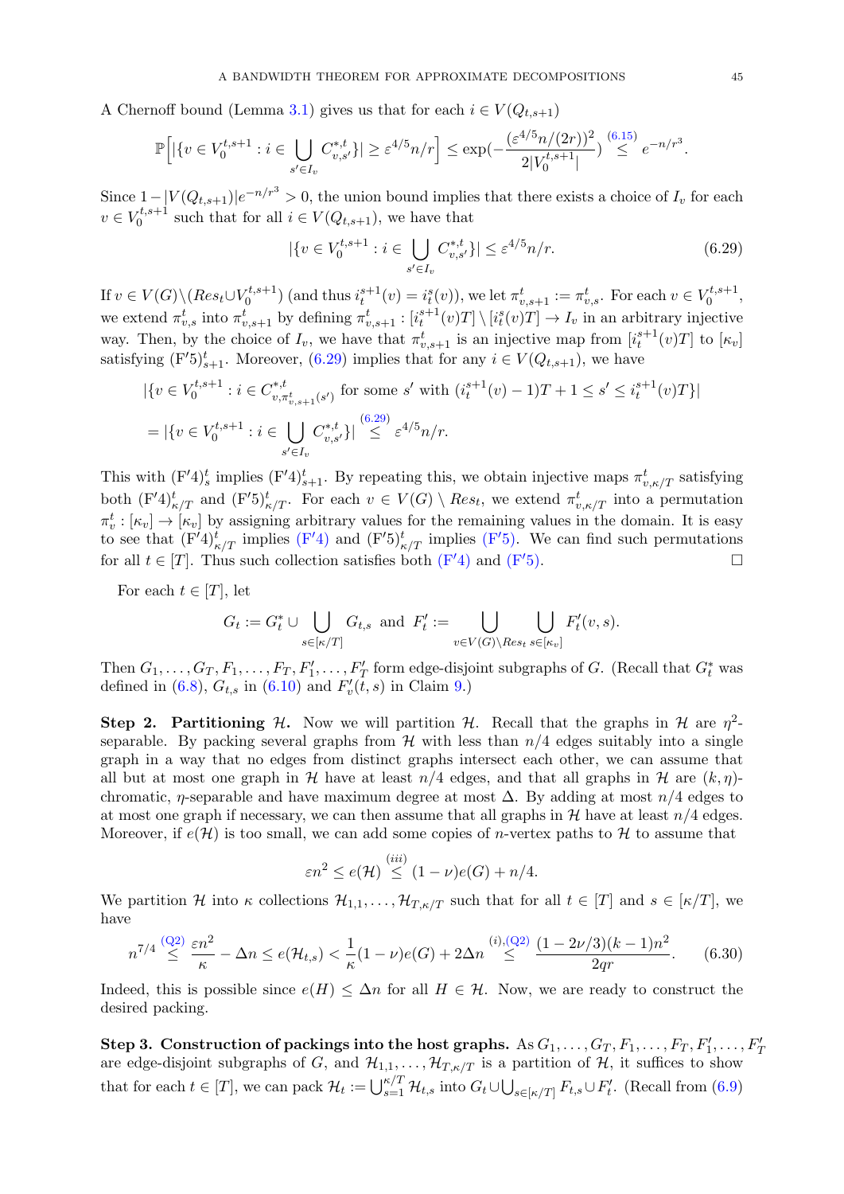A Chernoff bound (Lemma [3.1\)](#page-8-3) gives us that for each  $i \in V(Q_{t,s+1})$ 

$$
\mathbb{P}\Big[|\{v \in V_0^{t,s+1} : i \in \bigcup_{s' \in I_v} C_{v,s'}^{*,t}\}| \ge \varepsilon^{4/5} n/r\Big] \le \exp\left(-\frac{(\varepsilon^{4/5} n/(2r))^2}{2|V_0^{t,s+1}|}\right) \stackrel{(6.15)}{\le} e^{-n/r^3}.
$$

Since  $1 - |V(Q_{t,s+1})|e^{-n/r^3} > 0$ , the union bound implies that there exists a choice of  $I_v$  for each  $v \in V_0^{t,s+1}$  $S_0^{\tau,s+1}$  such that for all  $i \in V(Q_{t,s+1}),$  we have that

<span id="page-45-0"></span>
$$
|\{v \in V_0^{t,s+1} : i \in \bigcup_{s' \in I_v} C_{v,s'}^{*,t} \}| \le \varepsilon^{4/5} n/r. \tag{6.29}
$$

If  $v \in V(G) \setminus (Res_t \cup V_0^{t,s+1})$  $\mathbf{v}_0^{t,s+1}$  (and thus  $i_t^{s+1}(v) = i_t^s(v)$ ), we let  $\pi_{v,s+1}^t := \pi_{v,s}^t$ . For each  $v \in V_0^{t,s+1}$  $\begin{matrix} 0^{t,s+1} \ 0 \end{matrix}$ we extend  $\pi_{v,s}^t$  into  $\pi_{v,s+1}^t$  by defining  $\pi_{v,s+1}^t : [i_t^{s+1}(v)T] \setminus [i_t^s(v)T] \to I_v$  in an arbitrary injective way. Then, by the choice of  $I_v$ , we have that  $\pi_{v,s+1}^t$  is an injective map from  $[i_t^{s+1}(v)T]$  to  $[\kappa_v]$ satisfying  $(F'5)_{s+1}^t$ . Moreover,  $(6.29)$  implies that for any  $i \in V(Q_{t,s+1})$ , we have

$$
\begin{aligned} &|\{v \in V_0^{t,s+1} : i \in C_{v,\pi_{v,s+1}^t(s')}^{*,t} \text{ for some } s' \text{ with } (i_t^{s+1}(v)-1)T+1 \le s' \le i_t^{s+1}(v)T\}| \\ &= |\{v \in V_0^{t,s+1} : i \in \bigcup_{s' \in I_v} C_{v,s'}^{*,t} \}| \stackrel{(6.29)}{\le} \varepsilon^{4/5} n/r. \end{aligned}
$$

This with  $(F'4)_s^t$  implies  $(F'4)_{s+1}^t$ . By repeating this, we obtain injective maps  $\pi_{v,\kappa/T}^t$  satisfying both  $(\mathrm{F}'4)_{\kappa/T}^t$  and  $(\mathrm{F}'5)_{\kappa/T}^t$ . For each  $v \in V(G) \setminus Res_t$ , we extend  $\pi_{v,\kappa/T}^t$  into a permutation  $\pi_v^t : [\kappa_v] \to [\kappa_v]$  by assigning arbitrary values for the remaining values in the domain. It is easy to see that  $(F'4)_{\kappa/T}^t$  $(F'4)_{\kappa/T}^t$  implies  $(F'4)$  and  $(F'5)_{\kappa/T}^t$  implies  $(F'5)$ . We can find such permutations for all  $t \in [T]$ . Thus such collection satisfies both  $(F'4)$  $(F'4)$  and  $(F'5)$ .

For each  $t \in [T]$ , let

$$
G_t := G_t^* \cup \bigcup_{s \in [\kappa/T]} G_{t,s} \text{ and } F'_t := \bigcup_{v \in V(G) \setminus Res_t} \bigcup_{s \in [\kappa_v]} F'_t(v,s).
$$

Then  $G_1, \ldots, G_T, F_1, \ldots, F_T, F'_1, \ldots, F'_T$  form edge-disjoint subgraphs of G. (Recall that  $G_t^*$  was defined in [\(6.8\)](#page-39-14),  $G_{t,s}$  in [\(6.10\)](#page-40-4) and  $F'_v(\tilde{t},s)$  in Claim [9.](#page-43-2))

Step 2. Partitioning H. Now we will partition H. Recall that the graphs in H are  $\eta^2$ separable. By packing several graphs from  $\mathcal{H}$  with less than  $n/4$  edges suitably into a single graph in a way that no edges from distinct graphs intersect each other, we can assume that all but at most one graph in H have at least  $n/4$  edges, and that all graphs in H are  $(k, \eta)$ chromatic,  $\eta$ -separable and have maximum degree at most  $\Delta$ . By adding at most  $n/4$  edges to at most one graph if necessary, we can then assume that all graphs in  $\mathcal H$  have at least  $n/4$  edges. Moreover, if  $e(\mathcal{H})$  is too small, we can add some copies of *n*-vertex paths to H to assume that

<span id="page-45-1"></span>
$$
\varepsilon n^2 \le e(\mathcal{H}) \stackrel{(iii)}{\le} (1-\nu)e(G) + n/4.
$$

We partition H into  $\kappa$  collections  $\mathcal{H}_{1,1}, \ldots, \mathcal{H}_{T,\kappa/T}$  such that for all  $t \in [T]$  and  $s \in [\kappa/T]$ , we have

$$
n^{7/4} \stackrel{(Q2)}{\leq} \frac{\varepsilon n^2}{\kappa} - \Delta n \leq e(\mathcal{H}_{t,s}) < \frac{1}{\kappa} (1 - \nu) e(G) + 2\Delta n \stackrel{(i), (Q2)}{\leq} \frac{(1 - 2\nu/3)(k - 1)n^2}{2qr}.\tag{6.30}
$$

Indeed, this is possible since  $e(H) \leq \Delta n$  for all  $H \in \mathcal{H}$ . Now, we are ready to construct the desired packing.

Step 3. Construction of packings into the host graphs. As  $G_1, \ldots, G_T, F_1, \ldots, F_T, F_1', \ldots, F_T'$ are edge-disjoint subgraphs of G, and  $\mathcal{H}_{1,1}, \ldots, \mathcal{H}_{T,\kappa/T}$  is a partition of  $\mathcal{H}$ , it suffices to show that for each  $t \in [T]$ , we can pack  $\mathcal{H}_t := \bigcup_{s=1}^{\kappa/T} \mathcal{H}_{t,s}$  into  $G_t \cup \bigcup_{s \in [\kappa/T]} F_{t,s} \cup F'_t$ . (Recall from [\(6.9\)](#page-40-1)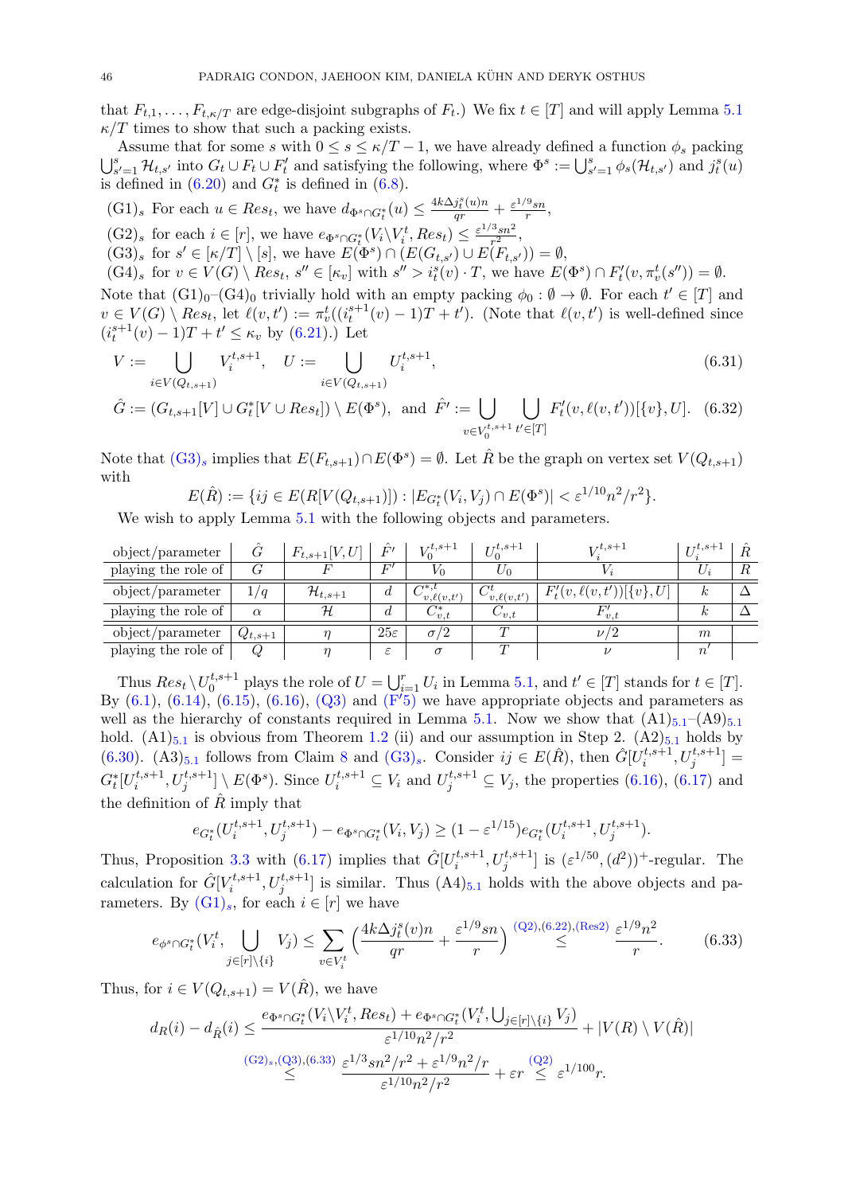that  $F_{t,1}, \ldots, F_{t,\kappa/T}$  are edge-disjoint subgraphs of  $F_t$ .) We fix  $t \in [T]$  and will apply Lemma [5.1](#page-25-0)  $\kappa/T$  times to show that such a packing exists.

Assume that for some s with  $0 \leq s \leq \kappa/T - 1$ , we have already defined a function  $\phi_s$  packing  $\bigcup_{s'=1}^{s} \mathcal{H}_{t,s'}$  into  $G_t \cup F_t \cup F'_t$  and satisfying the following, where  $\Phi^s := \bigcup_{s'=1}^{s} \phi_s(\mathcal{H}_{t,s'})$  and  $j_t^s(u)$ is defined in  $(6.20)$  and  $G_t^*$  is defined in  $(6.8)$ .

<span id="page-46-1"></span> $(G1)_s$  For each  $u \in Res_t$ , we have  $d_{\Phi^s \cap G_t^*}(u) \leq \frac{4k\Delta_j^s(u)n}{qr} + \frac{\varepsilon^{1/9}sn}{r}$  $\frac{m}{r},$ 

<span id="page-46-2"></span> $(G2)_s$  for each  $i \in [r]$ , we have  $e_{\Phi^s \cap G_t^*}(V_i \setminus V_i^t, Res_t) \leq \frac{\varepsilon^{1/3}sn^2}{r^2}$  $rac{3sn^2}{r^2},$ 

<span id="page-46-0"></span> $(G3)_s$  for  $s' \in [\kappa/T] \setminus [s]$ , we have  $E(\Phi^s) \cap (E(G_{t,s'}) \cup E(F_{t,s'})) = \emptyset$ ,

<span id="page-46-4"></span> $(G4)_s$  for  $v \in V(G) \setminus Res_t$ ,  $s'' \in [\kappa_v]$  with  $s'' > i_t^s(v) \cdot T$ , we have  $E(\Phi^s) \cap F'_t(v, \pi_v^t(s'')) = \emptyset$ .

Note that  $(\text{G1})_0-(\text{G4})_0$  trivially hold with an empty packing  $\phi_0: \emptyset \to \emptyset$ . For each  $t' \in [T]$  and  $v \in V(G) \setminus Res_t$ , let  $\ell(v, t') := \pi_v^t((i_t^{s+1}(v) - 1)T + t')$ . (Note that  $\ell(v, t')$  is well-defined since  $(i_t^{s+1}(v) - 1)T + t' \leq \kappa_v$  by [\(6.21\)](#page-42-4).) Let

$$
V := \bigcup_{i \in V(Q_{t,s+1})} V_i^{t,s+1}, \quad U := \bigcup_{i \in V(Q_{t,s+1})} U_i^{t,s+1}, \tag{6.31}
$$

$$
\hat{G} := (G_{t,s+1}[V] \cup G_t^*[V \cup Res_t]) \setminus E(\Phi^s), \text{ and } \hat{F}' := \bigcup_{v \in V_0^{t,s+1}} \bigcup_{t' \in [T]} F'_t(v,\ell(v,t'))[\{v\},U]. \tag{6.32}
$$

Note that  $(G3)_s$  $(G3)_s$  implies that  $E(F_{t,s+1}) \cap E(\Phi^s) = \emptyset$ . Let  $\hat{R}$  be the graph on vertex set  $V(Q_{t,s+1})$ with

<span id="page-46-6"></span><span id="page-46-5"></span>
$$
E(\hat{R}) := \{ ij \in E(R[V(Q_{t,s+1})]): |E_{G_t^*}(V_i, V_j) \cap E(\Phi^s)| < \varepsilon^{1/10} n^2 / r^2 \}.
$$

We wish to apply Lemma [5.1](#page-25-0) with the following objects and parameters.

| object/parameter    |             | $F_{t,s+1}[V,U]$      | F'              | $V_0^{t,s+1}$                                             | $\mathbf{r}$ <sup>t</sup> , s+1 | $T^{t,s+1}$                      | $U_i^{t,s+}$ | $_{R}$ |
|---------------------|-------------|-----------------------|-----------------|-----------------------------------------------------------|---------------------------------|----------------------------------|--------------|--------|
| playing the role of |             |                       | F'              | $V_0$                                                     | ∠∩                              |                                  |              | R      |
| object/parameter    | 1/q         | $\mathcal{H}_{t,s+1}$ | d               | $\curvearrowright$ *,t<br>$\langle v, \ell(v,t') \rangle$ | $C^t_{v,\ell(v,t')}$            | $F'_t(v, \ell(v, t'))[\{v\}, U]$ | k.           |        |
| playing the role of | $\alpha$    | H                     | d               | $C_{v,t}^*$                                               | $\cup_{v.t}$                    | v.t                              | К.           |        |
| object/parameter    | $Q_{t,s+1}$ |                       | $25\varepsilon$ | $\sigma/2$                                                | $\sqrt{ }$                      | $\nu$ / $2$                      | m            |        |
| playing the role of |             |                       | $\varepsilon$   | $\sigma$                                                  | $\tau$                          |                                  | $\it n$      |        |

Thus  $Res_t \setminus U_0^{t,s+1}$ <sup>t,s+1</sup> plays the role of  $U = \bigcup_{i=1}^r U_i$  in Lemma [5.1,](#page-25-0) and  $t' \in [T]$  stands for  $t \in [T]$ . By  $(6.1)$ ,  $(6.14)$ ,  $(6.15)$ ,  $(6.16)$ ,  $(Q3)$  and  $(F<sup>'5</sup>)$  $(F<sup>'5</sup>)$  we have appropriate objects and parameters as well as the hierarchy of constants required in Lemma [5.1.](#page-25-0) Now we show that  $(A1)_{5.1}-(A9)_{5.1}$  $(A1)_{5.1}-(A9)_{5.1}$  $(A1)_{5.1}-(A9)_{5.1}$ hold.  $(A1)_{5,1}$  $(A1)_{5,1}$  $(A1)_{5,1}$  is obvious from Theorem [1.2](#page-3-0) (ii) and our assumption in Step 2.  $(A2)_{5,1}$  holds by [\(6.30\)](#page-45-1).  $(A3)_{5.1}$  $(A3)_{5.1}$  $(A3)_{5.1}$  follows from Claim [8](#page-41-3) and  $(G3)_s$  $(G3)_s$ . Consider  $ij \in E(\hat{R})$ , then  $\hat{G}[U_i^{t,s+1}]$  $\left[ \begin{smallmatrix} t,s+1 \ i \end{smallmatrix} \right],U^{t,s+1}_j]=$  $G_t^*[U_i^{t,s+1}]$  $\{u_i^{t,s+1}, U_j^{t,s+1}\} \setminus E(\Phi^s)$ . Since  $U_i^{t,s+1} \subseteq V_i$  and  $U_j^{t,s+1} \subseteq V_j$ , the properties  $(6.16)$ ,  $(6.17)$  and the definition of  $\hat{R}$  imply that

$$
e_{G_t^*}(U_i^{t,s+1}, U_j^{t,s+1}) - e_{\Phi^s \cap G_t^*}(V_i, V_j) \ge (1 - \varepsilon^{1/15}) e_{G_t^*}(U_i^{t,s+1}, U_j^{t,s+1}).
$$

Thus, Proposition [3.3](#page-8-4) with [\(6.17\)](#page-41-2) implies that  $\hat{G}[U_i^{t,s+1}]$  $[i]_i^{t,s+1}, U_j^{t,s+1}]$  is  $(\varepsilon^{1/50}, (d^2))^+$ -regular. The calculation for  $\hat{G}[V_i^{t,s+1}]$  $[i]_i^{t,s+1}, U_j^{t,s+1}$  is similar. Thus  $(A4)_{5.1}$  $(A4)_{5.1}$  $(A4)_{5.1}$  holds with the above objects and parameters. By  $(G1)_s$  $(G1)_s$ , for each  $i \in [r]$  we have

<span id="page-46-3"></span>
$$
e_{\phi^s \cap G_t^*}(V_i^t, \bigcup_{j \in [r] \setminus \{i\}} V_j) \le \sum_{v \in V_i^t} \left( \frac{4k \Delta j_t^s(v) n}{qr} + \frac{\varepsilon^{1/9} s n}{r} \right) \stackrel{(Q2),(6.22),(Res2)}{\le} \frac{\varepsilon^{1/9} n^2}{r}.
$$
 (6.33)

Thus, for  $i \in V(Q_{t,s+1}) = V(\hat{R})$ , we have

$$
d_{R}(i) - d_{\hat{R}}(i) \leq \frac{e_{\Phi^s \cap G_t^*}(V_i \setminus V_i^t, Res_t) + e_{\Phi^s \cap G_t^*}(V_i^t, \bigcup_{j \in [r] \setminus \{i\}} V_j)}{\varepsilon^{1/10} n^2 / r^2} + |V(R) \setminus V(\hat{R})|
$$
  
\n
$$
\leq \frac{e_{\Phi^s \cap G_t^*}(V_i \setminus V_i^t, Res_t) + e_{\Phi^s \cap G_t^*}(V_i^t, \bigcup_{j \in [r] \setminus \{i\}} V_j)}{\varepsilon^{1/10} n^2 / r^2} + \varepsilon r \leq \varepsilon^{1/100} r.
$$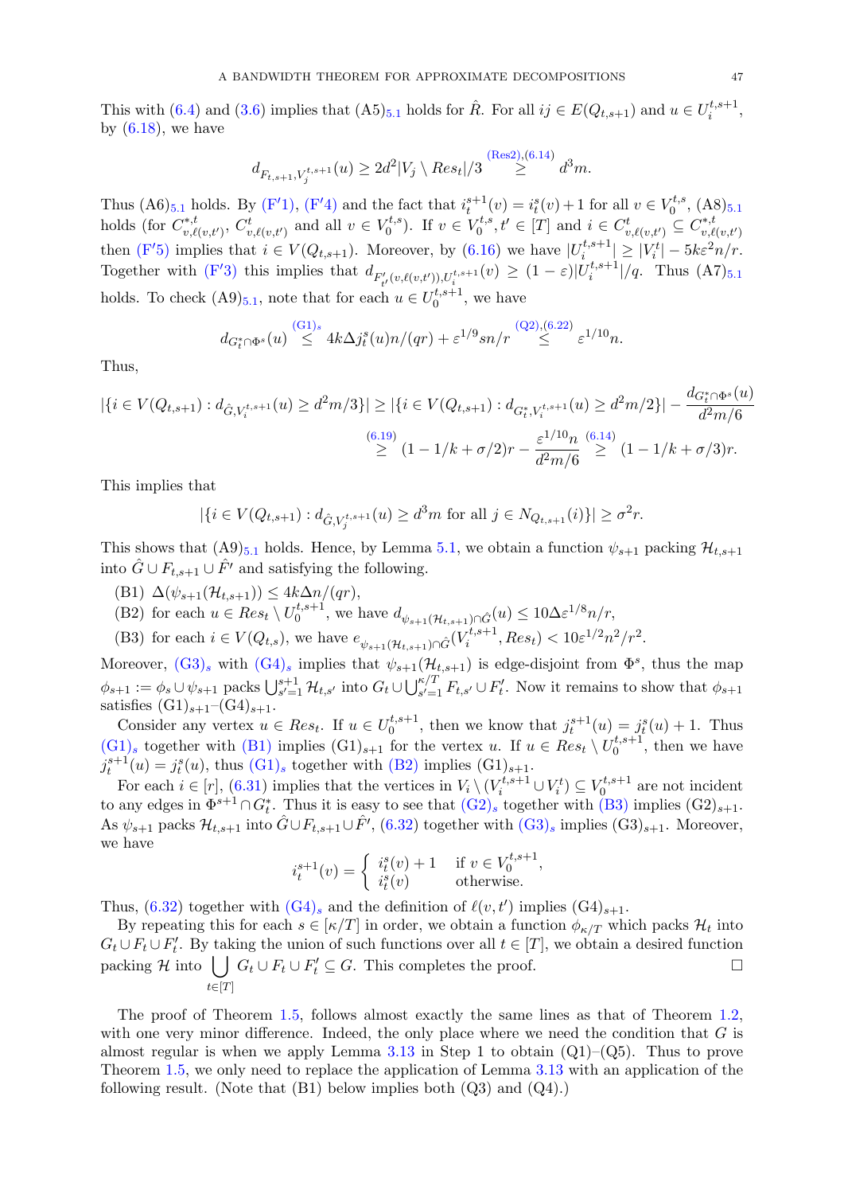This with [\(6.4\)](#page-39-13) and [\(3.6\)](#page-10-4) implies that  $(A5)_{5.1}$  $(A5)_{5.1}$  $(A5)_{5.1}$  holds for  $\hat{R}$ . For all  $ij \in E(Q_{t,s+1})$  and  $u \in U_i^{t,s+1}$  $\begin{matrix} 1, s+1 \ i \end{matrix}$ by  $(6.18)$ , we have

$$
d_{F_{t,s+1}, V_j^{t,s+1}}(u) \ge 2d^2|V_j \setminus Res_t|/3 \stackrel{\text{(Res2)}, (6.14)}{\ge} d^3m.
$$

Thus (A6)<sub>[5](#page-25-0).1</sub> holds. By [\(F](#page-44-0)'1), (F'4) and the fact that  $i_t^{s+1}(v) = i_t^s(v) + 1$  for all  $v \in V_0^{t,s}$  $\zeta_0^{t,s}, \, (\mathrm{A}8)_{5.1}$  $\zeta_0^{t,s}, \, (\mathrm{A}8)_{5.1}$  $\zeta_0^{t,s}, \, (\mathrm{A}8)_{5.1}$ holds (for  $C^{*,t}_{n,\ell}$  $v^{*,t}_{v,\ell(v,t')}, C^t_{v,\ell(v,t')}$  and all  $v \in V_0^{t,s}$  $(v_0^{t,s})$ . If  $v \in V_0^{t,s}$  $C_t^{t,s}, t' \in [T]$  and  $i \in C_{v,\ell(v,t')}^t \subseteq C_{v,\ell}^{*,t}$  $v,\ell(v,t')$ then [\(F](#page-44-1)'5) implies that  $i \in V(Q_{t,s+1})$ . Moreover, by [\(6.16\)](#page-41-1) we have  $|U_i^{t,s+1}|$  $|U_i^{t,s+1}| \geq |V_i^t| - 5k\varepsilon^2 n/r.$ Together with [\(F](#page-42-2)'3) this implies that  $d_{F'_{t'}(v,\ell(v,t')),U_i^{t,s+1}}(v) \geq (1-\varepsilon)|U_i^{t,s+1}|$ holds. To check  $(A9)_{5.1}$  $(A9)_{5.1}$  $(A9)_{5.1}$ , note that for each  $u \in U_0^{t,s+1}$  $\binom{t, s+1}{i}$  /q. Thus  $(A7)_{5.1}$  $(A7)_{5.1}$  $(A7)_{5.1}$  $\mathbf{0}^{t,s+1}$ , we have

$$
d_{G_t^*\cap\Phi^s}(u) \stackrel{\text{(G1)}_s}{\leq} 4k\Delta j_t^s(u)n/(qr) + \varepsilon^{1/9}sn/r \stackrel{\text{(Q2),(6.22)}}{\leq} \varepsilon^{1/10}n.
$$

Thus,

$$
|\{i \in V(Q_{t,s+1}) : d_{\hat{G}, V_i^{t,s+1}}(u) \ge d^2 m/3\}| \ge |\{i \in V(Q_{t,s+1}) : d_{G_t^*, V_i^{t,s+1}}(u) \ge d^2 m/2\}| - \frac{d_{G_t^* \cap \Phi^s}(u)}{d^2 m/6}
$$
  
\n
$$
\ge (1 - 1/k + \sigma/2)r - \frac{\varepsilon^{1/10} n}{d^2 m/6} \stackrel{(6.14)}{\ge} (1 - 1/k + \sigma/3)r.
$$

This implies that

$$
|\{i \in V(Q_{t,s+1}) : d_{\hat{G}, V_j^{t,s+1}}(u) \ge d^3m \text{ for all } j \in N_{Q_{t,s+1}}(i)\}| \ge \sigma^2 r.
$$

This shows that  $(A9)_{5.1}$  $(A9)_{5.1}$  $(A9)_{5.1}$  holds. Hence, by Lemma [5.1,](#page-25-0) we obtain a function  $\psi_{s+1}$  packing  $\mathcal{H}_{t,s+1}$ into  $\hat{G} \cup F_{t,s+1} \cup \hat{F}'$  and satisfying the following.

- <span id="page-47-0"></span>(B1)  $\Delta(\psi_{s+1}(\mathcal{H}_{t,s+1})) \leq 4k\Delta n/(qr),$
- <span id="page-47-1"></span>(B2) for each  $u \in Res_t \setminus U_0^{t,s+1}$ <sup>t,s+1</sup>, we have  $d_{\psi_{s+1}(\mathcal{H}_{t,s+1}) \cap \hat{G}}(u) \leq 10\Delta\varepsilon^{1/8}n/r$ ,
- <span id="page-47-2"></span>(B3) for each  $i \in V(Q_{t,s})$ , we have  $e_{\psi_{s+1}(\mathcal{H}_{t,s+1}) \cap \hat{G}}(V_i^{t,s+1})$  $r_t^{t,s+1}, Res_t) < 10\varepsilon^{1/2} n^2/r^2.$

Moreover,  $(G3)_s$  $(G3)_s$  with  $(G4)_s$  $(G4)_s$  implies that  $\psi_{s+1}(\mathcal{H}_{t,s+1})$  is edge-disjoint from  $\Phi^s$ , thus the map  $\phi_{s+1} := \phi_s \cup \psi_{s+1}$  packs  $\bigcup_{s'=1}^{s+1} \mathcal{H}_{t,s'}$  into  $G_t \cup \bigcup_{s'=1}^{s/T} F_{t,s'} \cup F'_t$ . Now it remains to show that  $\phi_{s+1}$ satisfies  $(G1)_{s+1}-(G4)_{s+1}$ .

Consider any vertex  $u \in Res_t$ . If  $u \in U_0^{t,s+1}$  $t^{t,s+1}_{0}$ , then we know that  $j_t^{s+1}(u) = j_t^s(u) + 1$ . Thus  $(G1)_s$  $(G1)_s$  together with  $(B1)$  implies  $(G1)_{s+1}$  for the vertex u. If  $u \in Res_t \setminus U_0^{t,s+1}$  $\binom{t,s+1}{0}$ , then we have  $j_t^{s+1}(u) = j_t^s(u)$ , thus  $(G_1)_s$  together with  $(B_2)$  implies  $(G_1)_{s+1}$ .

For each  $i \in [r]$ , [\(6.31\)](#page-46-5) implies that the vertices in  $V_i \setminus (V_i^{t,s+1} \cup V_i^t) \subseteq V_0^{t,s+1}$  $v_0^{\tau,s+1}$  are not incident to any edges in  $\Phi^{s+1} \cap G_t^*$ . Thus it is easy to see that  $(G2)_s$  $(G2)_s$  together with  $(B3)$  implies  $(G2)_{s+1}$ . As  $\psi_{s+1}$  packs  $\mathcal{H}_{t,s+1}$  into  $\hat{G} \cup F_{t,s+1} \cup \hat{F}'$ , [\(6.32\)](#page-46-6) together with  $(\text{G3})_s$  implies  $(\text{G3})_{s+1}$ . Moreover, we have

$$
i_t^{s+1}(v) = \begin{cases} i_t^s(v) + 1 & \text{if } v \in V_0^{t,s+1}, \\ i_t^s(v) & \text{otherwise.} \end{cases}
$$

Thus, [\(6.32\)](#page-46-6) together with  $(G4)_s$  $(G4)_s$  and the definition of  $\ell(v, t')$  implies  $(G4)_{s+1}$ .

By repeating this for each  $s \in [\kappa/T]$  in order, we obtain a function  $\phi_{\kappa/T}$  which packs  $\mathcal{H}_t$  into  $G_t \cup F_t \cup F'_t$ . By taking the union of such functions over all  $t \in [T]$ , we obtain a desired function packing H into  $\bigcup G_t \cup F_t \cup F'_t \subseteq G$ . This completes the proof.  $t \in [T]$ 

The proof of Theorem [1.5,](#page-4-0) follows almost exactly the same lines as that of Theorem [1.2,](#page-3-0) with one very minor difference. Indeed, the only place where we need the condition that  $G$  is almost regular is when we apply Lemma [3.13](#page-11-0) in Step 1 to obtain  $(Q1)$ – $(Q5)$ . Thus to prove Theorem [1.5,](#page-4-0) we only need to replace the application of Lemma [3.13](#page-11-0) with an application of the following result. (Note that  $(B1)$  below implies both  $(Q3)$  and  $(Q4)$ .)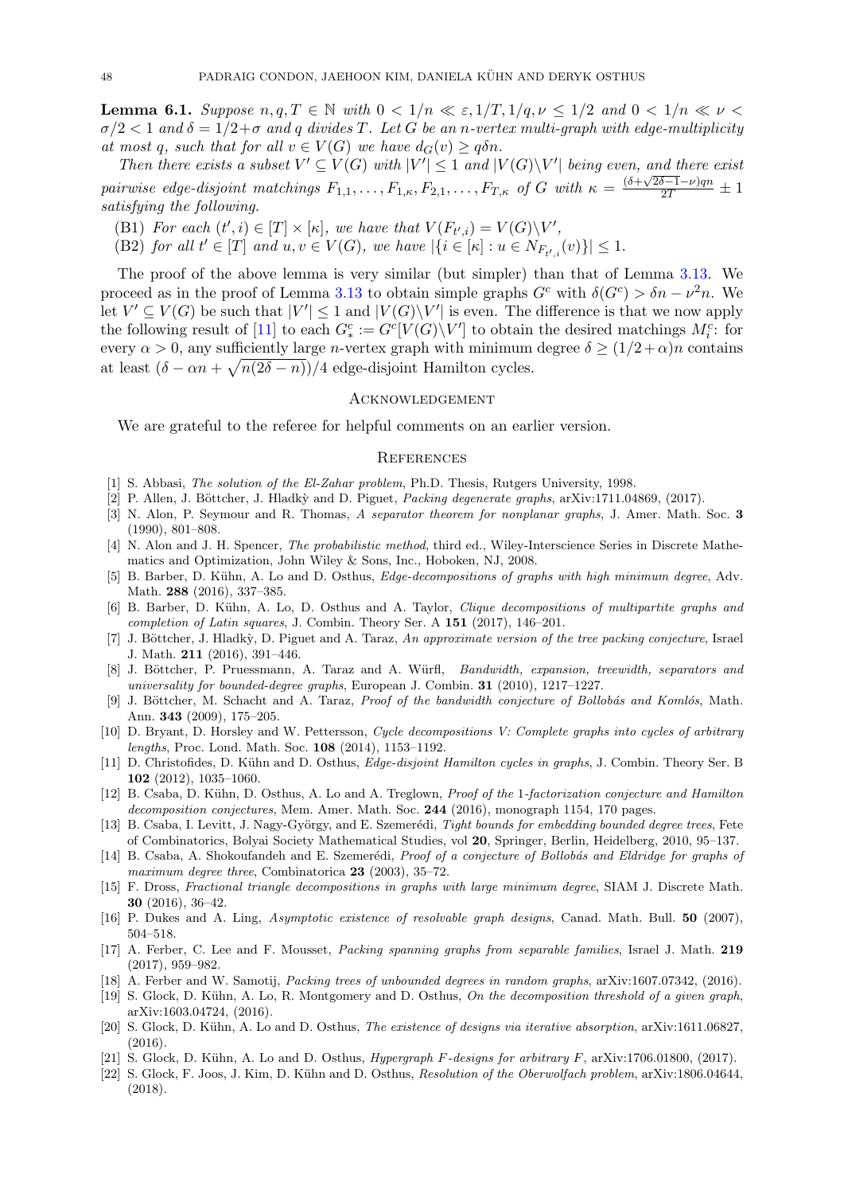**Lemma 6.1.** Suppose  $n, q, T \in \mathbb{N}$  with  $0 < 1/n \ll \varepsilon$ ,  $1/T$ ,  $1/q, \nu \leq 1/2$  and  $0 < 1/n \ll \nu <$  $\sigma/2 < 1$  and  $\delta = 1/2 + \sigma$  and q divides T. Let G be an n-vertex multi-graph with edge-multiplicity at most q, such that for all  $v \in V(G)$  we have  $d_G(v) \geq q \delta n$ .

Then there exists a subset  $V' \subseteq V(G)$  with  $|V'| \leq 1$  and  $|V(G) \setminus V'|$  being even, and there exist pairwise edge-disjoint matchings  $F_{1,1}, \ldots, F_{1,\kappa}, F_{2,1}, \ldots, F_{T,\kappa}$  of G with  $\kappa = \frac{(\delta + \sqrt{2\delta-1}-\nu)qn}{2T} \pm 1$ satisfying the following.

- (B1) For each  $(t', i) \in [T] \times [\kappa]$ , we have that  $V(F_{t', i}) = V(G) \backslash V'$ ,
- (B2) for all  $t' \in [T]$  and  $u, v \in V(G)$ , we have  $|\{i \in [\kappa] : u \in N_{F_{t',i}}(v)\}| \leq 1$ .

The proof of the above lemma is very similar (but simpler) than that of Lemma [3.13.](#page-11-0) We proceed as in the proof of Lemma [3.13](#page-11-0) to obtain simple graphs  $G^c$  with  $\delta(G^c) > \delta n - \nu^2 n$ . We let  $V' \subseteq V(G)$  be such that  $|V'| \leq 1$  and  $|V(G) \setminus V'|$  is even. The difference is that we now apply the following result of [\[11\]](#page-48-16) to each  $G_*^c := G^c[V(G)\backslash V']$  to obtain the desired matchings  $M_i^c$ : for every  $\alpha > 0$ , any sufficiently large *n*-vertex graph with minimum degree  $\delta \ge (1/2 + \alpha)n$  contains at least  $(\delta - \alpha n + \sqrt{n(2\delta - n)})/4$  edge-disjoint Hamilton cycles.

## **ACKNOWLEDGEMENT**

We are grateful to the referee for helpful comments on an earlier version.

#### **REFERENCES**

- <span id="page-48-1"></span>[1] S. Abbasi, *The solution of the El-Zahar problem*, Ph.D. Thesis, Rutgers University, 1998.
- <span id="page-48-9"></span>[2] P. Allen, J. Böttcher, J. Hladkỳ and D. Piguet, Packing degenerate graphs, arXiv:1711.04869, (2017).
- <span id="page-48-12"></span>[3] N. Alon, P. Seymour and R. Thomas, A separator theorem for nonplanar graphs, J. Amer. Math. Soc. 3 (1990), 801–808.
- <span id="page-48-20"></span>[4] N. Alon and J. H. Spencer, The probabilistic method, third ed., Wiley-Interscience Series in Discrete Mathematics and Optimization, John Wiley & Sons, Inc., Hoboken, NJ, 2008.
- <span id="page-48-13"></span>[5] B. Barber, D. Kühn, A. Lo and D. Osthus, *Edge-decompositions of graphs with high minimum degree*, Adv. Math. 288 (2016), 337–385.
- [6] B. Barber, D. K¨uhn, A. Lo, D. Osthus and A. Taylor, Clique decompositions of multipartite graphs and completion of Latin squares, J. Combin. Theory Ser. A 151 (2017), 146–201.
- <span id="page-48-7"></span>[7] J. Böttcher, J. Hladkỳ, D. Piguet and A. Taraz, An approximate version of the tree packing conjecture, Israel J. Math. 211 (2016), 391–446.
- <span id="page-48-5"></span>[8] J. Böttcher, P. Pruessmann, A. Taraz and A. Würfl, Bandwidth, expansion, treewidth, separators and universality for bounded-degree graphs, European J. Combin. 31 (2010), 1217–1227.
- <span id="page-48-4"></span>[9] J. Böttcher, M. Schacht and A. Taraz, Proof of the bandwidth conjecture of Bollobás and Komlós, Math. Ann. 343 (2009), 175–205.
- <span id="page-48-6"></span>[10] D. Bryant, D. Horsley and W. Pettersson, Cycle decompositions V: Complete graphs into cycles of arbitrary lengths, Proc. Lond. Math. Soc. 108 (2014), 1153–1192.
- <span id="page-48-16"></span>[11] D. Christofides, D. Kühn and D. Osthus, Edge-disjoint Hamilton cycles in graphs, J. Combin. Theory Ser. B 102 (2012), 1035–1060.
- <span id="page-48-0"></span>[12] B. Csaba, D. Kühn, D. Osthus, A. Lo and A. Treglown, *Proof of the 1-factorization conjecture and Hamilton* decomposition conjectures, Mem. Amer. Math. Soc. 244 (2016), monograph 1154, 170 pages.
- <span id="page-48-2"></span>[13] B. Csaba, I. Levitt, J. Nagy-György, and E. Szemerédi, Tight bounds for embedding bounded degree trees, Fete of Combinatorics, Bolyai Society Mathematical Studies, vol 20, Springer, Berlin, Heidelberg, 2010, 95–137.
- <span id="page-48-3"></span>[14] B. Csaba, A. Shokoufandeh and E. Szemerédi, *Proof of a conjecture of Bollobás and Eldridge for graphs of* maximum degree three, Combinatorica 23 (2003), 35–72.
- <span id="page-48-15"></span>[15] F. Dross, Fractional triangle decompositions in graphs with large minimum degree, SIAM J. Discrete Math. 30 (2016), 36–42.
- <span id="page-48-11"></span>[16] P. Dukes and A. Ling, Asymptotic existence of resolvable graph designs, Canad. Math. Bull. 50 (2007), 504–518.
- <span id="page-48-8"></span>[17] A. Ferber, C. Lee and F. Mousset, Packing spanning graphs from separable families, Israel J. Math. 219 (2017), 959–982.
- <span id="page-48-10"></span>[18] A. Ferber and W. Samotij, Packing trees of unbounded degrees in random graphs, arXiv:1607.07342, (2016).
- <span id="page-48-14"></span>[19] S. Glock, D. Kühn, A. Lo, R. Montgomery and D. Osthus, On the decomposition threshold of a given graph, arXiv:1603.04724, (2016).
- <span id="page-48-17"></span>[20] S. Glock, D. Kühn, A. Lo and D. Osthus, The existence of designs via iterative absorption, arXiv:1611.06827, (2016).
- <span id="page-48-18"></span>[21] S. Glock, D. Kühn, A. Lo and D. Osthus, *Hypergraph F-designs for arbitrary F*, arXiv:1706.01800, (2017).
- <span id="page-48-19"></span>[22] S. Glock, F. Joos, J. Kim, D. Kühn and D. Osthus, Resolution of the Oberwolfach problem, arXiv:1806.04644, (2018).